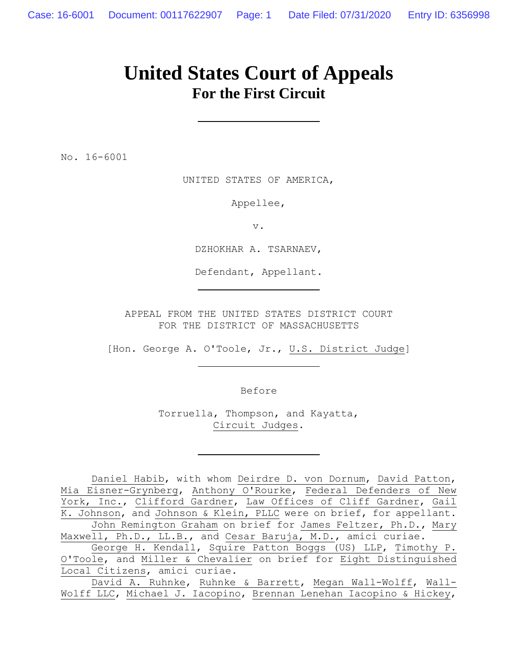# **United States Court of Appeals For the First Circuit**

No. 16-6001

UNITED STATES OF AMERICA,

Appellee,

v.

DZHOKHAR A. TSARNAEV,

Defendant, Appellant.

APPEAL FROM THE UNITED STATES DISTRICT COURT FOR THE DISTRICT OF MASSACHUSETTS

[Hon. George A. O'Toole, Jr., U.S. District Judge]

Before

Torruella, Thompson, and Kayatta, Circuit Judges.

Daniel Habib, with whom Deirdre D. von Dornum, David Patton, Mia Eisner-Grynberg, Anthony O'Rourke, Federal Defenders of New York, Inc., Clifford Gardner, Law Offices of Cliff Gardner, Gail K. Johnson, and Johnson & Klein, PLLC were on brief, for appellant. John Remington Graham on brief for James Feltzer, Ph.D., Mary Maxwell, Ph.D., LL.B., and Cesar Baruja, M.D., amici curiae.

George H. Kendall, Squire Patton Boggs (US) LLP, Timothy P. O'Toole, and Miller & Chevalier on brief for Eight Distinguished Local Citizens, amici curiae.

David A. Ruhnke, Ruhnke & Barrett, Megan Wall-Wolff, Wall-Wolff LLC, Michael J. Iacopino, Brennan Lenehan Iacopino & Hickey,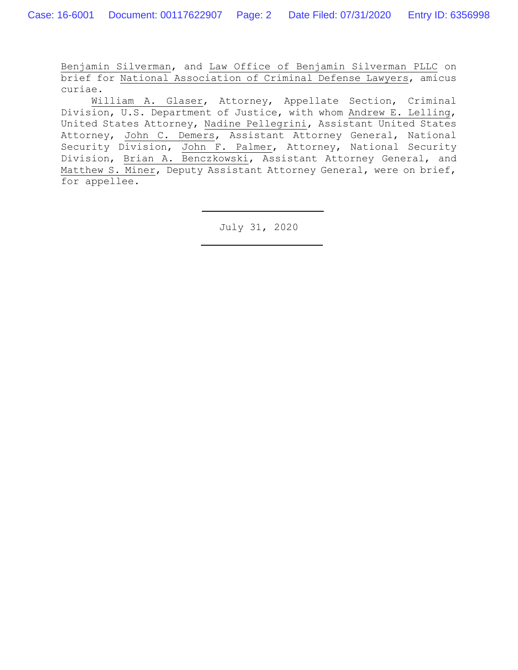Benjamin Silverman, and Law Office of Benjamin Silverman PLLC on brief for National Association of Criminal Defense Lawyers, amicus curiae.

William A. Glaser, Attorney, Appellate Section, Criminal Division, U.S. Department of Justice, with whom Andrew E. Lelling, United States Attorney, Nadine Pellegrini, Assistant United States Attorney, John C. Demers, Assistant Attorney General, National Security Division, John F. Palmer, Attorney, National Security Division, Brian A. Benczkowski, Assistant Attorney General, and Matthew S. Miner, Deputy Assistant Attorney General, were on brief, for appellee.

July 31, 2020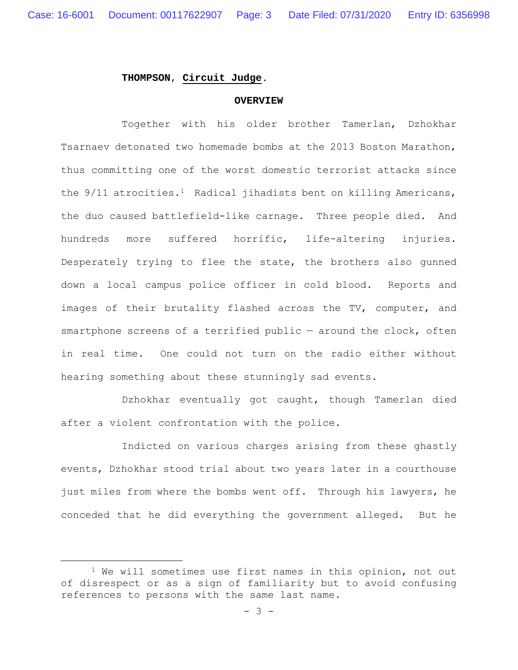#### **THOMPSON**, **Circuit Judge**.

#### **OVERVIEW**

Together with his older brother Tamerlan, Dzhokhar Tsarnaev detonated two homemade bombs at the 2013 Boston Marathon, thus committing one of the worst domestic terrorist attacks since the 9/11 atrocities.<sup>1</sup> Radical jihadists bent on killing Americans, the duo caused battlefield-like carnage. Three people died. And hundreds more suffered horrific, life-altering injuries. Desperately trying to flee the state, the brothers also gunned down a local campus police officer in cold blood. Reports and images of their brutality flashed across the TV, computer, and smartphone screens of a terrified public - around the clock, often in real time. One could not turn on the radio either without hearing something about these stunningly sad events.

Dzhokhar eventually got caught, though Tamerlan died after a violent confrontation with the police.

Indicted on various charges arising from these ghastly events, Dzhokhar stood trial about two years later in a courthouse just miles from where the bombs went off. Through his lawyers, he conceded that he did everything the government alleged. But he

<sup>&</sup>lt;sup>1</sup> We will sometimes use first names in this opinion, not out of disrespect or as a sign of familiarity but to avoid confusing references to persons with the same last name.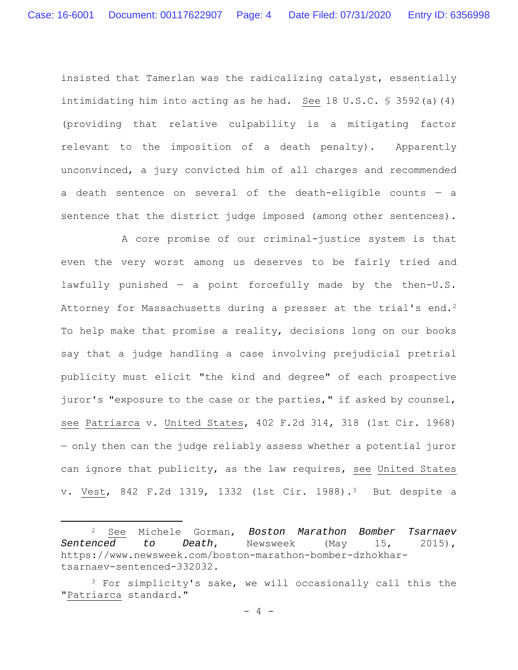insisted that Tamerlan was the radicalizing catalyst, essentially intimidating him into acting as he had. See 18 U.S.C.  $\frac{1}{5}$  3592(a)(4) (providing that relative culpability is a mitigating factor relevant to the imposition of a death penalty). Apparently unconvinced, a jury convicted him of all charges and recommended a death sentence on several of the death-eligible counts — a sentence that the district judge imposed (among other sentences).

A core promise of our criminal-justice system is that even the very worst among us deserves to be fairly tried and lawfully punished  $-$  a point forcefully made by the then-U.S. Attorney for Massachusetts during a presser at the trial's end.<sup>2</sup> To help make that promise a reality, decisions long on our books say that a judge handling a case involving prejudicial pretrial publicity must elicit "the kind and degree" of each prospective juror's "exposure to the case or the parties," if asked by counsel, see Patriarca v. United States, 402 F.2d 314, 318 (1st Cir. 1968) — only then can the judge reliably assess whether a potential juror can ignore that publicity, as the law requires, see United States v. Vest, 842 F.2d 1319, 1332 (1st Cir. 1988).3 But despite a

<sup>2</sup> See Michele Gorman, *Boston Marathon Bomber Tsarnaev Sentenced to Death*, Newsweek (May 15, 2015), https://www.newsweek.com/boston-marathon-bomber-dzhokhartsarnaev-sentenced-332032.

<sup>&</sup>lt;sup>3</sup> For simplicity's sake, we will occasionally call this the "Patriarca standard."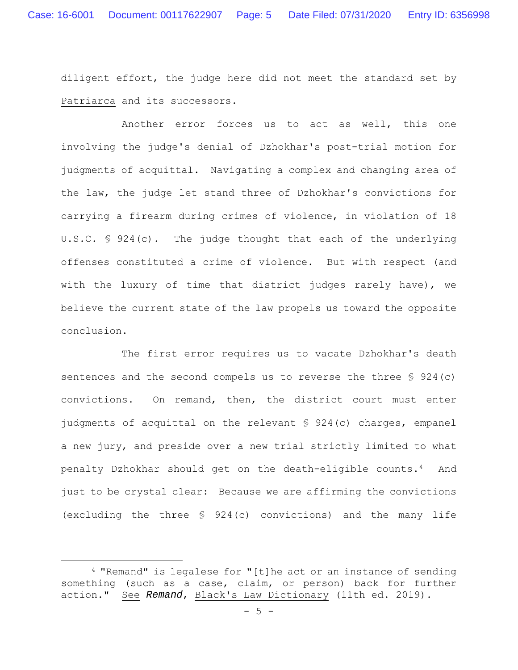diligent effort, the judge here did not meet the standard set by Patriarca and its successors.

Another error forces us to act as well, this one involving the judge's denial of Dzhokhar's post-trial motion for judgments of acquittal. Navigating a complex and changing area of the law, the judge let stand three of Dzhokhar's convictions for carrying a firearm during crimes of violence, in violation of 18 U.S.C. § 924(c). The judge thought that each of the underlying offenses constituted a crime of violence. But with respect (and with the luxury of time that district judges rarely have), we believe the current state of the law propels us toward the opposite conclusion.

The first error requires us to vacate Dzhokhar's death sentences and the second compels us to reverse the three § 924(c) convictions. On remand, then, the district court must enter judgments of acquittal on the relevant § 924(c) charges, empanel a new jury, and preside over a new trial strictly limited to what penalty Dzhokhar should get on the death-eligible counts.4 And just to be crystal clear: Because we are affirming the convictions (excluding the three § 924(c) convictions) and the many life

<sup>4 &</sup>quot;Remand" is legalese for "[t]he act or an instance of sending something (such as a case, claim, or person) back for further action." See *Remand*, Black's Law Dictionary (11th ed. 2019).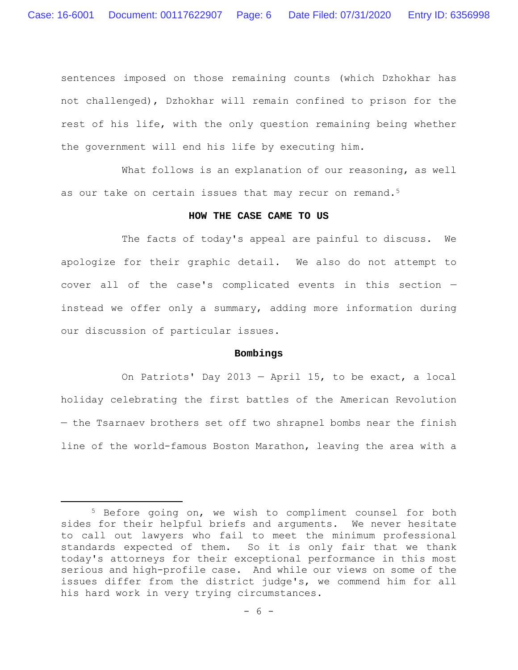sentences imposed on those remaining counts (which Dzhokhar has not challenged), Dzhokhar will remain confined to prison for the rest of his life, with the only question remaining being whether the government will end his life by executing him.

What follows is an explanation of our reasoning, as well as our take on certain issues that may recur on remand.<sup>5</sup>

#### **HOW THE CASE CAME TO US**

The facts of today's appeal are painful to discuss. We apologize for their graphic detail. We also do not attempt to cover all of the case's complicated events in this section instead we offer only a summary, adding more information during our discussion of particular issues.

## **Bombings**

On Patriots' Day 2013 — April 15, to be exact, a local holiday celebrating the first battles of the American Revolution — the Tsarnaev brothers set off two shrapnel bombs near the finish line of the world-famous Boston Marathon, leaving the area with a

<sup>5</sup> Before going on, we wish to compliment counsel for both sides for their helpful briefs and arguments. We never hesitate to call out lawyers who fail to meet the minimum professional standards expected of them. So it is only fair that we thank today's attorneys for their exceptional performance in this most serious and high-profile case. And while our views on some of the issues differ from the district judge's, we commend him for all his hard work in very trying circumstances.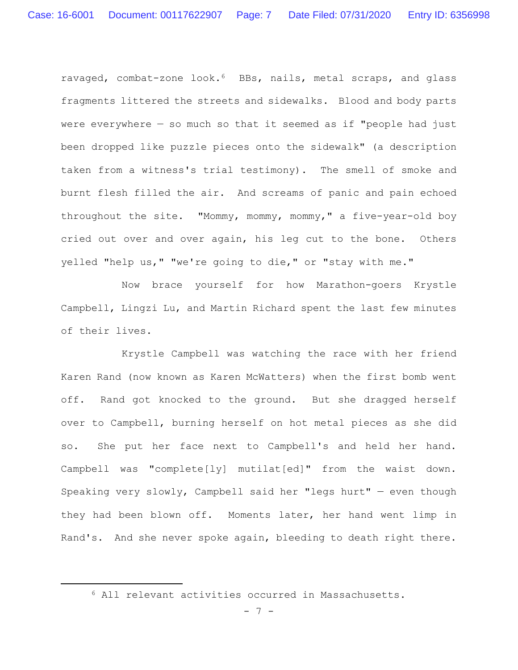ravaged, combat-zone look.6 BBs, nails, metal scraps, and glass fragments littered the streets and sidewalks. Blood and body parts were everywhere  $-$  so much so that it seemed as if "people had just been dropped like puzzle pieces onto the sidewalk" (a description taken from a witness's trial testimony). The smell of smoke and burnt flesh filled the air. And screams of panic and pain echoed throughout the site. "Mommy, mommy, mommy," a five-year-old boy cried out over and over again, his leg cut to the bone. Others yelled "help us," "we're going to die," or "stay with me."

Now brace yourself for how Marathon-goers Krystle Campbell, Lingzi Lu, and Martin Richard spent the last few minutes of their lives.

Krystle Campbell was watching the race with her friend Karen Rand (now known as Karen McWatters) when the first bomb went off. Rand got knocked to the ground. But she dragged herself over to Campbell, burning herself on hot metal pieces as she did so. She put her face next to Campbell's and held her hand. Campbell was "complete[ly] mutilat[ed]" from the waist down. Speaking very slowly, Campbell said her "legs hurt" — even though they had been blown off. Moments later, her hand went limp in Rand's. And she never spoke again, bleeding to death right there.

<sup>6</sup> All relevant activities occurred in Massachusetts.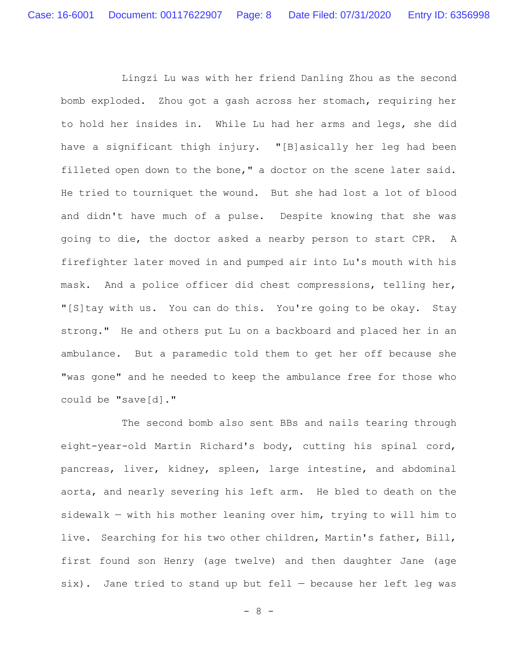Lingzi Lu was with her friend Danling Zhou as the second bomb exploded. Zhou got a gash across her stomach, requiring her to hold her insides in. While Lu had her arms and legs, she did have a significant thigh injury. "[B]asically her leg had been filleted open down to the bone," a doctor on the scene later said. He tried to tourniquet the wound. But she had lost a lot of blood and didn't have much of a pulse. Despite knowing that she was going to die, the doctor asked a nearby person to start CPR. A firefighter later moved in and pumped air into Lu's mouth with his mask. And a police officer did chest compressions, telling her, "[S]tay with us. You can do this. You're going to be okay. Stay strong." He and others put Lu on a backboard and placed her in an ambulance. But a paramedic told them to get her off because she "was gone" and he needed to keep the ambulance free for those who could be "save[d]."

The second bomb also sent BBs and nails tearing through eight-year-old Martin Richard's body, cutting his spinal cord, pancreas, liver, kidney, spleen, large intestine, and abdominal aorta, and nearly severing his left arm. He bled to death on the sidewalk — with his mother leaning over him, trying to will him to live. Searching for his two other children, Martin's father, Bill, first found son Henry (age twelve) and then daughter Jane (age six). Jane tried to stand up but fell — because her left leg was

 $- 8 -$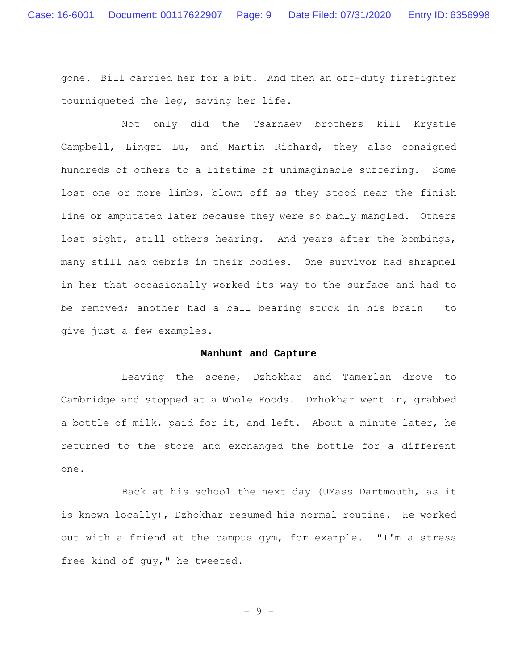gone. Bill carried her for a bit. And then an off-duty firefighter tourniqueted the leg, saving her life.

Not only did the Tsarnaev brothers kill Krystle Campbell, Lingzi Lu, and Martin Richard, they also consigned hundreds of others to a lifetime of unimaginable suffering. Some lost one or more limbs, blown off as they stood near the finish line or amputated later because they were so badly mangled. Others lost sight, still others hearing. And years after the bombings, many still had debris in their bodies. One survivor had shrapnel in her that occasionally worked its way to the surface and had to be removed; another had a ball bearing stuck in his brain  $-$  to give just a few examples.

## **Manhunt and Capture**

Leaving the scene, Dzhokhar and Tamerlan drove to Cambridge and stopped at a Whole Foods. Dzhokhar went in, grabbed a bottle of milk, paid for it, and left. About a minute later, he returned to the store and exchanged the bottle for a different one.

Back at his school the next day (UMass Dartmouth, as it is known locally), Dzhokhar resumed his normal routine. He worked out with a friend at the campus gym, for example. "I'm a stress free kind of guy," he tweeted.

- 9 -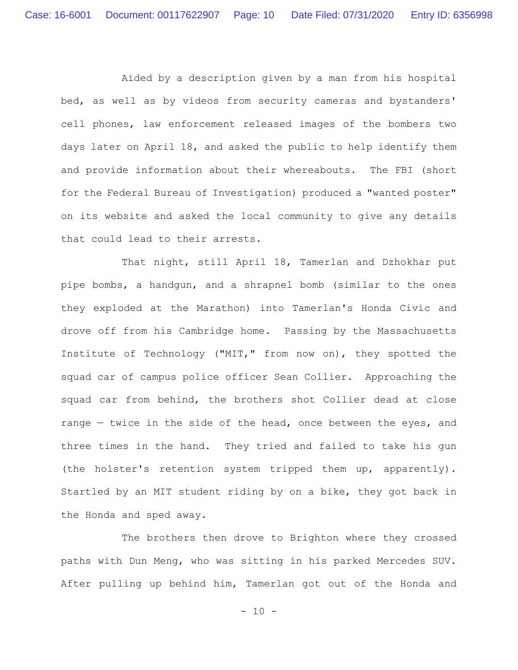Aided by a description given by a man from his hospital bed, as well as by videos from security cameras and bystanders' cell phones, law enforcement released images of the bombers two days later on April 18, and asked the public to help identify them and provide information about their whereabouts. The FBI (short for the Federal Bureau of Investigation) produced a "wanted poster" on its website and asked the local community to give any details that could lead to their arrests.

That night, still April 18, Tamerlan and Dzhokhar put pipe bombs, a handgun, and a shrapnel bomb (similar to the ones they exploded at the Marathon) into Tamerlan's Honda Civic and drove off from his Cambridge home. Passing by the Massachusetts Institute of Technology ("MIT," from now on), they spotted the squad car of campus police officer Sean Collier. Approaching the squad car from behind, the brothers shot Collier dead at close range - twice in the side of the head, once between the eyes, and three times in the hand. They tried and failed to take his gun (the holster's retention system tripped them up, apparently). Startled by an MIT student riding by on a bike, they got back in the Honda and sped away.

The brothers then drove to Brighton where they crossed paths with Dun Meng, who was sitting in his parked Mercedes SUV. After pulling up behind him, Tamerlan got out of the Honda and

 $- 10 -$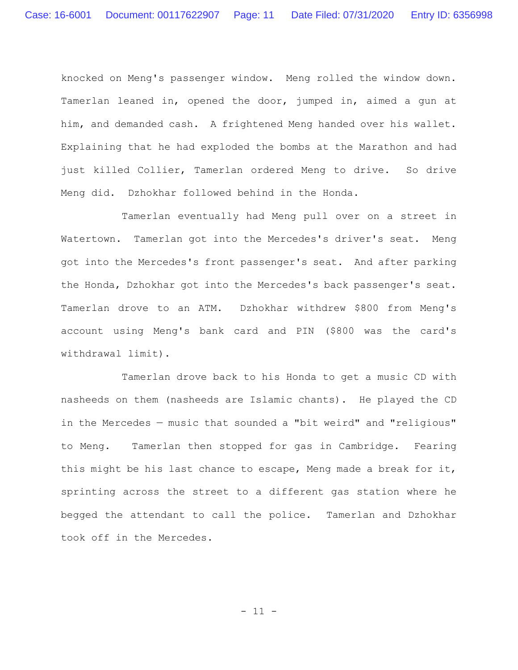knocked on Meng's passenger window. Meng rolled the window down. Tamerlan leaned in, opened the door, jumped in, aimed a gun at him, and demanded cash. A frightened Meng handed over his wallet. Explaining that he had exploded the bombs at the Marathon and had just killed Collier, Tamerlan ordered Meng to drive. So drive Meng did. Dzhokhar followed behind in the Honda.

Tamerlan eventually had Meng pull over on a street in Watertown. Tamerlan got into the Mercedes's driver's seat. Meng got into the Mercedes's front passenger's seat. And after parking the Honda, Dzhokhar got into the Mercedes's back passenger's seat. Tamerlan drove to an ATM. Dzhokhar withdrew \$800 from Meng's account using Meng's bank card and PIN (\$800 was the card's withdrawal limit).

Tamerlan drove back to his Honda to get a music CD with nasheeds on them (nasheeds are Islamic chants). He played the CD in the Mercedes — music that sounded a "bit weird" and "religious" to Meng. Tamerlan then stopped for gas in Cambridge. Fearing this might be his last chance to escape, Meng made a break for it, sprinting across the street to a different gas station where he begged the attendant to call the police. Tamerlan and Dzhokhar took off in the Mercedes.

 $- 11 -$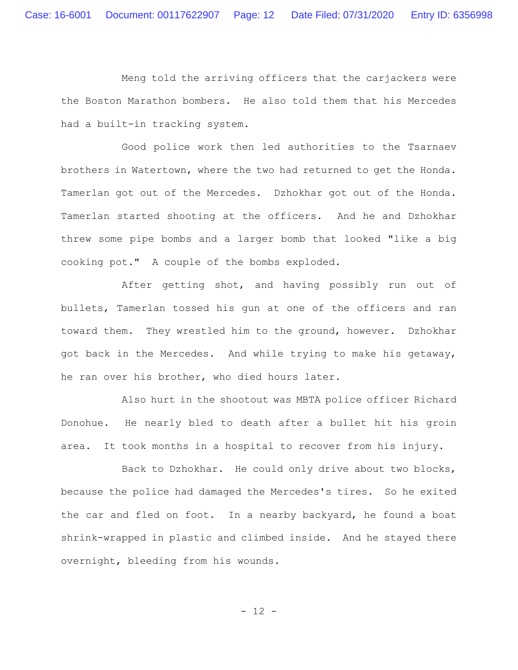Meng told the arriving officers that the carjackers were the Boston Marathon bombers. He also told them that his Mercedes had a built-in tracking system.

Good police work then led authorities to the Tsarnaev brothers in Watertown, where the two had returned to get the Honda. Tamerlan got out of the Mercedes. Dzhokhar got out of the Honda. Tamerlan started shooting at the officers. And he and Dzhokhar threw some pipe bombs and a larger bomb that looked "like a big cooking pot." A couple of the bombs exploded.

After getting shot, and having possibly run out of bullets, Tamerlan tossed his gun at one of the officers and ran toward them. They wrestled him to the ground, however. Dzhokhar got back in the Mercedes. And while trying to make his getaway, he ran over his brother, who died hours later.

Also hurt in the shootout was MBTA police officer Richard Donohue. He nearly bled to death after a bullet hit his groin area. It took months in a hospital to recover from his injury.

Back to Dzhokhar. He could only drive about two blocks, because the police had damaged the Mercedes's tires. So he exited the car and fled on foot. In a nearby backyard, he found a boat shrink-wrapped in plastic and climbed inside. And he stayed there overnight, bleeding from his wounds.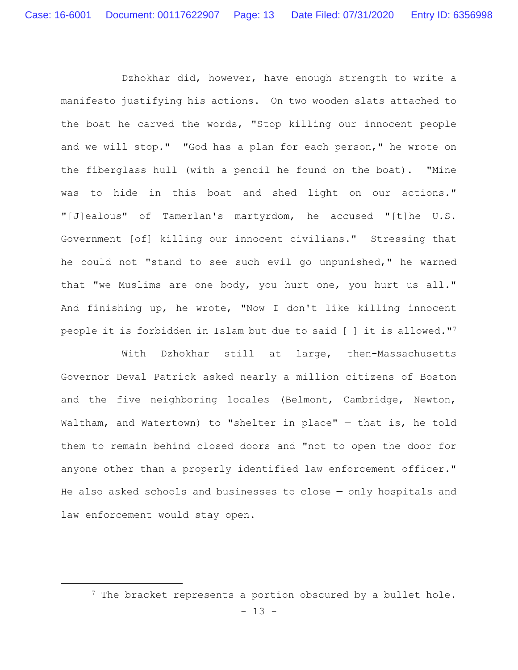Dzhokhar did, however, have enough strength to write a manifesto justifying his actions. On two wooden slats attached to the boat he carved the words, "Stop killing our innocent people and we will stop." "God has a plan for each person," he wrote on the fiberglass hull (with a pencil he found on the boat). "Mine was to hide in this boat and shed light on our actions." "[J]ealous" of Tamerlan's martyrdom, he accused "[t]he U.S. Government [of] killing our innocent civilians." Stressing that he could not "stand to see such evil go unpunished," he warned that "we Muslims are one body, you hurt one, you hurt us all." And finishing up, he wrote, "Now I don't like killing innocent people it is forbidden in Islam but due to said [ ] it is allowed."7

With Dzhokhar still at large, then-Massachusetts Governor Deval Patrick asked nearly a million citizens of Boston and the five neighboring locales (Belmont, Cambridge, Newton, Waltham, and Watertown) to "shelter in place" — that is, he told them to remain behind closed doors and "not to open the door for anyone other than a properly identified law enforcement officer." He also asked schools and businesses to close — only hospitals and law enforcement would stay open.

<sup>&</sup>lt;sup>7</sup> The bracket represents a portion obscured by a bullet hole.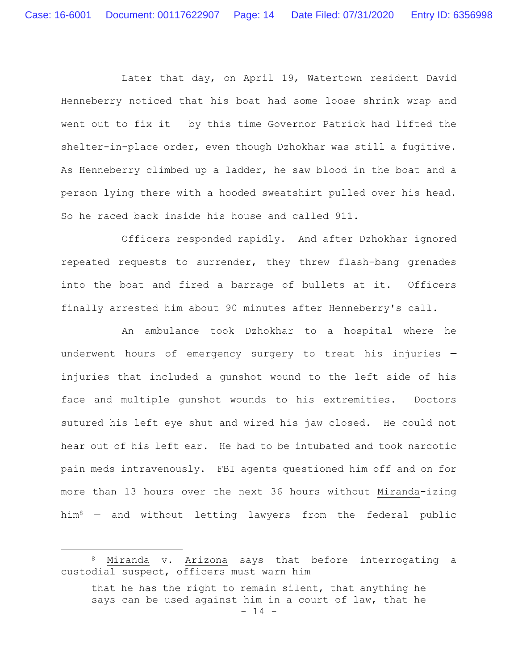Later that day, on April 19, Watertown resident David Henneberry noticed that his boat had some loose shrink wrap and went out to fix it  $-$  by this time Governor Patrick had lifted the shelter-in-place order, even though Dzhokhar was still a fugitive. As Henneberry climbed up a ladder, he saw blood in the boat and a person lying there with a hooded sweatshirt pulled over his head. So he raced back inside his house and called 911.

Officers responded rapidly. And after Dzhokhar ignored repeated requests to surrender, they threw flash-bang grenades into the boat and fired a barrage of bullets at it. Officers finally arrested him about 90 minutes after Henneberry's call.

An ambulance took Dzhokhar to a hospital where he underwent hours of emergency surgery to treat his injuries injuries that included a gunshot wound to the left side of his face and multiple gunshot wounds to his extremities. Doctors sutured his left eye shut and wired his jaw closed. He could not hear out of his left ear. He had to be intubated and took narcotic pain meds intravenously. FBI agents questioned him off and on for more than 13 hours over the next 36 hours without Miranda-izing him8 — and without letting lawyers from the federal public

<sup>8</sup> Miranda v. Arizona says that before interrogating a custodial suspect, officers must warn him

 $- 14$ that he has the right to remain silent, that anything he says can be used against him in a court of law, that he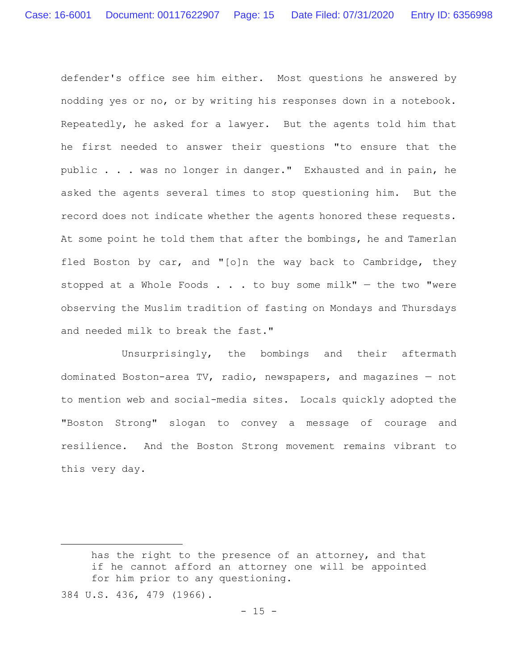defender's office see him either. Most questions he answered by nodding yes or no, or by writing his responses down in a notebook. Repeatedly, he asked for a lawyer. But the agents told him that he first needed to answer their questions "to ensure that the public . . . was no longer in danger." Exhausted and in pain, he asked the agents several times to stop questioning him. But the record does not indicate whether the agents honored these requests. At some point he told them that after the bombings, he and Tamerlan fled Boston by car, and "[o]n the way back to Cambridge, they stopped at a Whole Foods  $\ldots$  . to buy some milk" - the two "were observing the Muslim tradition of fasting on Mondays and Thursdays and needed milk to break the fast."

Unsurprisingly, the bombings and their aftermath dominated Boston-area TV, radio, newspapers, and magazines — not to mention web and social-media sites. Locals quickly adopted the "Boston Strong" slogan to convey a message of courage and resilience. And the Boston Strong movement remains vibrant to this very day.

has the right to the presence of an attorney, and that if he cannot afford an attorney one will be appointed for him prior to any questioning. 384 U.S. 436, 479 (1966).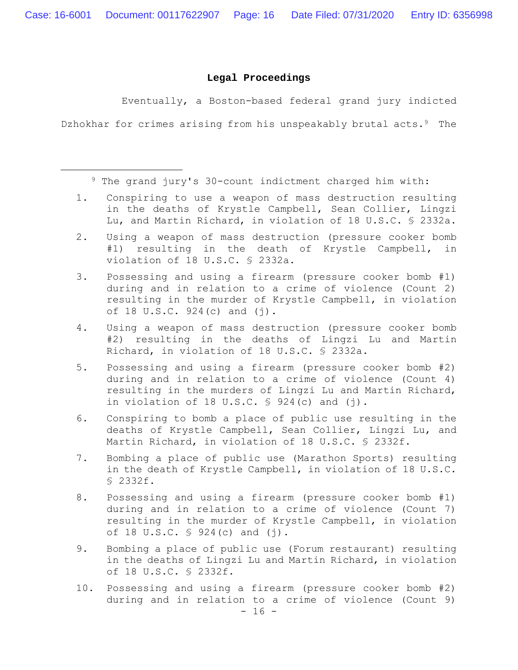#### **Legal Proceedings**

Eventually, a Boston-based federal grand jury indicted

Dzhokhar for crimes arising from his unspeakably brutal acts.<sup>9</sup> The

9 The grand jury's 30-count indictment charged him with:

- 1. Conspiring to use a weapon of mass destruction resulting in the deaths of Krystle Campbell, Sean Collier, Lingzi Lu, and Martin Richard, in violation of 18 U.S.C. § 2332a.
- 2. Using a weapon of mass destruction (pressure cooker bomb #1) resulting in the death of Krystle Campbell, in violation of 18 U.S.C. § 2332a.
- 3. Possessing and using a firearm (pressure cooker bomb #1) during and in relation to a crime of violence (Count 2) resulting in the murder of Krystle Campbell, in violation of 18 U.S.C.  $924(c)$  and  $(j)$ .
- 4. Using a weapon of mass destruction (pressure cooker bomb #2) resulting in the deaths of Lingzi Lu and Martin Richard, in violation of 18 U.S.C. § 2332a.
- 5. Possessing and using a firearm (pressure cooker bomb #2) during and in relation to a crime of violence (Count 4) resulting in the murders of Lingzi Lu and Martin Richard, in violation of 18 U.S.C.  $\frac{1}{2}$  924(c) and (j).
- 6. Conspiring to bomb a place of public use resulting in the deaths of Krystle Campbell, Sean Collier, Lingzi Lu, and Martin Richard, in violation of 18 U.S.C. § 2332f.
- 7. Bombing a place of public use (Marathon Sports) resulting in the death of Krystle Campbell, in violation of 18 U.S.C. § 2332f.
- 8. Possessing and using a firearm (pressure cooker bomb #1) during and in relation to a crime of violence (Count 7) resulting in the murder of Krystle Campbell, in violation of 18 U.S.C.  $\frac{1}{5}$  924(c) and (j).
- 9. Bombing a place of public use (Forum restaurant) resulting in the deaths of Lingzi Lu and Martin Richard, in violation of 18 U.S.C. § 2332f.
- $16 -$ 10. Possessing and using a firearm (pressure cooker bomb #2) during and in relation to a crime of violence (Count 9)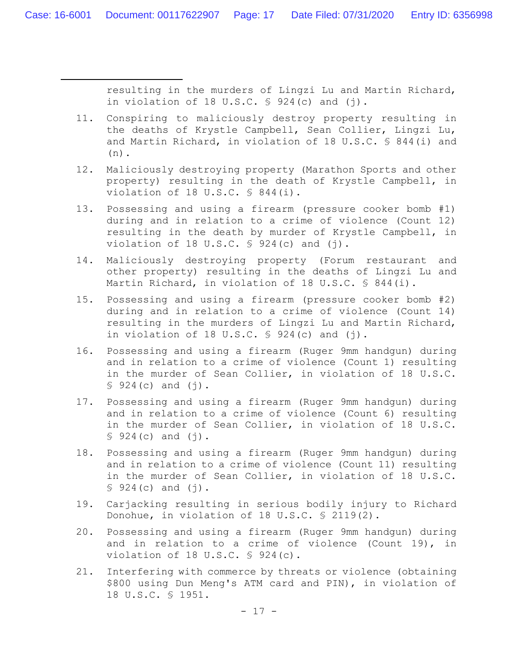resulting in the murders of Lingzi Lu and Martin Richard, in violation of 18 U.S.C.  $\frac{1}{2}$  924(c) and (j).

- 11. Conspiring to maliciously destroy property resulting in the deaths of Krystle Campbell, Sean Collier, Lingzi Lu, and Martin Richard, in violation of 18 U.S.C. § 844(i) and (n).
- 12. Maliciously destroying property (Marathon Sports and other property) resulting in the death of Krystle Campbell, in violation of 18 U.S.C. § 844(i).
- 13. Possessing and using a firearm (pressure cooker bomb #1) during and in relation to a crime of violence (Count 12) resulting in the death by murder of Krystle Campbell, in violation of 18 U.S.C.  $\frac{1}{2}$  924(c) and (j).
- 14. Maliciously destroying property (Forum restaurant and other property) resulting in the deaths of Lingzi Lu and Martin Richard, in violation of 18 U.S.C. § 844(i).
- 15. Possessing and using a firearm (pressure cooker bomb #2) during and in relation to a crime of violence (Count 14) resulting in the murders of Lingzi Lu and Martin Richard, in violation of 18 U.S.C.  $\frac{1}{2}$  924(c) and (j).
- 16. Possessing and using a firearm (Ruger 9mm handgun) during and in relation to a crime of violence (Count 1) resulting in the murder of Sean Collier, in violation of 18 U.S.C.  $$924(c)$  and  $(j)$ .
- 17. Possessing and using a firearm (Ruger 9mm handgun) during and in relation to a crime of violence (Count 6) resulting in the murder of Sean Collier, in violation of 18 U.S.C.  $$924(c)$  and  $(j)$ .
- 18. Possessing and using a firearm (Ruger 9mm handgun) during and in relation to a crime of violence (Count 11) resulting in the murder of Sean Collier, in violation of 18 U.S.C.  $$924(c)$  and  $(j)$ .
- 19. Carjacking resulting in serious bodily injury to Richard Donohue, in violation of 18 U.S.C. § 2119(2).
- 20. Possessing and using a firearm (Ruger 9mm handgun) during and in relation to a crime of violence (Count 19), in violation of 18 U.S.C. § 924(c).
- 21. Interfering with commerce by threats or violence (obtaining \$800 using Dun Meng's ATM card and PIN), in violation of 18 U.S.C. § 1951.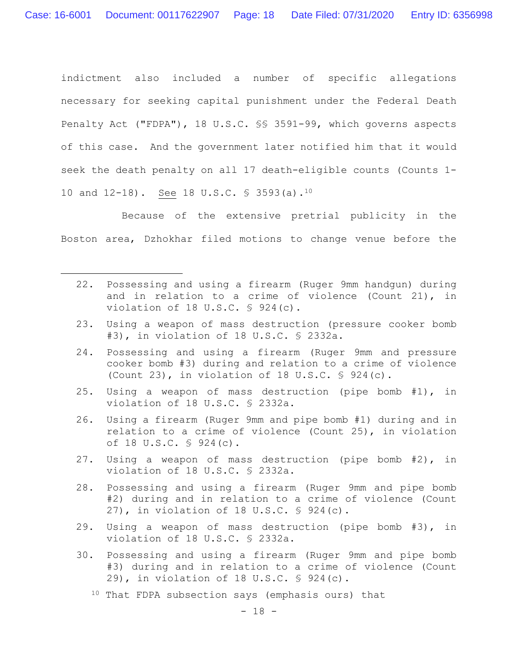indictment also included a number of specific allegations necessary for seeking capital punishment under the Federal Death Penalty Act ("FDPA"), 18 U.S.C. §§ 3591-99, which governs aspects of this case. And the government later notified him that it would seek the death penalty on all 17 death-eligible counts (Counts 1- 10 and 12-18). See 18 U.S.C. § 3593(a).10

Because of the extensive pretrial publicity in the Boston area, Dzhokhar filed motions to change venue before the

- 22. Possessing and using a firearm (Ruger 9mm handgun) during and in relation to a crime of violence (Count 21), in violation of 18 U.S.C. § 924(c).
- 23. Using a weapon of mass destruction (pressure cooker bomb #3), in violation of 18 U.S.C. § 2332a.
- 24. Possessing and using a firearm (Ruger 9mm and pressure cooker bomb #3) during and relation to a crime of violence (Count 23), in violation of 18 U.S.C. § 924(c).
- 25. Using a weapon of mass destruction (pipe bomb #1), in violation of 18 U.S.C. § 2332a.
- 26. Using a firearm (Ruger 9mm and pipe bomb #1) during and in relation to a crime of violence (Count 25), in violation of 18 U.S.C. § 924(c).
- 27. Using a weapon of mass destruction (pipe bomb #2), in violation of 18 U.S.C. § 2332a.
- 28. Possessing and using a firearm (Ruger 9mm and pipe bomb #2) during and in relation to a crime of violence (Count 27), in violation of 18 U.S.C. § 924(c).
- 29. Using a weapon of mass destruction (pipe bomb #3), in violation of 18 U.S.C. § 2332a.
- 30. Possessing and using a firearm (Ruger 9mm and pipe bomb #3) during and in relation to a crime of violence (Count 29), in violation of 18 U.S.C. § 924(c).
	- <sup>10</sup> That FDPA subsection says (emphasis ours) that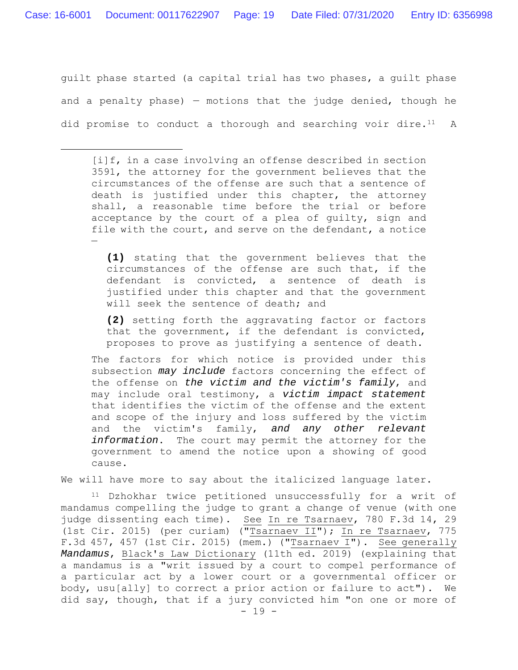guilt phase started (a capital trial has two phases, a guilt phase and a penalty phase)  $-$  motions that the judge denied, though he did promise to conduct a thorough and searching voir dire.<sup>11</sup> A

[i]f, in a case involving an offense described in section 3591, the attorney for the government believes that the circumstances of the offense are such that a sentence of death is justified under this chapter, the attorney shall, a reasonable time before the trial or before acceptance by the court of a plea of guilty, sign and file with the court, and serve on the defendant, a notice —

**(1)** stating that the government believes that the circumstances of the offense are such that, if the defendant is convicted, a sentence of death is justified under this chapter and that the government will seek the sentence of death; and

**(2)** setting forth the aggravating factor or factors that the government, if the defendant is convicted, proposes to prove as justifying a sentence of death.

The factors for which notice is provided under this subsection *may include* factors concerning the effect of the offense on *the victim and the victim's family*, and may include oral testimony, a *victim impact statement* that identifies the victim of the offense and the extent and scope of the injury and loss suffered by the victim and the victim's family, *and any other relevant information*. The court may permit the attorney for the government to amend the notice upon a showing of good cause.

We will have more to say about the italicized language later.

11 Dzhokhar twice petitioned unsuccessfully for a writ of mandamus compelling the judge to grant a change of venue (with one judge dissenting each time). See In re Tsarnaev, 780 F.3d 14, 29 (1st Cir. 2015) (per curiam) ("Tsarnaev II"); In re Tsarnaev, 775 F.3d 457, 457 (1st Cir. 2015) (mem.) ("Tsarnaev I"). See generally *Mandamus*, Black's Law Dictionary (11th ed. 2019) (explaining that a mandamus is a "writ issued by a court to compel performance of a particular act by a lower court or a governmental officer or body, usu[ally] to correct a prior action or failure to act"). We did say, though, that if a jury convicted him "on one or more of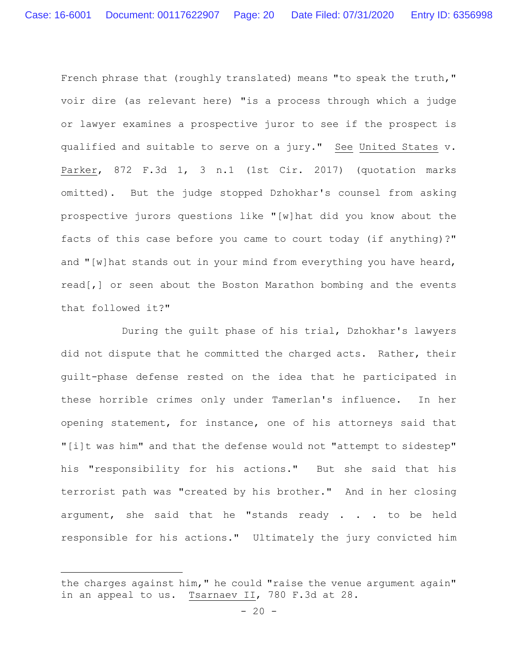French phrase that (roughly translated) means "to speak the truth," voir dire (as relevant here) "is a process through which a judge or lawyer examines a prospective juror to see if the prospect is qualified and suitable to serve on a jury." See United States v. Parker, 872 F.3d 1, 3 n.1 (1st Cir. 2017) (quotation marks omitted). But the judge stopped Dzhokhar's counsel from asking prospective jurors questions like "[w]hat did you know about the facts of this case before you came to court today (if anything)?" and "[w]hat stands out in your mind from everything you have heard, read[,] or seen about the Boston Marathon bombing and the events that followed it?"

During the guilt phase of his trial, Dzhokhar's lawyers did not dispute that he committed the charged acts. Rather, their guilt-phase defense rested on the idea that he participated in these horrible crimes only under Tamerlan's influence. In her opening statement, for instance, one of his attorneys said that "[i]t was him" and that the defense would not "attempt to sidestep" his "responsibility for his actions." But she said that his terrorist path was "created by his brother." And in her closing argument, she said that he "stands ready . . . to be held responsible for his actions." Ultimately the jury convicted him

the charges against him," he could "raise the venue argument again" in an appeal to us. Tsarnaev II, 780 F.3d at 28.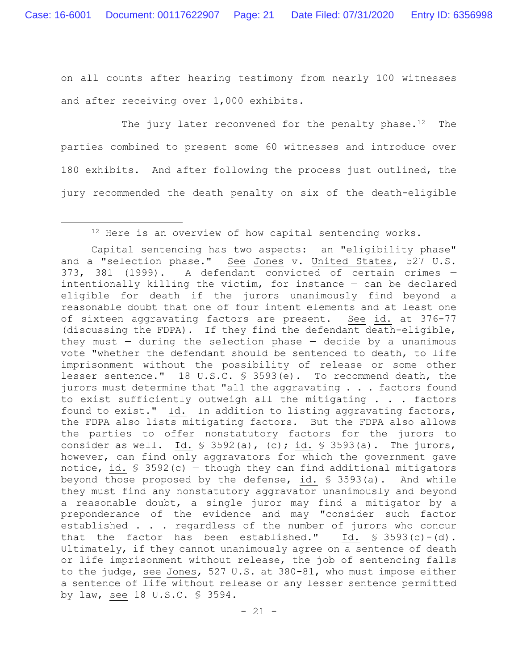on all counts after hearing testimony from nearly 100 witnesses and after receiving over 1,000 exhibits.

The jury later reconvened for the penalty phase. $12$  The parties combined to present some 60 witnesses and introduce over 180 exhibits. And after following the process just outlined, the jury recommended the death penalty on six of the death-eligible

<sup>&</sup>lt;sup>12</sup> Here is an overview of how capital sentencing works.

Capital sentencing has two aspects: an "eligibility phase" and a "selection phase." See Jones v. United States, 527 U.S. 373, 381 (1999). A defendant convicted of certain crimes intentionally killing the victim, for instance — can be declared eligible for death if the jurors unanimously find beyond a reasonable doubt that one of four intent elements and at least one of sixteen aggravating factors are present. See id. at 376-77 (discussing the FDPA). If they find the defendant death-eligible, they must  $-$  during the selection phase  $-$  decide by a unanimous vote "whether the defendant should be sentenced to death, to life imprisonment without the possibility of release or some other lesser sentence." 18 U.S.C. § 3593(e). To recommend death, the jurors must determine that "all the aggravating . . . factors found to exist sufficiently outweigh all the mitigating . . . factors found to exist." Id. In addition to listing aggravating factors, the FDPA also lists mitigating factors. But the FDPA also allows the parties to offer nonstatutory factors for the jurors to consider as well. Id.  $\frac{1}{5}$  3592(a), (c); id.  $\frac{1}{5}$  3593(a). The jurors, however, can find only aggravators for which the government gave notice, id.  $\frac{1}{5}$  3592(c) - though they can find additional mitigators beyond those proposed by the defense, id. § 3593(a). And while they must find any nonstatutory aggravator unanimously and beyond a reasonable doubt, a single juror may find a mitigator by a preponderance of the evidence and may "consider such factor established . . . regardless of the number of jurors who concur that the factor has been established." Id.  $\$3593(c)-(d)$ . Ultimately, if they cannot unanimously agree on a sentence of death or life imprisonment without release, the job of sentencing falls to the judge, see Jones, 527 U.S. at 380-81, who must impose either a sentence of life without release or any lesser sentence permitted by law, see 18 U.S.C. § 3594.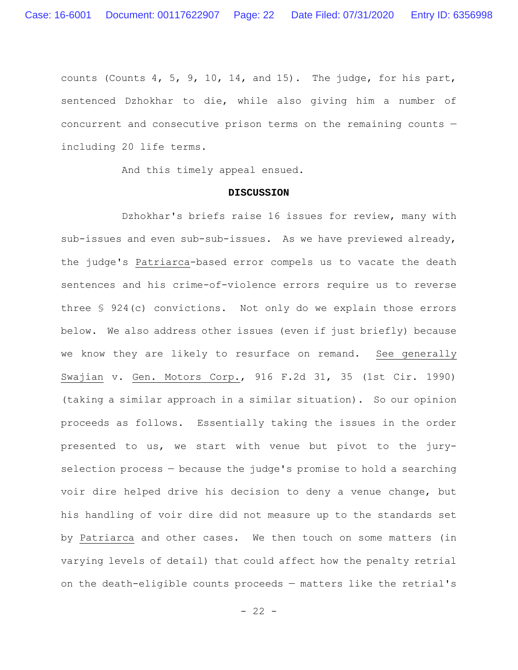counts (Counts 4, 5, 9, 10, 14, and 15). The judge, for his part, sentenced Dzhokhar to die, while also giving him a number of concurrent and consecutive prison terms on the remaining counts including 20 life terms.

And this timely appeal ensued.

#### **DISCUSSION**

Dzhokhar's briefs raise 16 issues for review, many with sub-issues and even sub-sub-issues. As we have previewed already, the judge's Patriarca-based error compels us to vacate the death sentences and his crime-of-violence errors require us to reverse three § 924(c) convictions. Not only do we explain those errors below. We also address other issues (even if just briefly) because we know they are likely to resurface on remand. See generally Swajian v. Gen. Motors Corp., 916 F.2d 31, 35 (1st Cir. 1990) (taking a similar approach in a similar situation). So our opinion proceeds as follows. Essentially taking the issues in the order presented to us, we start with venue but pivot to the juryselection process — because the judge's promise to hold a searching voir dire helped drive his decision to deny a venue change, but his handling of voir dire did not measure up to the standards set by Patriarca and other cases. We then touch on some matters (in varying levels of detail) that could affect how the penalty retrial on the death-eligible counts proceeds — matters like the retrial's

 $- 22 -$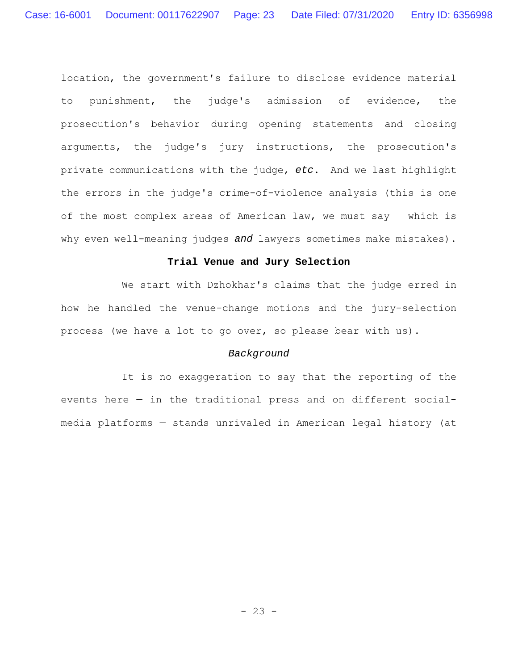location, the government's failure to disclose evidence material to punishment, the judge's admission of evidence, the prosecution's behavior during opening statements and closing arguments, the judge's jury instructions, the prosecution's private communications with the judge, *etc*. And we last highlight the errors in the judge's crime-of-violence analysis (this is one of the most complex areas of American law, we must say — which is why even well-meaning judges *and* lawyers sometimes make mistakes).

## **Trial Venue and Jury Selection**

We start with Dzhokhar's claims that the judge erred in how he handled the venue-change motions and the jury-selection process (we have a lot to go over, so please bear with us).

## *Background*

It is no exaggeration to say that the reporting of the events here — in the traditional press and on different socialmedia platforms — stands unrivaled in American legal history (at

- 23 -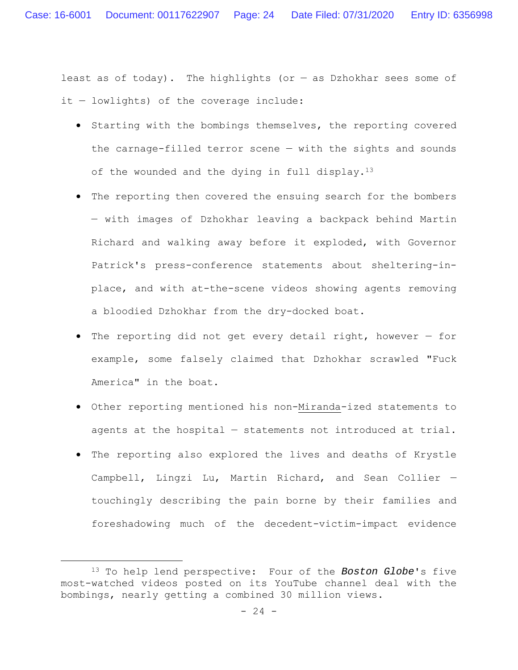least as of today). The highlights (or  $-$  as Dzhokhar sees some of it — lowlights) of the coverage include:

- **•** Starting with the bombings themselves, the reporting covered the carnage-filled terror scene — with the sights and sounds of the wounded and the dying in full display.<sup>13</sup>
- The reporting then covered the ensuing search for the bombers — with images of Dzhokhar leaving a backpack behind Martin Richard and walking away before it exploded, with Governor Patrick's press-conference statements about sheltering-inplace, and with at-the-scene videos showing agents removing a bloodied Dzhokhar from the dry-docked boat.
- The reporting did not get every detail right, however for example, some falsely claimed that Dzhokhar scrawled "Fuck America" in the boat.
- Other reporting mentioned his non-Miranda-ized statements to agents at the hospital — statements not introduced at trial.
- The reporting also explored the lives and deaths of Krystle Campbell, Lingzi Lu, Martin Richard, and Sean Collier touchingly describing the pain borne by their families and foreshadowing much of the decedent-victim-impact evidence

<sup>13</sup> To help lend perspective: Four of the *Boston Globe*'s five most-watched videos posted on its YouTube channel deal with the bombings, nearly getting a combined 30 million views.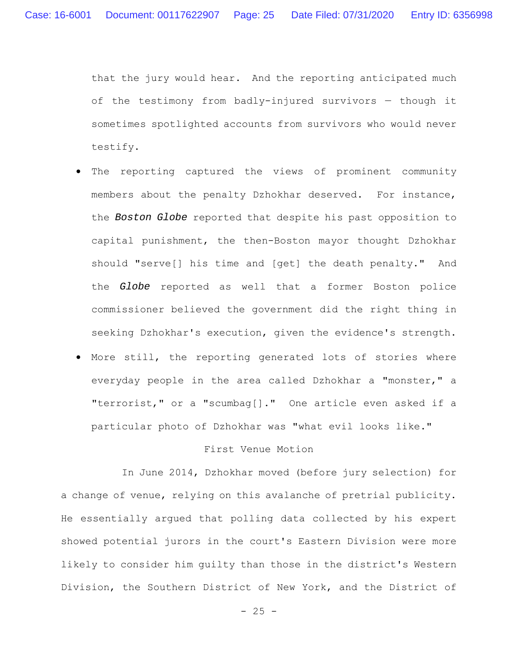that the jury would hear. And the reporting anticipated much of the testimony from badly-injured survivors — though it sometimes spotlighted accounts from survivors who would never testify.

- The reporting captured the views of prominent community members about the penalty Dzhokhar deserved. For instance, the *Boston Globe* reported that despite his past opposition to capital punishment, the then-Boston mayor thought Dzhokhar should "serve[] his time and [get] the death penalty." And the *Globe* reported as well that a former Boston police commissioner believed the government did the right thing in seeking Dzhokhar's execution, given the evidence's strength.
- More still, the reporting generated lots of stories where everyday people in the area called Dzhokhar a "monster," a "terrorist," or a "scumbag[]." One article even asked if a particular photo of Dzhokhar was "what evil looks like."

## First Venue Motion

In June 2014, Dzhokhar moved (before jury selection) for a change of venue, relying on this avalanche of pretrial publicity. He essentially argued that polling data collected by his expert showed potential jurors in the court's Eastern Division were more likely to consider him guilty than those in the district's Western Division, the Southern District of New York, and the District of

 $- 25 -$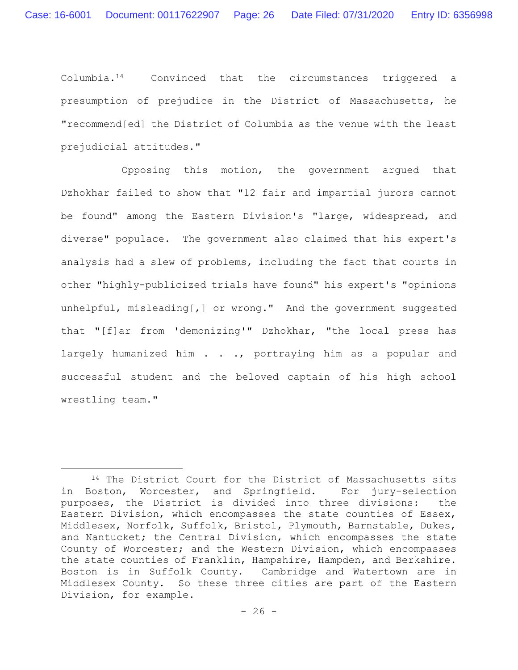Columbia.14 Convinced that the circumstances triggered a presumption of prejudice in the District of Massachusetts, he "recommend[ed] the District of Columbia as the venue with the least prejudicial attitudes."

Opposing this motion, the government argued that Dzhokhar failed to show that "12 fair and impartial jurors cannot be found" among the Eastern Division's "large, widespread, and diverse" populace. The government also claimed that his expert's analysis had a slew of problems, including the fact that courts in other "highly-publicized trials have found" his expert's "opinions unhelpful, misleading[,] or wrong." And the government suggested that "[f]ar from 'demonizing'" Dzhokhar, "the local press has largely humanized him . . ., portraying him as a popular and successful student and the beloved captain of his high school wrestling team."

<sup>&</sup>lt;sup>14</sup> The District Court for the District of Massachusetts sits in Boston, Worcester, and Springfield. For jury-selection purposes, the District is divided into three divisions: the Eastern Division, which encompasses the state counties of Essex, Middlesex, Norfolk, Suffolk, Bristol, Plymouth, Barnstable, Dukes, and Nantucket; the Central Division, which encompasses the state County of Worcester; and the Western Division, which encompasses the state counties of Franklin, Hampshire, Hampden, and Berkshire. Boston is in Suffolk County. Cambridge and Watertown are in Middlesex County. So these three cities are part of the Eastern Division, for example.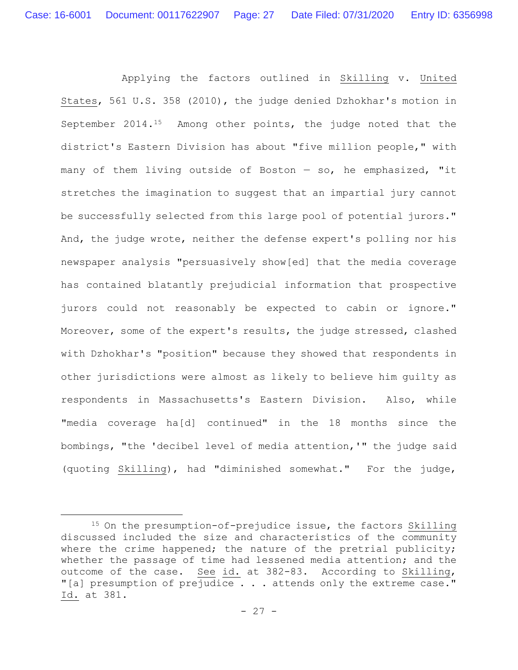Applying the factors outlined in Skilling v. United States, 561 U.S. 358 (2010), the judge denied Dzhokhar's motion in September 2014.15 Among other points, the judge noted that the district's Eastern Division has about "five million people," with many of them living outside of Boston — so, he emphasized, "it stretches the imagination to suggest that an impartial jury cannot be successfully selected from this large pool of potential jurors." And, the judge wrote, neither the defense expert's polling nor his newspaper analysis "persuasively show[ed] that the media coverage has contained blatantly prejudicial information that prospective jurors could not reasonably be expected to cabin or ignore." Moreover, some of the expert's results, the judge stressed, clashed with Dzhokhar's "position" because they showed that respondents in other jurisdictions were almost as likely to believe him guilty as respondents in Massachusetts's Eastern Division. Also, while "media coverage ha[d] continued" in the 18 months since the bombings, "the 'decibel level of media attention,'" the judge said (quoting Skilling), had "diminished somewhat." For the judge,

<sup>15</sup> On the presumption-of-prejudice issue, the factors Skilling discussed included the size and characteristics of the community where the crime happened; the nature of the pretrial publicity; whether the passage of time had lessened media attention; and the outcome of the case. See id. at 382-83. According to Skilling, "[a] presumption of prejudice . . . attends only the extreme case." Id. at 381.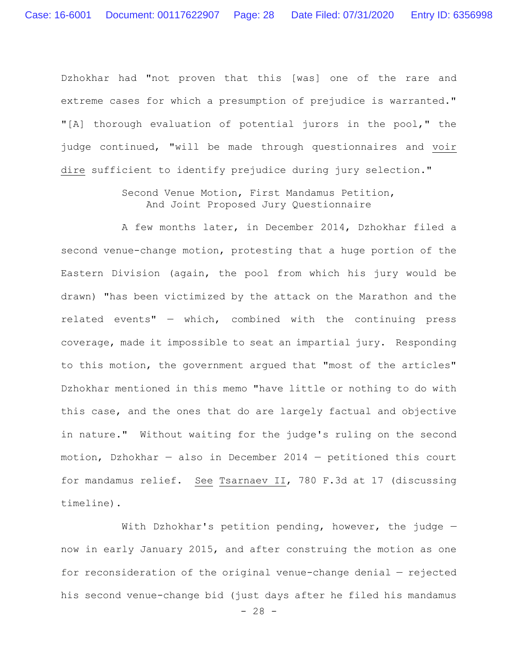Dzhokhar had "not proven that this [was] one of the rare and extreme cases for which a presumption of prejudice is warranted." "[A] thorough evaluation of potential jurors in the pool," the judge continued, "will be made through questionnaires and voir dire sufficient to identify prejudice during jury selection."

> Second Venue Motion, First Mandamus Petition, And Joint Proposed Jury Questionnaire

A few months later, in December 2014, Dzhokhar filed a second venue-change motion, protesting that a huge portion of the Eastern Division (again, the pool from which his jury would be drawn) "has been victimized by the attack on the Marathon and the related events" — which, combined with the continuing press coverage, made it impossible to seat an impartial jury. Responding to this motion, the government argued that "most of the articles" Dzhokhar mentioned in this memo "have little or nothing to do with this case, and the ones that do are largely factual and objective in nature." Without waiting for the judge's ruling on the second motion, Dzhokhar — also in December 2014 — petitioned this court for mandamus relief. See Tsarnaev II, 780 F.3d at 17 (discussing timeline).

 $- 28 -$ With Dzhokhar's petition pending, however, the judge  $$ now in early January 2015, and after construing the motion as one for reconsideration of the original venue-change denial — rejected his second venue-change bid (just days after he filed his mandamus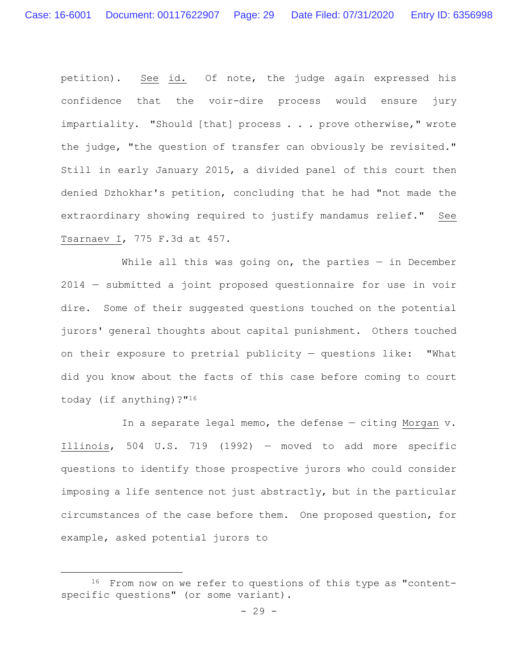petition). See id. Of note, the judge again expressed his confidence that the voir-dire process would ensure jury impartiality. "Should [that] process . . . prove otherwise," wrote the judge, "the question of transfer can obviously be revisited." Still in early January 2015, a divided panel of this court then denied Dzhokhar's petition, concluding that he had "not made the extraordinary showing required to justify mandamus relief." See Tsarnaev I, 775 F.3d at 457.

While all this was going on, the parties  $-$  in December 2014 — submitted a joint proposed questionnaire for use in voir dire. Some of their suggested questions touched on the potential jurors' general thoughts about capital punishment. Others touched on their exposure to pretrial publicity — questions like: "What did you know about the facts of this case before coming to court today (if anything)?"16

In a separate legal memo, the defense — citing Morgan v. Illinois, 504 U.S. 719 (1992) — moved to add more specific questions to identify those prospective jurors who could consider imposing a life sentence not just abstractly, but in the particular circumstances of the case before them. One proposed question, for example, asked potential jurors to

<sup>16</sup> From now on we refer to questions of this type as "contentspecific questions" (or some variant).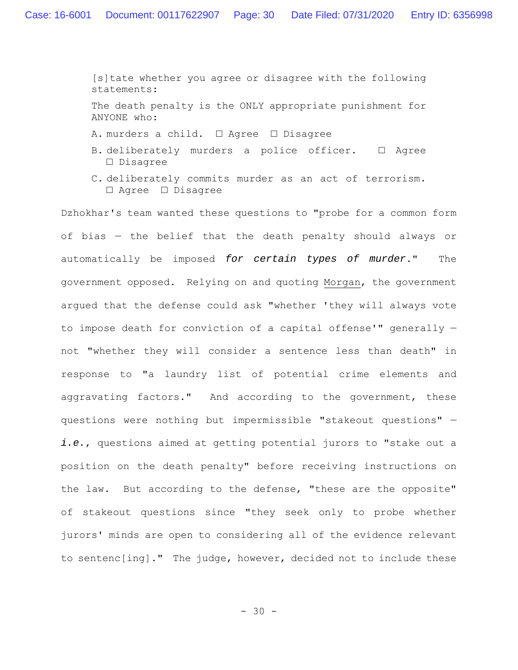[s]tate whether you agree or disagree with the following statements:

The death penalty is the ONLY appropriate punishment for ANYONE who:

- A. murders a child. □ Agree □ Disagree
- B. deliberately murders a police officer. □ Agree □ Disagree
- C. deliberately commits murder as an act of terrorism. □ Agree □ Disagree

Dzhokhar's team wanted these questions to "probe for a common form of bias — the belief that the death penalty should always or automatically be imposed *for certain types of murder*." The government opposed. Relying on and quoting Morgan, the government argued that the defense could ask "whether 'they will always vote to impose death for conviction of a capital offense'" generally not "whether they will consider a sentence less than death" in response to "a laundry list of potential crime elements and aggravating factors." And according to the government, these questions were nothing but impermissible "stakeout questions" *i.e.*, questions aimed at getting potential jurors to "stake out a position on the death penalty" before receiving instructions on the law. But according to the defense, "these are the opposite" of stakeout questions since "they seek only to probe whether jurors' minds are open to considering all of the evidence relevant to sentenc[ing]." The judge, however, decided not to include these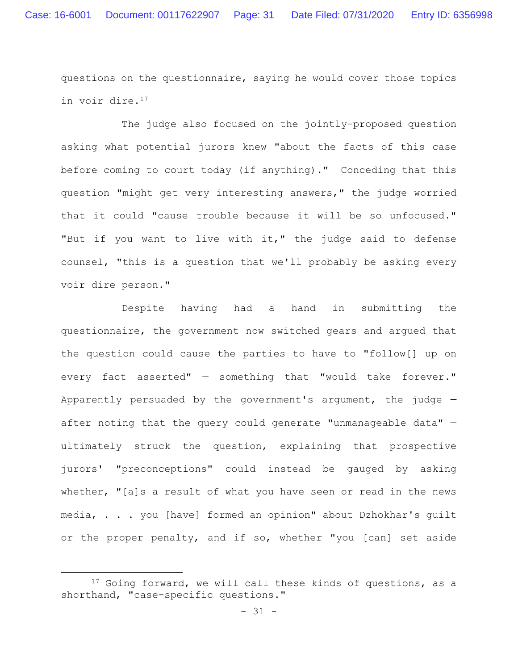questions on the questionnaire, saying he would cover those topics in voir dire.17

The judge also focused on the jointly-proposed question asking what potential jurors knew "about the facts of this case before coming to court today (if anything)." Conceding that this question "might get very interesting answers," the judge worried that it could "cause trouble because it will be so unfocused." "But if you want to live with it," the judge said to defense counsel, "this is a question that we'll probably be asking every voir dire person."

Despite having had a hand in submitting the questionnaire, the government now switched gears and argued that the question could cause the parties to have to "follow[] up on every fact asserted" — something that "would take forever." Apparently persuaded by the government's argument, the judge  $$ after noting that the query could generate "unmanageable data" ultimately struck the question, explaining that prospective jurors' "preconceptions" could instead be gauged by asking whether, "[a]s a result of what you have seen or read in the news media, . . . you [have] formed an opinion" about Dzhokhar's guilt or the proper penalty, and if so, whether "you [can] set aside

<sup>&</sup>lt;sup>17</sup> Going forward, we will call these kinds of questions, as a shorthand, "case-specific questions."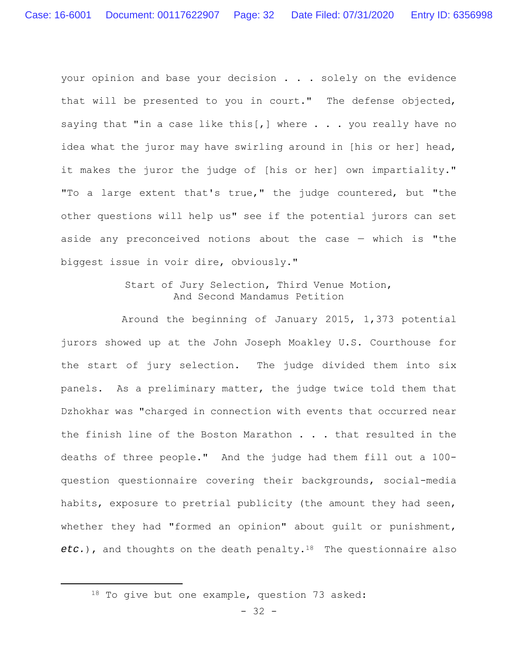your opinion and base your decision . . . solely on the evidence that will be presented to you in court." The defense objected, saying that "in a case like this[,] where  $\ldots$  you really have no idea what the juror may have swirling around in [his or her] head, it makes the juror the judge of [his or her] own impartiality." "To a large extent that's true," the judge countered, but "the other questions will help us" see if the potential jurors can set aside any preconceived notions about the case — which is "the biggest issue in voir dire, obviously."

# Start of Jury Selection, Third Venue Motion, And Second Mandamus Petition

Around the beginning of January 2015, 1,373 potential jurors showed up at the John Joseph Moakley U.S. Courthouse for the start of jury selection. The judge divided them into six panels. As a preliminary matter, the judge twice told them that Dzhokhar was "charged in connection with events that occurred near the finish line of the Boston Marathon . . . that resulted in the deaths of three people." And the judge had them fill out a 100 question questionnaire covering their backgrounds, social-media habits, exposure to pretrial publicity (the amount they had seen, whether they had "formed an opinion" about guilt or punishment, *etc.*), and thoughts on the death penalty.18 The questionnaire also

<sup>18</sup> To give but one example, question 73 asked: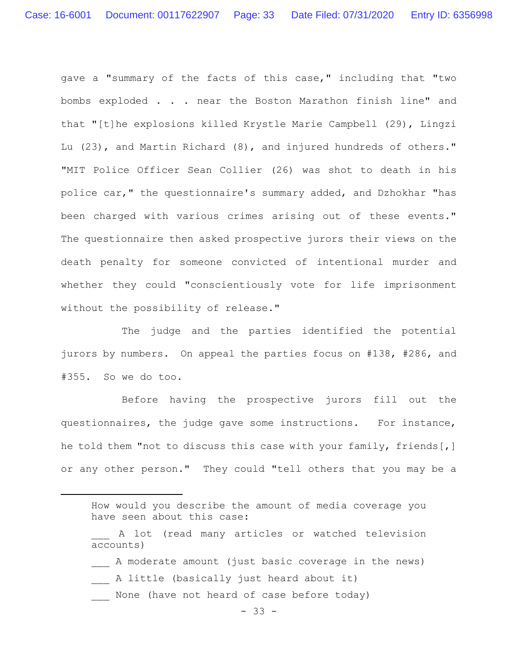gave a "summary of the facts of this case," including that "two bombs exploded . . . near the Boston Marathon finish line" and that "[t]he explosions killed Krystle Marie Campbell (29), Lingzi Lu (23), and Martin Richard (8), and injured hundreds of others." "MIT Police Officer Sean Collier (26) was shot to death in his police car," the questionnaire's summary added, and Dzhokhar "has been charged with various crimes arising out of these events." The questionnaire then asked prospective jurors their views on the death penalty for someone convicted of intentional murder and whether they could "conscientiously vote for life imprisonment without the possibility of release."

The judge and the parties identified the potential jurors by numbers. On appeal the parties focus on #138, #286, and #355. So we do too.

Before having the prospective jurors fill out the questionnaires, the judge gave some instructions. For instance, he told them "not to discuss this case with your family, friends[,] or any other person." They could "tell others that you may be a

- A moderate amount (just basic coverage in the news)
- A little (basically just heard about it)
- \_\_\_ None (have not heard of case before today)

How would you describe the amount of media coverage you have seen about this case:

A lot (read many articles or watched television accounts)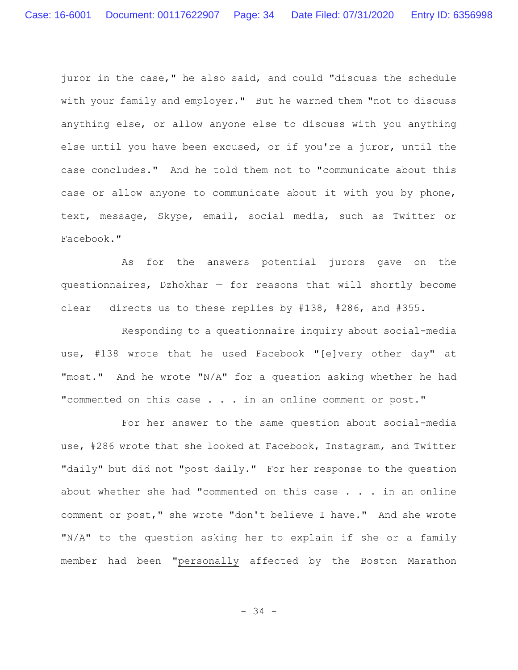juror in the case," he also said, and could "discuss the schedule with your family and employer." But he warned them "not to discuss anything else, or allow anyone else to discuss with you anything else until you have been excused, or if you're a juror, until the case concludes." And he told them not to "communicate about this case or allow anyone to communicate about it with you by phone, text, message, Skype, email, social media, such as Twitter or Facebook."

As for the answers potential jurors gave on the questionnaires, Dzhokhar  $-$  for reasons that will shortly become clear — directs us to these replies by #138, #286, and #355.

Responding to a questionnaire inquiry about social-media use, #138 wrote that he used Facebook "[e]very other day" at "most." And he wrote "N/A" for a question asking whether he had "commented on this case . . . in an online comment or post."

For her answer to the same question about social-media use, #286 wrote that she looked at Facebook, Instagram, and Twitter "daily" but did not "post daily." For her response to the question about whether she had "commented on this case  $\ldots$  in an online comment or post," she wrote "don't believe I have." And she wrote "N/A" to the question asking her to explain if she or a family member had been "personally affected by the Boston Marathon

- 34 -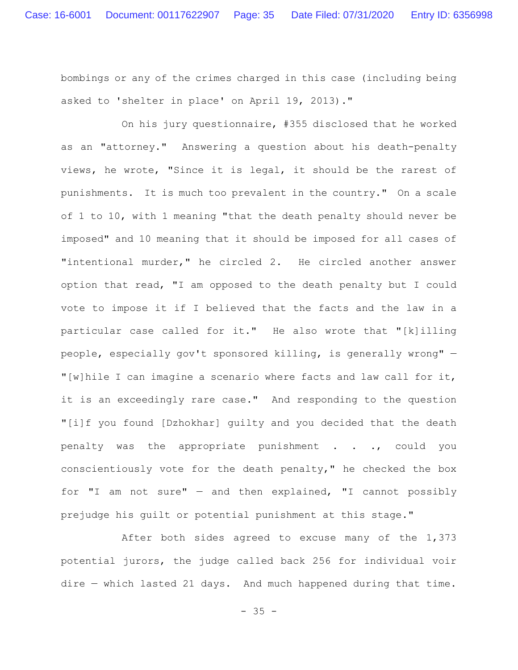bombings or any of the crimes charged in this case (including being asked to 'shelter in place' on April 19, 2013)."

On his jury questionnaire, #355 disclosed that he worked as an "attorney." Answering a question about his death-penalty views, he wrote, "Since it is legal, it should be the rarest of punishments. It is much too prevalent in the country." On a scale of 1 to 10, with 1 meaning "that the death penalty should never be imposed" and 10 meaning that it should be imposed for all cases of "intentional murder," he circled 2. He circled another answer option that read, "I am opposed to the death penalty but I could vote to impose it if I believed that the facts and the law in a particular case called for it." He also wrote that "[k]illing people, especially gov't sponsored killing, is generally wrong" — "[w]hile I can imagine a scenario where facts and law call for it, it is an exceedingly rare case." And responding to the question "[i]f you found [Dzhokhar] guilty and you decided that the death penalty was the appropriate punishment . . ., could you conscientiously vote for the death penalty," he checked the box for "I am not sure"  $-$  and then explained, "I cannot possibly prejudge his guilt or potential punishment at this stage."

After both sides agreed to excuse many of the 1,373 potential jurors, the judge called back 256 for individual voir dire — which lasted 21 days. And much happened during that time.

 $- 35 -$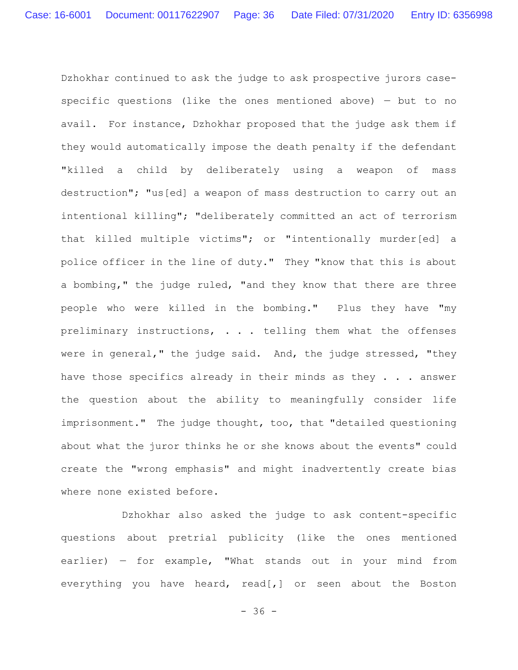Dzhokhar continued to ask the judge to ask prospective jurors casespecific questions (like the ones mentioned above) — but to no avail. For instance, Dzhokhar proposed that the judge ask them if they would automatically impose the death penalty if the defendant "killed a child by deliberately using a weapon of mass destruction"; "us[ed] a weapon of mass destruction to carry out an intentional killing"; "deliberately committed an act of terrorism that killed multiple victims"; or "intentionally murder[ed] a police officer in the line of duty." They "know that this is about a bombing," the judge ruled, "and they know that there are three people who were killed in the bombing." Plus they have "my preliminary instructions, . . . telling them what the offenses were in general," the judge said. And, the judge stressed, "they have those specifics already in their minds as they . . . answer the question about the ability to meaningfully consider life imprisonment." The judge thought, too, that "detailed questioning about what the juror thinks he or she knows about the events" could create the "wrong emphasis" and might inadvertently create bias where none existed before.

Dzhokhar also asked the judge to ask content-specific questions about pretrial publicity (like the ones mentioned earlier) — for example, "What stands out in your mind from everything you have heard, read[,] or seen about the Boston

 $- 36 -$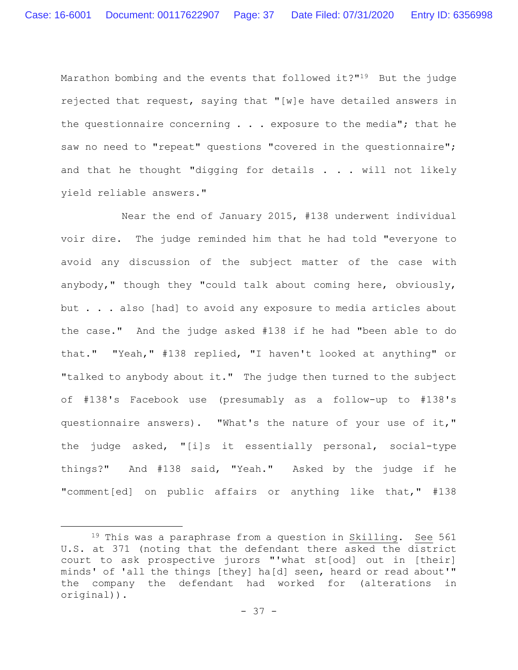Marathon bombing and the events that followed it?"19 But the judge rejected that request, saying that "[w]e have detailed answers in the questionnaire concerning  $\ldots$  exposure to the media"; that he saw no need to "repeat" questions "covered in the questionnaire"; and that he thought "digging for details . . . will not likely yield reliable answers."

Near the end of January 2015, #138 underwent individual voir dire. The judge reminded him that he had told "everyone to avoid any discussion of the subject matter of the case with anybody," though they "could talk about coming here, obviously, but . . . also [had] to avoid any exposure to media articles about the case." And the judge asked #138 if he had "been able to do that." "Yeah," #138 replied, "I haven't looked at anything" or "talked to anybody about it." The judge then turned to the subject of #138's Facebook use (presumably as a follow-up to #138's questionnaire answers). "What's the nature of your use of it," the judge asked, "[i]s it essentially personal, social-type things?" And #138 said, "Yeah." Asked by the judge if he "comment[ed] on public affairs or anything like that," #138

<sup>&</sup>lt;sup>19</sup> This was a paraphrase from a question in Skilling. See 561 U.S. at 371 (noting that the defendant there asked the district court to ask prospective jurors "'what st[ood] out in [their] minds' of 'all the things [they] ha[d] seen, heard or read about'" the company the defendant had worked for (alterations in original)).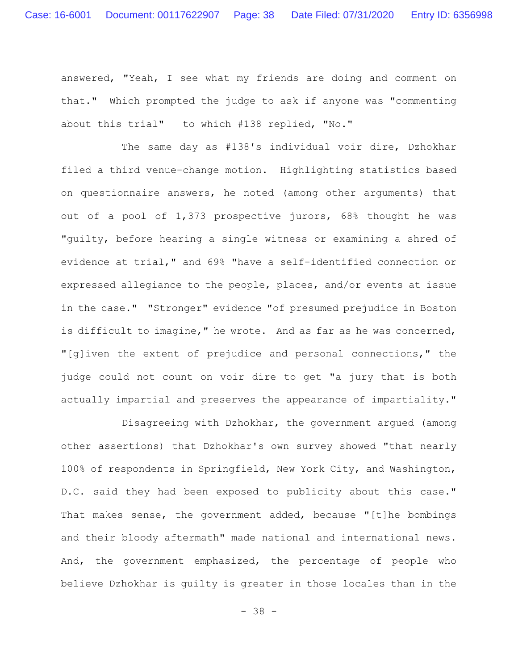answered, "Yeah, I see what my friends are doing and comment on that." Which prompted the judge to ask if anyone was "commenting about this trial"  $-$  to which #138 replied, "No."

The same day as #138's individual voir dire, Dzhokhar filed a third venue-change motion. Highlighting statistics based on questionnaire answers, he noted (among other arguments) that out of a pool of 1,373 prospective jurors, 68% thought he was "guilty, before hearing a single witness or examining a shred of evidence at trial," and 69% "have a self-identified connection or expressed allegiance to the people, places, and/or events at issue in the case." "Stronger" evidence "of presumed prejudice in Boston is difficult to imagine," he wrote. And as far as he was concerned, "[g]iven the extent of prejudice and personal connections," the judge could not count on voir dire to get "a jury that is both actually impartial and preserves the appearance of impartiality."

Disagreeing with Dzhokhar, the government argued (among other assertions) that Dzhokhar's own survey showed "that nearly 100% of respondents in Springfield, New York City, and Washington, D.C. said they had been exposed to publicity about this case." That makes sense, the government added, because "[t]he bombings and their bloody aftermath" made national and international news. And, the government emphasized, the percentage of people who believe Dzhokhar is guilty is greater in those locales than in the

- 38 -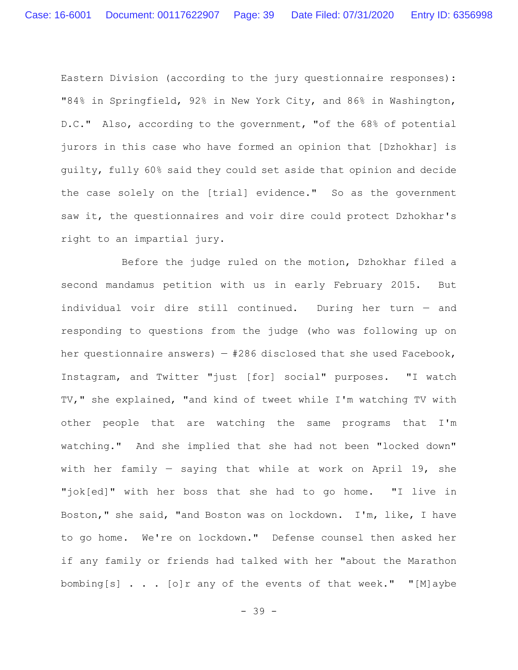Eastern Division (according to the jury questionnaire responses): "84% in Springfield, 92% in New York City, and 86% in Washington, D.C." Also, according to the government, "of the 68% of potential jurors in this case who have formed an opinion that [Dzhokhar] is guilty, fully 60% said they could set aside that opinion and decide the case solely on the [trial] evidence." So as the government saw it, the questionnaires and voir dire could protect Dzhokhar's right to an impartial jury.

Before the judge ruled on the motion, Dzhokhar filed a second mandamus petition with us in early February 2015. But individual voir dire still continued. During her turn — and responding to questions from the judge (who was following up on her questionnaire answers)  $-$  #286 disclosed that she used Facebook, Instagram, and Twitter "just [for] social" purposes. "I watch TV," she explained, "and kind of tweet while I'm watching TV with other people that are watching the same programs that I'm watching." And she implied that she had not been "locked down" with her family — saying that while at work on April 19, she "jok[ed]" with her boss that she had to go home. "I live in Boston," she said, "and Boston was on lockdown. I'm, like, I have to go home. We're on lockdown." Defense counsel then asked her if any family or friends had talked with her "about the Marathon bombing[s] . . . [o]r any of the events of that week." "[M]aybe

- 39 -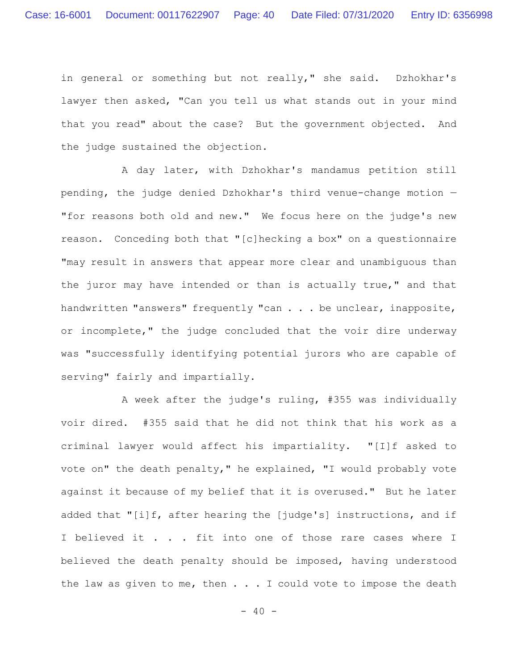in general or something but not really," she said. Dzhokhar's lawyer then asked, "Can you tell us what stands out in your mind that you read" about the case? But the government objected. And the judge sustained the objection.

A day later, with Dzhokhar's mandamus petition still pending, the judge denied Dzhokhar's third venue-change motion — "for reasons both old and new." We focus here on the judge's new reason. Conceding both that "[c]hecking a box" on a questionnaire "may result in answers that appear more clear and unambiguous than the juror may have intended or than is actually true," and that handwritten "answers" frequently "can . . . be unclear, inapposite, or incomplete," the judge concluded that the voir dire underway was "successfully identifying potential jurors who are capable of serving" fairly and impartially.

A week after the judge's ruling, #355 was individually voir dired. #355 said that he did not think that his work as a criminal lawyer would affect his impartiality. "[I]f asked to vote on" the death penalty," he explained, "I would probably vote against it because of my belief that it is overused." But he later added that "[i]f, after hearing the [judge's] instructions, and if I believed it . . . fit into one of those rare cases where I believed the death penalty should be imposed, having understood the law as given to me, then  $\ldots$  . I could vote to impose the death

 $- 40 -$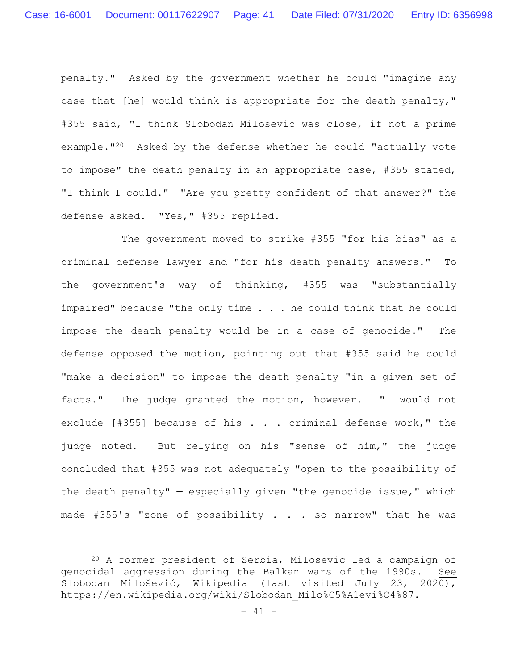penalty." Asked by the government whether he could "imagine any case that [he] would think is appropriate for the death penalty," #355 said, "I think Slobodan Milosevic was close, if not a prime example."20 Asked by the defense whether he could "actually vote to impose" the death penalty in an appropriate case, #355 stated, "I think I could." "Are you pretty confident of that answer?" the defense asked. "Yes," #355 replied.

The government moved to strike #355 "for his bias" as a criminal defense lawyer and "for his death penalty answers." To the government's way of thinking, #355 was "substantially impaired" because "the only time . . . he could think that he could impose the death penalty would be in a case of genocide." The defense opposed the motion, pointing out that #355 said he could "make a decision" to impose the death penalty "in a given set of facts." The judge granted the motion, however. "I would not exclude [#355] because of his . . . criminal defense work," the judge noted. But relying on his "sense of him," the judge concluded that #355 was not adequately "open to the possibility of the death penalty"  $-$  especially given "the genocide issue," which made #355's "zone of possibility . . . so narrow" that he was

<sup>20</sup> A former president of Serbia, Milosevic led a campaign of genocidal aggression during the Balkan wars of the 1990s. See Slobodan Milošević, Wikipedia (last visited July 23, 2020), https://en.wikipedia.org/wiki/Slobodan\_Milo%C5%A1evi%C4%87.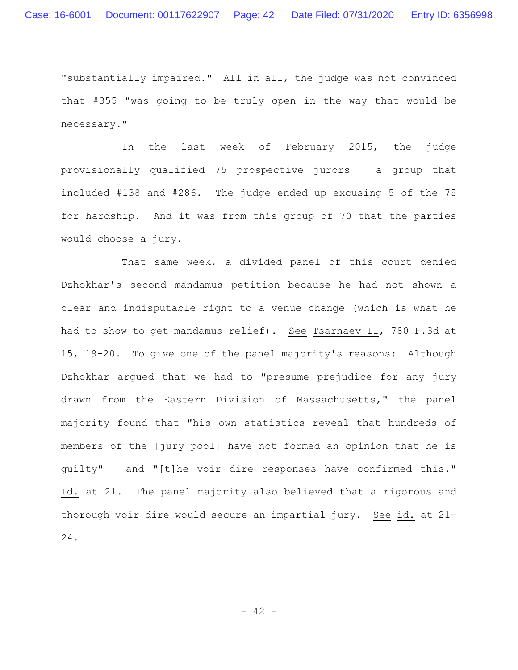"substantially impaired." All in all, the judge was not convinced that #355 "was going to be truly open in the way that would be necessary."

In the last week of February 2015, the judge provisionally qualified 75 prospective jurors — a group that included #138 and #286. The judge ended up excusing 5 of the 75 for hardship. And it was from this group of 70 that the parties would choose a jury.

That same week, a divided panel of this court denied Dzhokhar's second mandamus petition because he had not shown a clear and indisputable right to a venue change (which is what he had to show to get mandamus relief). See Tsarnaev II, 780 F.3d at 15, 19-20. To give one of the panel majority's reasons: Although Dzhokhar argued that we had to "presume prejudice for any jury drawn from the Eastern Division of Massachusetts," the panel majority found that "his own statistics reveal that hundreds of members of the [jury pool] have not formed an opinion that he is guilty" — and "[t]he voir dire responses have confirmed this." Id. at 21. The panel majority also believed that a rigorous and thorough voir dire would secure an impartial jury. See id. at 21- 24.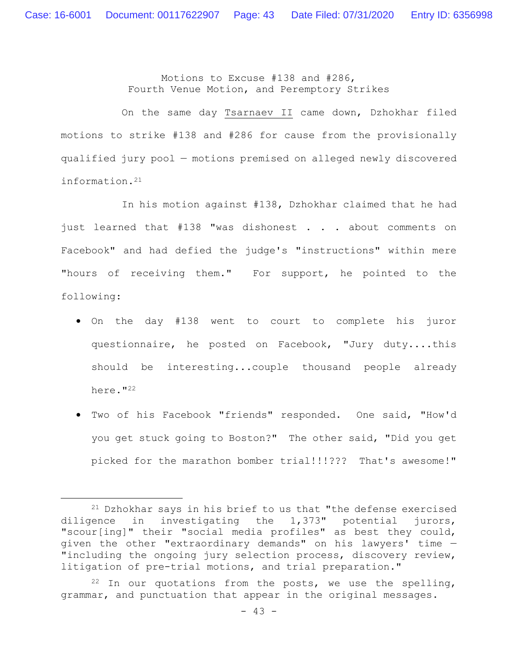Motions to Excuse #138 and #286, Fourth Venue Motion, and Peremptory Strikes

On the same day Tsarnaev II came down, Dzhokhar filed motions to strike #138 and #286 for cause from the provisionally qualified jury pool — motions premised on alleged newly discovered information.21

In his motion against #138, Dzhokhar claimed that he had just learned that #138 "was dishonest . . . about comments on Facebook" and had defied the judge's "instructions" within mere "hours of receiving them." For support, he pointed to the following:

- On the day #138 went to court to complete his juror questionnaire, he posted on Facebook, "Jury duty....this should be interesting...couple thousand people already here."<sup>22</sup>
- Two of his Facebook "friends" responded. One said, "How'd you get stuck going to Boston?" The other said, "Did you get picked for the marathon bomber trial!!!??? That's awesome!"

<sup>21</sup> Dzhokhar says in his brief to us that "the defense exercised diligence in investigating the 1,373" potential jurors, "scour[ing]" their "social media profiles" as best they could, given the other "extraordinary demands" on his lawyers' time — "including the ongoing jury selection process, discovery review, litigation of pre-trial motions, and trial preparation."

 $22$  In our quotations from the posts, we use the spelling, grammar, and punctuation that appear in the original messages.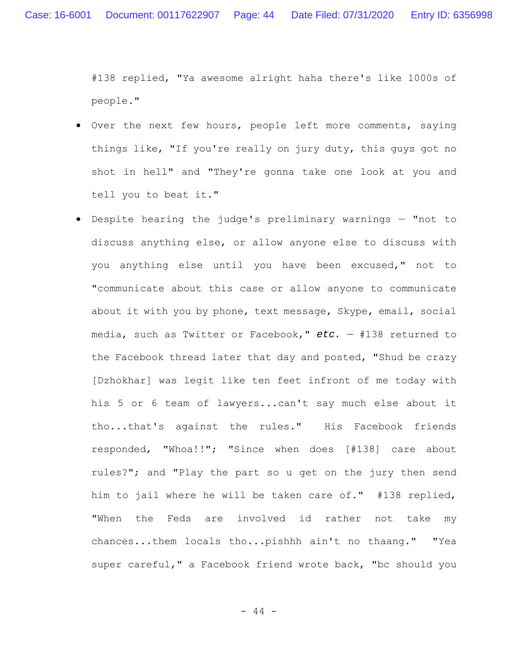#138 replied, "Ya awesome alright haha there's like 1000s of people."

- Over the next few hours, people left more comments, saying things like, "If you're really on jury duty, this guys got no shot in hell" and "They're gonna take one look at you and tell you to beat it."
- Despite hearing the judge's preliminary warnings "not to discuss anything else, or allow anyone else to discuss with you anything else until you have been excused," not to "communicate about this case or allow anyone to communicate about it with you by phone, text message, Skype, email, social media, such as Twitter or Facebook," *etc.* — #138 returned to the Facebook thread later that day and posted, "Shud be crazy [Dzhokhar] was legit like ten feet infront of me today with his 5 or 6 team of lawyers...can't say much else about it tho...that's against the rules." His Facebook friends responded, "Whoa!!"; "Since when does [#138] care about rules?"; and "Play the part so u get on the jury then send him to jail where he will be taken care of." #138 replied, "When the Feds are involved id rather not take my chances...them locals tho...pishhh ain't no thaang." "Yea super careful," a Facebook friend wrote back, "bc should you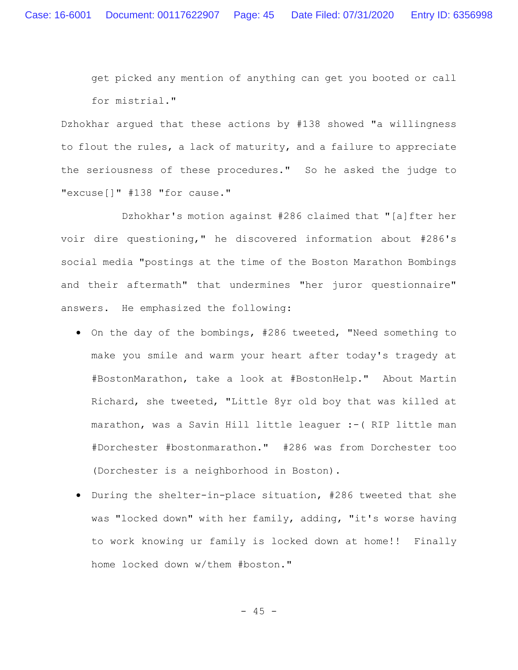get picked any mention of anything can get you booted or call for mistrial."

Dzhokhar argued that these actions by #138 showed "a willingness to flout the rules, a lack of maturity, and a failure to appreciate the seriousness of these procedures." So he asked the judge to "excuse[]" #138 "for cause."

Dzhokhar's motion against #286 claimed that "[a]fter her voir dire questioning," he discovered information about #286's social media "postings at the time of the Boston Marathon Bombings and their aftermath" that undermines "her juror questionnaire" answers. He emphasized the following:

- On the day of the bombings, #286 tweeted, "Need something to make you smile and warm your heart after today's tragedy at #BostonMarathon, take a look at #BostonHelp." About Martin Richard, she tweeted, "Little 8yr old boy that was killed at marathon, was a Savin Hill little leaguer :-( RIP little man #Dorchester #bostonmarathon." #286 was from Dorchester too (Dorchester is a neighborhood in Boston).
- During the shelter-in-place situation, #286 tweeted that she was "locked down" with her family, adding, "it's worse having to work knowing ur family is locked down at home!! Finally home locked down w/them #boston."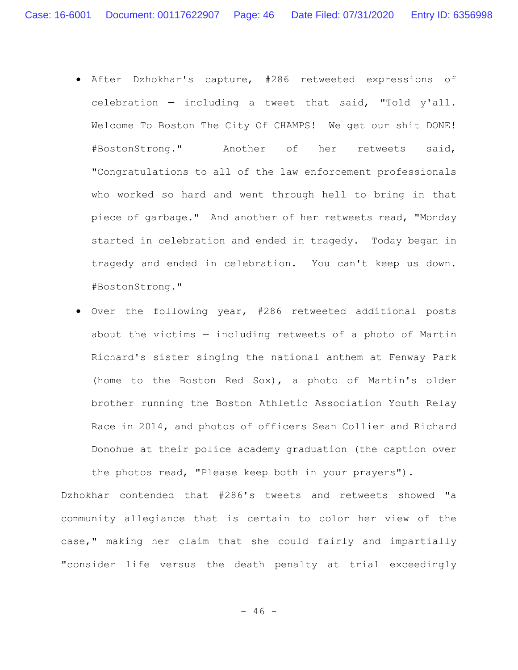- After Dzhokhar's capture, #286 retweeted expressions of celebration — including a tweet that said, "Told y'all. Welcome To Boston The City Of CHAMPS! We get our shit DONE! #BostonStrong." Another of her retweets said, "Congratulations to all of the law enforcement professionals who worked so hard and went through hell to bring in that piece of garbage." And another of her retweets read, "Monday started in celebration and ended in tragedy. Today began in tragedy and ended in celebration. You can't keep us down. #BostonStrong."
- Over the following year, #286 retweeted additional posts about the victims — including retweets of a photo of Martin Richard's sister singing the national anthem at Fenway Park (home to the Boston Red Sox), a photo of Martin's older brother running the Boston Athletic Association Youth Relay Race in 2014, and photos of officers Sean Collier and Richard Donohue at their police academy graduation (the caption over the photos read, "Please keep both in your prayers").

Dzhokhar contended that #286's tweets and retweets showed "a community allegiance that is certain to color her view of the case," making her claim that she could fairly and impartially "consider life versus the death penalty at trial exceedingly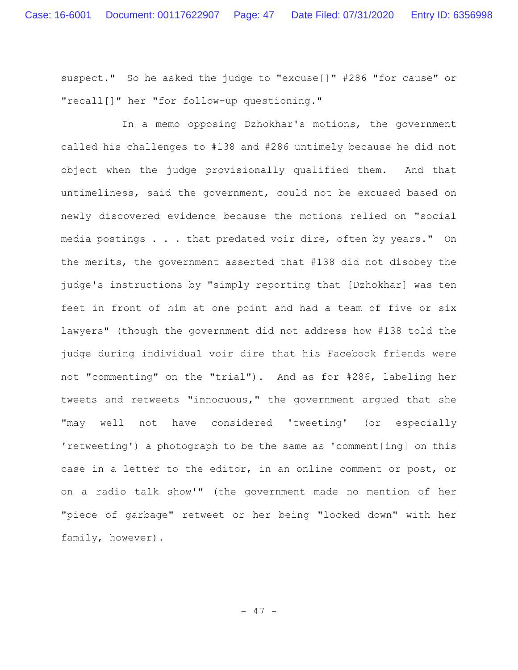suspect." So he asked the judge to "excuse[]" #286 "for cause" or "recall[]" her "for follow-up questioning."

In a memo opposing Dzhokhar's motions, the government called his challenges to #138 and #286 untimely because he did not object when the judge provisionally qualified them. And that untimeliness, said the government, could not be excused based on newly discovered evidence because the motions relied on "social media postings . . . that predated voir dire, often by years." On the merits, the government asserted that #138 did not disobey the judge's instructions by "simply reporting that [Dzhokhar] was ten feet in front of him at one point and had a team of five or six lawyers" (though the government did not address how #138 told the judge during individual voir dire that his Facebook friends were not "commenting" on the "trial"). And as for #286, labeling her tweets and retweets "innocuous," the government argued that she "may well not have considered 'tweeting' (or especially 'retweeting') a photograph to be the same as 'comment[ing] on this case in a letter to the editor, in an online comment or post, or on a radio talk show'" (the government made no mention of her "piece of garbage" retweet or her being "locked down" with her family, however).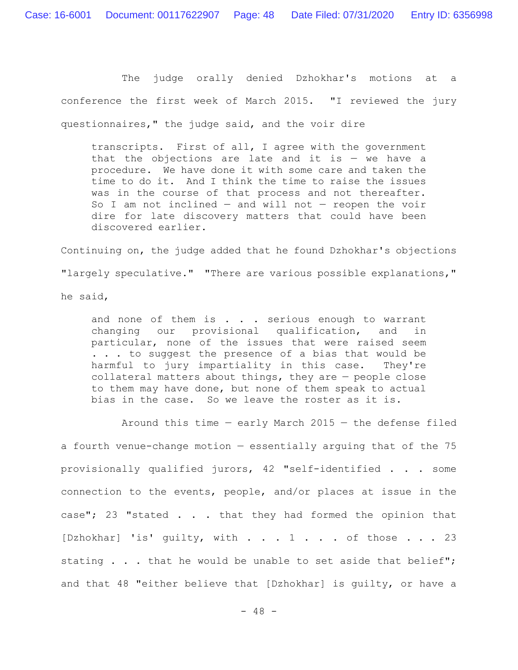The judge orally denied Dzhokhar's motions at a conference the first week of March 2015. "I reviewed the jury questionnaires," the judge said, and the voir dire

transcripts. First of all, I agree with the government that the objections are late and it is  $-$  we have a procedure. We have done it with some care and taken the time to do it. And I think the time to raise the issues was in the course of that process and not thereafter. So I am not inclined  $-$  and will not  $-$  reopen the voir dire for late discovery matters that could have been discovered earlier.

Continuing on, the judge added that he found Dzhokhar's objections "largely speculative." "There are various possible explanations," he said,

and none of them is  $\ldots$  serious enough to warrant changing our provisional qualification, and in particular, none of the issues that were raised seem . . . to suggest the presence of a bias that would be harmful to jury impartiality in this case. They're collateral matters about things, they are — people close to them may have done, but none of them speak to actual bias in the case. So we leave the roster as it is.

Around this time  $-$  early March 2015  $-$  the defense filed a fourth venue-change motion — essentially arguing that of the 75 provisionally qualified jurors, 42 "self-identified . . . some connection to the events, people, and/or places at issue in the case"; 23 "stated . . . that they had formed the opinion that [Dzhokhar] 'is' quilty, with . . . 1 . . . of those . . . 23 stating . . . that he would be unable to set aside that belief"; and that 48 "either believe that [Dzhokhar] is guilty, or have a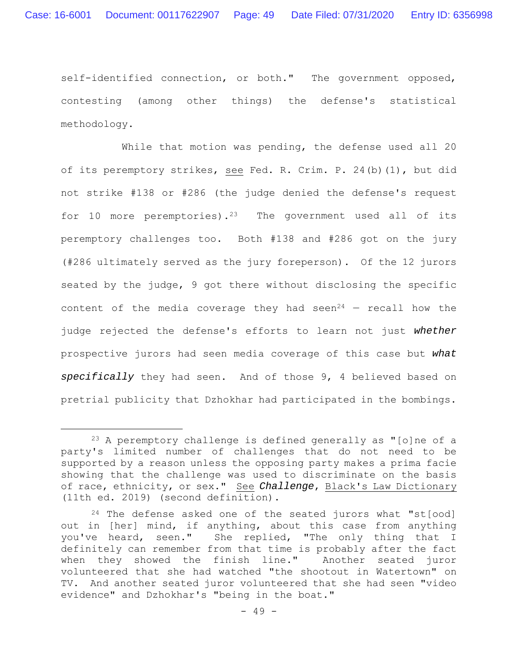self-identified connection, or both." The government opposed, contesting (among other things) the defense's statistical methodology.

While that motion was pending, the defense used all 20 of its peremptory strikes, see Fed. R. Crim. P. 24(b)(1), but did not strike #138 or #286 (the judge denied the defense's request for 10 more peremptories).<sup>23</sup> The government used all of its peremptory challenges too. Both #138 and #286 got on the jury (#286 ultimately served as the jury foreperson). Of the 12 jurors seated by the judge, 9 got there without disclosing the specific content of the media coverage they had seen<sup>24</sup> – recall how the judge rejected the defense's efforts to learn not just *whether* prospective jurors had seen media coverage of this case but *what specifically* they had seen. And of those 9, 4 believed based on pretrial publicity that Dzhokhar had participated in the bombings.

<sup>23</sup> A peremptory challenge is defined generally as "[o]ne of a party's limited number of challenges that do not need to be supported by a reason unless the opposing party makes a prima facie showing that the challenge was used to discriminate on the basis of race, ethnicity, or sex." See *Challenge*, Black's Law Dictionary (11th ed. 2019) (second definition).

 $24$  The defense asked one of the seated jurors what "st[ood] out in [her] mind, if anything, about this case from anything you've heard, seen." She replied, "The only thing that I definitely can remember from that time is probably after the fact when they showed the finish line." Another seated juror volunteered that she had watched "the shootout in Watertown" on TV. And another seated juror volunteered that she had seen "video evidence" and Dzhokhar's "being in the boat."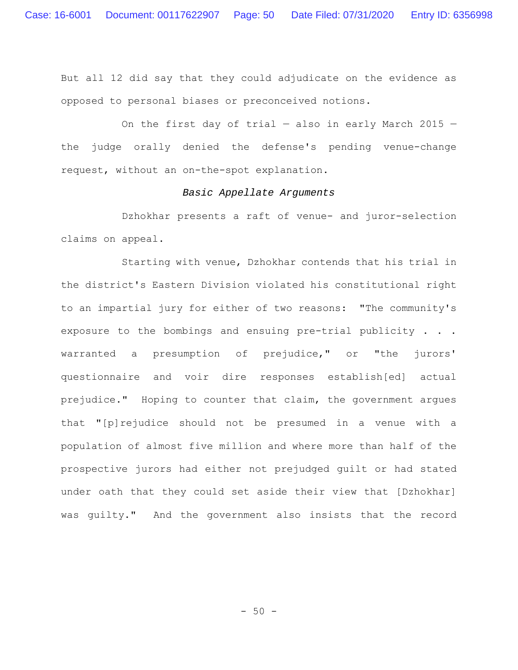But all 12 did say that they could adjudicate on the evidence as opposed to personal biases or preconceived notions.

On the first day of trial  $-$  also in early March 2015  $$ the judge orally denied the defense's pending venue-change request, without an on-the-spot explanation.

## *Basic Appellate Arguments*

Dzhokhar presents a raft of venue- and juror-selection claims on appeal.

Starting with venue, Dzhokhar contends that his trial in the district's Eastern Division violated his constitutional right to an impartial jury for either of two reasons: "The community's exposure to the bombings and ensuing pre-trial publicity . . . warranted a presumption of prejudice," or "the jurors' questionnaire and voir dire responses establish[ed] actual prejudice." Hoping to counter that claim, the government argues that "[p]rejudice should not be presumed in a venue with a population of almost five million and where more than half of the prospective jurors had either not prejudged guilt or had stated under oath that they could set aside their view that [Dzhokhar] was guilty." And the government also insists that the record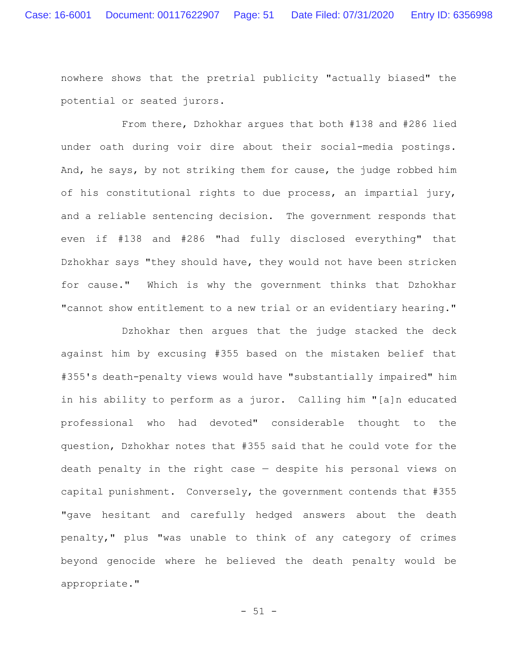nowhere shows that the pretrial publicity "actually biased" the potential or seated jurors.

From there, Dzhokhar argues that both #138 and #286 lied under oath during voir dire about their social-media postings. And, he says, by not striking them for cause, the judge robbed him of his constitutional rights to due process, an impartial jury, and a reliable sentencing decision. The government responds that even if #138 and #286 "had fully disclosed everything" that Dzhokhar says "they should have, they would not have been stricken for cause." Which is why the government thinks that Dzhokhar "cannot show entitlement to a new trial or an evidentiary hearing."

Dzhokhar then argues that the judge stacked the deck against him by excusing #355 based on the mistaken belief that #355's death-penalty views would have "substantially impaired" him in his ability to perform as a juror. Calling him "[a]n educated professional who had devoted" considerable thought to the question, Dzhokhar notes that #355 said that he could vote for the death penalty in the right case — despite his personal views on capital punishment. Conversely, the government contends that #355 "gave hesitant and carefully hedged answers about the death penalty," plus "was unable to think of any category of crimes beyond genocide where he believed the death penalty would be appropriate."

- 51 -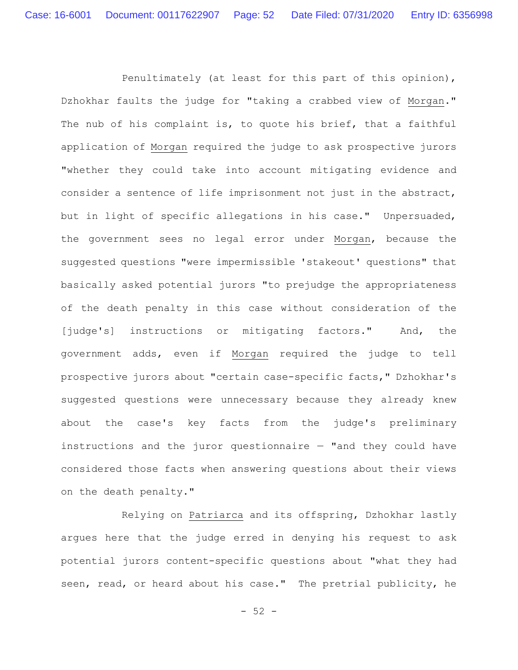Penultimately (at least for this part of this opinion), Dzhokhar faults the judge for "taking a crabbed view of Morgan." The nub of his complaint is, to quote his brief, that a faithful application of Morgan required the judge to ask prospective jurors "whether they could take into account mitigating evidence and consider a sentence of life imprisonment not just in the abstract, but in light of specific allegations in his case." Unpersuaded, the government sees no legal error under Morgan, because the suggested questions "were impermissible 'stakeout' questions" that basically asked potential jurors "to prejudge the appropriateness of the death penalty in this case without consideration of the [judge's] instructions or mitigating factors." And, the government adds, even if Morgan required the judge to tell prospective jurors about "certain case-specific facts," Dzhokhar's suggested questions were unnecessary because they already knew about the case's key facts from the judge's preliminary instructions and the juror questionnaire — "and they could have considered those facts when answering questions about their views on the death penalty."

Relying on Patriarca and its offspring, Dzhokhar lastly argues here that the judge erred in denying his request to ask potential jurors content-specific questions about "what they had seen, read, or heard about his case." The pretrial publicity, he

 $- 52 -$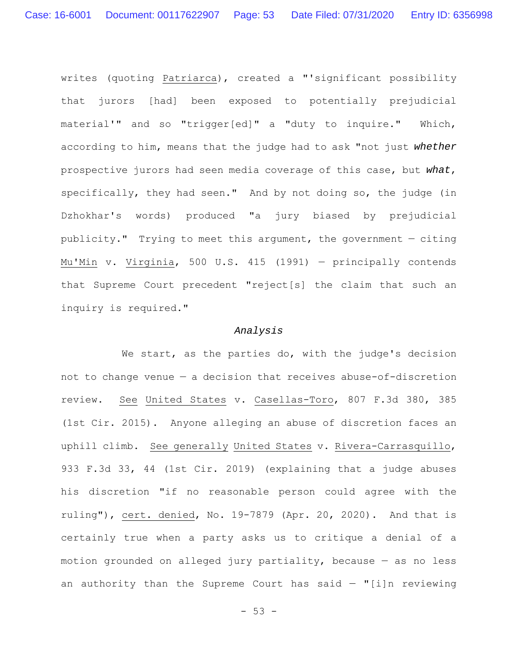writes (quoting Patriarca), created a "'significant possibility that jurors [had] been exposed to potentially prejudicial material'" and so "trigger[ed]" a "duty to inquire." Which, according to him, means that the judge had to ask "not just *whether* prospective jurors had seen media coverage of this case, but *what*, specifically, they had seen." And by not doing so, the judge (in Dzhokhar's words) produced "a jury biased by prejudicial publicity." Trying to meet this argument, the government — citing Mu'Min v. Virginia, 500 U.S. 415 (1991) — principally contends that Supreme Court precedent "reject[s] the claim that such an inquiry is required."

## *Analysis*

We start, as the parties do, with the judge's decision not to change venue — a decision that receives abuse-of-discretion review. See United States v. Casellas-Toro, 807 F.3d 380, 385 (1st Cir. 2015). Anyone alleging an abuse of discretion faces an uphill climb. See generally United States v. Rivera-Carrasquillo, 933 F.3d 33, 44 (1st Cir. 2019) (explaining that a judge abuses his discretion "if no reasonable person could agree with the ruling"), cert. denied, No. 19-7879 (Apr. 20, 2020). And that is certainly true when a party asks us to critique a denial of a motion grounded on alleged jury partiality, because — as no less an authority than the Supreme Court has said  $-$  "[i]n reviewing

 $- 53 -$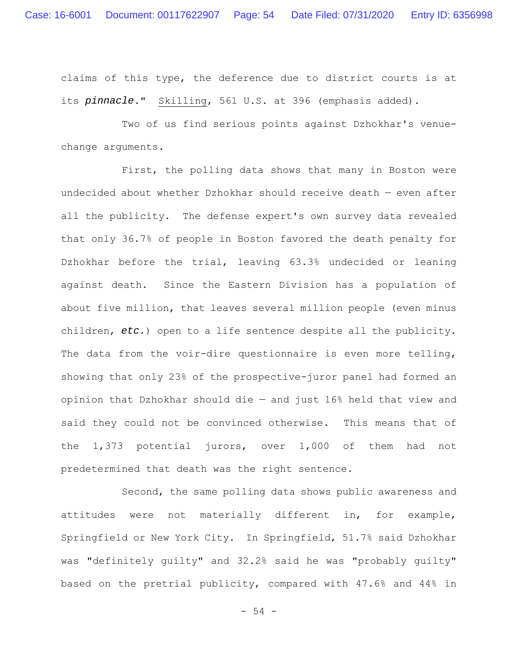claims of this type, the deference due to district courts is at its *pinnacle*." Skilling, 561 U.S. at 396 (emphasis added).

Two of us find serious points against Dzhokhar's venuechange arguments.

First, the polling data shows that many in Boston were undecided about whether Dzhokhar should receive death — even after all the publicity. The defense expert's own survey data revealed that only 36.7% of people in Boston favored the death penalty for Dzhokhar before the trial, leaving 63.3% undecided or leaning against death. Since the Eastern Division has a population of about five million, that leaves several million people (even minus children, *etc.*) open to a life sentence despite all the publicity. The data from the voir-dire questionnaire is even more telling, showing that only 23% of the prospective-juror panel had formed an opinion that Dzhokhar should die — and just 16% held that view and said they could not be convinced otherwise. This means that of the 1,373 potential jurors, over 1,000 of them had not predetermined that death was the right sentence.

Second, the same polling data shows public awareness and attitudes were not materially different in, for example, Springfield or New York City. In Springfield, 51.7% said Dzhokhar was "definitely guilty" and 32.2% said he was "probably guilty" based on the pretrial publicity, compared with 47.6% and 44% in

- 54 -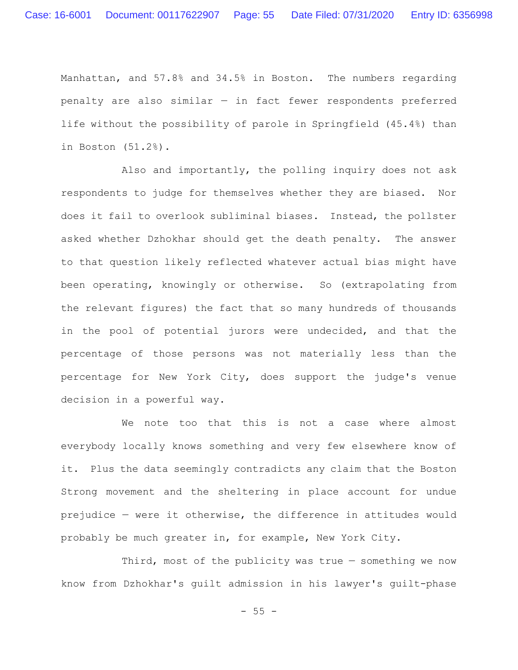Manhattan, and 57.8% and 34.5% in Boston. The numbers regarding penalty are also similar — in fact fewer respondents preferred life without the possibility of parole in Springfield (45.4%) than in Boston (51.2%).

Also and importantly, the polling inquiry does not ask respondents to judge for themselves whether they are biased. Nor does it fail to overlook subliminal biases. Instead, the pollster asked whether Dzhokhar should get the death penalty. The answer to that question likely reflected whatever actual bias might have been operating, knowingly or otherwise. So (extrapolating from the relevant figures) the fact that so many hundreds of thousands in the pool of potential jurors were undecided, and that the percentage of those persons was not materially less than the percentage for New York City, does support the judge's venue decision in a powerful way.

We note too that this is not a case where almost everybody locally knows something and very few elsewhere know of it. Plus the data seemingly contradicts any claim that the Boston Strong movement and the sheltering in place account for undue prejudice — were it otherwise, the difference in attitudes would probably be much greater in, for example, New York City.

Third, most of the publicity was true — something we now know from Dzhokhar's guilt admission in his lawyer's guilt-phase

 $- 55 -$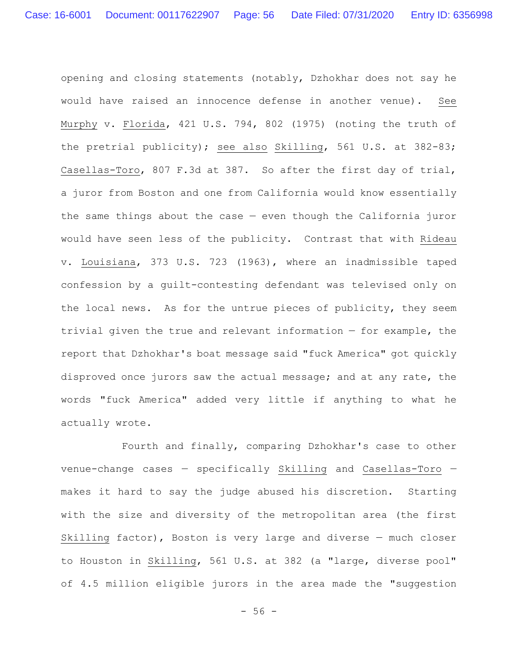opening and closing statements (notably, Dzhokhar does not say he would have raised an innocence defense in another venue). See Murphy v. Florida, 421 U.S. 794, 802 (1975) (noting the truth of the pretrial publicity); see also Skilling, 561 U.S. at 382-83; Casellas-Toro, 807 F.3d at 387. So after the first day of trial, a juror from Boston and one from California would know essentially the same things about the case  $-$  even though the California juror would have seen less of the publicity. Contrast that with Rideau v. Louisiana, 373 U.S. 723 (1963), where an inadmissible taped confession by a guilt-contesting defendant was televised only on the local news. As for the untrue pieces of publicity, they seem trivial given the true and relevant information — for example, the report that Dzhokhar's boat message said "fuck America" got quickly disproved once jurors saw the actual message; and at any rate, the words "fuck America" added very little if anything to what he actually wrote.

Fourth and finally, comparing Dzhokhar's case to other venue-change cases — specifically Skilling and Casellas-Toro makes it hard to say the judge abused his discretion. Starting with the size and diversity of the metropolitan area (the first Skilling factor), Boston is very large and diverse — much closer to Houston in Skilling, 561 U.S. at 382 (a "large, diverse pool" of 4.5 million eligible jurors in the area made the "suggestion

 $- 56 -$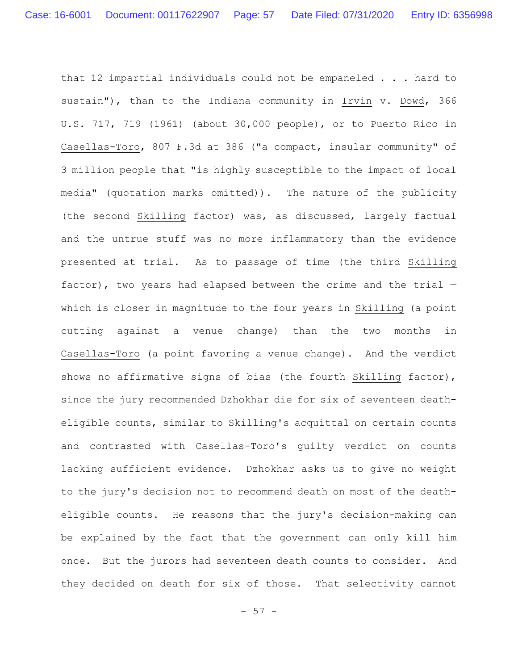that 12 impartial individuals could not be empaneled . . . hard to sustain"), than to the Indiana community in Irvin v. Dowd, 366 U.S. 717, 719 (1961) (about 30,000 people), or to Puerto Rico in Casellas-Toro, 807 F.3d at 386 ("a compact, insular community" of 3 million people that "is highly susceptible to the impact of local media" (quotation marks omitted)). The nature of the publicity (the second Skilling factor) was, as discussed, largely factual and the untrue stuff was no more inflammatory than the evidence presented at trial. As to passage of time (the third Skilling factor), two years had elapsed between the crime and the trial which is closer in magnitude to the four years in Skilling (a point cutting against a venue change) than the two months in Casellas-Toro (a point favoring a venue change). And the verdict shows no affirmative signs of bias (the fourth Skilling factor), since the jury recommended Dzhokhar die for six of seventeen deatheligible counts, similar to Skilling's acquittal on certain counts and contrasted with Casellas-Toro's guilty verdict on counts lacking sufficient evidence. Dzhokhar asks us to give no weight to the jury's decision not to recommend death on most of the deatheligible counts. He reasons that the jury's decision-making can be explained by the fact that the government can only kill him once. But the jurors had seventeen death counts to consider. And they decided on death for six of those. That selectivity cannot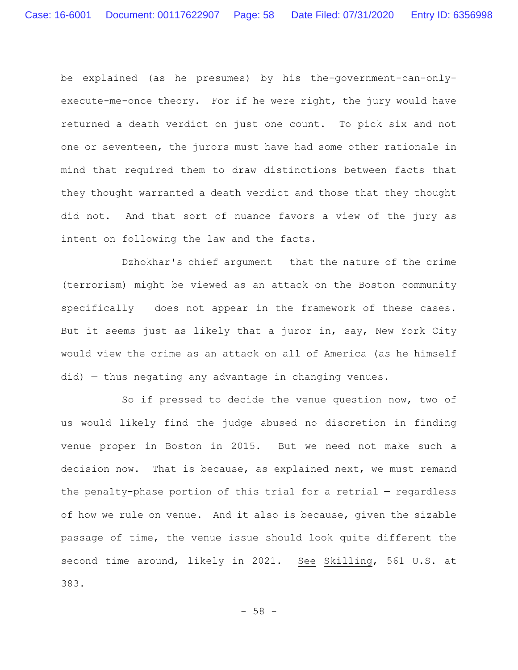be explained (as he presumes) by his the-government-can-onlyexecute-me-once theory. For if he were right, the jury would have returned a death verdict on just one count. To pick six and not one or seventeen, the jurors must have had some other rationale in mind that required them to draw distinctions between facts that they thought warranted a death verdict and those that they thought did not. And that sort of nuance favors a view of the jury as intent on following the law and the facts.

Dzhokhar's chief argument — that the nature of the crime (terrorism) might be viewed as an attack on the Boston community specifically — does not appear in the framework of these cases. But it seems just as likely that a juror in, say, New York City would view the crime as an attack on all of America (as he himself did) — thus negating any advantage in changing venues.

So if pressed to decide the venue question now, two of us would likely find the judge abused no discretion in finding venue proper in Boston in 2015. But we need not make such a decision now. That is because, as explained next, we must remand the penalty-phase portion of this trial for a retrial — regardless of how we rule on venue. And it also is because, given the sizable passage of time, the venue issue should look quite different the second time around, likely in 2021. See Skilling, 561 U.S. at 383.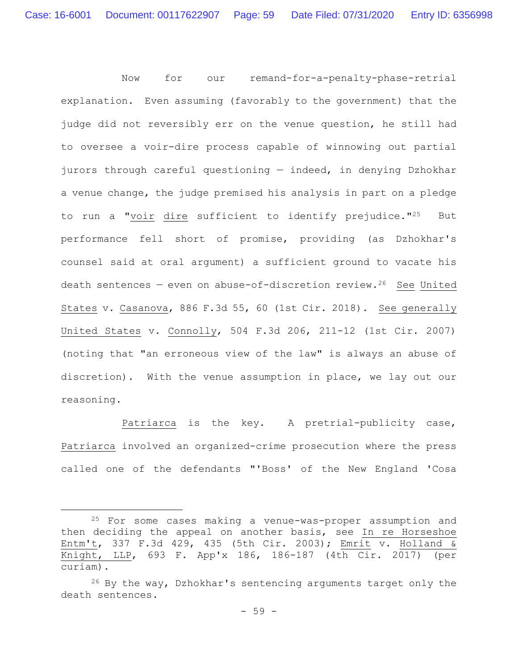Now for our remand-for-a-penalty-phase-retrial explanation. Even assuming (favorably to the government) that the judge did not reversibly err on the venue question, he still had to oversee a voir-dire process capable of winnowing out partial jurors through careful questioning — indeed, in denying Dzhokhar a venue change, the judge premised his analysis in part on a pledge to run a "voir dire sufficient to identify prejudice."25 But performance fell short of promise, providing (as Dzhokhar's counsel said at oral argument) a sufficient ground to vacate his death sentences  $-$  even on abuse-of-discretion review.<sup>26</sup> See United States v. Casanova, 886 F.3d 55, 60 (1st Cir. 2018). See generally United States v. Connolly, 504 F.3d 206, 211-12 (1st Cir. 2007) (noting that "an erroneous view of the law" is always an abuse of discretion). With the venue assumption in place, we lay out our reasoning.

Patriarca is the key. A pretrial-publicity case, Patriarca involved an organized-crime prosecution where the press called one of the defendants "'Boss' of the New England 'Cosa

<sup>25</sup> For some cases making a venue-was-proper assumption and then deciding the appeal on another basis, see In re Horseshoe Entm't, 337 F.3d 429, 435 (5th Cir. 2003); Emrit v. Holland & Knight, LLP, 693 F. App'x 186, 186-187 (4th Cir. 2017) (per curiam).

 $26$  By the way, Dzhokhar's sentencing arguments target only the death sentences.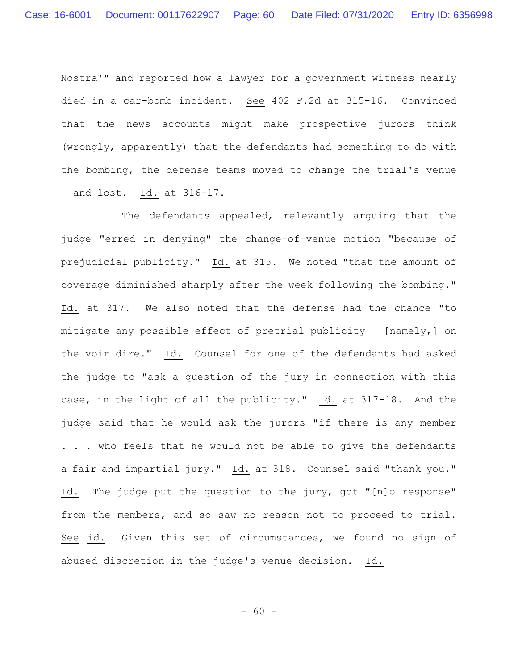Nostra'" and reported how a lawyer for a government witness nearly died in a car-bomb incident. See 402 F.2d at 315-16. Convinced that the news accounts might make prospective jurors think (wrongly, apparently) that the defendants had something to do with the bombing, the defense teams moved to change the trial's venue — and lost. Id. at 316-17.

The defendants appealed, relevantly arguing that the judge "erred in denying" the change-of-venue motion "because of prejudicial publicity." Id. at 315. We noted "that the amount of coverage diminished sharply after the week following the bombing." Id. at 317. We also noted that the defense had the chance "to mitigate any possible effect of pretrial publicity  $-$  [namely,] on the voir dire." Id. Counsel for one of the defendants had asked the judge to "ask a question of the jury in connection with this case, in the light of all the publicity." Id. at 317-18. And the judge said that he would ask the jurors "if there is any member . . . who feels that he would not be able to give the defendants a fair and impartial jury." Id. at 318. Counsel said "thank you." Id. The judge put the question to the jury, got "[n]o response" from the members, and so saw no reason not to proceed to trial. See id. Given this set of circumstances, we found no sign of abused discretion in the judge's venue decision. Id.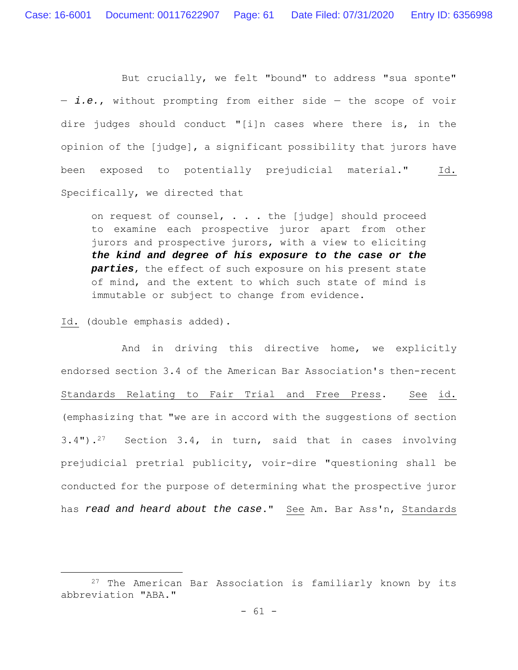But crucially, we felt "bound" to address "sua sponte" — *i.e.*, without prompting from either side — the scope of voir dire judges should conduct "[i]n cases where there is, in the opinion of the [judge], a significant possibility that jurors have been exposed to potentially prejudicial material." Id. Specifically, we directed that

on request of counsel, . . . the [judge] should proceed to examine each prospective juror apart from other jurors and prospective jurors, with a view to eliciting *the kind and degree of his exposure to the case or the parties*, the effect of such exposure on his present state of mind, and the extent to which such state of mind is immutable or subject to change from evidence.

Id. (double emphasis added).

And in driving this directive home, we explicitly endorsed section 3.4 of the American Bar Association's then-recent Standards Relating to Fair Trial and Free Press. See id. (emphasizing that "we are in accord with the suggestions of section 3.4").27 Section 3.4, in turn, said that in cases involving prejudicial pretrial publicity, voir-dire "questioning shall be conducted for the purpose of determining what the prospective juror has *read and heard about the case*." See Am. Bar Ass'n, Standards

<sup>&</sup>lt;sup>27</sup> The American Bar Association is familiarly known by its abbreviation "ABA."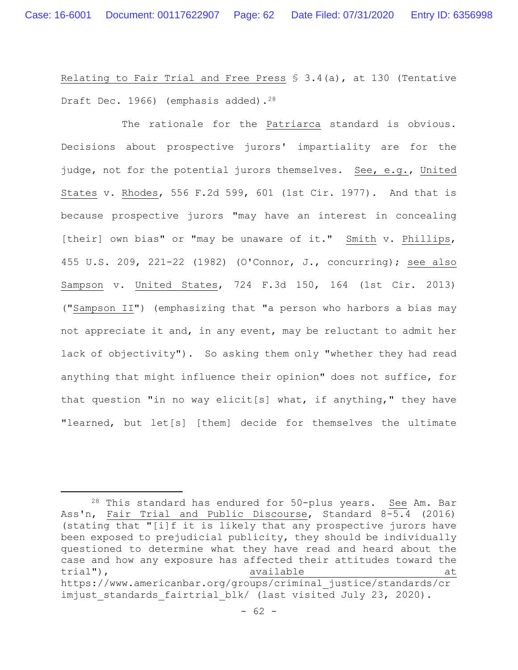Relating to Fair Trial and Free Press § 3.4(a), at 130 (Tentative Draft Dec. 1966) (emphasis added).<sup>28</sup>

The rationale for the Patriarca standard is obvious. Decisions about prospective jurors' impartiality are for the judge, not for the potential jurors themselves. See, e.g., United States v. Rhodes, 556 F.2d 599, 601 (1st Cir. 1977). And that is because prospective jurors "may have an interest in concealing [their] own bias" or "may be unaware of it." Smith v. Phillips, 455 U.S. 209, 221-22 (1982) (O'Connor, J., concurring); see also Sampson v. United States, 724 F.3d 150, 164 (1st Cir. 2013) ("Sampson II") (emphasizing that "a person who harbors a bias may not appreciate it and, in any event, may be reluctant to admit her lack of objectivity"). So asking them only "whether they had read anything that might influence their opinion" does not suffice, for that question "in no way elicit[s] what, if anything," they have "learned, but let[s] [them] decide for themselves the ultimate

<sup>28</sup> This standard has endured for 50-plus years. See Am. Bar Ass'n, Fair Trial and Public Discourse, Standard 8-5.4 (2016) (stating that "[i]f it is likely that any prospective jurors have been exposed to prejudicial publicity, they should be individually questioned to determine what they have read and heard about the case and how any exposure has affected their attitudes toward the trial"), trial( $\sim$  available at  $\sim$  available at https://www.americanbar.org/groups/criminal\_justice/standards/cr imjust standards fairtrial blk/ (last visited July 23, 2020).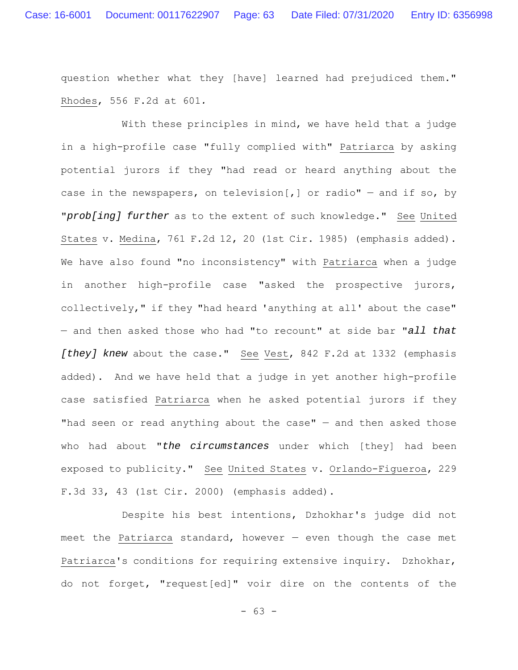question whether what they [have] learned had prejudiced them." Rhodes, 556 F.2d at 601*.*

With these principles in mind, we have held that a judge in a high-profile case "fully complied with" Patriarca by asking potential jurors if they "had read or heard anything about the case in the newspapers, on television[,] or radio"  $-$  and if so, by "*prob[ing] further* as to the extent of such knowledge." See United States v. Medina, 761 F.2d 12, 20 (1st Cir. 1985) (emphasis added). We have also found "no inconsistency" with Patriarca when a judge in another high-profile case "asked the prospective jurors, collectively," if they "had heard 'anything at all' about the case" — and then asked those who had "to recount" at side bar "*all that [they] knew* about the case." See Vest, 842 F.2d at 1332 (emphasis added). And we have held that a judge in yet another high-profile case satisfied Patriarca when he asked potential jurors if they "had seen or read anything about the case"  $-$  and then asked those who had about "*the circumstances* under which [they] had been exposed to publicity." See United States v. Orlando-Figueroa, 229 F.3d 33, 43 (1st Cir. 2000) (emphasis added).

Despite his best intentions, Dzhokhar's judge did not meet the Patriarca standard, however  $-$  even though the case met Patriarca's conditions for requiring extensive inquiry. Dzhokhar, do not forget, "request[ed]" voir dire on the contents of the

- 63 -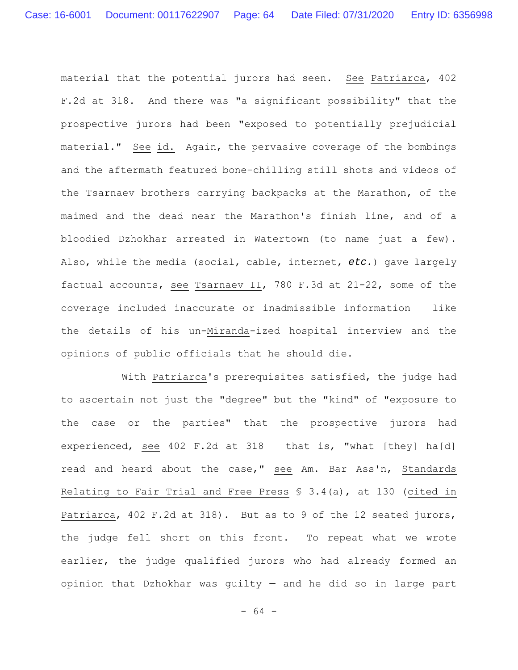material that the potential jurors had seen. See Patriarca, 402 F.2d at 318. And there was "a significant possibility" that the prospective jurors had been "exposed to potentially prejudicial material." See id. Again, the pervasive coverage of the bombings and the aftermath featured bone-chilling still shots and videos of the Tsarnaev brothers carrying backpacks at the Marathon, of the maimed and the dead near the Marathon's finish line, and of a bloodied Dzhokhar arrested in Watertown (to name just a few). Also, while the media (social, cable, internet, *etc.*) gave largely factual accounts, see Tsarnaev II, 780 F.3d at 21-22, some of the coverage included inaccurate or inadmissible information — like the details of his un-Miranda-ized hospital interview and the opinions of public officials that he should die.

With Patriarca's prerequisites satisfied, the judge had to ascertain not just the "degree" but the "kind" of "exposure to the case or the parties" that the prospective jurors had experienced, see 402 F.2d at 318 — that is, "what [they] ha[d] read and heard about the case," see Am. Bar Ass'n, Standards Relating to Fair Trial and Free Press § 3.4(a), at 130 (cited in Patriarca, 402 F.2d at 318). But as to 9 of the 12 seated jurors, the judge fell short on this front. To repeat what we wrote earlier, the judge qualified jurors who had already formed an opinion that Dzhokhar was guilty — and he did so in large part

- 64 -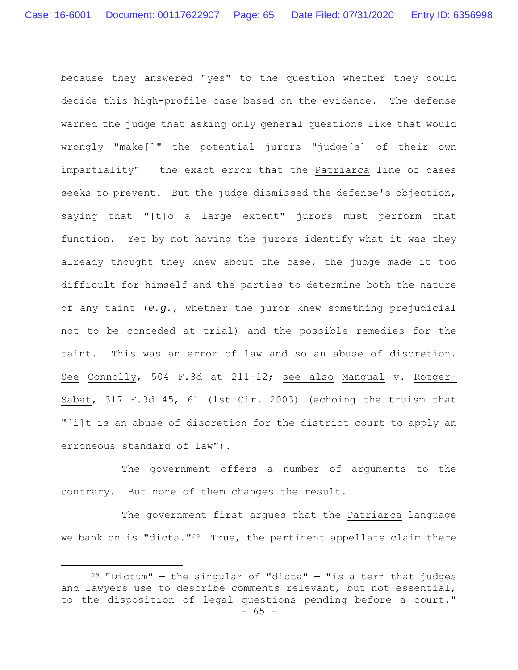because they answered "yes" to the question whether they could decide this high-profile case based on the evidence. The defense warned the judge that asking only general questions like that would wrongly "make[]" the potential jurors "judge[s] of their own impartiality" — the exact error that the Patriarca line of cases seeks to prevent. But the judge dismissed the defense's objection, saying that "[t]o a large extent" jurors must perform that function. Yet by not having the jurors identify what it was they already thought they knew about the case, the judge made it too difficult for himself and the parties to determine both the nature of any taint (*e.g.*, whether the juror knew something prejudicial not to be conceded at trial) and the possible remedies for the taint. This was an error of law and so an abuse of discretion. See Connolly, 504 F.3d at 211-12; see also Mangual v. Rotger-Sabat, 317 F.3d 45, 61 (1st Cir. 2003) (echoing the truism that "[i]t is an abuse of discretion for the district court to apply an erroneous standard of law").

The government offers a number of arguments to the contrary. But none of them changes the result.

The government first argues that the Patriarca language we bank on is "dicta."<sup>29</sup> True, the pertinent appellate claim there

 $- 65 29$  "Dictum" – the singular of "dicta" – "is a term that judges and lawyers use to describe comments relevant, but not essential, to the disposition of legal questions pending before a court."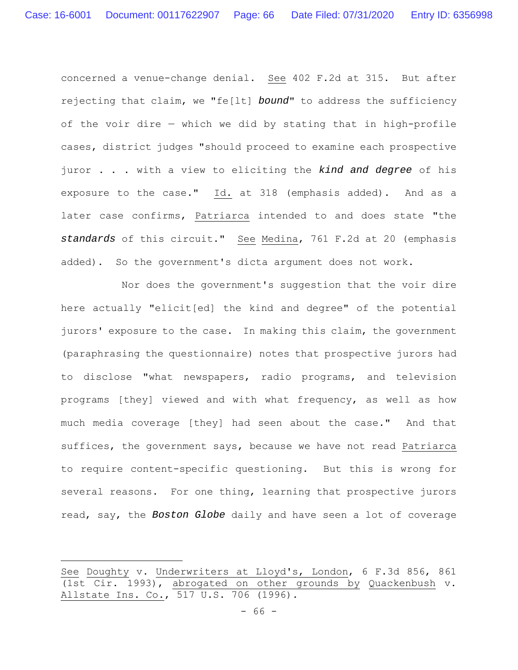concerned a venue-change denial. See 402 F.2d at 315. But after rejecting that claim, we "fe[lt] *bound*" to address the sufficiency of the voir dire — which we did by stating that in high-profile cases, district judges "should proceed to examine each prospective juror . . . with a view to eliciting the *kind and degree* of his exposure to the case." Id. at 318 (emphasis added). And as a later case confirms, Patriarca intended to and does state "the *standards* of this circuit." See Medina, 761 F.2d at 20 (emphasis added). So the government's dicta argument does not work.

Nor does the government's suggestion that the voir dire here actually "elicit[ed] the kind and degree" of the potential jurors' exposure to the case. In making this claim, the government (paraphrasing the questionnaire) notes that prospective jurors had to disclose "what newspapers, radio programs, and television programs [they] viewed and with what frequency, as well as how much media coverage [they] had seen about the case." And that suffices, the government says, because we have not read Patriarca to require content-specific questioning. But this is wrong for several reasons. For one thing, learning that prospective jurors read, say, the *Boston Globe* daily and have seen a lot of coverage

See Doughty v. Underwriters at Lloyd's, London, 6 F.3d 856, 861 (1st Cir. 1993), abrogated on other grounds by Quackenbush v. Allstate Ins. Co., 517 U.S. 706 (1996).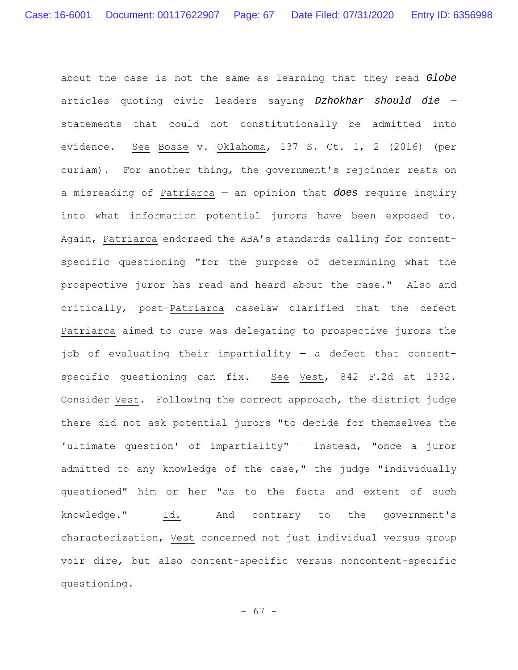about the case is not the same as learning that they read *Globe* articles quoting civic leaders saying *Dzhokhar should die* statements that could not constitutionally be admitted into evidence. See Bosse v. Oklahoma, 137 S. Ct. 1, 2 (2016) (per curiam). For another thing, the government's rejoinder rests on a misreading of Patriarca — an opinion that *does* require inquiry into what information potential jurors have been exposed to. Again, Patriarca endorsed the ABA's standards calling for contentspecific questioning "for the purpose of determining what the prospective juror has read and heard about the case." Also and critically, post-Patriarca caselaw clarified that the defect Patriarca aimed to cure was delegating to prospective jurors the job of evaluating their impartiality — a defect that contentspecific questioning can fix. See Vest, 842 F.2d at 1332. Consider Vest. Following the correct approach, the district judge there did not ask potential jurors "to decide for themselves the 'ultimate question' of impartiality" — instead, "once a juror admitted to any knowledge of the case," the judge "individually questioned" him or her "as to the facts and extent of such knowledge." Id. And contrary to the government's characterization, Vest concerned not just individual versus group voir dire, but also content-specific versus noncontent-specific questioning.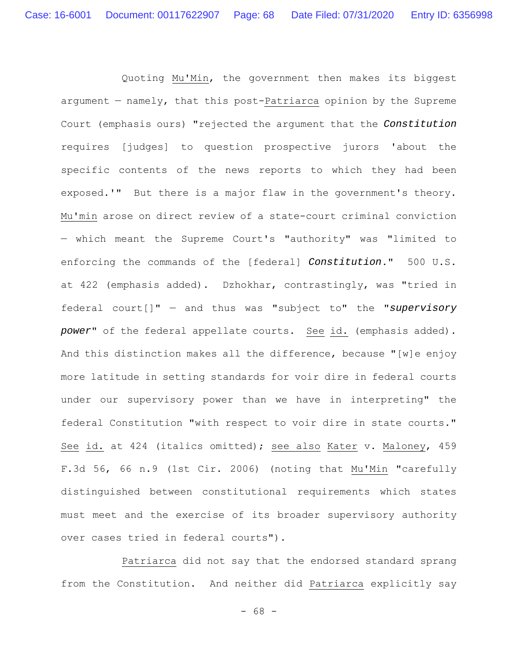Quoting Mu'Min, the government then makes its biggest argument — namely, that this post-Patriarca opinion by the Supreme Court (emphasis ours) "rejected the argument that the *Constitution* requires [judges] to question prospective jurors 'about the specific contents of the news reports to which they had been exposed.'" But there is a major flaw in the government's theory. Mu'min arose on direct review of a state-court criminal conviction — which meant the Supreme Court's "authority" was "limited to enforcing the commands of the [federal] *Constitution*." 500 U.S. at 422 (emphasis added). Dzhokhar, contrastingly, was "tried in federal court[]" — and thus was "subject to" the "*supervisory power*" of the federal appellate courts. See id. (emphasis added). And this distinction makes all the difference, because "[w]e enjoy more latitude in setting standards for voir dire in federal courts under our supervisory power than we have in interpreting" the federal Constitution "with respect to voir dire in state courts." See id. at 424 (italics omitted); see also Kater v. Maloney, 459 F.3d 56, 66 n.9 (1st Cir. 2006) (noting that Mu'Min "carefully distinguished between constitutional requirements which states must meet and the exercise of its broader supervisory authority over cases tried in federal courts").

Patriarca did not say that the endorsed standard sprang from the Constitution. And neither did Patriarca explicitly say

- 68 -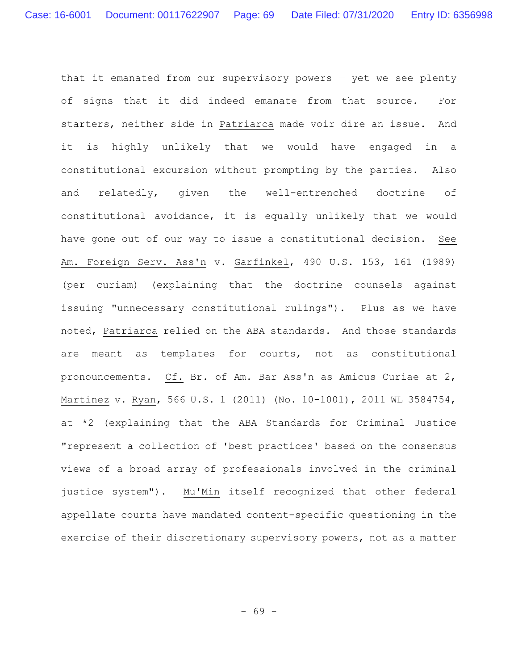that it emanated from our supervisory powers — yet we see plenty of signs that it did indeed emanate from that source. For starters, neither side in Patriarca made voir dire an issue. And it is highly unlikely that we would have engaged in a constitutional excursion without prompting by the parties. Also and relatedly, given the well-entrenched doctrine of constitutional avoidance, it is equally unlikely that we would have gone out of our way to issue a constitutional decision. See Am. Foreign Serv. Ass'n v. Garfinkel, 490 U.S. 153, 161 (1989) (per curiam) (explaining that the doctrine counsels against issuing "unnecessary constitutional rulings"). Plus as we have noted, Patriarca relied on the ABA standards. And those standards are meant as templates for courts, not as constitutional pronouncements. Cf. Br. of Am. Bar Ass'n as Amicus Curiae at 2, Martinez v. Ryan, 566 U.S. 1 (2011) (No. 10-1001), 2011 WL 3584754, at \*2 (explaining that the ABA Standards for Criminal Justice "represent a collection of 'best practices' based on the consensus views of a broad array of professionals involved in the criminal justice system"). Mu'Min itself recognized that other federal appellate courts have mandated content-specific questioning in the exercise of their discretionary supervisory powers, not as a matter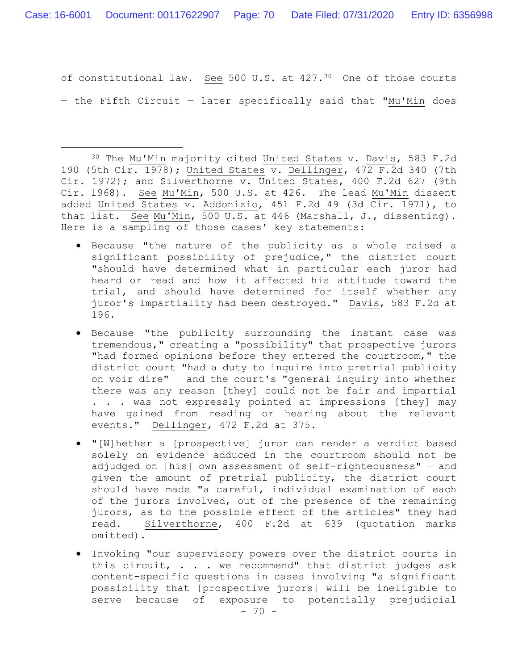of constitutional law. See 500 U.S. at 427.30 One of those courts — the Fifth Circuit — later specifically said that "Mu'Min does

- Because "the nature of the publicity as a whole raised a significant possibility of prejudice," the district court "should have determined what in particular each juror had heard or read and how it affected his attitude toward the trial, and should have determined for itself whether any juror's impartiality had been destroyed." Davis, 583 F.2d at 196.
- Because "the publicity surrounding the instant case was tremendous," creating a "possibility" that prospective jurors "had formed opinions before they entered the courtroom," the district court "had a duty to inquire into pretrial publicity on voir dire" — and the court's "general inquiry into whether there was any reason [they] could not be fair and impartial . . . was not expressly pointed at impressions [they] may have gained from reading or hearing about the relevant events." Dellinger, 472 F.2d at 375.
- "[W]hether a [prospective] juror can render a verdict based solely on evidence adduced in the courtroom should not be adjudged on [his] own assessment of self-righteousness" — and given the amount of pretrial publicity, the district court should have made "a careful, individual examination of each of the jurors involved, out of the presence of the remaining jurors, as to the possible effect of the articles" they had read. Silverthorne, 400 F.2d at 639 (quotation marks omitted).
- Invoking "our supervisory powers over the district courts in this circuit, . . . we recommend" that district judges ask content-specific questions in cases involving "a significant possibility that [prospective jurors] will be ineligible to serve because of exposure to potentially prejudicial

<sup>30</sup> The Mu'Min majority cited United States v. Davis, 583 F.2d 190 (5th Cir. 1978); United States v. Dellinger, 472 F.2d 340 (7th Cir. 1972); and Silverthorne v. United States, 400 F.2d 627 (9th Cir. 1968). See Mu'Min, 500 U.S. at 426. The lead Mu'Min dissent added United States v. Addonizio, 451 F.2d 49 (3d Cir. 1971), to that list. See Mu'Min, 500 U.S. at 446 (Marshall, J., dissenting). Here is a sampling of those cases' key statements: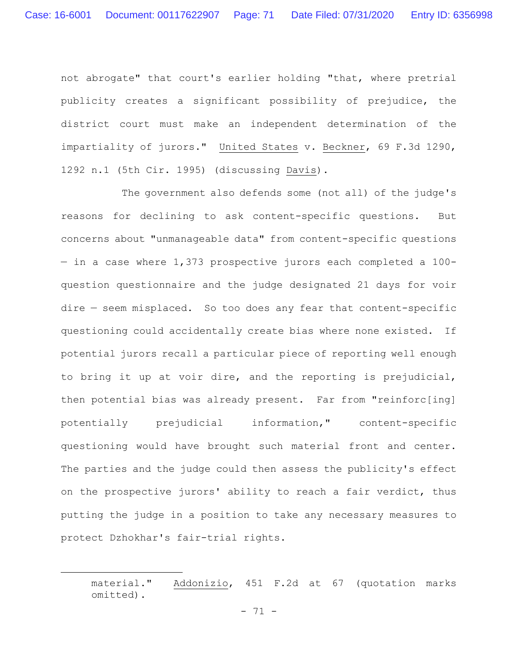not abrogate" that court's earlier holding "that, where pretrial publicity creates a significant possibility of prejudice, the district court must make an independent determination of the impartiality of jurors." United States v. Beckner, 69 F.3d 1290, 1292 n.1 (5th Cir. 1995) (discussing Davis).

The government also defends some (not all) of the judge's reasons for declining to ask content-specific questions. But concerns about "unmanageable data" from content-specific questions — in a case where 1,373 prospective jurors each completed a 100 question questionnaire and the judge designated 21 days for voir dire — seem misplaced. So too does any fear that content-specific questioning could accidentally create bias where none existed. If potential jurors recall a particular piece of reporting well enough to bring it up at voir dire, and the reporting is prejudicial, then potential bias was already present. Far from "reinforc[ing] potentially prejudicial information," content-specific questioning would have brought such material front and center. The parties and the judge could then assess the publicity's effect on the prospective jurors' ability to reach a fair verdict, thus putting the judge in a position to take any necessary measures to protect Dzhokhar's fair-trial rights.

material." Addonizio, 451 F.2d at 67 (quotation marks omitted).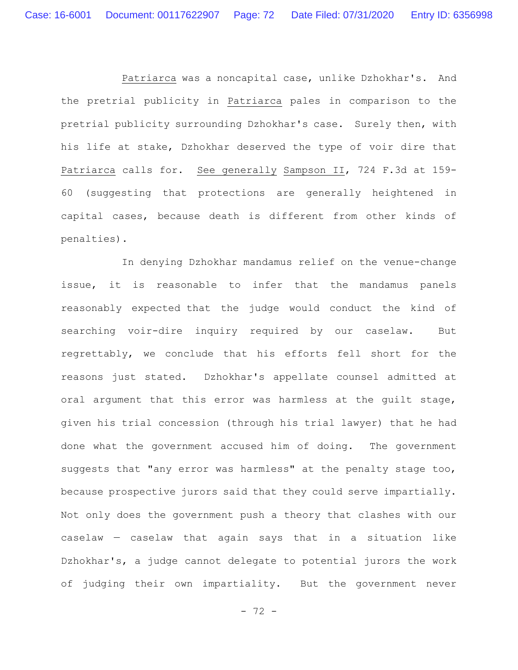Patriarca was a noncapital case, unlike Dzhokhar's. And the pretrial publicity in Patriarca pales in comparison to the pretrial publicity surrounding Dzhokhar's case. Surely then, with his life at stake, Dzhokhar deserved the type of voir dire that Patriarca calls for. See generally Sampson II, 724 F.3d at 159- 60 (suggesting that protections are generally heightened in capital cases, because death is different from other kinds of penalties).

In denying Dzhokhar mandamus relief on the venue-change issue, it is reasonable to infer that the mandamus panels reasonably expected that the judge would conduct the kind of searching voir-dire inquiry required by our caselaw. But regrettably, we conclude that his efforts fell short for the reasons just stated. Dzhokhar's appellate counsel admitted at oral argument that this error was harmless at the guilt stage, given his trial concession (through his trial lawyer) that he had done what the government accused him of doing. The government suggests that "any error was harmless" at the penalty stage too, because prospective jurors said that they could serve impartially. Not only does the government push a theory that clashes with our caselaw — caselaw that again says that in a situation like Dzhokhar's, a judge cannot delegate to potential jurors the work of judging their own impartiality. But the government never

- 72 -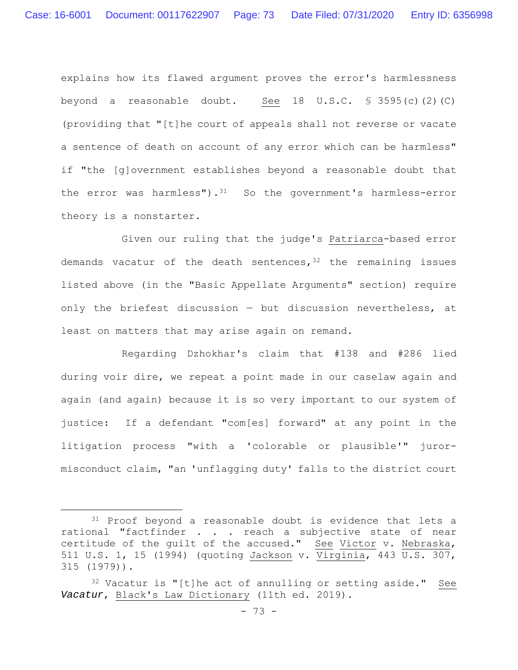explains how its flawed argument proves the error's harmlessness beyond a reasonable doubt. See 18 U.S.C.  $\frac{1}{5}$  3595(c)(2)(C) (providing that "[t]he court of appeals shall not reverse or vacate a sentence of death on account of any error which can be harmless" if "the [g]overnment establishes beyond a reasonable doubt that the error was harmless").<sup>31</sup> So the government's harmless-error theory is a nonstarter.

Given our ruling that the judge's Patriarca-based error demands vacatur of the death sentences,  $32$  the remaining issues listed above (in the "Basic Appellate Arguments" section) require only the briefest discussion — but discussion nevertheless, at least on matters that may arise again on remand.

Regarding Dzhokhar's claim that #138 and #286 lied during voir dire, we repeat a point made in our caselaw again and again (and again) because it is so very important to our system of justice: If a defendant "com[es] forward" at any point in the litigation process "with a 'colorable or plausible'" jurormisconduct claim, "an 'unflagging duty' falls to the district court

<sup>&</sup>lt;sup>31</sup> Proof beyond a reasonable doubt is evidence that lets a rational "factfinder . . . reach a subjective state of near certitude of the guilt of the accused." See Victor v. Nebraska, 511 U.S. 1, 15 (1994) (quoting Jackson v. Virginia, 443 U.S. 307, 315 (1979)).

<sup>32</sup> Vacatur is "[t]he act of annulling or setting aside." See *Vacatur*, Black's Law Dictionary (11th ed. 2019).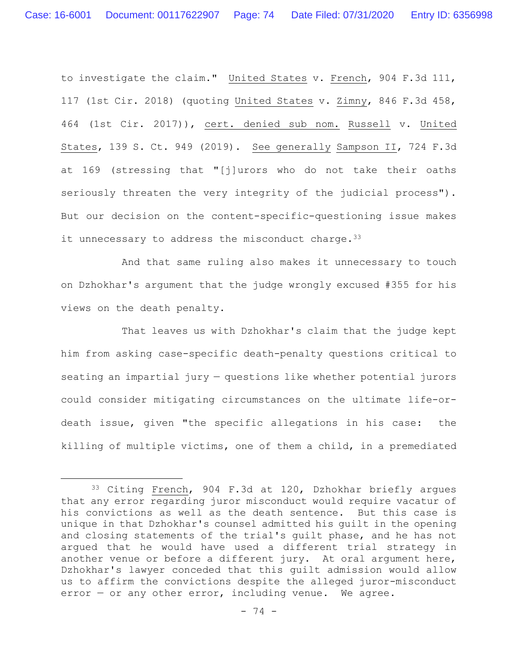to investigate the claim." United States v. French, 904 F.3d 111, 117 (1st Cir. 2018) (quoting United States v. Zimny, 846 F.3d 458, 464 (1st Cir. 2017)), cert. denied sub nom. Russell v. United States, 139 S. Ct. 949 (2019). See generally Sampson II, 724 F.3d at 169 (stressing that "[j]urors who do not take their oaths seriously threaten the very integrity of the judicial process"). But our decision on the content-specific-questioning issue makes it unnecessary to address the misconduct charge.  $33$ 

And that same ruling also makes it unnecessary to touch on Dzhokhar's argument that the judge wrongly excused #355 for his views on the death penalty.

That leaves us with Dzhokhar's claim that the judge kept him from asking case-specific death-penalty questions critical to seating an impartial jury — questions like whether potential jurors could consider mitigating circumstances on the ultimate life-ordeath issue, given "the specific allegations in his case: the killing of multiple victims, one of them a child, in a premediated

<sup>33</sup> Citing French, 904 F.3d at 120, Dzhokhar briefly argues that any error regarding juror misconduct would require vacatur of his convictions as well as the death sentence. But this case is unique in that Dzhokhar's counsel admitted his guilt in the opening and closing statements of the trial's guilt phase, and he has not argued that he would have used a different trial strategy in another venue or before a different jury. At oral argument here, Dzhokhar's lawyer conceded that this guilt admission would allow us to affirm the convictions despite the alleged juror-misconduct error — or any other error, including venue. We agree.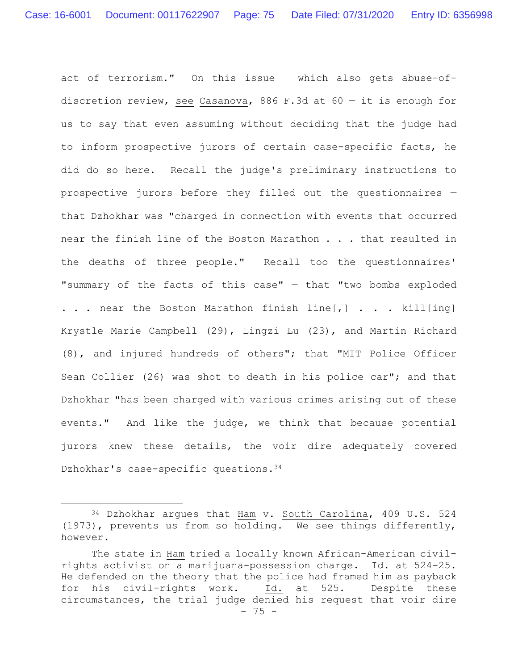act of terrorism." On this issue — which also gets abuse-ofdiscretion review, see Casanova, 886 F.3d at 60 — it is enough for us to say that even assuming without deciding that the judge had to inform prospective jurors of certain case-specific facts, he did do so here. Recall the judge's preliminary instructions to prospective jurors before they filled out the questionnaires that Dzhokhar was "charged in connection with events that occurred near the finish line of the Boston Marathon . . . that resulted in the deaths of three people." Recall too the questionnaires' "summary of the facts of this case" — that "two bombs exploded . . . near the Boston Marathon finish  $line[, ]$  . . . kill[ing] Krystle Marie Campbell (29), Lingzi Lu (23), and Martin Richard (8), and injured hundreds of others"; that "MIT Police Officer Sean Collier (26) was shot to death in his police car"; and that Dzhokhar "has been charged with various crimes arising out of these events." And like the judge, we think that because potential jurors knew these details, the voir dire adequately covered Dzhokhar's case-specific questions. 34

<sup>34</sup> Dzhokhar argues that Ham v. South Carolina, 409 U.S. 524 (1973), prevents us from so holding. We see things differently, however.

<sup>- 75 -</sup> The state in Ham tried a locally known African-American civilrights activist on a marijuana-possession charge. Id. at 524-25. He defended on the theory that the police had framed him as payback for his civil-rights work. Id. at 525. Despite these circumstances, the trial judge denied his request that voir dire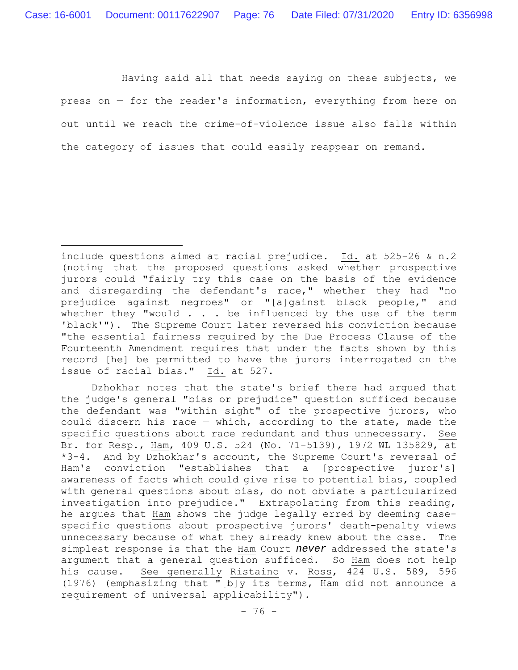Having said all that needs saying on these subjects, we press on — for the reader's information, everything from here on out until we reach the crime-of-violence issue also falls within the category of issues that could easily reappear on remand.

include questions aimed at racial prejudice. Id. at 525-26 & n.2 (noting that the proposed questions asked whether prospective jurors could "fairly try this case on the basis of the evidence and disregarding the defendant's race," whether they had "no prejudice against negroes" or "[a]gainst black people," and whether they "would  $\ldots$  be influenced by the use of the term 'black'"). The Supreme Court later reversed his conviction because "the essential fairness required by the Due Process Clause of the Fourteenth Amendment requires that under the facts shown by this record [he] be permitted to have the jurors interrogated on the issue of racial bias." Id. at 527.

Dzhokhar notes that the state's brief there had argued that the judge's general "bias or prejudice" question sufficed because the defendant was "within sight" of the prospective jurors, who could discern his race — which, according to the state, made the specific questions about race redundant and thus unnecessary. See Br. for Resp., Ham, 409 U.S. 524 (No. 71-5139), 1972 WL 135829, at \*3-4. And by Dzhokhar's account, the Supreme Court's reversal of Ham's conviction "establishes that a [prospective juror's] awareness of facts which could give rise to potential bias, coupled with general questions about bias, do not obviate a particularized investigation into prejudice." Extrapolating from this reading, he argues that Ham shows the judge legally erred by deeming casespecific questions about prospective jurors' death-penalty views unnecessary because of what they already knew about the case. The simplest response is that the Ham Court *never* addressed the state's argument that a general question sufficed. So Ham does not help his cause. See generally Ristaino v. Ross, 424 U.S. 589, 596 (1976) (emphasizing that "[b]y its terms, Ham did not announce a requirement of universal applicability").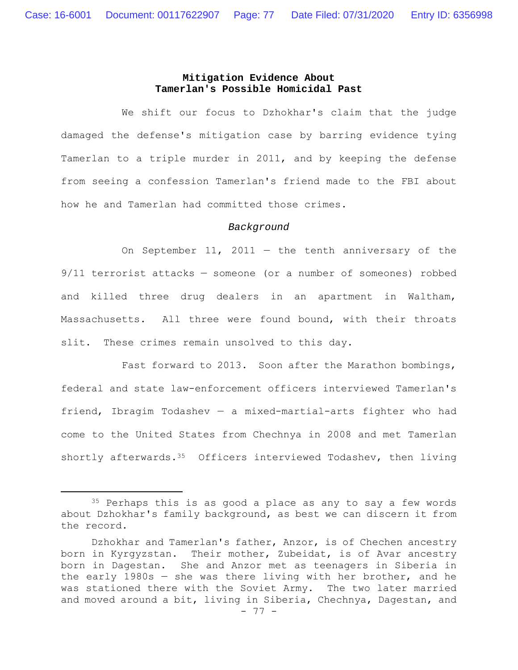# **Mitigation Evidence About Tamerlan's Possible Homicidal Past**

We shift our focus to Dzhokhar's claim that the judge damaged the defense's mitigation case by barring evidence tying Tamerlan to a triple murder in 2011, and by keeping the defense from seeing a confession Tamerlan's friend made to the FBI about how he and Tamerlan had committed those crimes.

#### *Background*

On September 11, 2011  $-$  the tenth anniversary of the 9/11 terrorist attacks — someone (or a number of someones) robbed and killed three drug dealers in an apartment in Waltham, Massachusetts. All three were found bound, with their throats slit. These crimes remain unsolved to this day.

Fast forward to 2013. Soon after the Marathon bombings, federal and state law-enforcement officers interviewed Tamerlan's friend, Ibragim Todashev — a mixed-martial-arts fighter who had come to the United States from Chechnya in 2008 and met Tamerlan shortly afterwards.  $35$  Officers interviewed Todashev, then living

<sup>&</sup>lt;sup>35</sup> Perhaps this is as good a place as any to say a few words about Dzhokhar's family background, as best we can discern it from the record.

Dzhokhar and Tamerlan's father, Anzor, is of Chechen ancestry born in Kyrgyzstan. Their mother, Zubeidat, is of Avar ancestry born in Dagestan. She and Anzor met as teenagers in Siberia in the early 1980s — she was there living with her brother, and he was stationed there with the Soviet Army. The two later married and moved around a bit, living in Siberia, Chechnya, Dagestan, and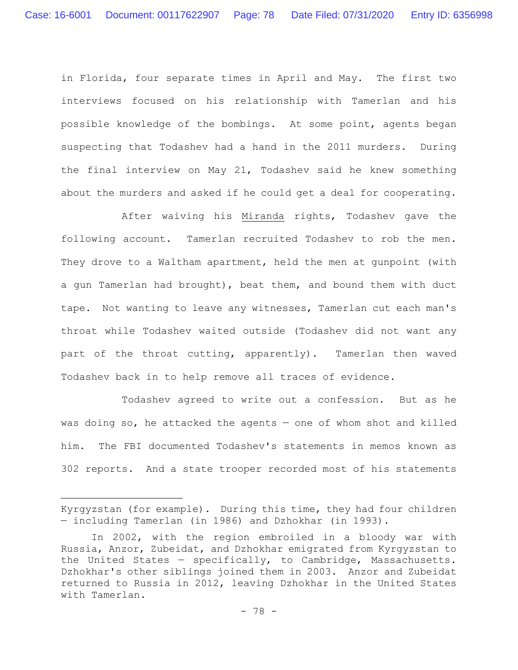in Florida, four separate times in April and May. The first two interviews focused on his relationship with Tamerlan and his possible knowledge of the bombings. At some point, agents began suspecting that Todashev had a hand in the 2011 murders. During the final interview on May 21, Todashev said he knew something about the murders and asked if he could get a deal for cooperating.

After waiving his Miranda rights, Todashev gave the following account. Tamerlan recruited Todashev to rob the men. They drove to a Waltham apartment, held the men at gunpoint (with a gun Tamerlan had brought), beat them, and bound them with duct tape. Not wanting to leave any witnesses, Tamerlan cut each man's throat while Todashev waited outside (Todashev did not want any part of the throat cutting, apparently). Tamerlan then waved Todashev back in to help remove all traces of evidence.

Todashev agreed to write out a confession. But as he was doing so, he attacked the agents — one of whom shot and killed him. The FBI documented Todashev's statements in memos known as 302 reports. And a state trooper recorded most of his statements

Kyrgyzstan (for example). During this time, they had four children — including Tamerlan (in 1986) and Dzhokhar (in 1993).

In 2002, with the region embroiled in a bloody war with Russia, Anzor, Zubeidat, and Dzhokhar emigrated from Kyrgyzstan to the United States — specifically, to Cambridge, Massachusetts. Dzhokhar's other siblings joined them in 2003. Anzor and Zubeidat returned to Russia in 2012, leaving Dzhokhar in the United States with Tamerlan.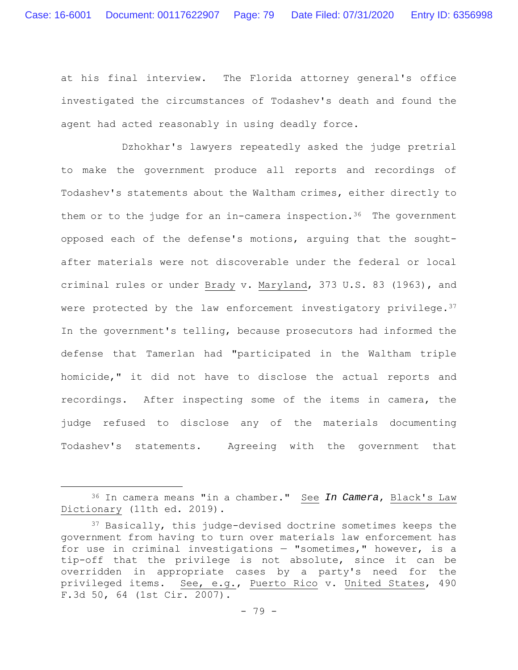at his final interview. The Florida attorney general's office investigated the circumstances of Todashev's death and found the agent had acted reasonably in using deadly force.

Dzhokhar's lawyers repeatedly asked the judge pretrial to make the government produce all reports and recordings of Todashev's statements about the Waltham crimes, either directly to them or to the judge for an in-camera inspection.<sup>36</sup> The government opposed each of the defense's motions, arguing that the soughtafter materials were not discoverable under the federal or local criminal rules or under Brady v. Maryland, 373 U.S. 83 (1963), and were protected by the law enforcement investigatory privilege. $3^7$ In the government's telling, because prosecutors had informed the defense that Tamerlan had "participated in the Waltham triple homicide," it did not have to disclose the actual reports and recordings. After inspecting some of the items in camera, the judge refused to disclose any of the materials documenting Todashev's statements. Agreeing with the government that

<sup>36</sup> In camera means "in a chamber." See *In Camera*, Black's Law Dictionary (11th ed. 2019).

<sup>&</sup>lt;sup>37</sup> Basically, this judge-devised doctrine sometimes keeps the government from having to turn over materials law enforcement has for use in criminal investigations — "sometimes," however, is a tip-off that the privilege is not absolute, since it can be overridden in appropriate cases by a party's need for the privileged items. See, e.g., Puerto Rico v. United States, 490 F.3d 50, 64 (1st Cir. 2007).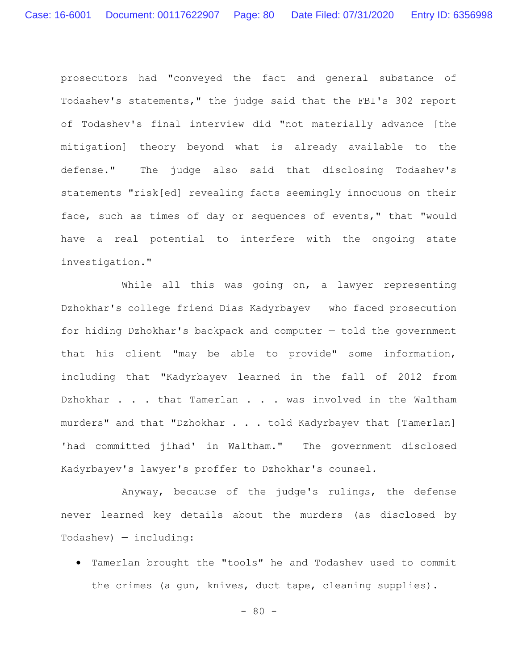prosecutors had "conveyed the fact and general substance of Todashev's statements," the judge said that the FBI's 302 report of Todashev's final interview did "not materially advance [the mitigation] theory beyond what is already available to the defense." The judge also said that disclosing Todashev's statements "risk[ed] revealing facts seemingly innocuous on their face, such as times of day or sequences of events," that "would have a real potential to interfere with the ongoing state investigation."

While all this was going on, a lawyer representing Dzhokhar's college friend Dias Kadyrbayev — who faced prosecution for hiding Dzhokhar's backpack and computer — told the government that his client "may be able to provide" some information, including that "Kadyrbayev learned in the fall of 2012 from Dzhokhar . . . that Tamerlan . . . was involved in the Waltham murders" and that "Dzhokhar . . . told Kadyrbayev that [Tamerlan] 'had committed jihad' in Waltham." The government disclosed Kadyrbayev's lawyer's proffer to Dzhokhar's counsel.

Anyway, because of the judge's rulings, the defense never learned key details about the murders (as disclosed by Todashev) — including:

 Tamerlan brought the "tools" he and Todashev used to commit the crimes (a gun, knives, duct tape, cleaning supplies).

 $- 80 -$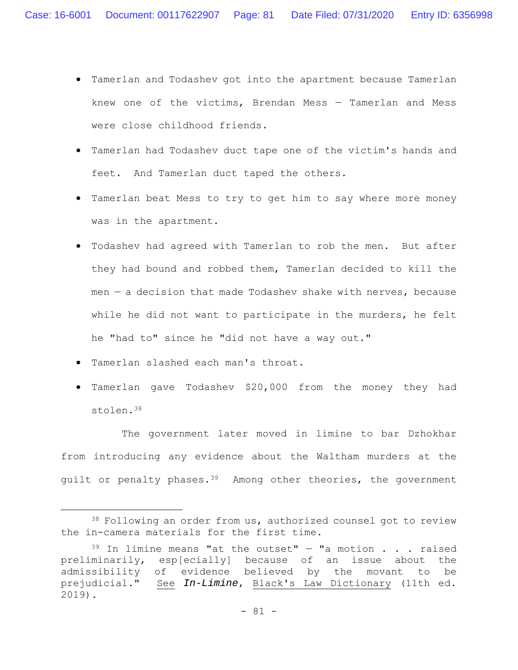- Tamerlan and Todashev got into the apartment because Tamerlan knew one of the victims, Brendan Mess — Tamerlan and Mess were close childhood friends.
- Tamerlan had Todashev duct tape one of the victim's hands and feet. And Tamerlan duct taped the others.
- Tamerlan beat Mess to try to get him to say where more money was in the apartment.
- Todashev had agreed with Tamerlan to rob the men. But after they had bound and robbed them, Tamerlan decided to kill the men  $-$  a decision that made Todashev shake with nerves, because while he did not want to participate in the murders, he felt he "had to" since he "did not have a way out."
- Tamerlan slashed each man's throat.
- Tamerlan gave Todashev \$20,000 from the money they had stolen.38

The government later moved in limine to bar Dzhokhar from introducing any evidence about the Waltham murders at the guilt or penalty phases.<sup>39</sup> Among other theories, the government

<sup>38</sup> Following an order from us, authorized counsel got to review the in-camera materials for the first time.

 $39$  In limine means "at the outset" - "a motion . . . raised preliminarily, esp[ecially] because of an issue about the admissibility of evidence believed by the movant to be prejudicial." See *In-Limine*, Black's Law Dictionary (11th ed. 2019).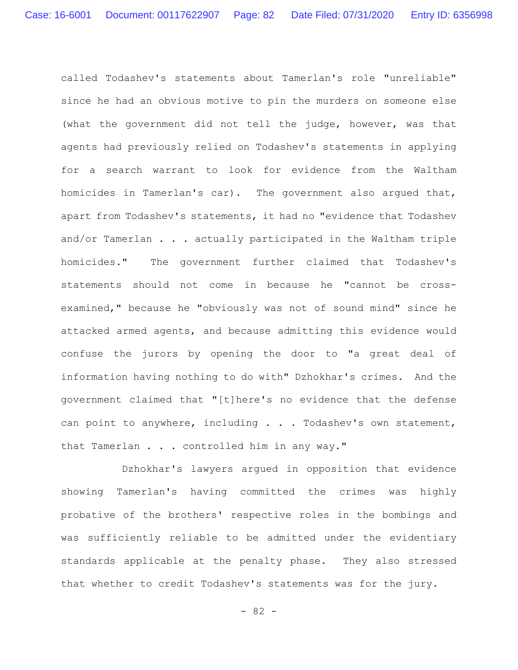called Todashev's statements about Tamerlan's role "unreliable" since he had an obvious motive to pin the murders on someone else (what the government did not tell the judge, however, was that agents had previously relied on Todashev's statements in applying for a search warrant to look for evidence from the Waltham homicides in Tamerlan's car). The government also argued that, apart from Todashev's statements, it had no "evidence that Todashev and/or Tamerlan . . . actually participated in the Waltham triple homicides." The government further claimed that Todashev's statements should not come in because he "cannot be crossexamined," because he "obviously was not of sound mind" since he attacked armed agents, and because admitting this evidence would confuse the jurors by opening the door to "a great deal of information having nothing to do with" Dzhokhar's crimes. And the government claimed that "[t]here's no evidence that the defense can point to anywhere, including . . . Todashev's own statement, that Tamerlan . . . controlled him in any way."

Dzhokhar's lawyers argued in opposition that evidence showing Tamerlan's having committed the crimes was highly probative of the brothers' respective roles in the bombings and was sufficiently reliable to be admitted under the evidentiary standards applicable at the penalty phase. They also stressed that whether to credit Todashev's statements was for the jury.

- 82 -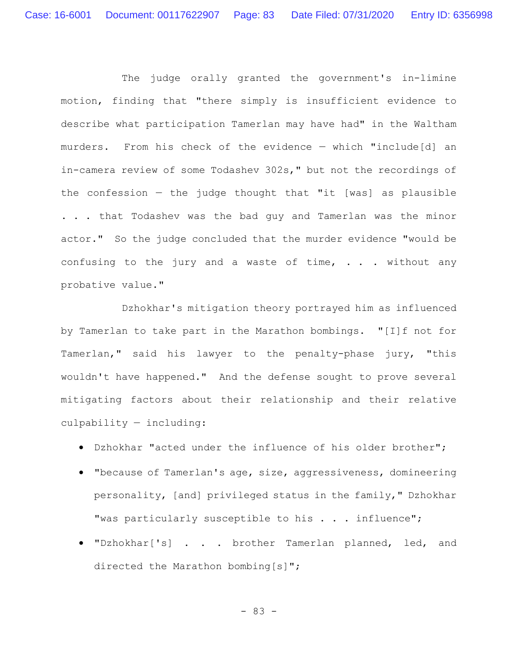The judge orally granted the government's in-limine motion, finding that "there simply is insufficient evidence to describe what participation Tamerlan may have had" in the Waltham murders. From his check of the evidence — which "include[d] an in-camera review of some Todashev 302s," but not the recordings of the confession  $-$  the judge thought that "it [was] as plausible . . . that Todashev was the bad guy and Tamerlan was the minor actor." So the judge concluded that the murder evidence "would be confusing to the jury and a waste of time, . . . without any probative value."

Dzhokhar's mitigation theory portrayed him as influenced by Tamerlan to take part in the Marathon bombings. "[I]f not for Tamerlan," said his lawyer to the penalty-phase jury, "this wouldn't have happened." And the defense sought to prove several mitigating factors about their relationship and their relative culpability — including:

- Dzhokhar "acted under the influence of his older brother";
- "because of Tamerlan's age, size, aggressiveness, domineering personality, [and] privileged status in the family," Dzhokhar "was particularly susceptible to his . . . influence";
- "Dzhokhar['s] . . . brother Tamerlan planned, led, and directed the Marathon bombing[s]";

- 83 -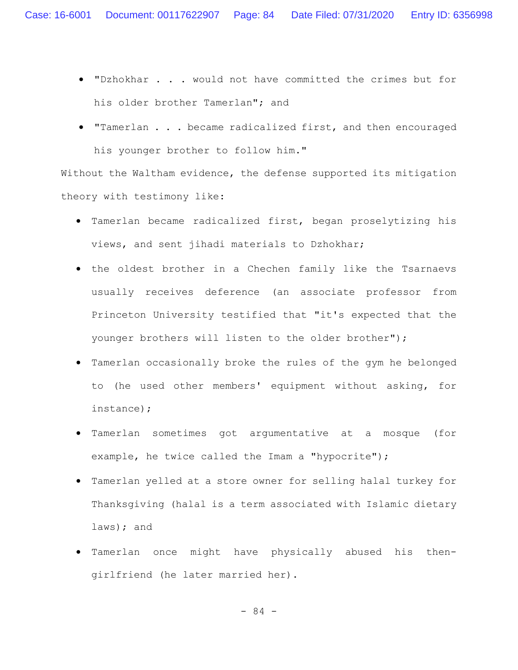- "Dzhokhar . . . would not have committed the crimes but for his older brother Tamerlan"; and
- "Tamerlan . . . became radicalized first, and then encouraged his younger brother to follow him."

Without the Waltham evidence, the defense supported its mitigation theory with testimony like:

- Tamerlan became radicalized first, began proselytizing his views, and sent jihadi materials to Dzhokhar;
- the oldest brother in a Chechen family like the Tsarnaevs usually receives deference (an associate professor from Princeton University testified that "it's expected that the younger brothers will listen to the older brother");
- Tamerlan occasionally broke the rules of the gym he belonged to (he used other members' equipment without asking, for instance);
- Tamerlan sometimes got argumentative at a mosque (for example, he twice called the Imam a "hypocrite");
- Tamerlan yelled at a store owner for selling halal turkey for Thanksgiving (halal is a term associated with Islamic dietary laws); and
- Tamerlan once might have physically abused his thengirlfriend (he later married her).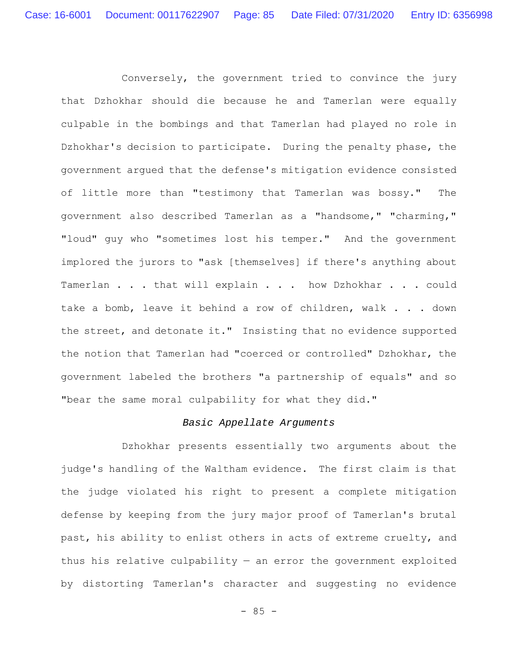Conversely, the government tried to convince the jury that Dzhokhar should die because he and Tamerlan were equally culpable in the bombings and that Tamerlan had played no role in Dzhokhar's decision to participate. During the penalty phase, the government argued that the defense's mitigation evidence consisted of little more than "testimony that Tamerlan was bossy." The government also described Tamerlan as a "handsome," "charming," "loud" guy who "sometimes lost his temper." And the government implored the jurors to "ask [themselves] if there's anything about Tamerlan . . . that will explain . . . how Dzhokhar . . . could take a bomb, leave it behind a row of children, walk . . . down the street, and detonate it." Insisting that no evidence supported the notion that Tamerlan had "coerced or controlled" Dzhokhar, the government labeled the brothers "a partnership of equals" and so "bear the same moral culpability for what they did."

### *Basic Appellate Arguments*

Dzhokhar presents essentially two arguments about the judge's handling of the Waltham evidence. The first claim is that the judge violated his right to present a complete mitigation defense by keeping from the jury major proof of Tamerlan's brutal past, his ability to enlist others in acts of extreme cruelty, and thus his relative culpability  $-$  an error the government exploited by distorting Tamerlan's character and suggesting no evidence

 $- 85 -$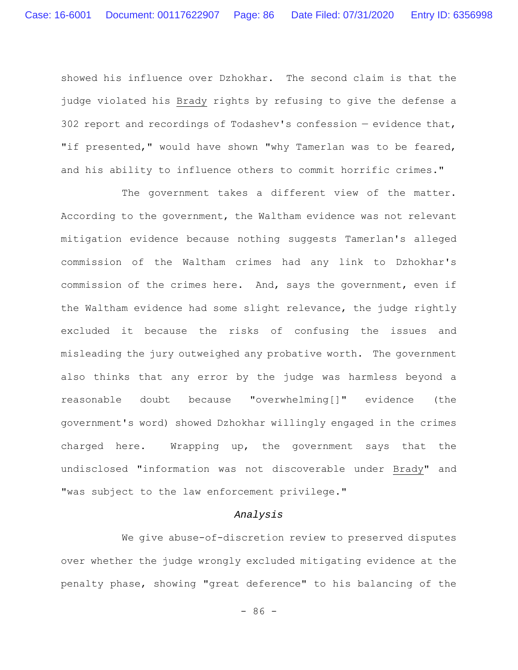showed his influence over Dzhokhar. The second claim is that the judge violated his Brady rights by refusing to give the defense a 302 report and recordings of Todashev's confession — evidence that, "if presented," would have shown "why Tamerlan was to be feared, and his ability to influence others to commit horrific crimes."

The government takes a different view of the matter. According to the government, the Waltham evidence was not relevant mitigation evidence because nothing suggests Tamerlan's alleged commission of the Waltham crimes had any link to Dzhokhar's commission of the crimes here. And, says the government, even if the Waltham evidence had some slight relevance, the judge rightly excluded it because the risks of confusing the issues and misleading the jury outweighed any probative worth. The government also thinks that any error by the judge was harmless beyond a reasonable doubt because "overwhelming[]" evidence (the government's word) showed Dzhokhar willingly engaged in the crimes charged here. Wrapping up, the government says that the undisclosed "information was not discoverable under Brady" and "was subject to the law enforcement privilege."

### *Analysis*

We give abuse-of-discretion review to preserved disputes over whether the judge wrongly excluded mitigating evidence at the penalty phase, showing "great deference" to his balancing of the

 $-86 -$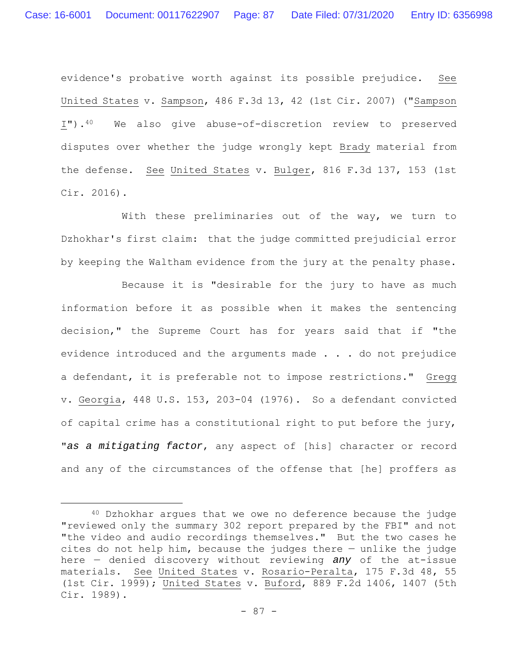evidence's probative worth against its possible prejudice. See United States v. Sampson, 486 F.3d 13, 42 (1st Cir. 2007) ("Sampson I").40 We also give abuse-of-discretion review to preserved disputes over whether the judge wrongly kept Brady material from the defense. See United States v. Bulger, 816 F.3d 137, 153 (1st Cir. 2016).

With these preliminaries out of the way, we turn to Dzhokhar's first claim: that the judge committed prejudicial error by keeping the Waltham evidence from the jury at the penalty phase.

Because it is "desirable for the jury to have as much information before it as possible when it makes the sentencing decision," the Supreme Court has for years said that if "the evidence introduced and the arguments made . . . do not prejudice a defendant, it is preferable not to impose restrictions." Gregg v. Georgia, 448 U.S. 153, 203-04 (1976). So a defendant convicted of capital crime has a constitutional right to put before the jury, "*as a mitigating factor*, any aspect of [his] character or record and any of the circumstances of the offense that [he] proffers as

<sup>40</sup> Dzhokhar argues that we owe no deference because the judge "reviewed only the summary 302 report prepared by the FBI" and not "the video and audio recordings themselves." But the two cases he cites do not help him, because the judges there — unlike the judge here — denied discovery without reviewing *any* of the at-issue materials. See United States v. Rosario-Peralta, 175 F.3d 48, 55 (1st Cir. 1999); United States v. Buford, 889 F.2d 1406, 1407 (5th Cir. 1989).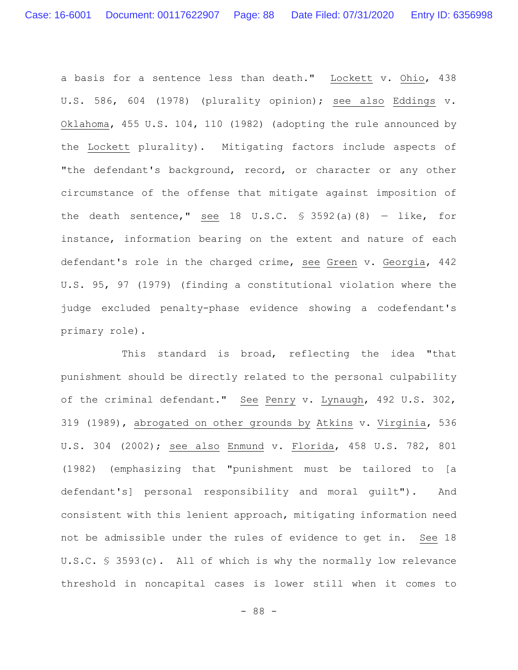a basis for a sentence less than death." Lockett v. Ohio, 438 U.S. 586, 604 (1978) (plurality opinion); see also Eddings v. Oklahoma, 455 U.S. 104, 110 (1982) (adopting the rule announced by the Lockett plurality). Mitigating factors include aspects of "the defendant's background, record, or character or any other circumstance of the offense that mitigate against imposition of the death sentence," see 18 U.S.C.  $\frac{1}{5}$  3592(a)(8) - like, for instance, information bearing on the extent and nature of each defendant's role in the charged crime, see Green v. Georgia, 442 U.S. 95, 97 (1979) (finding a constitutional violation where the judge excluded penalty-phase evidence showing a codefendant's primary role).

This standard is broad, reflecting the idea "that punishment should be directly related to the personal culpability of the criminal defendant." See Penry v. Lynaugh, 492 U.S. 302, 319 (1989), abrogated on other grounds by Atkins v. Virginia, 536 U.S. 304 (2002); see also Enmund v. Florida, 458 U.S. 782, 801 (1982) (emphasizing that "punishment must be tailored to [a defendant's] personal responsibility and moral guilt"). And consistent with this lenient approach, mitigating information need not be admissible under the rules of evidence to get in. See 18 U.S.C. § 3593(c). All of which is why the normally low relevance threshold in noncapital cases is lower still when it comes to

- 88 -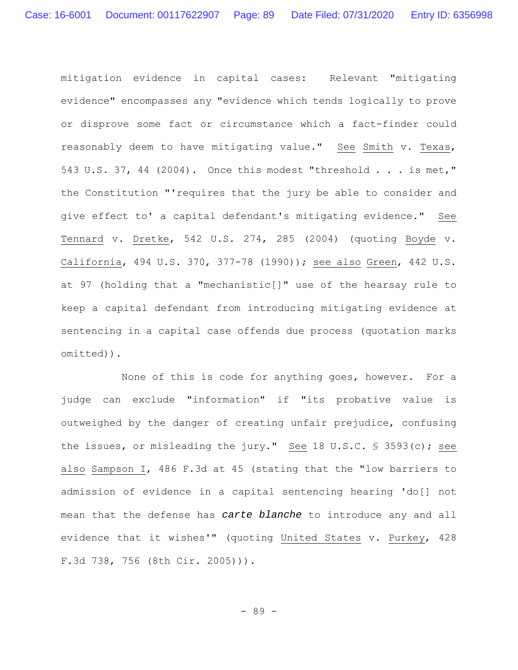mitigation evidence in capital cases: Relevant "mitigating evidence" encompasses any "evidence which tends logically to prove or disprove some fact or circumstance which a fact-finder could reasonably deem to have mitigating value." See Smith v. Texas, 543 U.S. 37, 44 (2004). Once this modest "threshold . . . is met," the Constitution "'requires that the jury be able to consider and give effect to' a capital defendant's mitigating evidence." See Tennard v. Dretke, 542 U.S. 274, 285 (2004) (quoting Boyde v. California, 494 U.S. 370, 377-78 (1990)); see also Green, 442 U.S. at 97 (holding that a "mechanistic[]" use of the hearsay rule to keep a capital defendant from introducing mitigating evidence at sentencing in a capital case offends due process (quotation marks omitted)).

None of this is code for anything goes, however. For a judge can exclude "information" if "its probative value is outweighed by the danger of creating unfair prejudice, confusing the issues, or misleading the jury." See 18 U.S.C. § 3593(c); see also Sampson I, 486 F.3d at 45 (stating that the "low barriers to admission of evidence in a capital sentencing hearing 'do[] not mean that the defense has *carte blanche* to introduce any and all evidence that it wishes'" (quoting United States v. Purkey, 428 F.3d 738, 756 (8th Cir. 2005))).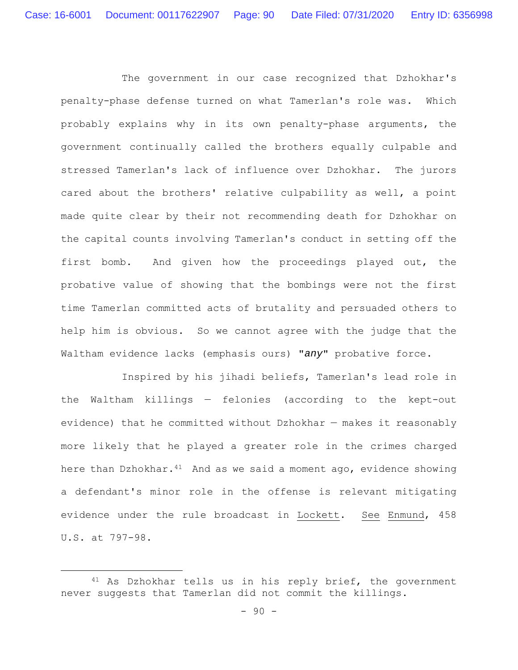The government in our case recognized that Dzhokhar's penalty-phase defense turned on what Tamerlan's role was. Which probably explains why in its own penalty-phase arguments, the government continually called the brothers equally culpable and stressed Tamerlan's lack of influence over Dzhokhar. The jurors cared about the brothers' relative culpability as well, a point made quite clear by their not recommending death for Dzhokhar on the capital counts involving Tamerlan's conduct in setting off the first bomb. And given how the proceedings played out, the probative value of showing that the bombings were not the first time Tamerlan committed acts of brutality and persuaded others to help him is obvious. So we cannot agree with the judge that the Waltham evidence lacks (emphasis ours) "*any*" probative force.

Inspired by his jihadi beliefs, Tamerlan's lead role in the Waltham killings — felonies (according to the kept-out evidence) that he committed without Dzhokhar — makes it reasonably more likely that he played a greater role in the crimes charged here than Dzhokhar. $41$  And as we said a moment ago, evidence showing a defendant's minor role in the offense is relevant mitigating evidence under the rule broadcast in Lockett. See Enmund, 458 U.S. at 797-98.

<sup>41</sup> As Dzhokhar tells us in his reply brief, the government never suggests that Tamerlan did not commit the killings.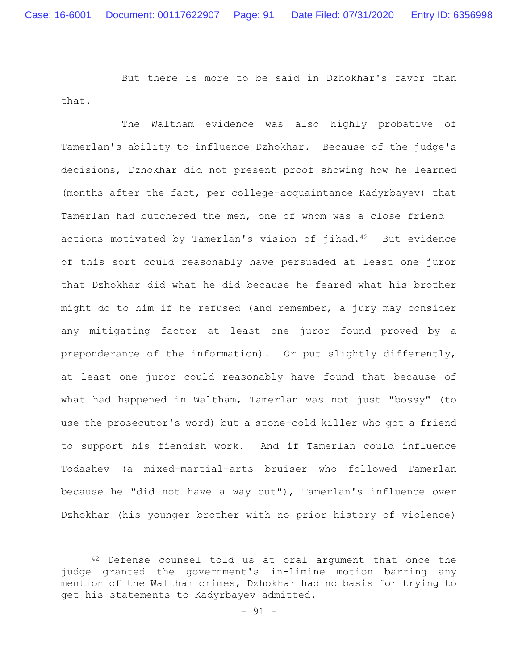But there is more to be said in Dzhokhar's favor than that.

The Waltham evidence was also highly probative of Tamerlan's ability to influence Dzhokhar. Because of the judge's decisions, Dzhokhar did not present proof showing how he learned (months after the fact, per college-acquaintance Kadyrbayev) that Tamerlan had butchered the men, one of whom was a close friend actions motivated by Tamerlan's vision of jihad.<sup>42</sup> But evidence of this sort could reasonably have persuaded at least one juror that Dzhokhar did what he did because he feared what his brother might do to him if he refused (and remember, a jury may consider any mitigating factor at least one juror found proved by a preponderance of the information). Or put slightly differently, at least one juror could reasonably have found that because of what had happened in Waltham, Tamerlan was not just "bossy" (to use the prosecutor's word) but a stone-cold killer who got a friend to support his fiendish work. And if Tamerlan could influence Todashev (a mixed-martial-arts bruiser who followed Tamerlan because he "did not have a way out"), Tamerlan's influence over Dzhokhar (his younger brother with no prior history of violence)

<sup>42</sup> Defense counsel told us at oral argument that once the judge granted the government's in-limine motion barring any mention of the Waltham crimes, Dzhokhar had no basis for trying to get his statements to Kadyrbayev admitted.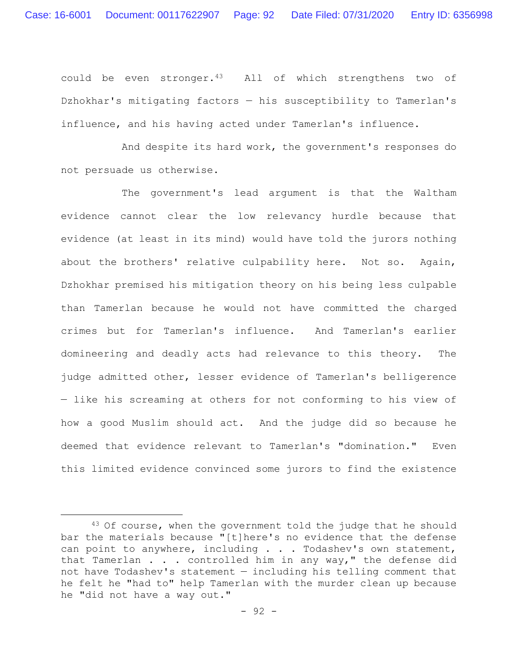could be even stronger.43 All of which strengthens two of Dzhokhar's mitigating factors — his susceptibility to Tamerlan's influence, and his having acted under Tamerlan's influence.

And despite its hard work, the government's responses do not persuade us otherwise.

The government's lead argument is that the Waltham evidence cannot clear the low relevancy hurdle because that evidence (at least in its mind) would have told the jurors nothing about the brothers' relative culpability here. Not so. Again, Dzhokhar premised his mitigation theory on his being less culpable than Tamerlan because he would not have committed the charged crimes but for Tamerlan's influence. And Tamerlan's earlier domineering and deadly acts had relevance to this theory. The judge admitted other, lesser evidence of Tamerlan's belligerence — like his screaming at others for not conforming to his view of how a good Muslim should act. And the judge did so because he deemed that evidence relevant to Tamerlan's "domination." Even this limited evidence convinced some jurors to find the existence

<sup>&</sup>lt;sup>43</sup> Of course, when the government told the judge that he should bar the materials because "[t]here's no evidence that the defense can point to anywhere, including . . . Todashev's own statement, that Tamerlan . . . controlled him in any way," the defense did not have Todashev's statement — including his telling comment that he felt he "had to" help Tamerlan with the murder clean up because he "did not have a way out."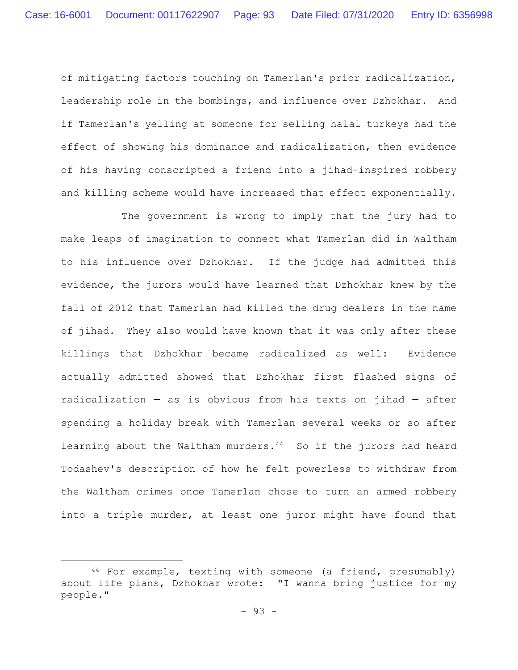of mitigating factors touching on Tamerlan's prior radicalization, leadership role in the bombings, and influence over Dzhokhar. And if Tamerlan's yelling at someone for selling halal turkeys had the effect of showing his dominance and radicalization, then evidence of his having conscripted a friend into a jihad-inspired robbery and killing scheme would have increased that effect exponentially.

The government is wrong to imply that the jury had to make leaps of imagination to connect what Tamerlan did in Waltham to his influence over Dzhokhar. If the judge had admitted this evidence, the jurors would have learned that Dzhokhar knew by the fall of 2012 that Tamerlan had killed the drug dealers in the name of jihad. They also would have known that it was only after these killings that Dzhokhar became radicalized as well: Evidence actually admitted showed that Dzhokhar first flashed signs of radicalization  $-$  as is obvious from his texts on jihad  $-$  after spending a holiday break with Tamerlan several weeks or so after learning about the Waltham murders.<sup>44</sup> So if the jurors had heard Todashev's description of how he felt powerless to withdraw from the Waltham crimes once Tamerlan chose to turn an armed robbery into a triple murder, at least one juror might have found that

<sup>44</sup> For example, texting with someone (a friend, presumably) about life plans, Dzhokhar wrote: "I wanna bring justice for my people."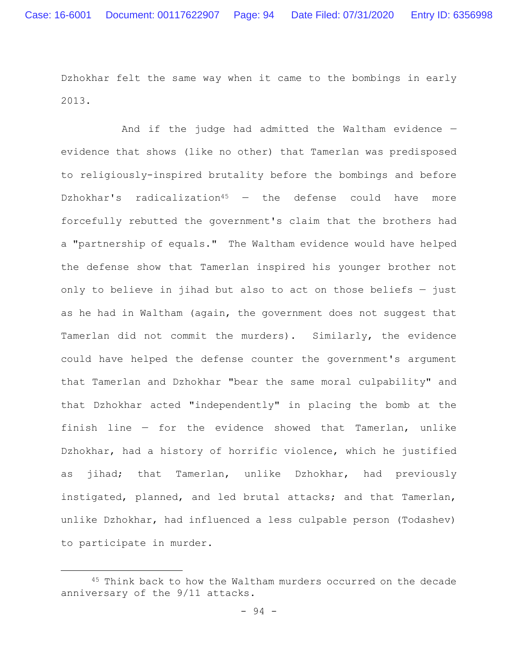Dzhokhar felt the same way when it came to the bombings in early 2013.

And if the judge had admitted the Waltham evidence evidence that shows (like no other) that Tamerlan was predisposed to religiously-inspired brutality before the bombings and before Dzhokhar's radicalization<sup>45</sup>  $-$  the defense could have more forcefully rebutted the government's claim that the brothers had a "partnership of equals." The Waltham evidence would have helped the defense show that Tamerlan inspired his younger brother not only to believe in jihad but also to act on those beliefs — just as he had in Waltham (again, the government does not suggest that Tamerlan did not commit the murders). Similarly, the evidence could have helped the defense counter the government's argument that Tamerlan and Dzhokhar "bear the same moral culpability" and that Dzhokhar acted "independently" in placing the bomb at the finish line — for the evidence showed that Tamerlan, unlike Dzhokhar, had a history of horrific violence, which he justified as jihad; that Tamerlan, unlike Dzhokhar, had previously instigated, planned, and led brutal attacks; and that Tamerlan, unlike Dzhokhar, had influenced a less culpable person (Todashev) to participate in murder.

<sup>45</sup> Think back to how the Waltham murders occurred on the decade anniversary of the 9/11 attacks.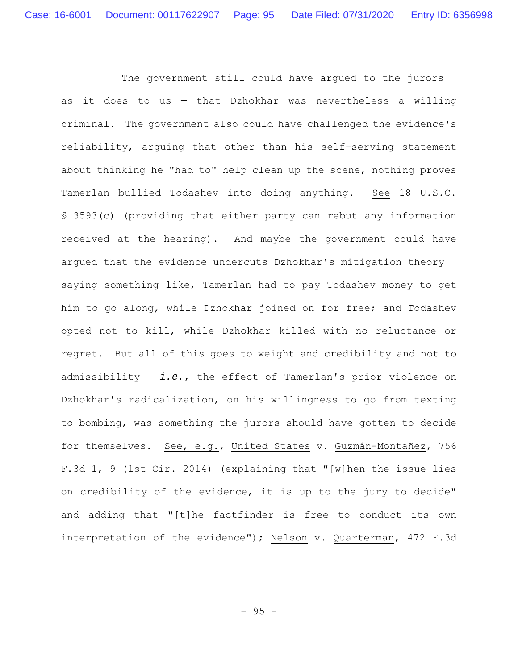The government still could have argued to the jurors as it does to us — that Dzhokhar was nevertheless a willing criminal. The government also could have challenged the evidence's reliability, arguing that other than his self-serving statement about thinking he "had to" help clean up the scene, nothing proves Tamerlan bullied Todashev into doing anything. See 18 U.S.C. § 3593(c) (providing that either party can rebut any information received at the hearing). And maybe the government could have argued that the evidence undercuts Dzhokhar's mitigation theory saying something like, Tamerlan had to pay Todashev money to get him to go along, while Dzhokhar joined on for free; and Todashev opted not to kill, while Dzhokhar killed with no reluctance or regret. But all of this goes to weight and credibility and not to admissibility — *i.e.*, the effect of Tamerlan's prior violence on Dzhokhar's radicalization, on his willingness to go from texting to bombing, was something the jurors should have gotten to decide for themselves. See, e.g., United States v. Guzmán-Montañez, 756 F.3d 1, 9 (1st Cir. 2014) (explaining that "[w]hen the issue lies on credibility of the evidence, it is up to the jury to decide" and adding that "[t]he factfinder is free to conduct its own interpretation of the evidence"); Nelson v. Quarterman, 472 F.3d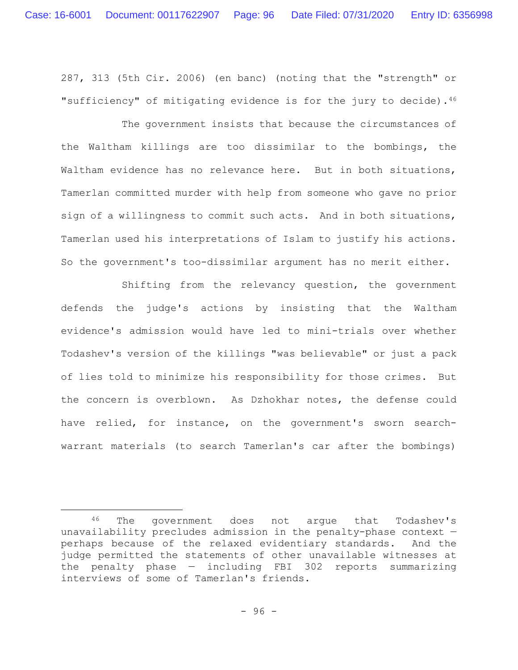287, 313 (5th Cir. 2006) (en banc) (noting that the "strength" or "sufficiency" of mitigating evidence is for the jury to decide). $4^6$ 

The government insists that because the circumstances of the Waltham killings are too dissimilar to the bombings, the Waltham evidence has no relevance here. But in both situations, Tamerlan committed murder with help from someone who gave no prior sign of a willingness to commit such acts. And in both situations, Tamerlan used his interpretations of Islam to justify his actions. So the government's too-dissimilar argument has no merit either.

Shifting from the relevancy question, the government defends the judge's actions by insisting that the Waltham evidence's admission would have led to mini-trials over whether Todashev's version of the killings "was believable" or just a pack of lies told to minimize his responsibility for those crimes. But the concern is overblown. As Dzhokhar notes, the defense could have relied, for instance, on the government's sworn searchwarrant materials (to search Tamerlan's car after the bombings)

<sup>46</sup> The government does not argue that Todashev's unavailability precludes admission in the penalty-phase context perhaps because of the relaxed evidentiary standards. And the judge permitted the statements of other unavailable witnesses at the penalty phase — including FBI 302 reports summarizing interviews of some of Tamerlan's friends.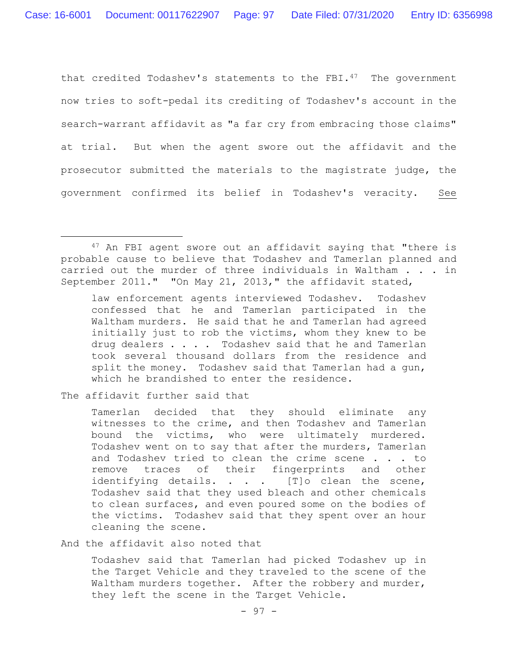that credited Todashev's statements to the FBI.<sup>47</sup> The government now tries to soft-pedal its crediting of Todashev's account in the search-warrant affidavit as "a far cry from embracing those claims" at trial. But when the agent swore out the affidavit and the prosecutor submitted the materials to the magistrate judge, the government confirmed its belief in Todashev's veracity. See

law enforcement agents interviewed Todashev. Todashev confessed that he and Tamerlan participated in the Waltham murders. He said that he and Tamerlan had agreed initially just to rob the victims, whom they knew to be drug dealers . . . . Todashev said that he and Tamerlan took several thousand dollars from the residence and split the money. Todashev said that Tamerlan had a gun, which he brandished to enter the residence.

The affidavit further said that

Tamerlan decided that they should eliminate any witnesses to the crime, and then Todashev and Tamerlan bound the victims, who were ultimately murdered. Todashev went on to say that after the murders, Tamerlan and Todashev tried to clean the crime scene . . . to remove traces of their fingerprints and other identifying details. . . . [T]o clean the scene, Todashev said that they used bleach and other chemicals to clean surfaces, and even poured some on the bodies of the victims. Todashev said that they spent over an hour cleaning the scene.

And the affidavit also noted that

Todashev said that Tamerlan had picked Todashev up in the Target Vehicle and they traveled to the scene of the Waltham murders together. After the robbery and murder, they left the scene in the Target Vehicle.

<sup>47</sup> An FBI agent swore out an affidavit saying that "there is probable cause to believe that Todashev and Tamerlan planned and carried out the murder of three individuals in Waltham . . . in September 2011." "On May 21, 2013," the affidavit stated,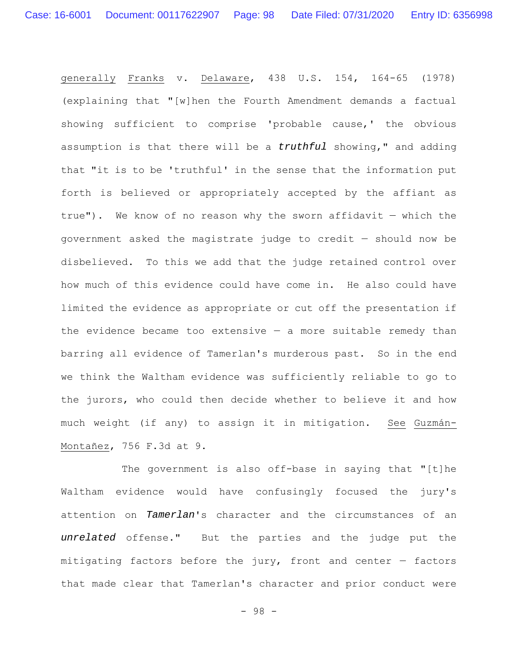generally Franks v. Delaware, 438 U.S. 154, 164-65 (1978) (explaining that "[w]hen the Fourth Amendment demands a factual showing sufficient to comprise 'probable cause,' the obvious assumption is that there will be a *truthful* showing," and adding that "it is to be 'truthful' in the sense that the information put forth is believed or appropriately accepted by the affiant as true"). We know of no reason why the sworn affidavit  $-$  which the government asked the magistrate judge to credit — should now be disbelieved. To this we add that the judge retained control over how much of this evidence could have come in. He also could have limited the evidence as appropriate or cut off the presentation if the evidence became too extensive  $-$  a more suitable remedy than barring all evidence of Tamerlan's murderous past. So in the end we think the Waltham evidence was sufficiently reliable to go to the jurors, who could then decide whether to believe it and how much weight (if any) to assign it in mitigation. See Guzmán-Montañez, 756 F.3d at 9.

The government is also off-base in saying that "[t]he Waltham evidence would have confusingly focused the jury's attention on *Tamerlan*'s character and the circumstances of an *unrelated* offense." But the parties and the judge put the mitigating factors before the jury, front and center — factors that made clear that Tamerlan's character and prior conduct were

- 98 -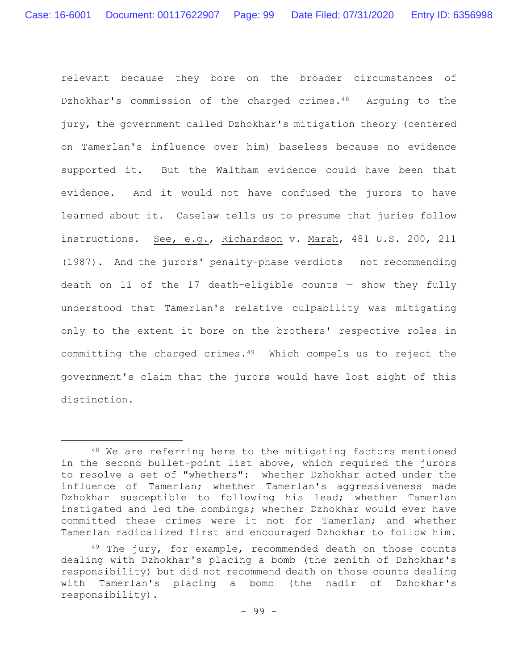relevant because they bore on the broader circumstances of Dzhokhar's commission of the charged crimes.48 Arguing to the jury, the government called Dzhokhar's mitigation theory (centered on Tamerlan's influence over him) baseless because no evidence supported it. But the Waltham evidence could have been that evidence. And it would not have confused the jurors to have learned about it. Caselaw tells us to presume that juries follow instructions. See, e.g., Richardson v. Marsh, 481 U.S. 200, 211 (1987). And the jurors' penalty-phase verdicts — not recommending death on 11 of the 17 death-eligible counts  $-$  show they fully understood that Tamerlan's relative culpability was mitigating only to the extent it bore on the brothers' respective roles in committing the charged crimes.49 Which compels us to reject the government's claim that the jurors would have lost sight of this distinction.

<sup>48</sup> We are referring here to the mitigating factors mentioned in the second bullet-point list above, which required the jurors to resolve a set of "whethers": whether Dzhokhar acted under the influence of Tamerlan; whether Tamerlan's aggressiveness made Dzhokhar susceptible to following his lead; whether Tamerlan instigated and led the bombings; whether Dzhokhar would ever have committed these crimes were it not for Tamerlan; and whether Tamerlan radicalized first and encouraged Dzhokhar to follow him.

 $49$  The jury, for example, recommended death on those counts dealing with Dzhokhar's placing a bomb (the zenith of Dzhokhar's responsibility) but did not recommend death on those counts dealing with Tamerlan's placing a bomb (the nadir of Dzhokhar's responsibility).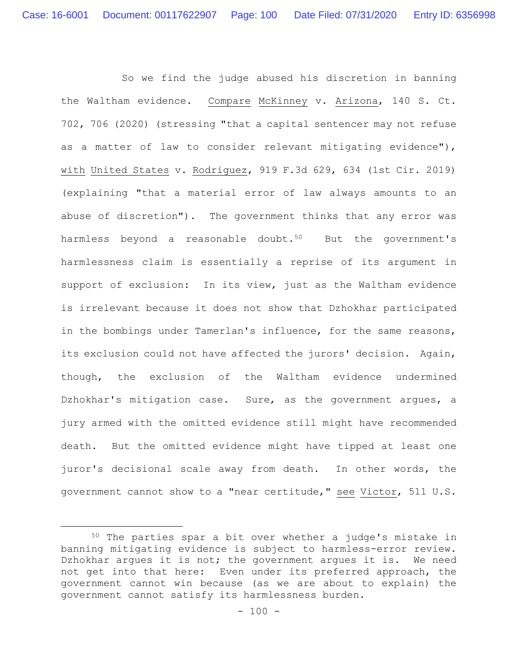So we find the judge abused his discretion in banning the Waltham evidence. Compare McKinney v. Arizona, 140 S. Ct. 702, 706 (2020) (stressing "that a capital sentencer may not refuse as a matter of law to consider relevant mitigating evidence"), with United States v. Rodriguez, 919 F.3d 629, 634 (1st Cir. 2019) (explaining "that a material error of law always amounts to an abuse of discretion"). The government thinks that any error was harmless beyond a reasonable doubt.<sup>50</sup> But the government's harmlessness claim is essentially a reprise of its argument in support of exclusion: In its view, just as the Waltham evidence is irrelevant because it does not show that Dzhokhar participated in the bombings under Tamerlan's influence, for the same reasons, its exclusion could not have affected the jurors' decision. Again, though, the exclusion of the Waltham evidence undermined Dzhokhar's mitigation case. Sure, as the government argues, a jury armed with the omitted evidence still might have recommended death. But the omitted evidence might have tipped at least one juror's decisional scale away from death. In other words, the government cannot show to a "near certitude," see Victor, 511 U.S.

<sup>50</sup> The parties spar a bit over whether a judge's mistake in banning mitigating evidence is subject to harmless-error review. Dzhokhar argues it is not; the government argues it is. We need not get into that here: Even under its preferred approach, the government cannot win because (as we are about to explain) the government cannot satisfy its harmlessness burden.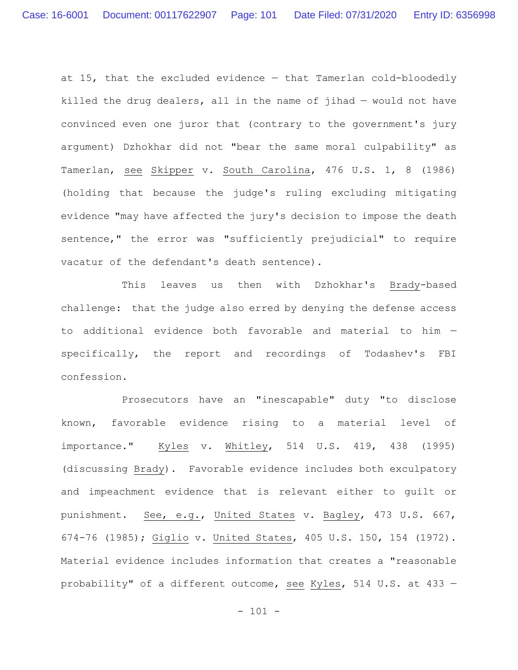at 15, that the excluded evidence — that Tamerlan cold-bloodedly killed the drug dealers, all in the name of jihad — would not have convinced even one juror that (contrary to the government's jury argument) Dzhokhar did not "bear the same moral culpability" as Tamerlan, see Skipper v. South Carolina, 476 U.S. 1, 8 (1986) (holding that because the judge's ruling excluding mitigating evidence "may have affected the jury's decision to impose the death sentence," the error was "sufficiently prejudicial" to require vacatur of the defendant's death sentence).

This leaves us then with Dzhokhar's Brady-based challenge: that the judge also erred by denying the defense access to additional evidence both favorable and material to him specifically, the report and recordings of Todashev's FBI confession.

Prosecutors have an "inescapable" duty "to disclose known, favorable evidence rising to a material level of importance." Kyles v. Whitley, 514 U.S. 419, 438 (1995) (discussing Brady). Favorable evidence includes both exculpatory and impeachment evidence that is relevant either to guilt or punishment. See, e.g., United States v. Bagley, 473 U.S. 667, 674-76 (1985); Giglio v. United States, 405 U.S. 150, 154 (1972). Material evidence includes information that creates a "reasonable probability" of a different outcome, see Kyles, 514 U.S. at 433 —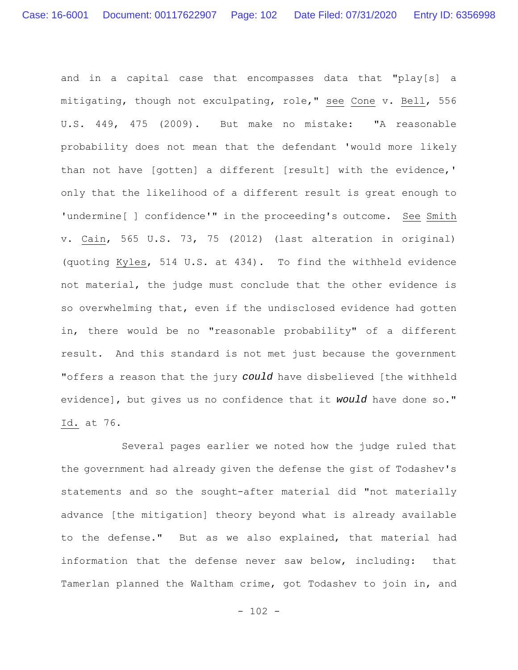and in a capital case that encompasses data that "play[s] a mitigating, though not exculpating, role," see Cone v. Bell, 556 U.S. 449, 475 (2009). But make no mistake: "A reasonable probability does not mean that the defendant 'would more likely than not have [gotten] a different [result] with the evidence,' only that the likelihood of a different result is great enough to 'undermine[ ] confidence'" in the proceeding's outcome. See Smith v. Cain, 565 U.S. 73, 75 (2012) (last alteration in original) (quoting Kyles, 514 U.S. at 434). To find the withheld evidence not material, the judge must conclude that the other evidence is so overwhelming that, even if the undisclosed evidence had gotten in, there would be no "reasonable probability" of a different result. And this standard is not met just because the government "offers a reason that the jury *could* have disbelieved [the withheld evidence], but gives us no confidence that it *would* have done so." Id. at 76.

Several pages earlier we noted how the judge ruled that the government had already given the defense the gist of Todashev's statements and so the sought-after material did "not materially advance [the mitigation] theory beyond what is already available to the defense." But as we also explained, that material had information that the defense never saw below, including: that Tamerlan planned the Waltham crime, got Todashev to join in, and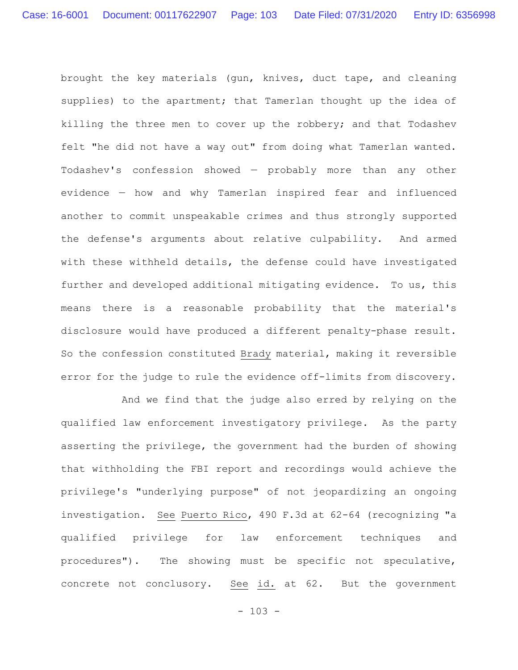brought the key materials (gun, knives, duct tape, and cleaning supplies) to the apartment; that Tamerlan thought up the idea of killing the three men to cover up the robbery; and that Todashev felt "he did not have a way out" from doing what Tamerlan wanted. Todashev's confession showed — probably more than any other evidence — how and why Tamerlan inspired fear and influenced another to commit unspeakable crimes and thus strongly supported the defense's arguments about relative culpability. And armed with these withheld details, the defense could have investigated further and developed additional mitigating evidence. To us, this means there is a reasonable probability that the material's disclosure would have produced a different penalty-phase result. So the confession constituted Brady material, making it reversible error for the judge to rule the evidence off-limits from discovery.

And we find that the judge also erred by relying on the qualified law enforcement investigatory privilege. As the party asserting the privilege, the government had the burden of showing that withholding the FBI report and recordings would achieve the privilege's "underlying purpose" of not jeopardizing an ongoing investigation. See Puerto Rico, 490 F.3d at 62-64 (recognizing "a qualified privilege for law enforcement techniques and procedures"). The showing must be specific not speculative, concrete not conclusory. See id. at 62. But the government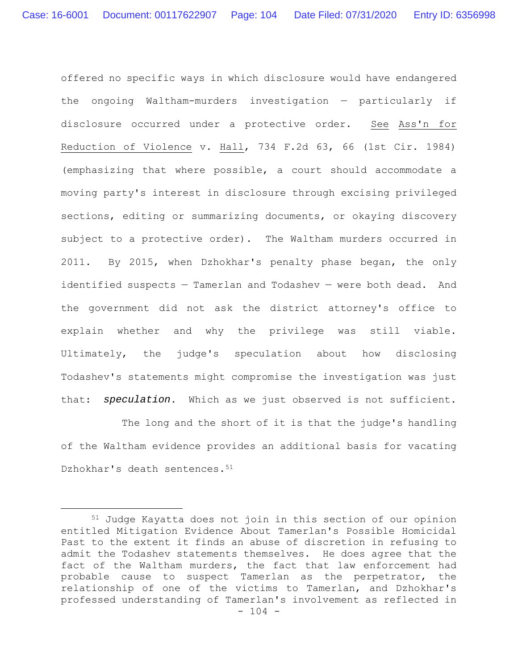offered no specific ways in which disclosure would have endangered the ongoing Waltham-murders investigation — particularly if disclosure occurred under a protective order. See Ass'n for Reduction of Violence v. Hall, 734 F.2d 63, 66 (1st Cir. 1984) (emphasizing that where possible, a court should accommodate a moving party's interest in disclosure through excising privileged sections, editing or summarizing documents, or okaying discovery subject to a protective order). The Waltham murders occurred in 2011. By 2015, when Dzhokhar's penalty phase began, the only identified suspects — Tamerlan and Todashev — were both dead. And the government did not ask the district attorney's office to explain whether and why the privilege was still viable. Ultimately, the judge's speculation about how disclosing Todashev's statements might compromise the investigation was just that: *speculation*. Which as we just observed is not sufficient.

The long and the short of it is that the judge's handling of the Waltham evidence provides an additional basis for vacating Dzhokhar's death sentences.<sup>51</sup>

<sup>- 104 -</sup> 51 Judge Kayatta does not join in this section of our opinion entitled Mitigation Evidence About Tamerlan's Possible Homicidal Past to the extent it finds an abuse of discretion in refusing to admit the Todashev statements themselves. He does agree that the fact of the Waltham murders, the fact that law enforcement had probable cause to suspect Tamerlan as the perpetrator, the relationship of one of the victims to Tamerlan, and Dzhokhar's professed understanding of Tamerlan's involvement as reflected in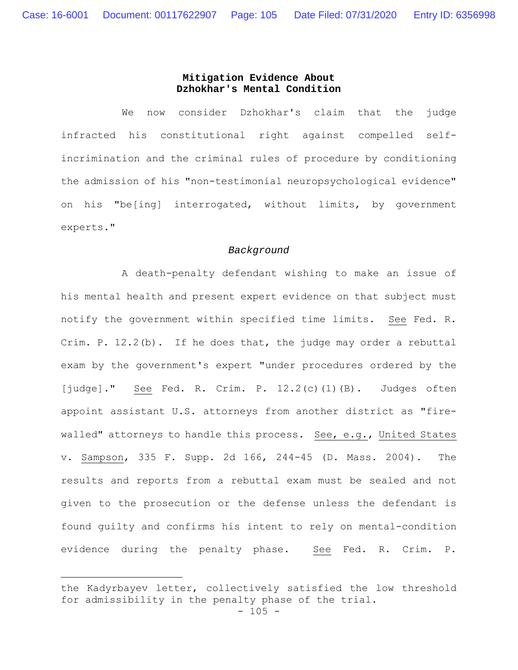## **Mitigation Evidence About Dzhokhar's Mental Condition**

We now consider Dzhokhar's claim that the judge infracted his constitutional right against compelled selfincrimination and the criminal rules of procedure by conditioning the admission of his "non-testimonial neuropsychological evidence" on his "be[ing] interrogated, without limits, by government experts."

#### *Background*

A death-penalty defendant wishing to make an issue of his mental health and present expert evidence on that subject must notify the government within specified time limits. See Fed. R. Crim. P. 12.2(b). If he does that, the judge may order a rebuttal exam by the government's expert "under procedures ordered by the [judge]." See Fed. R. Crim. P. 12.2(c)(1)(B). Judges often appoint assistant U.S. attorneys from another district as "firewalled" attorneys to handle this process. See, e.g., United States v. Sampson, 335 F. Supp. 2d 166, 244-45 (D. Mass. 2004). The results and reports from a rebuttal exam must be sealed and not given to the prosecution or the defense unless the defendant is found guilty and confirms his intent to rely on mental-condition evidence during the penalty phase. See Fed. R. Crim. P.

the Kadyrbayev letter, collectively satisfied the low threshold for admissibility in the penalty phase of the trial.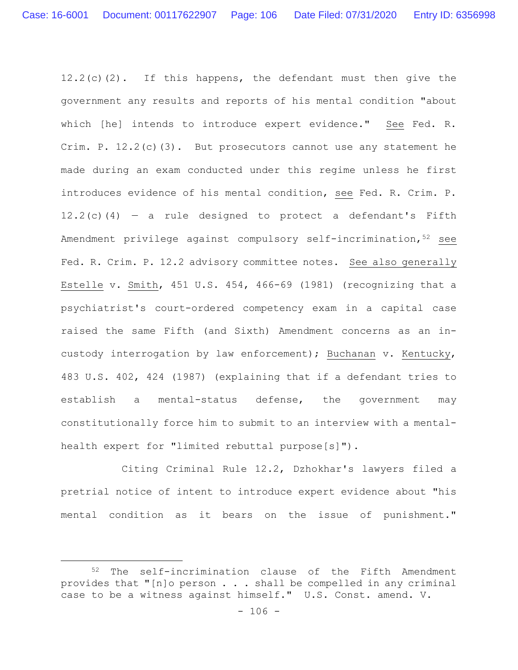12.2(c)(2). If this happens, the defendant must then give the government any results and reports of his mental condition "about which [he] intends to introduce expert evidence." See Fed. R. Crim. P. 12.2(c)(3). But prosecutors cannot use any statement he made during an exam conducted under this regime unless he first introduces evidence of his mental condition, see Fed. R. Crim. P. 12.2(c)(4) – a rule designed to protect a defendant's Fifth Amendment privilege against compulsory self-incrimination, 52 see Fed. R. Crim. P. 12.2 advisory committee notes. See also generally Estelle v. Smith, 451 U.S. 454, 466-69 (1981) (recognizing that a psychiatrist's court-ordered competency exam in a capital case raised the same Fifth (and Sixth) Amendment concerns as an incustody interrogation by law enforcement); Buchanan v. Kentucky, 483 U.S. 402, 424 (1987) (explaining that if a defendant tries to establish a mental-status defense, the government may constitutionally force him to submit to an interview with a mentalhealth expert for "limited rebuttal purpose[s]").

Citing Criminal Rule 12.2, Dzhokhar's lawyers filed a pretrial notice of intent to introduce expert evidence about "his mental condition as it bears on the issue of punishment."

<sup>52</sup> The self-incrimination clause of the Fifth Amendment provides that "[n]o person . . . shall be compelled in any criminal case to be a witness against himself." U.S. Const. amend. V.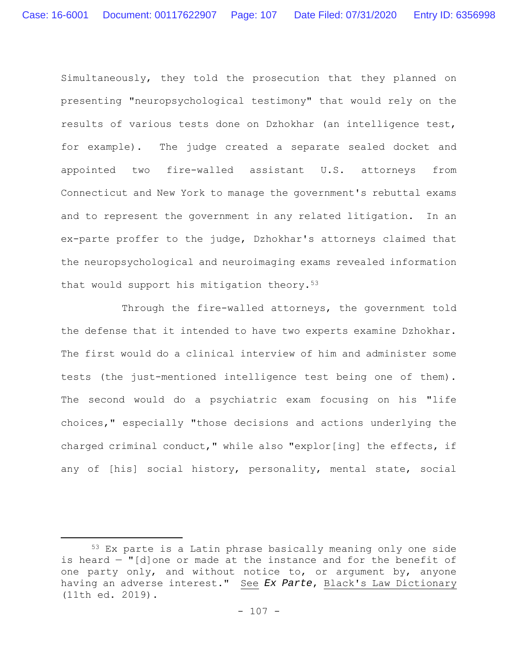Simultaneously, they told the prosecution that they planned on presenting "neuropsychological testimony" that would rely on the results of various tests done on Dzhokhar (an intelligence test, for example). The judge created a separate sealed docket and appointed two fire-walled assistant U.S. attorneys from Connecticut and New York to manage the government's rebuttal exams and to represent the government in any related litigation. In an ex-parte proffer to the judge, Dzhokhar's attorneys claimed that the neuropsychological and neuroimaging exams revealed information that would support his mitigation theory.<sup>53</sup>

Through the fire-walled attorneys, the government told the defense that it intended to have two experts examine Dzhokhar. The first would do a clinical interview of him and administer some tests (the just-mentioned intelligence test being one of them). The second would do a psychiatric exam focusing on his "life choices," especially "those decisions and actions underlying the charged criminal conduct," while also "explor[ing] the effects, if any of [his] social history, personality, mental state, social

<sup>53</sup> Ex parte is a Latin phrase basically meaning only one side is heard — "[d]one or made at the instance and for the benefit of one party only, and without notice to, or argument by, anyone having an adverse interest." See *Ex Parte*, Black's Law Dictionary (11th ed. 2019).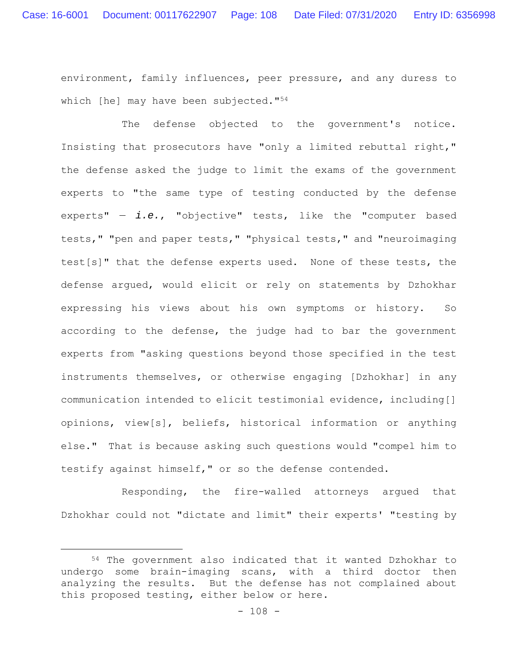environment, family influences, peer pressure, and any duress to which [he] may have been subjected."54

The defense objected to the government's notice. Insisting that prosecutors have "only a limited rebuttal right," the defense asked the judge to limit the exams of the government experts to "the same type of testing conducted by the defense experts" — *i.e.*, "objective" tests, like the "computer based tests," "pen and paper tests," "physical tests," and "neuroimaging test[s]" that the defense experts used. None of these tests, the defense argued, would elicit or rely on statements by Dzhokhar expressing his views about his own symptoms or history. So according to the defense, the judge had to bar the government experts from "asking questions beyond those specified in the test instruments themselves, or otherwise engaging [Dzhokhar] in any communication intended to elicit testimonial evidence, including[] opinions, view[s], beliefs, historical information or anything else." That is because asking such questions would "compel him to testify against himself," or so the defense contended.

Responding, the fire-walled attorneys argued that Dzhokhar could not "dictate and limit" their experts' "testing by

<sup>54</sup> The government also indicated that it wanted Dzhokhar to undergo some brain-imaging scans, with a third doctor then analyzing the results. But the defense has not complained about this proposed testing, either below or here.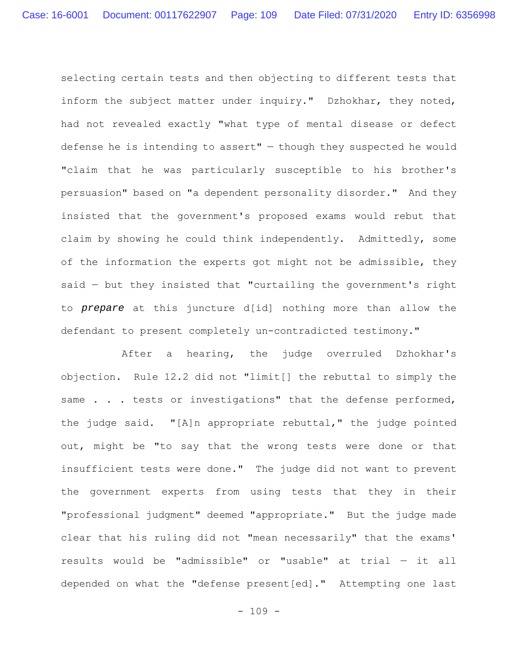selecting certain tests and then objecting to different tests that inform the subject matter under inquiry." Dzhokhar, they noted, had not revealed exactly "what type of mental disease or defect defense he is intending to assert" — though they suspected he would "claim that he was particularly susceptible to his brother's persuasion" based on "a dependent personality disorder." And they insisted that the government's proposed exams would rebut that claim by showing he could think independently. Admittedly, some of the information the experts got might not be admissible, they said — but they insisted that "curtailing the government's right to *prepare* at this juncture d[id] nothing more than allow the defendant to present completely un-contradicted testimony."

After a hearing, the judge overruled Dzhokhar's objection. Rule 12.2 did not "limit[] the rebuttal to simply the same . . . tests or investigations" that the defense performed, the judge said. "[A]n appropriate rebuttal," the judge pointed out, might be "to say that the wrong tests were done or that insufficient tests were done." The judge did not want to prevent the government experts from using tests that they in their "professional judgment" deemed "appropriate." But the judge made clear that his ruling did not "mean necessarily" that the exams' results would be "admissible" or "usable" at trial — it all depended on what the "defense present[ed]." Attempting one last

- 109 -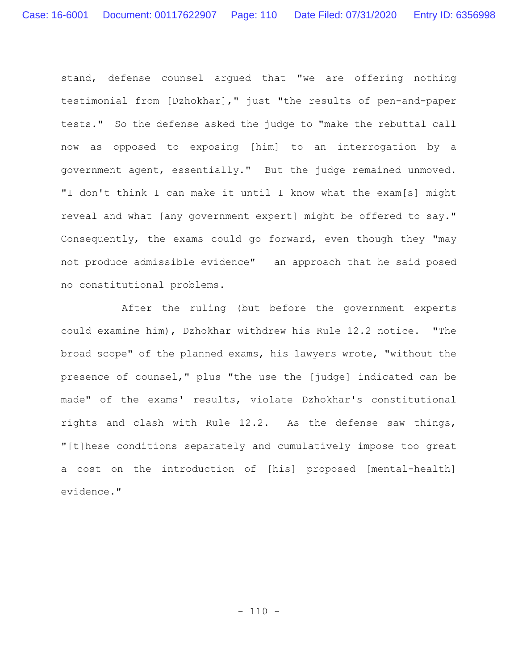stand, defense counsel argued that "we are offering nothing testimonial from [Dzhokhar]," just "the results of pen-and-paper tests." So the defense asked the judge to "make the rebuttal call now as opposed to exposing [him] to an interrogation by a government agent, essentially." But the judge remained unmoved. "I don't think I can make it until I know what the exam[s] might reveal and what [any government expert] might be offered to say." Consequently, the exams could go forward, even though they "may not produce admissible evidence"  $-$  an approach that he said posed no constitutional problems.

After the ruling (but before the government experts could examine him), Dzhokhar withdrew his Rule 12.2 notice. "The broad scope" of the planned exams, his lawyers wrote, "without the presence of counsel," plus "the use the [judge] indicated can be made" of the exams' results, violate Dzhokhar's constitutional rights and clash with Rule 12.2. As the defense saw things, "[t]hese conditions separately and cumulatively impose too great a cost on the introduction of [his] proposed [mental-health] evidence."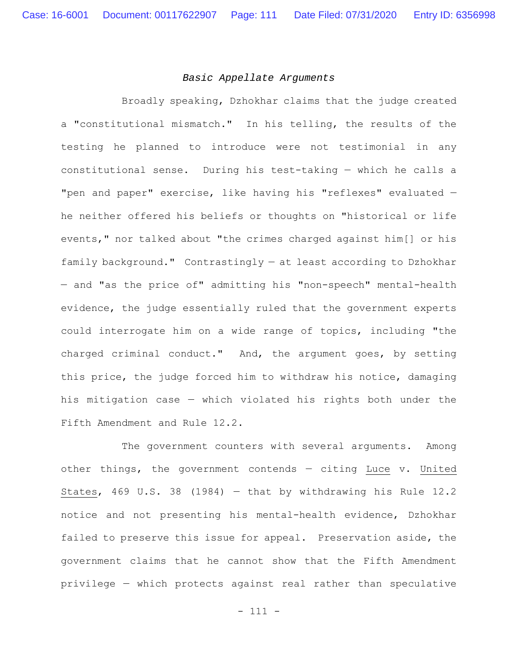### *Basic Appellate Arguments*

Broadly speaking, Dzhokhar claims that the judge created a "constitutional mismatch." In his telling, the results of the testing he planned to introduce were not testimonial in any constitutional sense. During his test-taking — which he calls a "pen and paper" exercise, like having his "reflexes" evaluated he neither offered his beliefs or thoughts on "historical or life events," nor talked about "the crimes charged against him[] or his family background." Contrastingly — at least according to Dzhokhar — and "as the price of" admitting his "non-speech" mental-health evidence, the judge essentially ruled that the government experts could interrogate him on a wide range of topics, including "the charged criminal conduct." And, the argument goes, by setting this price, the judge forced him to withdraw his notice, damaging his mitigation case — which violated his rights both under the Fifth Amendment and Rule 12.2.

The government counters with several arguments. Among other things, the government contends — citing Luce v. United States, 469 U.S. 38 (1984) — that by withdrawing his Rule 12.2 notice and not presenting his mental-health evidence, Dzhokhar failed to preserve this issue for appeal. Preservation aside, the government claims that he cannot show that the Fifth Amendment privilege — which protects against real rather than speculative

- 111 -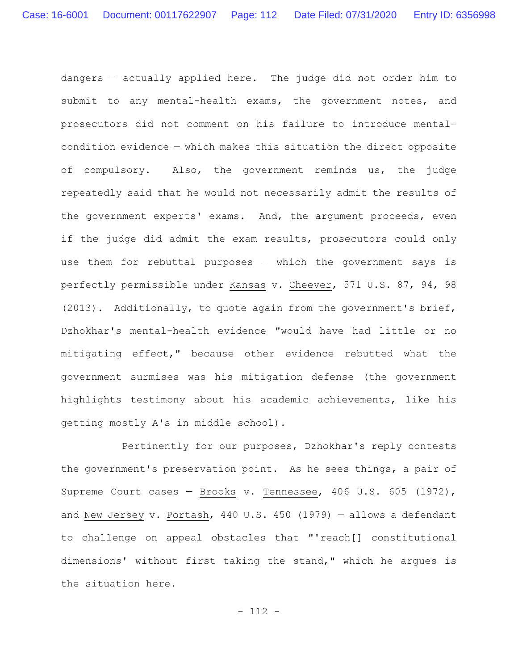dangers — actually applied here. The judge did not order him to submit to any mental-health exams, the government notes, and prosecutors did not comment on his failure to introduce mentalcondition evidence — which makes this situation the direct opposite of compulsory. Also, the government reminds us, the judge repeatedly said that he would not necessarily admit the results of the government experts' exams. And, the argument proceeds, even if the judge did admit the exam results, prosecutors could only use them for rebuttal purposes — which the government says is perfectly permissible under Kansas v. Cheever, 571 U.S. 87, 94, 98 (2013). Additionally, to quote again from the government's brief, Dzhokhar's mental-health evidence "would have had little or no mitigating effect," because other evidence rebutted what the government surmises was his mitigation defense (the government highlights testimony about his academic achievements, like his getting mostly A's in middle school).

Pertinently for our purposes, Dzhokhar's reply contests the government's preservation point. As he sees things, a pair of Supreme Court cases — Brooks v. Tennessee, 406 U.S. 605 (1972), and New Jersey v. Portash, 440 U.S. 450 (1979) — allows a defendant to challenge on appeal obstacles that "'reach[] constitutional dimensions' without first taking the stand," which he argues is the situation here.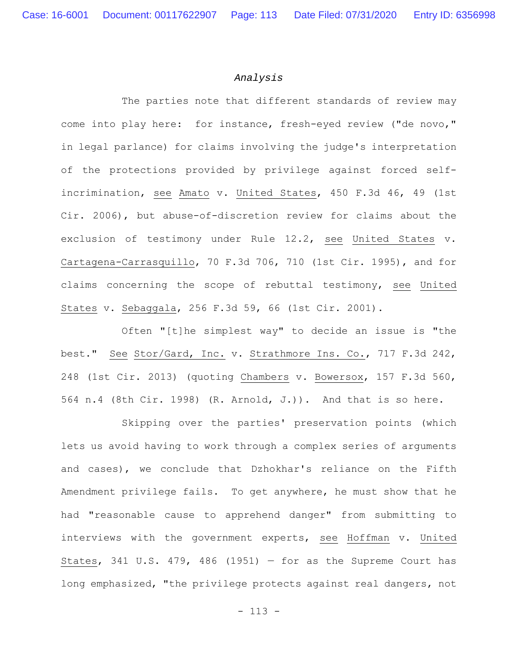#### *Analysis*

The parties note that different standards of review may come into play here: for instance, fresh-eyed review ("de novo," in legal parlance) for claims involving the judge's interpretation of the protections provided by privilege against forced selfincrimination, see Amato v. United States, 450 F.3d 46, 49 (1st Cir. 2006), but abuse-of-discretion review for claims about the exclusion of testimony under Rule 12.2, see United States v. Cartagena-Carrasquillo, 70 F.3d 706, 710 (1st Cir. 1995), and for claims concerning the scope of rebuttal testimony, see United States v. Sebaggala, 256 F.3d 59, 66 (1st Cir. 2001).

Often "[t]he simplest way" to decide an issue is "the best." See Stor/Gard, Inc. v. Strathmore Ins. Co., 717 F.3d 242, 248 (1st Cir. 2013) (quoting Chambers v. Bowersox, 157 F.3d 560, 564 n.4 (8th Cir. 1998) (R. Arnold, J.)). And that is so here.

Skipping over the parties' preservation points (which lets us avoid having to work through a complex series of arguments and cases), we conclude that Dzhokhar's reliance on the Fifth Amendment privilege fails. To get anywhere, he must show that he had "reasonable cause to apprehend danger" from submitting to interviews with the government experts, see Hoffman v. United States, 341 U.S. 479, 486 (1951) - for as the Supreme Court has long emphasized, "the privilege protects against real dangers, not

- 113 -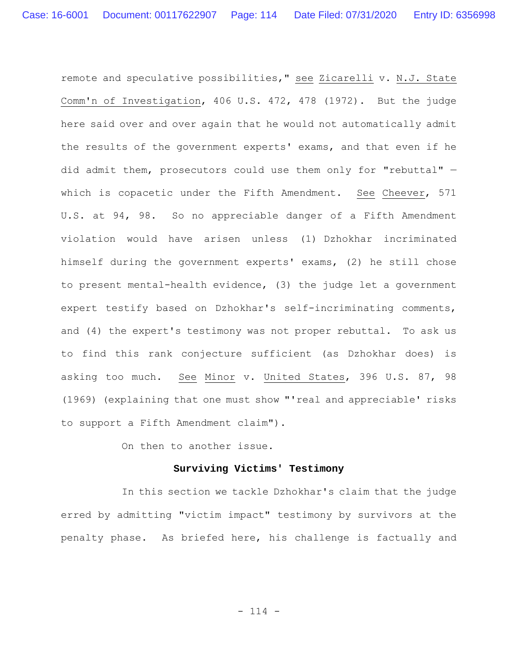remote and speculative possibilities," see Zicarelli v. N.J. State Comm'n of Investigation, 406 U.S. 472, 478 (1972). But the judge here said over and over again that he would not automatically admit the results of the government experts' exams, and that even if he did admit them, prosecutors could use them only for "rebuttal" which is copacetic under the Fifth Amendment. See Cheever, 571 U.S. at 94, 98. So no appreciable danger of a Fifth Amendment violation would have arisen unless (1) Dzhokhar incriminated himself during the government experts' exams, (2) he still chose to present mental-health evidence, (3) the judge let a government expert testify based on Dzhokhar's self-incriminating comments, and (4) the expert's testimony was not proper rebuttal. To ask us to find this rank conjecture sufficient (as Dzhokhar does) is asking too much. See Minor v. United States, 396 U.S. 87, 98 (1969) (explaining that one must show "'real and appreciable' risks to support a Fifth Amendment claim").

On then to another issue.

#### **Surviving Victims' Testimony**

In this section we tackle Dzhokhar's claim that the judge erred by admitting "victim impact" testimony by survivors at the penalty phase. As briefed here, his challenge is factually and

- 114 -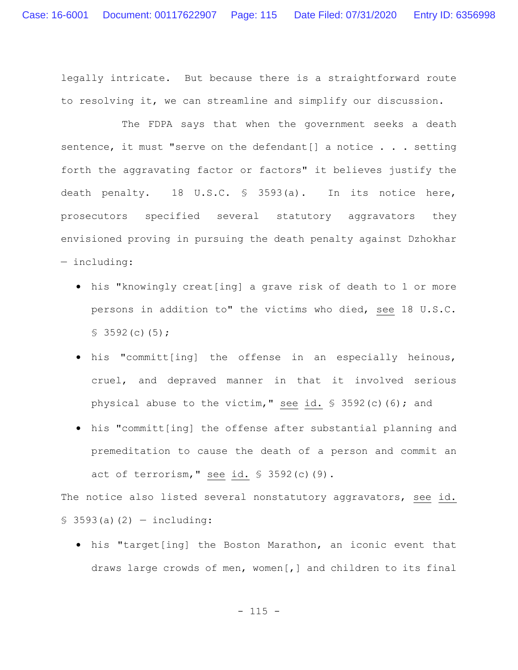legally intricate. But because there is a straightforward route to resolving it, we can streamline and simplify our discussion.

The FDPA says that when the government seeks a death sentence, it must "serve on the defendant[] a notice . . . setting forth the aggravating factor or factors" it believes justify the death penalty. 18 U.S.C. § 3593(a). In its notice here, prosecutors specified several statutory aggravators they envisioned proving in pursuing the death penalty against Dzhokhar — including:

- his "knowingly creat[ing] a grave risk of death to 1 or more persons in addition to" the victims who died, see 18 U.S.C.  $$3592(c)(5);$
- his "committ[ing] the offense in an especially heinous, cruel, and depraved manner in that it involved serious physical abuse to the victim," see id. § 3592(c)(6); and
- his "committ[ing] the offense after substantial planning and premeditation to cause the death of a person and commit an act of terrorism," see id.  $$3592(c)(9)$ .

The notice also listed several nonstatutory aggravators, see id.  $$3593(a)(2) - including:$ 

 his "target[ing] the Boston Marathon, an iconic event that draws large crowds of men, women[,] and children to its final

 $- 115 -$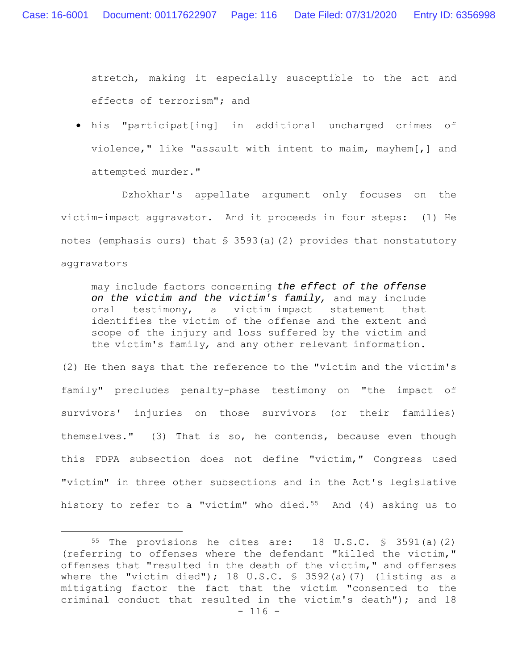stretch, making it especially susceptible to the act and effects of terrorism"; and

 his "participat[ing] in additional uncharged crimes of violence," like "assault with intent to maim, mayhem[,] and attempted murder."

Dzhokhar's appellate argument only focuses on the victim-impact aggravator. And it proceeds in four steps: (1) He notes (emphasis ours) that  $\frac{1}{5}$  3593(a)(2) provides that nonstatutory aggravators

may include factors concerning *the effect of the offense on the victim and the victim's family,* and may include oral testimony, a victim impact statement that identifies the victim of the offense and the extent and scope of the injury and loss suffered by the victim and the victim's family*,* and any other relevant information.

(2) He then says that the reference to the "victim and the victim's family" precludes penalty-phase testimony on "the impact of survivors' injuries on those survivors (or their families) themselves." (3) That is so, he contends, because even though this FDPA subsection does not define "victim," Congress used "victim" in three other subsections and in the Act's legislative history to refer to a "victim" who died.<sup>55</sup> And  $(4)$  asking us to

 $- 116 -$ 55 The provisions he cites are: 18 U.S.C. § 3591(a)(2) (referring to offenses where the defendant "killed the victim," offenses that "resulted in the death of the victim," and offenses where the "victim died"); 18 U.S.C. § 3592(a)(7) (listing as a mitigating factor the fact that the victim "consented to the criminal conduct that resulted in the victim's death"); and 18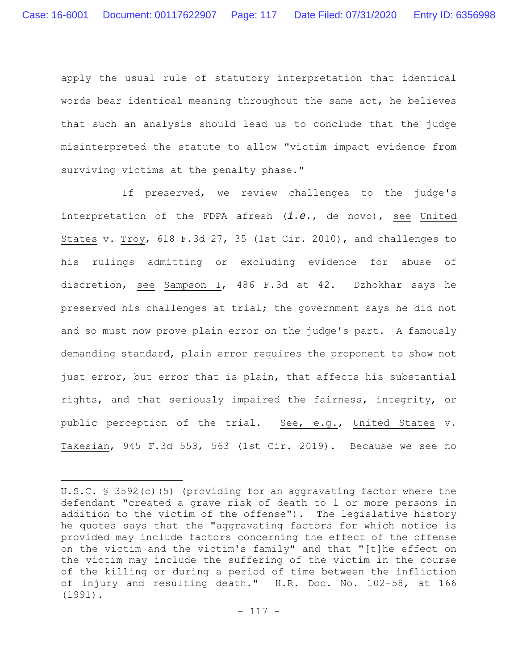apply the usual rule of statutory interpretation that identical words bear identical meaning throughout the same act, he believes that such an analysis should lead us to conclude that the judge misinterpreted the statute to allow "victim impact evidence from surviving victims at the penalty phase."

If preserved, we review challenges to the judge's interpretation of the FDPA afresh (*i.e.*, de novo), see United States v. Troy, 618 F.3d 27, 35 (1st Cir. 2010), and challenges to his rulings admitting or excluding evidence for abuse of discretion, see Sampson I, 486 F.3d at 42. Dzhokhar says he preserved his challenges at trial; the government says he did not and so must now prove plain error on the judge's part. A famously demanding standard, plain error requires the proponent to show not just error, but error that is plain, that affects his substantial rights, and that seriously impaired the fairness, integrity, or public perception of the trial. See, e.g., United States v. Takesian, 945 F.3d 553, 563 (1st Cir. 2019). Because we see no

U.S.C. § 3592(c)(5) (providing for an aggravating factor where the defendant "created a grave risk of death to 1 or more persons in addition to the victim of the offense"). The legislative history he quotes says that the "aggravating factors for which notice is provided may include factors concerning the effect of the offense on the victim and the victim's family" and that "[t]he effect on the victim may include the suffering of the victim in the course of the killing or during a period of time between the infliction of injury and resulting death." H.R. Doc. No. 102-58, at 166 (1991).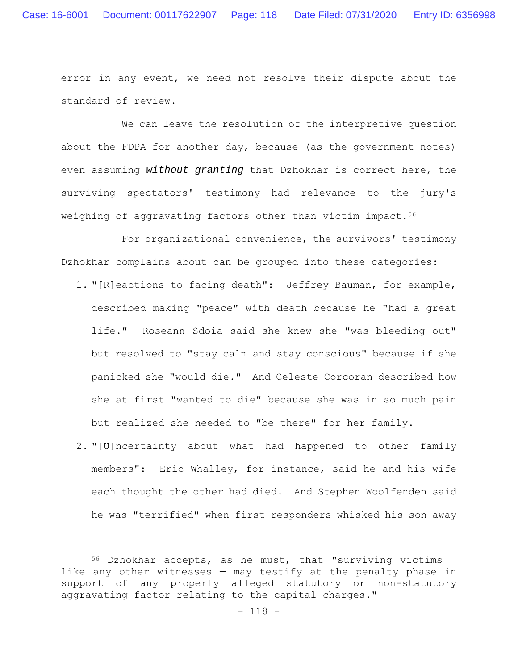error in any event, we need not resolve their dispute about the standard of review.

We can leave the resolution of the interpretive question about the FDPA for another day, because (as the government notes) even assuming *without granting* that Dzhokhar is correct here, the surviving spectators' testimony had relevance to the jury's weighing of aggravating factors other than victim impact.<sup>56</sup>

For organizational convenience, the survivors' testimony Dzhokhar complains about can be grouped into these categories:

- 1. "[R]eactions to facing death": Jeffrey Bauman, for example, described making "peace" with death because he "had a great life." Roseann Sdoia said she knew she "was bleeding out" but resolved to "stay calm and stay conscious" because if she panicked she "would die." And Celeste Corcoran described how she at first "wanted to die" because she was in so much pain but realized she needed to "be there" for her family.
- 2. "[U]ncertainty about what had happened to other family members": Eric Whalley, for instance, said he and his wife each thought the other had died. And Stephen Woolfenden said he was "terrified" when first responders whisked his son away

 $56$  Dzhokhar accepts, as he must, that "surviving victims  $$ like any other witnesses — may testify at the penalty phase in support of any properly alleged statutory or non-statutory aggravating factor relating to the capital charges."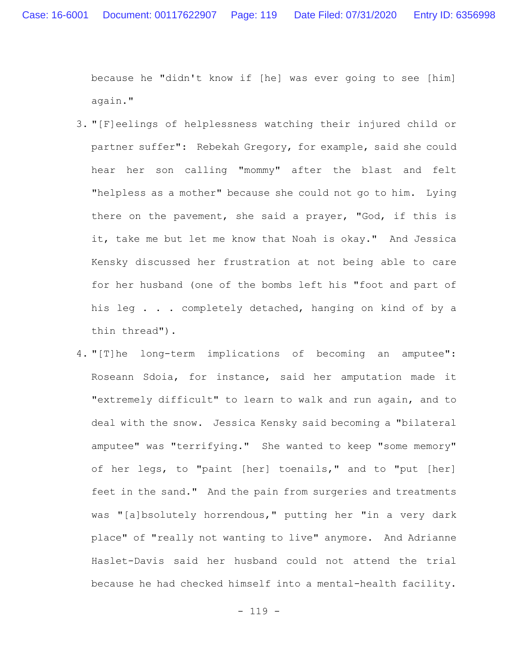because he "didn't know if [he] was ever going to see [him] again."

- 3. "[F]eelings of helplessness watching their injured child or partner suffer": Rebekah Gregory, for example, said she could hear her son calling "mommy" after the blast and felt "helpless as a mother" because she could not go to him. Lying there on the pavement, she said a prayer, "God, if this is it, take me but let me know that Noah is okay." And Jessica Kensky discussed her frustration at not being able to care for her husband (one of the bombs left his "foot and part of his leg . . . completely detached, hanging on kind of by a thin thread").
- 4. "[T]he long-term implications of becoming an amputee": Roseann Sdoia, for instance, said her amputation made it "extremely difficult" to learn to walk and run again, and to deal with the snow. Jessica Kensky said becoming a "bilateral amputee" was "terrifying." She wanted to keep "some memory" of her legs, to "paint [her] toenails," and to "put [her] feet in the sand." And the pain from surgeries and treatments was "[a]bsolutely horrendous," putting her "in a very dark place" of "really not wanting to live" anymore. And Adrianne Haslet-Davis said her husband could not attend the trial because he had checked himself into a mental-health facility.

- 119 -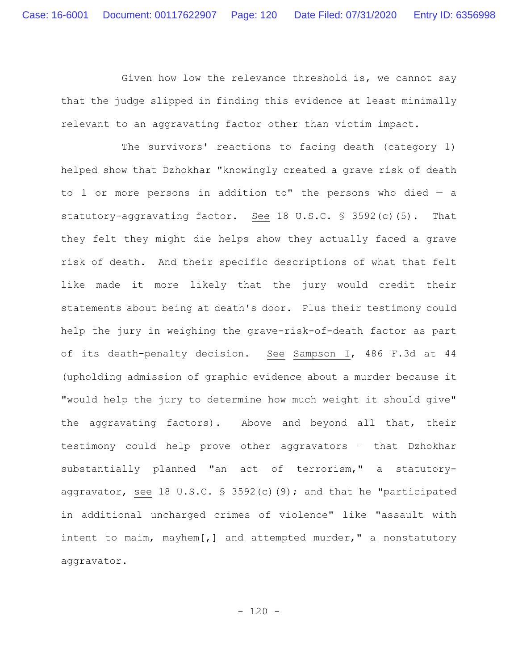Given how low the relevance threshold is, we cannot say that the judge slipped in finding this evidence at least minimally relevant to an aggravating factor other than victim impact.

The survivors' reactions to facing death (category 1) helped show that Dzhokhar "knowingly created a grave risk of death to 1 or more persons in addition to" the persons who died  $-$  a statutory-aggravating factor. See 18 U.S.C. § 3592(c)(5). That they felt they might die helps show they actually faced a grave risk of death. And their specific descriptions of what that felt like made it more likely that the jury would credit their statements about being at death's door. Plus their testimony could help the jury in weighing the grave-risk-of-death factor as part of its death-penalty decision. See Sampson I, 486 F.3d at 44 (upholding admission of graphic evidence about a murder because it "would help the jury to determine how much weight it should give" the aggravating factors). Above and beyond all that, their testimony could help prove other aggravators — that Dzhokhar substantially planned "an act of terrorism," a statutoryaggravator, see 18 U.S.C. § 3592(c)(9); and that he "participated in additional uncharged crimes of violence" like "assault with intent to maim, mayhem[,] and attempted murder," a nonstatutory aggravator.

 $- 120 -$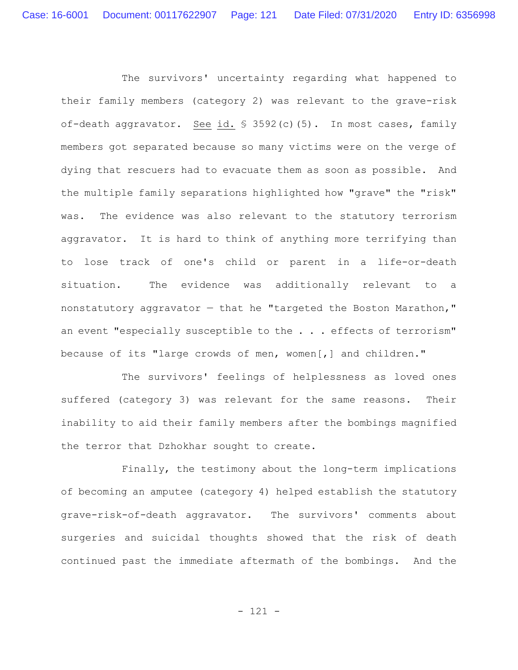The survivors' uncertainty regarding what happened to their family members (category 2) was relevant to the grave-risk of-death aggravator. See id. § 3592(c)(5). In most cases, family members got separated because so many victims were on the verge of dying that rescuers had to evacuate them as soon as possible. And the multiple family separations highlighted how "grave" the "risk" was. The evidence was also relevant to the statutory terrorism aggravator. It is hard to think of anything more terrifying than to lose track of one's child or parent in a life-or-death situation. The evidence was additionally relevant to a nonstatutory aggravator  $-$  that he "targeted the Boston Marathon," an event "especially susceptible to the . . . effects of terrorism" because of its "large crowds of men, women[,] and children."

The survivors' feelings of helplessness as loved ones suffered (category 3) was relevant for the same reasons. Their inability to aid their family members after the bombings magnified the terror that Dzhokhar sought to create.

Finally, the testimony about the long-term implications of becoming an amputee (category 4) helped establish the statutory grave-risk-of-death aggravator. The survivors' comments about surgeries and suicidal thoughts showed that the risk of death continued past the immediate aftermath of the bombings. And the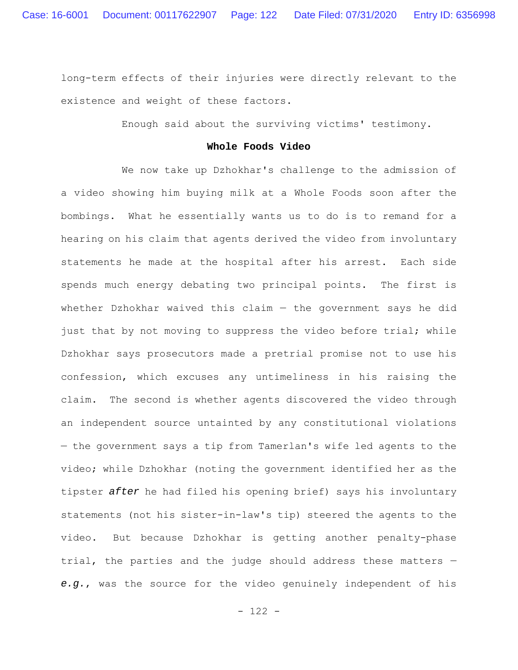long-term effects of their injuries were directly relevant to the existence and weight of these factors.

Enough said about the surviving victims' testimony.

### **Whole Foods Video**

We now take up Dzhokhar's challenge to the admission of a video showing him buying milk at a Whole Foods soon after the bombings. What he essentially wants us to do is to remand for a hearing on his claim that agents derived the video from involuntary statements he made at the hospital after his arrest. Each side spends much energy debating two principal points. The first is whether Dzhokhar waived this claim  $-$  the government says he did just that by not moving to suppress the video before trial; while Dzhokhar says prosecutors made a pretrial promise not to use his confession, which excuses any untimeliness in his raising the claim. The second is whether agents discovered the video through an independent source untainted by any constitutional violations — the government says a tip from Tamerlan's wife led agents to the video; while Dzhokhar (noting the government identified her as the tipster *after* he had filed his opening brief) says his involuntary statements (not his sister-in-law's tip) steered the agents to the video. But because Dzhokhar is getting another penalty-phase trial, the parties and the judge should address these matters *e.g.*, was the source for the video genuinely independent of his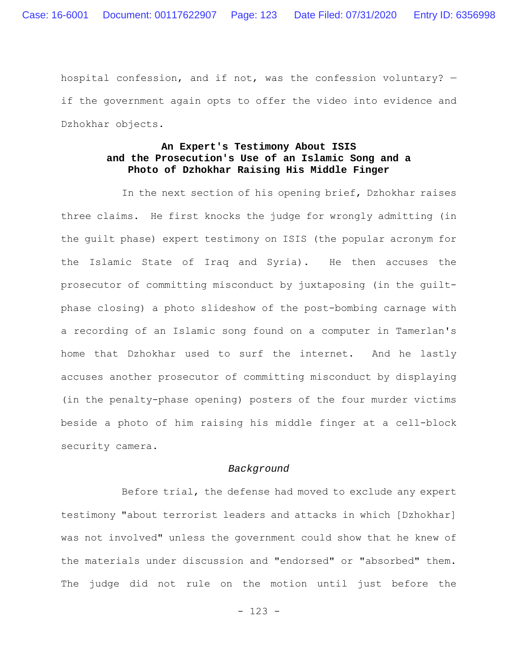hospital confession, and if not, was the confession voluntary? if the government again opts to offer the video into evidence and Dzhokhar objects.

## **An Expert's Testimony About ISIS and the Prosecution's Use of an Islamic Song and a Photo of Dzhokhar Raising His Middle Finger**

In the next section of his opening brief, Dzhokhar raises three claims. He first knocks the judge for wrongly admitting (in the guilt phase) expert testimony on ISIS (the popular acronym for the Islamic State of Iraq and Syria). He then accuses the prosecutor of committing misconduct by juxtaposing (in the guiltphase closing) a photo slideshow of the post-bombing carnage with a recording of an Islamic song found on a computer in Tamerlan's home that Dzhokhar used to surf the internet. And he lastly accuses another prosecutor of committing misconduct by displaying (in the penalty-phase opening) posters of the four murder victims beside a photo of him raising his middle finger at a cell-block security camera.

#### *Background*

Before trial, the defense had moved to exclude any expert testimony "about terrorist leaders and attacks in which [Dzhokhar] was not involved" unless the government could show that he knew of the materials under discussion and "endorsed" or "absorbed" them. The judge did not rule on the motion until just before the

- 123 -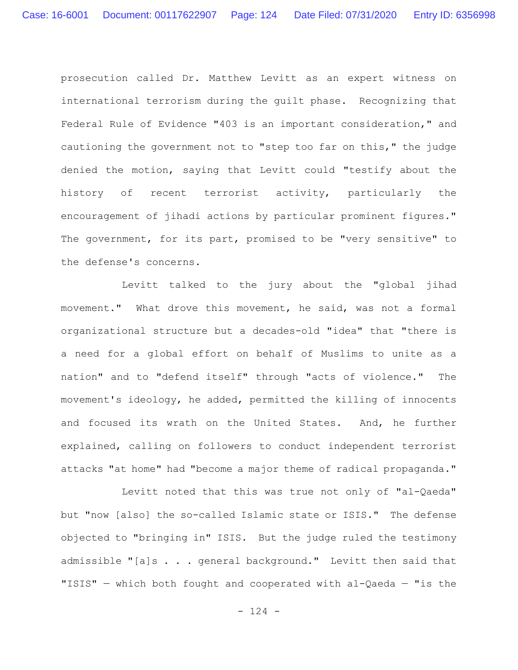prosecution called Dr. Matthew Levitt as an expert witness on international terrorism during the guilt phase. Recognizing that Federal Rule of Evidence "403 is an important consideration," and cautioning the government not to "step too far on this," the judge denied the motion, saying that Levitt could "testify about the history of recent terrorist activity, particularly the encouragement of jihadi actions by particular prominent figures." The government, for its part, promised to be "very sensitive" to the defense's concerns.

Levitt talked to the jury about the "global jihad movement." What drove this movement, he said, was not a formal organizational structure but a decades-old "idea" that "there is a need for a global effort on behalf of Muslims to unite as a nation" and to "defend itself" through "acts of violence." The movement's ideology, he added, permitted the killing of innocents and focused its wrath on the United States. And, he further explained, calling on followers to conduct independent terrorist attacks "at home" had "become a major theme of radical propaganda."

Levitt noted that this was true not only of "al-Qaeda" but "now [also] the so-called Islamic state or ISIS." The defense objected to "bringing in" ISIS. But the judge ruled the testimony admissible "[a]s . . . general background." Levitt then said that "ISIS"  $-$  which both fought and cooperated with al-Qaeda  $-$  "is the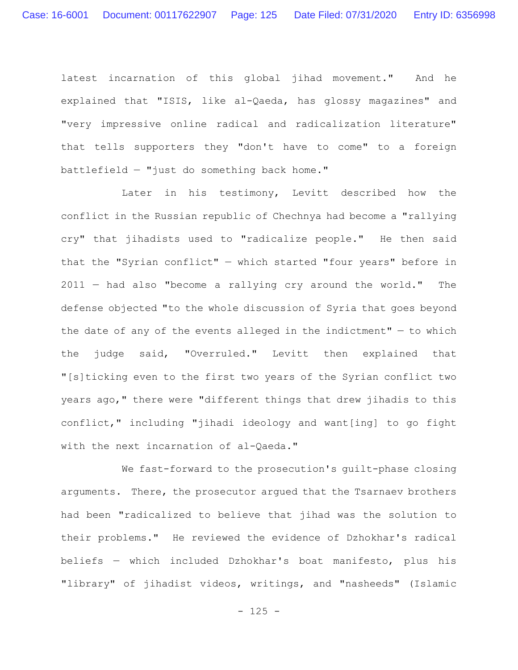latest incarnation of this global jihad movement." And he explained that "ISIS, like al-Qaeda, has glossy magazines" and "very impressive online radical and radicalization literature" that tells supporters they "don't have to come" to a foreign battlefield — "just do something back home."

Later in his testimony, Levitt described how the conflict in the Russian republic of Chechnya had become a "rallying cry" that jihadists used to "radicalize people." He then said that the "Syrian conflict" — which started "four years" before in 2011 — had also "become a rallying cry around the world." The defense objected "to the whole discussion of Syria that goes beyond the date of any of the events alleged in the indictment"  $-$  to which the judge said, "Overruled." Levitt then explained that "[s]ticking even to the first two years of the Syrian conflict two years ago," there were "different things that drew jihadis to this conflict," including "jihadi ideology and want[ing] to go fight with the next incarnation of al-Qaeda."

We fast-forward to the prosecution's guilt-phase closing arguments. There, the prosecutor argued that the Tsarnaev brothers had been "radicalized to believe that jihad was the solution to their problems." He reviewed the evidence of Dzhokhar's radical beliefs — which included Dzhokhar's boat manifesto, plus his "library" of jihadist videos, writings, and "nasheeds" (Islamic

- 125 -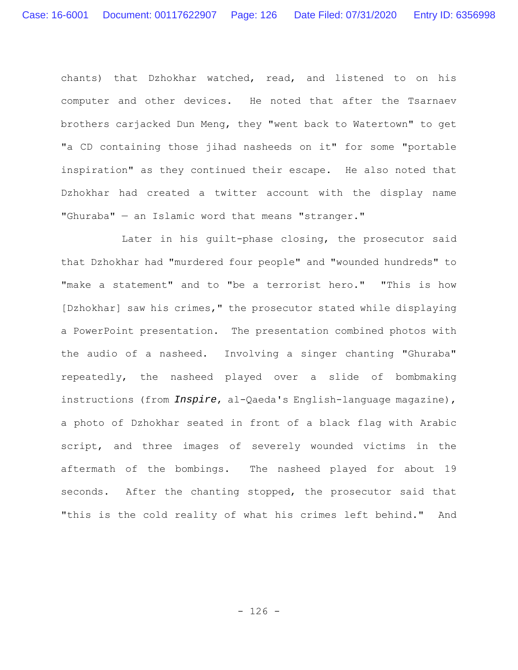chants) that Dzhokhar watched, read, and listened to on his computer and other devices. He noted that after the Tsarnaev brothers carjacked Dun Meng, they "went back to Watertown" to get "a CD containing those jihad nasheeds on it" for some "portable inspiration" as they continued their escape. He also noted that Dzhokhar had created a twitter account with the display name "Ghuraba" — an Islamic word that means "stranger."

Later in his guilt-phase closing, the prosecutor said that Dzhokhar had "murdered four people" and "wounded hundreds" to "make a statement" and to "be a terrorist hero." "This is how [Dzhokhar] saw his crimes," the prosecutor stated while displaying a PowerPoint presentation. The presentation combined photos with the audio of a nasheed. Involving a singer chanting "Ghuraba" repeatedly, the nasheed played over a slide of bombmaking instructions (from *Inspire*, al-Qaeda's English-language magazine), a photo of Dzhokhar seated in front of a black flag with Arabic script, and three images of severely wounded victims in the aftermath of the bombings. The nasheed played for about 19 seconds. After the chanting stopped, the prosecutor said that "this is the cold reality of what his crimes left behind." And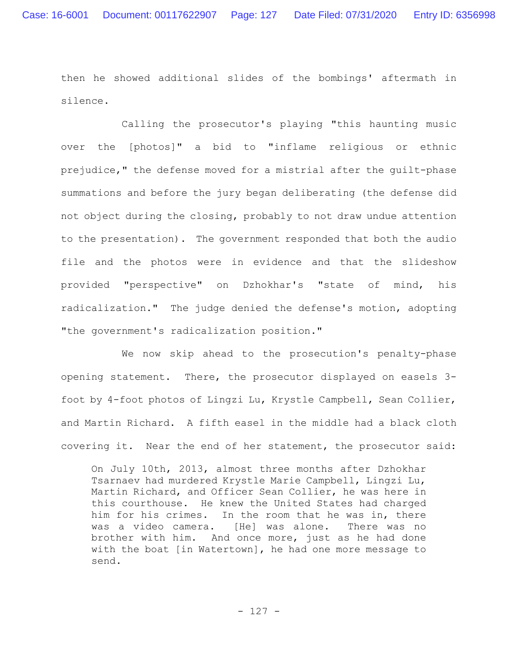then he showed additional slides of the bombings' aftermath in silence.

Calling the prosecutor's playing "this haunting music over the [photos]" a bid to "inflame religious or ethnic prejudice," the defense moved for a mistrial after the guilt-phase summations and before the jury began deliberating (the defense did not object during the closing, probably to not draw undue attention to the presentation). The government responded that both the audio file and the photos were in evidence and that the slideshow provided "perspective" on Dzhokhar's "state of mind, his radicalization." The judge denied the defense's motion, adopting "the government's radicalization position."

We now skip ahead to the prosecution's penalty-phase opening statement. There, the prosecutor displayed on easels 3 foot by 4-foot photos of Lingzi Lu, Krystle Campbell, Sean Collier, and Martin Richard. A fifth easel in the middle had a black cloth covering it. Near the end of her statement, the prosecutor said:

On July 10th, 2013, almost three months after Dzhokhar Tsarnaev had murdered Krystle Marie Campbell, Lingzi Lu, Martin Richard, and Officer Sean Collier, he was here in this courthouse. He knew the United States had charged him for his crimes. In the room that he was in, there was a video camera. [He] was alone. There was no brother with him. And once more, just as he had done with the boat [in Watertown], he had one more message to send.

- 127 -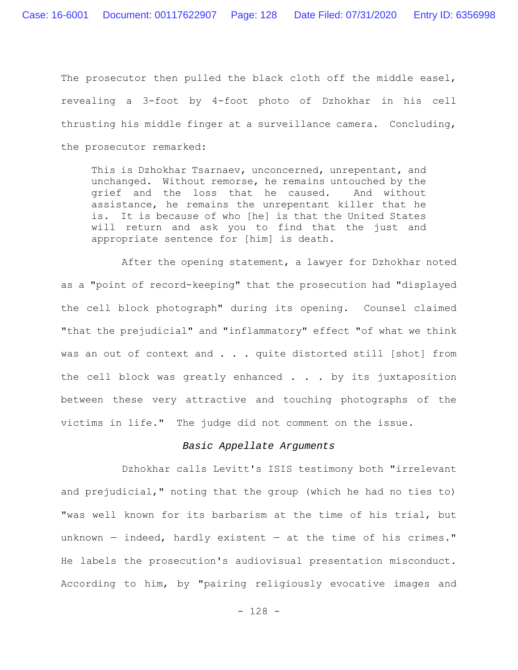The prosecutor then pulled the black cloth off the middle easel, revealing a 3-foot by 4-foot photo of Dzhokhar in his cell thrusting his middle finger at a surveillance camera. Concluding, the prosecutor remarked:

This is Dzhokhar Tsarnaev, unconcerned, unrepentant, and unchanged. Without remorse, he remains untouched by the grief and the loss that he caused. And without assistance, he remains the unrepentant killer that he is. It is because of who [he] is that the United States will return and ask you to find that the just and appropriate sentence for [him] is death.

After the opening statement, a lawyer for Dzhokhar noted as a "point of record-keeping" that the prosecution had "displayed the cell block photograph" during its opening. Counsel claimed "that the prejudicial" and "inflammatory" effect "of what we think was an out of context and . . . quite distorted still [shot] from the cell block was greatly enhanced . . . by its juxtaposition between these very attractive and touching photographs of the victims in life." The judge did not comment on the issue.

### *Basic Appellate Arguments*

Dzhokhar calls Levitt's ISIS testimony both "irrelevant and prejudicial," noting that the group (which he had no ties to) "was well known for its barbarism at the time of his trial, but unknown — indeed, hardly existent — at the time of his crimes." He labels the prosecution's audiovisual presentation misconduct. According to him, by "pairing religiously evocative images and

- 128 -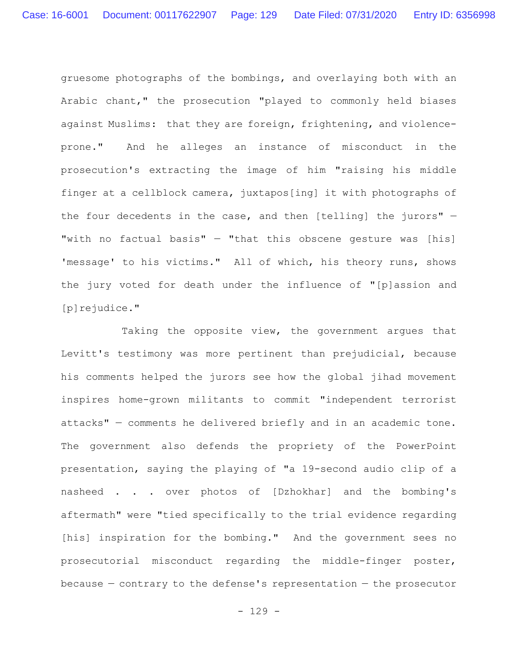gruesome photographs of the bombings, and overlaying both with an Arabic chant," the prosecution "played to commonly held biases against Muslims: that they are foreign, frightening, and violenceprone." And he alleges an instance of misconduct in the prosecution's extracting the image of him "raising his middle finger at a cellblock camera, juxtapos[ing] it with photographs of the four decedents in the case, and then [telling] the jurors" — "with no factual basis" — "that this obscene gesture was [his] 'message' to his victims." All of which, his theory runs, shows the jury voted for death under the influence of "[p]assion and [p]rejudice."

Taking the opposite view, the government argues that Levitt's testimony was more pertinent than prejudicial, because his comments helped the jurors see how the global jihad movement inspires home-grown militants to commit "independent terrorist attacks" — comments he delivered briefly and in an academic tone. The government also defends the propriety of the PowerPoint presentation, saying the playing of "a 19-second audio clip of a nasheed . . . over photos of [Dzhokhar] and the bombing's aftermath" were "tied specifically to the trial evidence regarding [his] inspiration for the bombing." And the government sees no prosecutorial misconduct regarding the middle-finger poster, because  $-$  contrary to the defense's representation  $-$  the prosecutor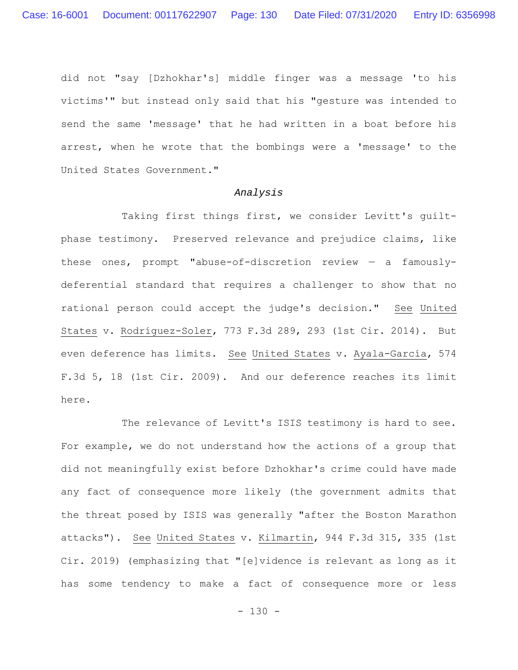did not "say [Dzhokhar's] middle finger was a message 'to his victims'" but instead only said that his "gesture was intended to send the same 'message' that he had written in a boat before his arrest, when he wrote that the bombings were a 'message' to the United States Government."

### *Analysis*

Taking first things first, we consider Levitt's guiltphase testimony. Preserved relevance and prejudice claims, like these ones, prompt "abuse-of-discretion review — a famouslydeferential standard that requires a challenger to show that no rational person could accept the judge's decision." See United States v. Rodríguez-Soler, 773 F.3d 289, 293 (1st Cir. 2014). But even deference has limits. See United States v. Ayala-García, 574 F.3d 5, 18 (1st Cir. 2009). And our deference reaches its limit here.

The relevance of Levitt's ISIS testimony is hard to see. For example, we do not understand how the actions of a group that did not meaningfully exist before Dzhokhar's crime could have made any fact of consequence more likely (the government admits that the threat posed by ISIS was generally "after the Boston Marathon attacks"). See United States v. Kilmartin, 944 F.3d 315, 335 (1st Cir. 2019) (emphasizing that "[e]vidence is relevant as long as it has some tendency to make a fact of consequence more or less

- 130 -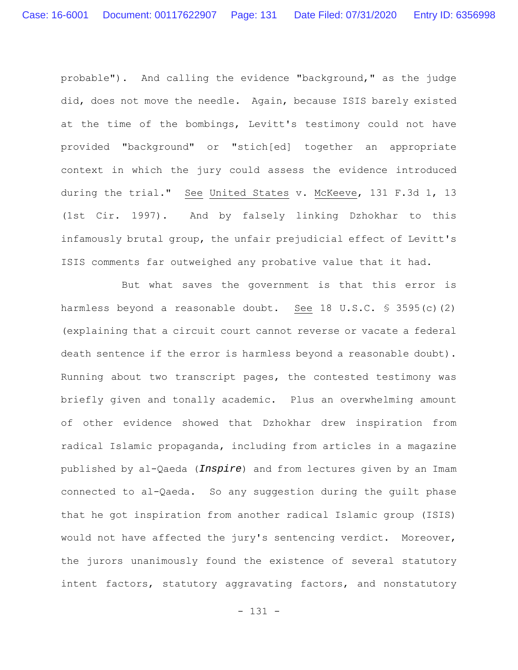probable"). And calling the evidence "background," as the judge did, does not move the needle. Again, because ISIS barely existed at the time of the bombings, Levitt's testimony could not have provided "background" or "stich[ed] together an appropriate context in which the jury could assess the evidence introduced during the trial." See United States v. McKeeve, 131 F.3d 1, 13 (1st Cir. 1997). And by falsely linking Dzhokhar to this infamously brutal group, the unfair prejudicial effect of Levitt's ISIS comments far outweighed any probative value that it had.

But what saves the government is that this error is harmless beyond a reasonable doubt. See 18 U.S.C. § 3595(c)(2) (explaining that a circuit court cannot reverse or vacate a federal death sentence if the error is harmless beyond a reasonable doubt). Running about two transcript pages, the contested testimony was briefly given and tonally academic. Plus an overwhelming amount of other evidence showed that Dzhokhar drew inspiration from radical Islamic propaganda, including from articles in a magazine published by al-Qaeda (*Inspire*) and from lectures given by an Imam connected to al-Qaeda. So any suggestion during the guilt phase that he got inspiration from another radical Islamic group (ISIS) would not have affected the jury's sentencing verdict. Moreover, the jurors unanimously found the existence of several statutory intent factors, statutory aggravating factors, and nonstatutory

- 131 -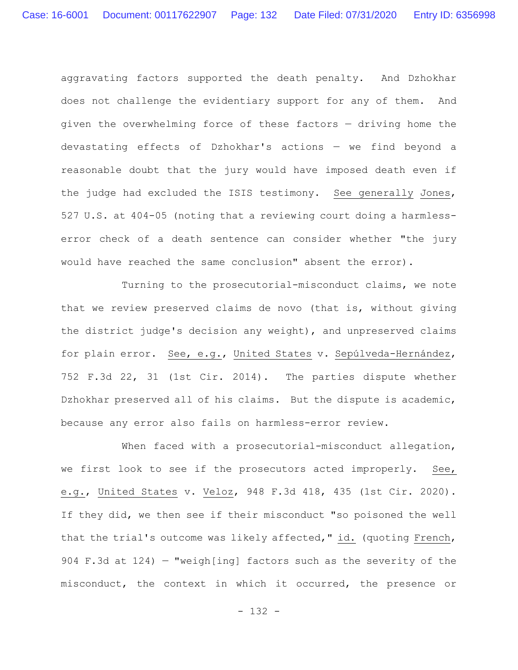aggravating factors supported the death penalty. And Dzhokhar does not challenge the evidentiary support for any of them. And given the overwhelming force of these factors — driving home the devastating effects of Dzhokhar's actions — we find beyond a reasonable doubt that the jury would have imposed death even if the judge had excluded the ISIS testimony. See generally Jones, 527 U.S. at 404-05 (noting that a reviewing court doing a harmlesserror check of a death sentence can consider whether "the jury would have reached the same conclusion" absent the error).

Turning to the prosecutorial-misconduct claims, we note that we review preserved claims de novo (that is, without giving the district judge's decision any weight), and unpreserved claims for plain error. See, e.g., United States v. Sepúlveda-Hernández, 752 F.3d 22, 31 (1st Cir. 2014). The parties dispute whether Dzhokhar preserved all of his claims. But the dispute is academic, because any error also fails on harmless-error review.

When faced with a prosecutorial-misconduct allegation, we first look to see if the prosecutors acted improperly. See, e.g., United States v. Veloz, 948 F.3d 418, 435 (1st Cir. 2020). If they did, we then see if their misconduct "so poisoned the well that the trial's outcome was likely affected," id. (quoting French, 904 F.3d at 124) — "weigh[ing] factors such as the severity of the misconduct, the context in which it occurred, the presence or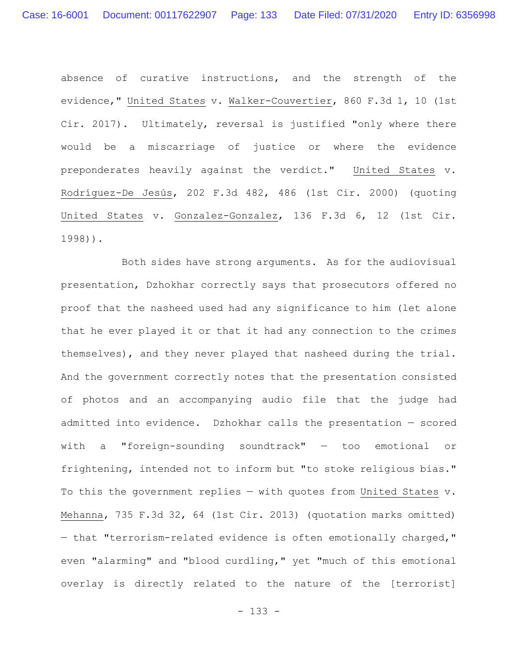absence of curative instructions, and the strength of the evidence," United States v. Walker-Couvertier, 860 F.3d 1, 10 (1st Cir. 2017). Ultimately, reversal is justified "only where there would be a miscarriage of justice or where the evidence preponderates heavily against the verdict." United States v. Rodríguez-De Jesús, 202 F.3d 482, 486 (1st Cir. 2000) (quoting United States v. Gonzalez-Gonzalez, 136 F.3d 6, 12 (1st Cir. 1998)).

Both sides have strong arguments. As for the audiovisual presentation, Dzhokhar correctly says that prosecutors offered no proof that the nasheed used had any significance to him (let alone that he ever played it or that it had any connection to the crimes themselves), and they never played that nasheed during the trial. And the government correctly notes that the presentation consisted of photos and an accompanying audio file that the judge had admitted into evidence. Dzhokhar calls the presentation — scored with a "foreign-sounding soundtrack" — too emotional or frightening, intended not to inform but "to stoke religious bias." To this the government replies — with quotes from United States v. Mehanna, 735 F.3d 32, 64 (1st Cir. 2013) (quotation marks omitted) — that "terrorism-related evidence is often emotionally charged," even "alarming" and "blood curdling," yet "much of this emotional overlay is directly related to the nature of the [terrorist]

- 133 -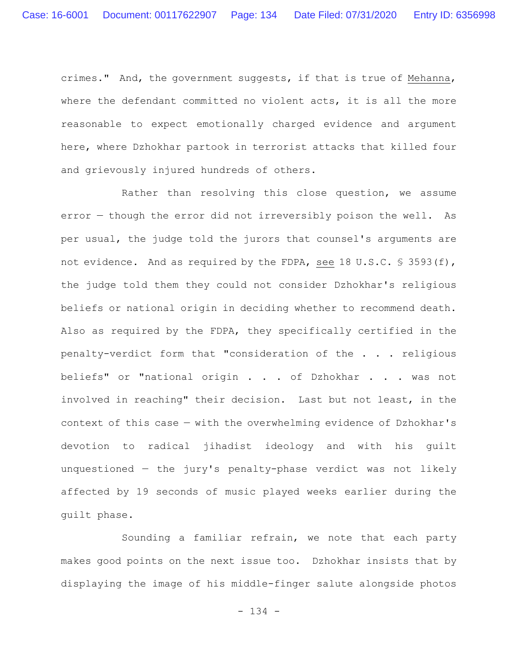crimes." And, the government suggests, if that is true of Mehanna, where the defendant committed no violent acts, it is all the more reasonable to expect emotionally charged evidence and argument here, where Dzhokhar partook in terrorist attacks that killed four and grievously injured hundreds of others.

Rather than resolving this close question, we assume error — though the error did not irreversibly poison the well. As per usual, the judge told the jurors that counsel's arguments are not evidence. And as required by the FDPA, see 18 U.S.C. § 3593(f), the judge told them they could not consider Dzhokhar's religious beliefs or national origin in deciding whether to recommend death. Also as required by the FDPA, they specifically certified in the penalty-verdict form that "consideration of the . . . religious beliefs" or "national origin . . . of Dzhokhar . . . was not involved in reaching" their decision. Last but not least, in the context of this case — with the overwhelming evidence of Dzhokhar's devotion to radical jihadist ideology and with his guilt unquestioned — the jury's penalty-phase verdict was not likely affected by 19 seconds of music played weeks earlier during the guilt phase.

Sounding a familiar refrain, we note that each party makes good points on the next issue too. Dzhokhar insists that by displaying the image of his middle-finger salute alongside photos

- 134 -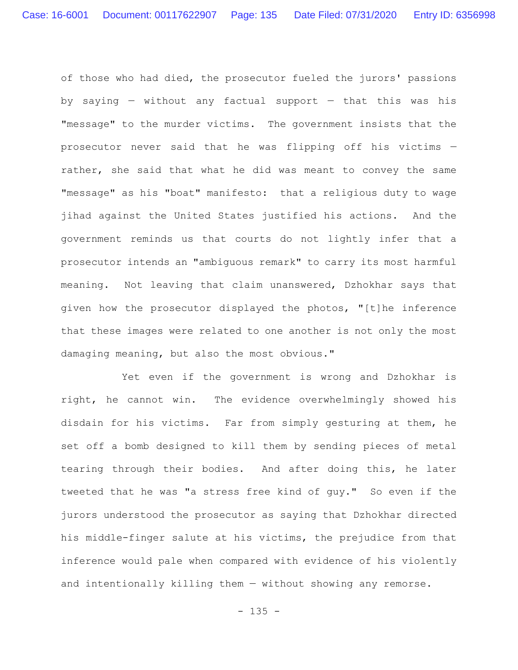of those who had died, the prosecutor fueled the jurors' passions by saying  $-$  without any factual support  $-$  that this was his "message" to the murder victims. The government insists that the prosecutor never said that he was flipping off his victims rather, she said that what he did was meant to convey the same "message" as his "boat" manifesto: that a religious duty to wage jihad against the United States justified his actions. And the government reminds us that courts do not lightly infer that a prosecutor intends an "ambiguous remark" to carry its most harmful meaning. Not leaving that claim unanswered, Dzhokhar says that given how the prosecutor displayed the photos, "[t]he inference that these images were related to one another is not only the most damaging meaning, but also the most obvious."

Yet even if the government is wrong and Dzhokhar is right, he cannot win. The evidence overwhelmingly showed his disdain for his victims. Far from simply gesturing at them, he set off a bomb designed to kill them by sending pieces of metal tearing through their bodies. And after doing this, he later tweeted that he was "a stress free kind of guy." So even if the jurors understood the prosecutor as saying that Dzhokhar directed his middle-finger salute at his victims, the prejudice from that inference would pale when compared with evidence of his violently and intentionally killing them — without showing any remorse.

- 135 -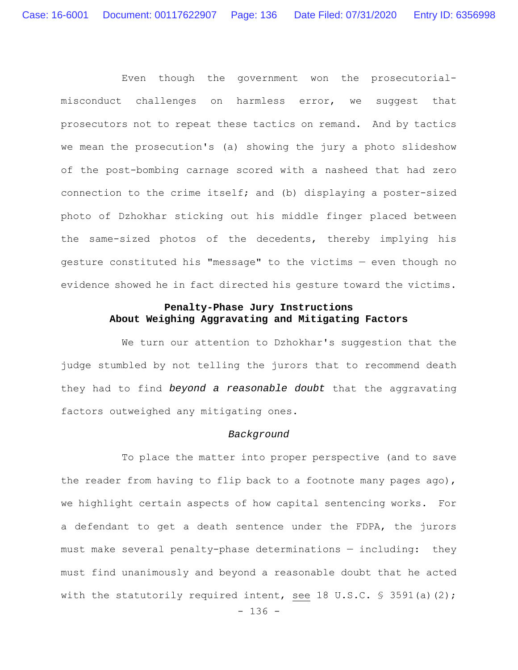Even though the government won the prosecutorialmisconduct challenges on harmless error, we suggest that prosecutors not to repeat these tactics on remand. And by tactics we mean the prosecution's (a) showing the jury a photo slideshow of the post-bombing carnage scored with a nasheed that had zero connection to the crime itself; and (b) displaying a poster-sized photo of Dzhokhar sticking out his middle finger placed between the same-sized photos of the decedents, thereby implying his gesture constituted his "message" to the victims — even though no evidence showed he in fact directed his gesture toward the victims.

# **Penalty-Phase Jury Instructions About Weighing Aggravating and Mitigating Factors**

We turn our attention to Dzhokhar's suggestion that the judge stumbled by not telling the jurors that to recommend death they had to find *beyond a reasonable doubt* that the aggravating factors outweighed any mitigating ones.

### *Background*

To place the matter into proper perspective (and to save the reader from having to flip back to a footnote many pages ago), we highlight certain aspects of how capital sentencing works. For a defendant to get a death sentence under the FDPA, the jurors must make several penalty-phase determinations — including: they must find unanimously and beyond a reasonable doubt that he acted with the statutorily required intent, see 18 U.S.C. § 3591(a)(2);

- 136 -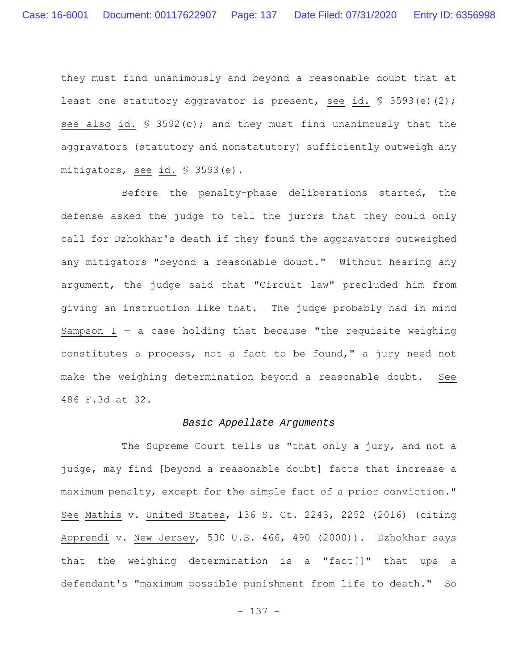they must find unanimously and beyond a reasonable doubt that at least one statutory aggravator is present, see id.  $\frac{1}{5}$  3593(e)(2); see also id. § 3592(c); and they must find unanimously that the aggravators (statutory and nonstatutory) sufficiently outweigh any mitigators, see id. § 3593(e).

Before the penalty-phase deliberations started, the defense asked the judge to tell the jurors that they could only call for Dzhokhar's death if they found the aggravators outweighed any mitigators "beyond a reasonable doubt." Without hearing any argument, the judge said that "Circuit law" precluded him from giving an instruction like that. The judge probably had in mind Sampson  $I - a$  case holding that because "the requisite weighing constitutes a process, not a fact to be found," a jury need not make the weighing determination beyond a reasonable doubt. See 486 F.3d at 32.

### *Basic Appellate Arguments*

The Supreme Court tells us "that only a jury, and not a judge, may find [beyond a reasonable doubt] facts that increase a maximum penalty, except for the simple fact of a prior conviction." See Mathis v. United States, 136 S. Ct. 2243, 2252 (2016) (citing Apprendi v. New Jersey, 530 U.S. 466, 490 (2000)). Dzhokhar says that the weighing determination is a "fact[]" that ups a defendant's "maximum possible punishment from life to death." So

- 137 -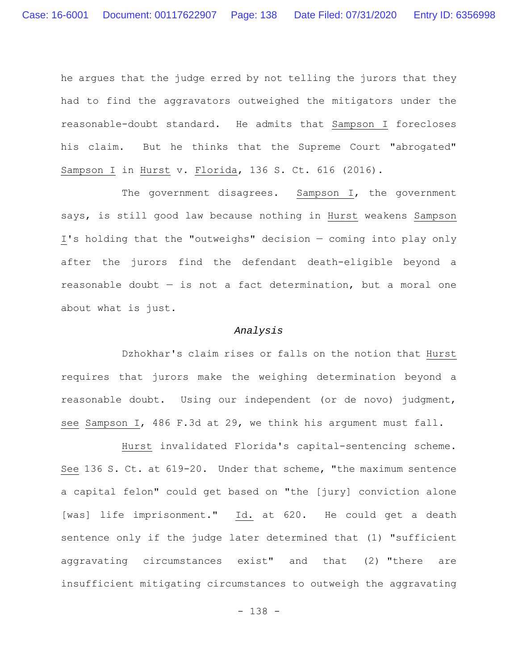he argues that the judge erred by not telling the jurors that they had to find the aggravators outweighed the mitigators under the reasonable-doubt standard. He admits that Sampson I forecloses his claim. But he thinks that the Supreme Court "abrogated" Sampson I in Hurst v. Florida, 136 S. Ct. 616 (2016).

The government disagrees. Sampson I, the government says, is still good law because nothing in Hurst weakens Sampson I's holding that the "outweighs" decision — coming into play only after the jurors find the defendant death-eligible beyond a reasonable doubt  $-$  is not a fact determination, but a moral one about what is just.

## *Analysis*

Dzhokhar's claim rises or falls on the notion that Hurst requires that jurors make the weighing determination beyond a reasonable doubt. Using our independent (or de novo) judgment, see Sampson I, 486 F.3d at 29, we think his argument must fall.

Hurst invalidated Florida's capital-sentencing scheme. See 136 S. Ct. at 619-20. Under that scheme, "the maximum sentence a capital felon" could get based on "the [jury] conviction alone [was] life imprisonment." Id. at 620. He could get a death sentence only if the judge later determined that (1) "sufficient aggravating circumstances exist" and that (2) "there are insufficient mitigating circumstances to outweigh the aggravating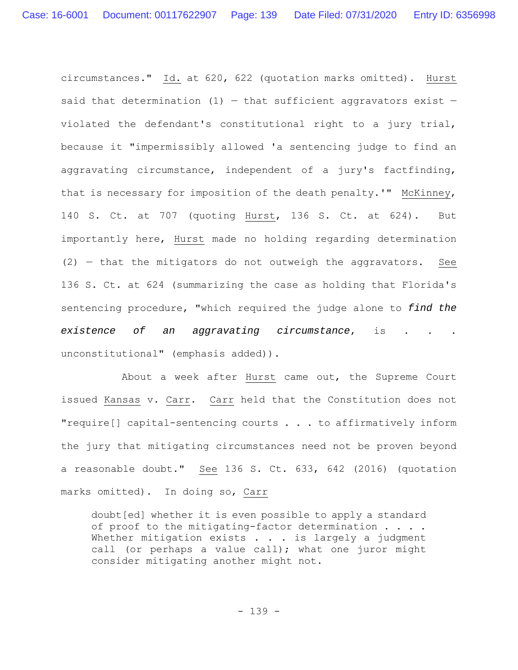circumstances." Id. at 620, 622 (quotation marks omitted). Hurst said that determination  $(1)$  – that sufficient aggravators exist – violated the defendant's constitutional right to a jury trial, because it "impermissibly allowed 'a sentencing judge to find an aggravating circumstance, independent of a jury's factfinding, that is necessary for imposition of the death penalty.'" McKinney, 140 S. Ct. at 707 (quoting Hurst, 136 S. Ct. at 624). But importantly here, Hurst made no holding regarding determination (2) — that the mitigators do not outweigh the aggravators. See 136 S. Ct. at 624 (summarizing the case as holding that Florida's sentencing procedure, "which required the judge alone to *find the existence of an aggravating circumstance*, is . . . unconstitutional" (emphasis added)).

About a week after Hurst came out, the Supreme Court issued Kansas v. Carr. Carr held that the Constitution does not "require[] capital-sentencing courts . . . to affirmatively inform the jury that mitigating circumstances need not be proven beyond a reasonable doubt." See 136 S. Ct. 633, 642 (2016) (quotation marks omitted). In doing so, Carr

doubt[ed] whether it is even possible to apply a standard of proof to the mitigating-factor determination . . . . Whether mitigation exists . . . is largely a judgment call (or perhaps a value call); what one juror might consider mitigating another might not.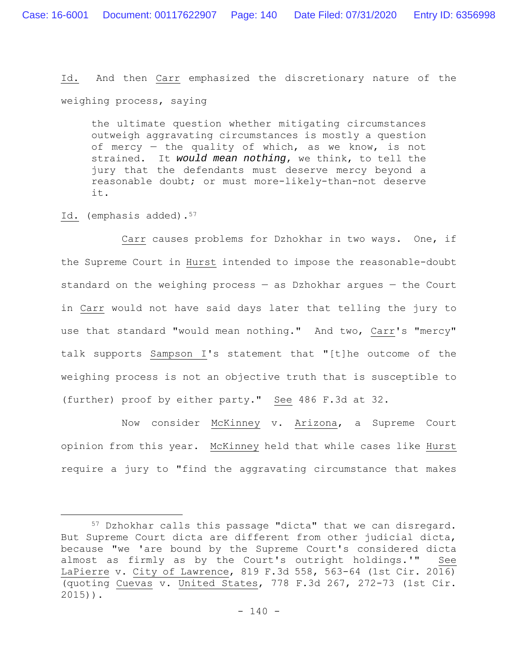Id. And then Carr emphasized the discretionary nature of the weighing process, saying

the ultimate question whether mitigating circumstances outweigh aggravating circumstances is mostly a question of mercy — the quality of which, as we know, is not strained. It *would mean nothing*, we think, to tell the jury that the defendants must deserve mercy beyond a reasonable doubt; or must more-likely-than-not deserve it.

Id. (emphasis added).<sup>57</sup>

Carr causes problems for Dzhokhar in two ways. One, if the Supreme Court in Hurst intended to impose the reasonable-doubt standard on the weighing process — as Dzhokhar argues — the Court in Carr would not have said days later that telling the jury to use that standard "would mean nothing." And two, Carr's "mercy" talk supports Sampson I's statement that "[t]he outcome of the weighing process is not an objective truth that is susceptible to (further) proof by either party." See 486 F.3d at 32.

Now consider McKinney v. Arizona, a Supreme Court opinion from this year. McKinney held that while cases like Hurst require a jury to "find the aggravating circumstance that makes

<sup>57</sup> Dzhokhar calls this passage "dicta" that we can disregard. But Supreme Court dicta are different from other judicial dicta, because "we 'are bound by the Supreme Court's considered dicta almost as firmly as by the Court's outright holdings.'" See LaPierre v. City of Lawrence, 819 F.3d 558, 563-64 (1st Cir. 2016) (quoting Cuevas v. United States, 778 F.3d 267, 272-73 (1st Cir. 2015)).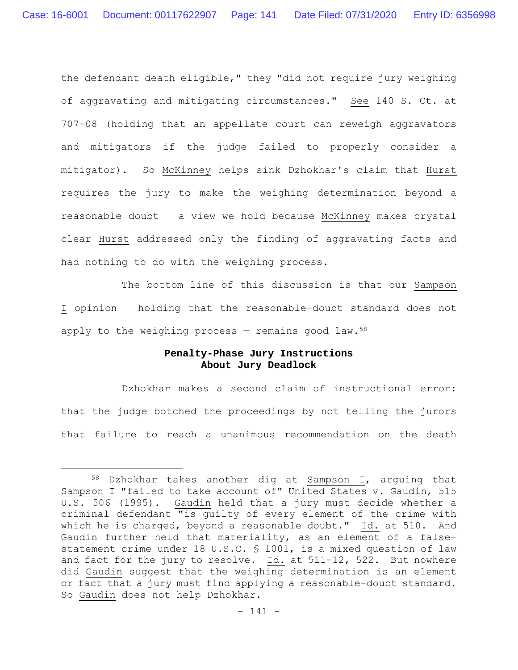the defendant death eligible," they "did not require jury weighing of aggravating and mitigating circumstances." See 140 S. Ct. at 707-08 (holding that an appellate court can reweigh aggravators and mitigators if the judge failed to properly consider a mitigator). So McKinney helps sink Dzhokhar's claim that Hurst requires the jury to make the weighing determination beyond a reasonable doubt — a view we hold because McKinney makes crystal clear Hurst addressed only the finding of aggravating facts and had nothing to do with the weighing process.

The bottom line of this discussion is that our Sampson I opinion — holding that the reasonable-doubt standard does not apply to the weighing process  $-$  remains good law.<sup>58</sup>

# **Penalty-Phase Jury Instructions About Jury Deadlock**

Dzhokhar makes a second claim of instructional error: that the judge botched the proceedings by not telling the jurors that failure to reach a unanimous recommendation on the death

<sup>58</sup> Dzhokhar takes another dig at Sampson I, arguing that Sampson I "failed to take account of" United States v. Gaudin, 515 U.S. 506 (1995). Gaudin held that a jury must decide whether a criminal defendant "is guilty of every element of the crime with which he is charged, beyond a reasonable doubt." Id. at 510. And Gaudin further held that materiality, as an element of a falsestatement crime under 18 U.S.C. § 1001, is a mixed question of law and fact for the jury to resolve. Id. at 511-12, 522. But nowhere did Gaudin suggest that the weighing determination is an element or fact that a jury must find applying a reasonable-doubt standard. So Gaudin does not help Dzhokhar.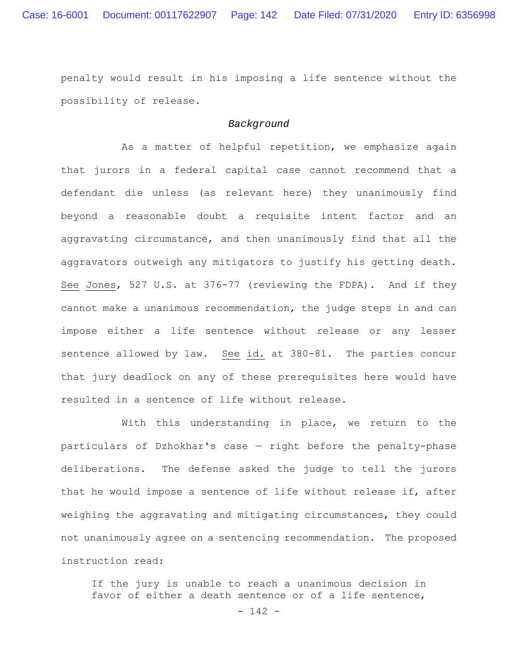penalty would result in his imposing a life sentence without the possibility of release.

### *Background*

As a matter of helpful repetition, we emphasize again that jurors in a federal capital case cannot recommend that a defendant die unless (as relevant here) they unanimously find beyond a reasonable doubt a requisite intent factor and an aggravating circumstance, and then unanimously find that all the aggravators outweigh any mitigators to justify his getting death. See Jones, 527 U.S. at 376-77 (reviewing the FDPA). And if they cannot make a unanimous recommendation, the judge steps in and can impose either a life sentence without release or any lesser sentence allowed by law. See id. at 380-81. The parties concur that jury deadlock on any of these prerequisites here would have resulted in a sentence of life without release.

With this understanding in place, we return to the particulars of Dzhokhar's case — right before the penalty-phase deliberations. The defense asked the judge to tell the jurors that he would impose a sentence of life without release if, after weighing the aggravating and mitigating circumstances, they could not unanimously agree on a sentencing recommendation. The proposed instruction read:

If the jury is unable to reach a unanimous decision in favor of either a death sentence or of a life sentence,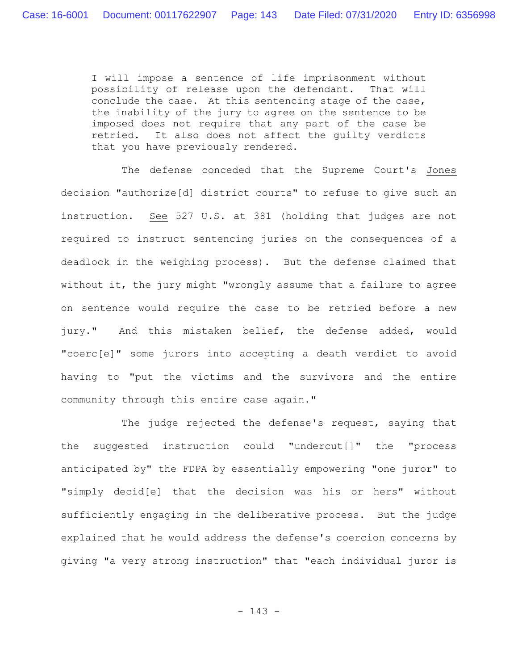I will impose a sentence of life imprisonment without possibility of release upon the defendant. That will conclude the case. At this sentencing stage of the case, the inability of the jury to agree on the sentence to be imposed does not require that any part of the case be retried. It also does not affect the guilty verdicts that you have previously rendered.

The defense conceded that the Supreme Court's Jones decision "authorize[d] district courts" to refuse to give such an instruction. See 527 U.S. at 381 (holding that judges are not required to instruct sentencing juries on the consequences of a deadlock in the weighing process). But the defense claimed that without it, the jury might "wrongly assume that a failure to agree on sentence would require the case to be retried before a new jury." And this mistaken belief, the defense added, would "coerc[e]" some jurors into accepting a death verdict to avoid having to "put the victims and the survivors and the entire community through this entire case again."

The judge rejected the defense's request, saying that the suggested instruction could "undercut[]" the "process anticipated by" the FDPA by essentially empowering "one juror" to "simply decid[e] that the decision was his or hers" without sufficiently engaging in the deliberative process. But the judge explained that he would address the defense's coercion concerns by giving "a very strong instruction" that "each individual juror is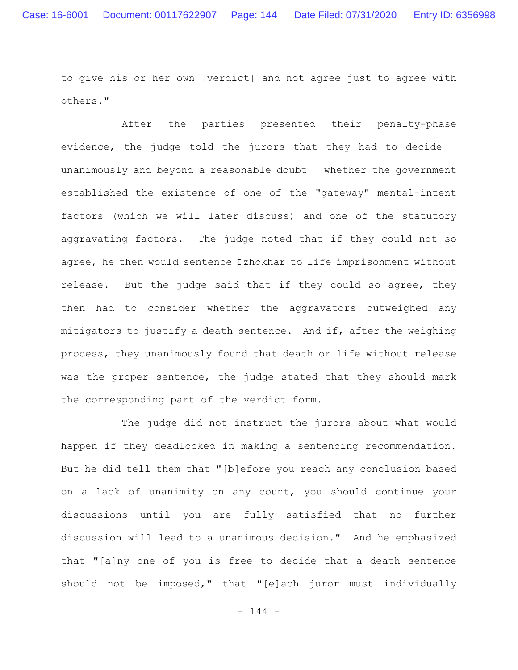to give his or her own [verdict] and not agree just to agree with others."

After the parties presented their penalty-phase evidence, the judge told the jurors that they had to decide unanimously and beyond a reasonable doubt — whether the government established the existence of one of the "gateway" mental-intent factors (which we will later discuss) and one of the statutory aggravating factors. The judge noted that if they could not so agree, he then would sentence Dzhokhar to life imprisonment without release. But the judge said that if they could so agree, they then had to consider whether the aggravators outweighed any mitigators to justify a death sentence. And if, after the weighing process, they unanimously found that death or life without release was the proper sentence, the judge stated that they should mark the corresponding part of the verdict form.

The judge did not instruct the jurors about what would happen if they deadlocked in making a sentencing recommendation. But he did tell them that "[b]efore you reach any conclusion based on a lack of unanimity on any count, you should continue your discussions until you are fully satisfied that no further discussion will lead to a unanimous decision." And he emphasized that "[a]ny one of you is free to decide that a death sentence should not be imposed," that "[e]ach juror must individually

 $- 144 -$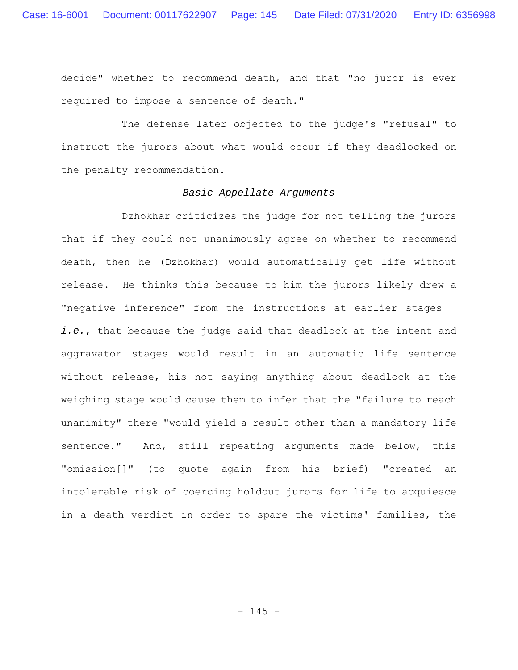decide" whether to recommend death, and that "no juror is ever required to impose a sentence of death."

The defense later objected to the judge's "refusal" to instruct the jurors about what would occur if they deadlocked on the penalty recommendation.

# *Basic Appellate Arguments*

Dzhokhar criticizes the judge for not telling the jurors that if they could not unanimously agree on whether to recommend death, then he (Dzhokhar) would automatically get life without release. He thinks this because to him the jurors likely drew a "negative inference" from the instructions at earlier stages *i.e.*, that because the judge said that deadlock at the intent and aggravator stages would result in an automatic life sentence without release, his not saying anything about deadlock at the weighing stage would cause them to infer that the "failure to reach unanimity" there "would yield a result other than a mandatory life sentence." And, still repeating arguments made below, this "omission[]" (to quote again from his brief) "created an intolerable risk of coercing holdout jurors for life to acquiesce in a death verdict in order to spare the victims' families, the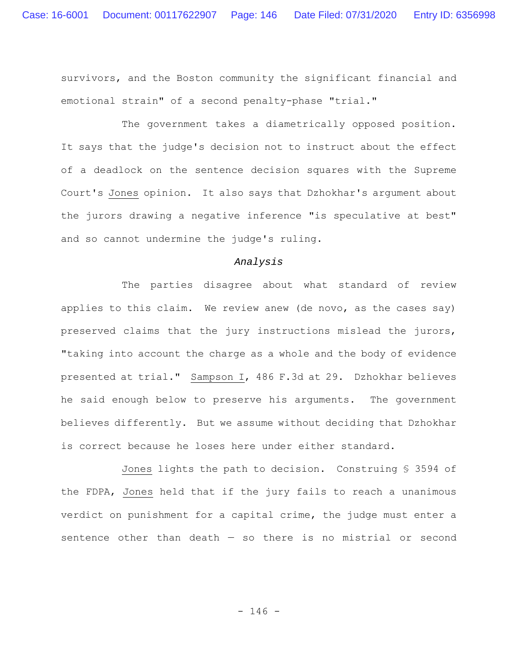survivors, and the Boston community the significant financial and emotional strain" of a second penalty-phase "trial."

The government takes a diametrically opposed position. It says that the judge's decision not to instruct about the effect of a deadlock on the sentence decision squares with the Supreme Court's Jones opinion. It also says that Dzhokhar's argument about the jurors drawing a negative inference "is speculative at best" and so cannot undermine the judge's ruling.

# *Analysis*

The parties disagree about what standard of review applies to this claim. We review anew (de novo, as the cases say) preserved claims that the jury instructions mislead the jurors, "taking into account the charge as a whole and the body of evidence presented at trial." Sampson I, 486 F.3d at 29. Dzhokhar believes he said enough below to preserve his arguments. The government believes differently. But we assume without deciding that Dzhokhar is correct because he loses here under either standard.

Jones lights the path to decision. Construing § 3594 of the FDPA, Jones held that if the jury fails to reach a unanimous verdict on punishment for a capital crime, the judge must enter a sentence other than death  $-$  so there is no mistrial or second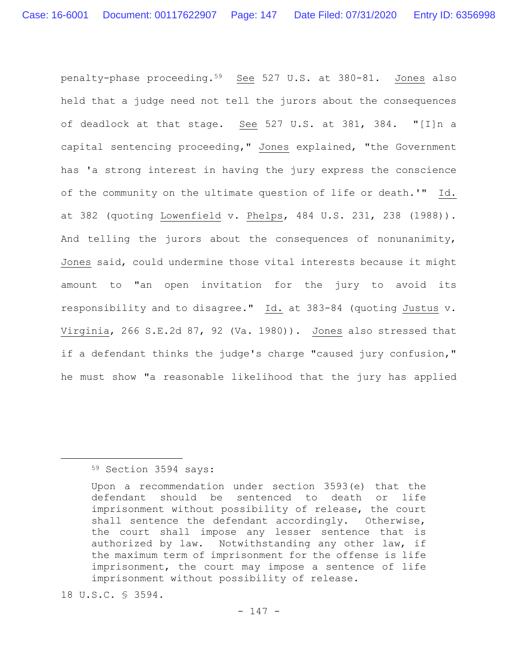penalty-phase proceeding.59 See 527 U.S. at 380-81. Jones also held that a judge need not tell the jurors about the consequences of deadlock at that stage. See 527 U.S. at 381, 384. "[I]n a capital sentencing proceeding," Jones explained, "the Government has 'a strong interest in having the jury express the conscience of the community on the ultimate question of life or death.'" Id. at 382 (quoting Lowenfield v. Phelps, 484 U.S. 231, 238 (1988)). And telling the jurors about the consequences of nonunanimity, Jones said, could undermine those vital interests because it might amount to "an open invitation for the jury to avoid its responsibility and to disagree." Id. at 383-84 (quoting Justus v. Virginia, 266 S.E.2d 87, 92 (Va. 1980)). Jones also stressed that if a defendant thinks the judge's charge "caused jury confusion," he must show "a reasonable likelihood that the jury has applied

# 59 Section 3594 says:

18 U.S.C. § 3594.

Upon a recommendation under section 3593(e) that the defendant should be sentenced to death or life imprisonment without possibility of release, the court shall sentence the defendant accordingly. Otherwise, the court shall impose any lesser sentence that is authorized by law. Notwithstanding any other law, if the maximum term of imprisonment for the offense is life imprisonment, the court may impose a sentence of life imprisonment without possibility of release.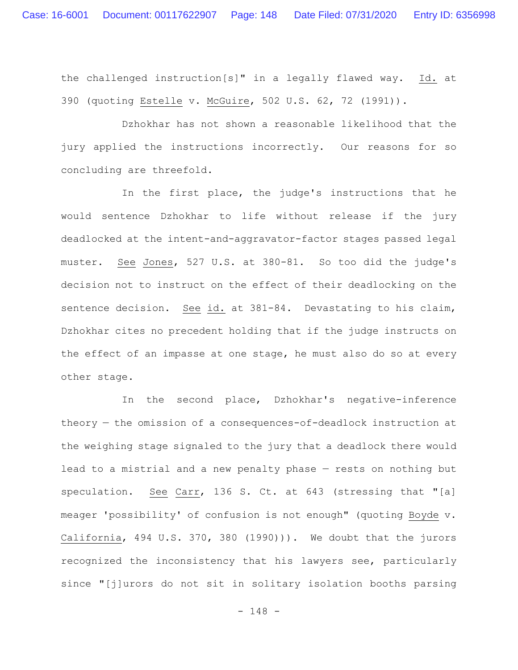the challenged instruction[s]" in a legally flawed way. Id. at 390 (quoting Estelle v. McGuire, 502 U.S. 62, 72 (1991)).

Dzhokhar has not shown a reasonable likelihood that the jury applied the instructions incorrectly. Our reasons for so concluding are threefold.

In the first place, the judge's instructions that he would sentence Dzhokhar to life without release if the jury deadlocked at the intent-and-aggravator-factor stages passed legal muster. See Jones, 527 U.S. at 380-81. So too did the judge's decision not to instruct on the effect of their deadlocking on the sentence decision. See id. at 381-84. Devastating to his claim, Dzhokhar cites no precedent holding that if the judge instructs on the effect of an impasse at one stage, he must also do so at every other stage.

In the second place, Dzhokhar's negative-inference theory — the omission of a consequences-of-deadlock instruction at the weighing stage signaled to the jury that a deadlock there would lead to a mistrial and a new penalty phase — rests on nothing but speculation. See Carr, 136 S. Ct. at 643 (stressing that "[a] meager 'possibility' of confusion is not enough" (quoting Boyde v. California, 494 U.S. 370, 380 (1990))). We doubt that the jurors recognized the inconsistency that his lawyers see, particularly since "[j]urors do not sit in solitary isolation booths parsing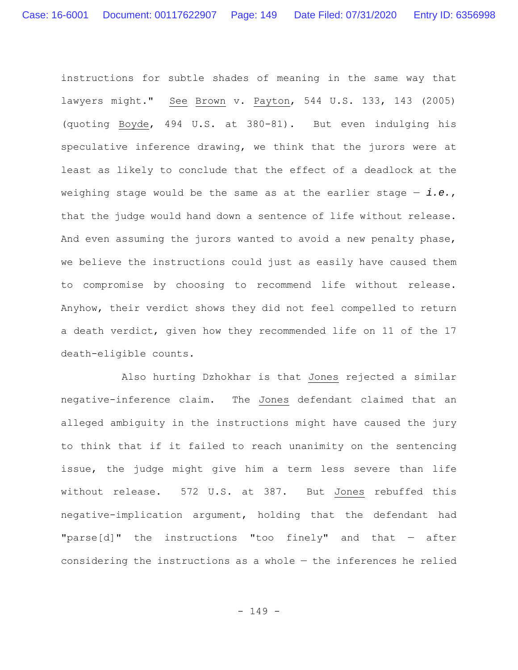instructions for subtle shades of meaning in the same way that lawyers might." See Brown v. Payton, 544 U.S. 133, 143 (2005) (quoting Boyde, 494 U.S. at 380-81). But even indulging his speculative inference drawing, we think that the jurors were at least as likely to conclude that the effect of a deadlock at the weighing stage would be the same as at the earlier stage — *i.e.*, that the judge would hand down a sentence of life without release. And even assuming the jurors wanted to avoid a new penalty phase, we believe the instructions could just as easily have caused them to compromise by choosing to recommend life without release. Anyhow, their verdict shows they did not feel compelled to return a death verdict, given how they recommended life on 11 of the 17 death-eligible counts.

Also hurting Dzhokhar is that Jones rejected a similar negative-inference claim. The Jones defendant claimed that an alleged ambiguity in the instructions might have caused the jury to think that if it failed to reach unanimity on the sentencing issue, the judge might give him a term less severe than life without release. 572 U.S. at 387. But Jones rebuffed this negative-implication argument, holding that the defendant had "parse[d]" the instructions "too finely" and that  $-$  after considering the instructions as a whole — the inferences he relied

- 149 -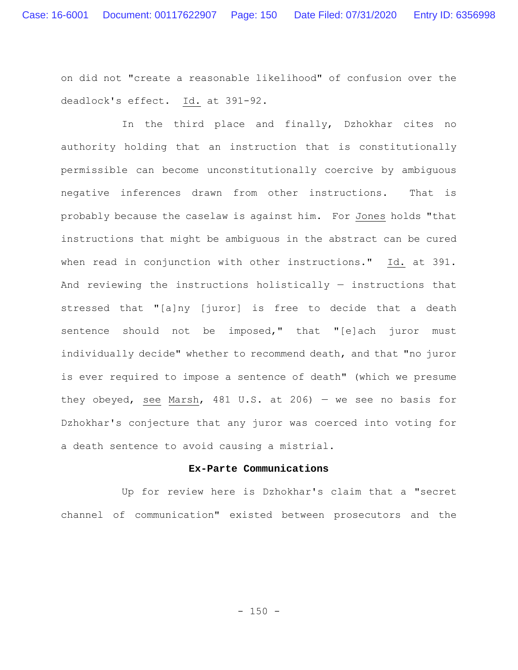on did not "create a reasonable likelihood" of confusion over the deadlock's effect. Id. at 391-92.

In the third place and finally, Dzhokhar cites no authority holding that an instruction that is constitutionally permissible can become unconstitutionally coercive by ambiguous negative inferences drawn from other instructions. That is probably because the caselaw is against him. For Jones holds "that instructions that might be ambiguous in the abstract can be cured when read in conjunction with other instructions." Id. at 391. And reviewing the instructions holistically — instructions that stressed that "[a]ny [juror] is free to decide that a death sentence should not be imposed," that "[e]ach juror must individually decide" whether to recommend death, and that "no juror is ever required to impose a sentence of death" (which we presume they obeyed, see Marsh, 481 U.S. at 206) — we see no basis for Dzhokhar's conjecture that any juror was coerced into voting for a death sentence to avoid causing a mistrial.

## **Ex-Parte Communications**

Up for review here is Dzhokhar's claim that a "secret channel of communication" existed between prosecutors and the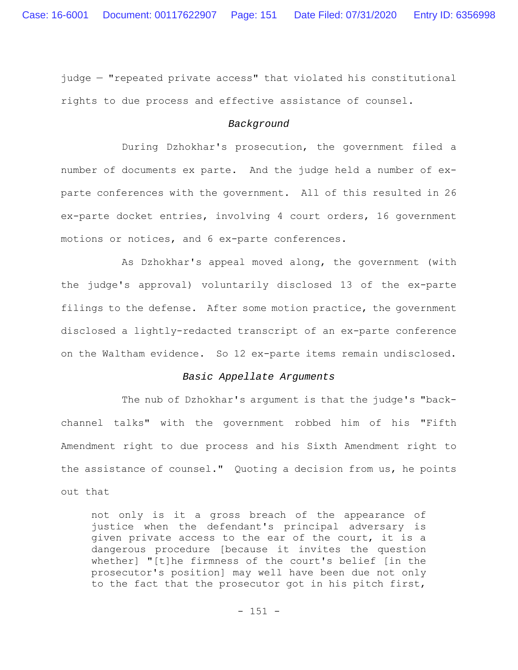judge — "repeated private access" that violated his constitutional rights to due process and effective assistance of counsel.

### *Background*

During Dzhokhar's prosecution, the government filed a number of documents ex parte. And the judge held a number of exparte conferences with the government. All of this resulted in 26 ex-parte docket entries, involving 4 court orders, 16 government motions or notices, and 6 ex-parte conferences.

As Dzhokhar's appeal moved along, the government (with the judge's approval) voluntarily disclosed 13 of the ex-parte filings to the defense. After some motion practice, the government disclosed a lightly-redacted transcript of an ex-parte conference on the Waltham evidence. So 12 ex-parte items remain undisclosed.

### *Basic Appellate Arguments*

The nub of Dzhokhar's argument is that the judge's "backchannel talks" with the government robbed him of his "Fifth Amendment right to due process and his Sixth Amendment right to the assistance of counsel." Quoting a decision from us, he points out that

not only is it a gross breach of the appearance of justice when the defendant's principal adversary is given private access to the ear of the court, it is a dangerous procedure [because it invites the question whether] "[t]he firmness of the court's belief [in the prosecutor's position] may well have been due not only to the fact that the prosecutor got in his pitch first,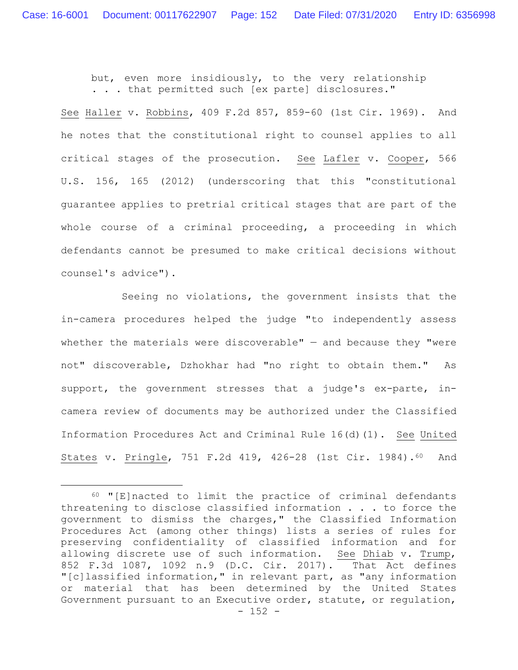but, even more insidiously, to the very relationship . . . that permitted such [ex parte] disclosures."

See Haller v. Robbins, 409 F.2d 857, 859-60 (1st Cir. 1969). And he notes that the constitutional right to counsel applies to all critical stages of the prosecution. See Lafler v. Cooper, 566 U.S. 156, 165 (2012) (underscoring that this "constitutional guarantee applies to pretrial critical stages that are part of the whole course of a criminal proceeding, a proceeding in which defendants cannot be presumed to make critical decisions without counsel's advice").

Seeing no violations, the government insists that the in-camera procedures helped the judge "to independently assess whether the materials were discoverable"  $-$  and because they "were not" discoverable, Dzhokhar had "no right to obtain them." As support, the government stresses that a judge's ex-parte, incamera review of documents may be authorized under the Classified Information Procedures Act and Criminal Rule 16(d)(1). See United States v. Pringle, 751 F.2d 419, 426-28 (1st Cir. 1984).60 And

 $- 152 -$ 60 "[E]nacted to limit the practice of criminal defendants threatening to disclose classified information . . . to force the government to dismiss the charges," the Classified Information Procedures Act (among other things) lists a series of rules for preserving confidentiality of classified information and for allowing discrete use of such information. See Dhiab v. Trump, 852 F.3d 1087, 1092 n.9 (D.C. Cir. 2017). That Act defines "[c]lassified information," in relevant part, as "any information or material that has been determined by the United States Government pursuant to an Executive order, statute, or regulation,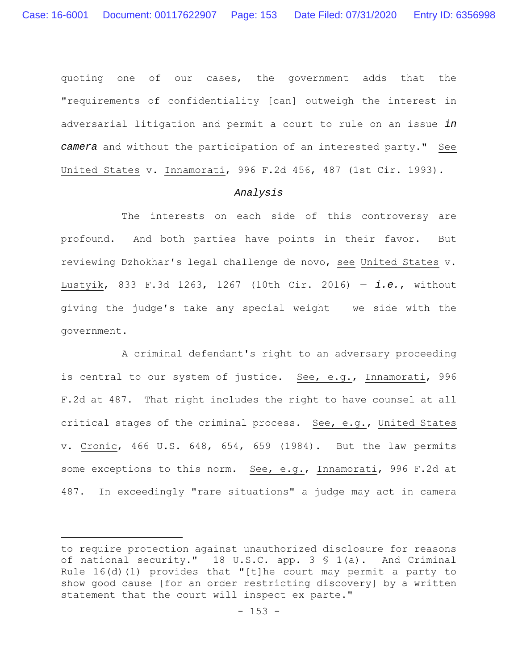quoting one of our cases, the government adds that the "requirements of confidentiality [can] outweigh the interest in adversarial litigation and permit a court to rule on an issue *in camera* and without the participation of an interested party." See United States v. Innamorati, 996 F.2d 456, 487 (1st Cir. 1993).

#### *Analysis*

The interests on each side of this controversy are profound. And both parties have points in their favor. But reviewing Dzhokhar's legal challenge de novo, see United States v. Lustyik, 833 F.3d 1263, 1267 (10th Cir. 2016) — *i.e.*, without giving the judge's take any special weight — we side with the government.

A criminal defendant's right to an adversary proceeding is central to our system of justice. See, e.g., Innamorati, 996 F.2d at 487. That right includes the right to have counsel at all critical stages of the criminal process. See, e.g., United States v. Cronic, 466 U.S. 648, 654, 659 (1984). But the law permits some exceptions to this norm. See, e.g., Innamorati, 996 F.2d at 487. In exceedingly "rare situations" a judge may act in camera

to require protection against unauthorized disclosure for reasons of national security." 18 U.S.C. app. 3 § 1(a). And Criminal Rule 16(d)(1) provides that "[t]he court may permit a party to show good cause [for an order restricting discovery] by a written statement that the court will inspect ex parte."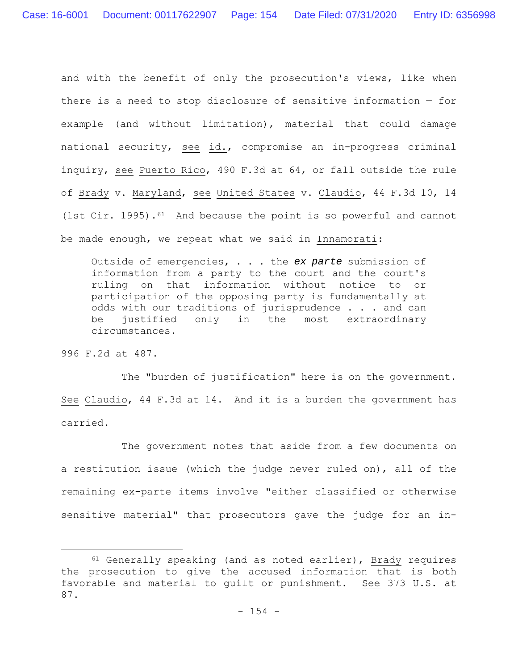and with the benefit of only the prosecution's views, like when there is a need to stop disclosure of sensitive information — for example (and without limitation), material that could damage national security, see id., compromise an in-progress criminal inquiry, see Puerto Rico, 490 F.3d at 64, or fall outside the rule of Brady v. Maryland, see United States v. Claudio, 44 F.3d 10, 14 (1st Cir. 1995).<sup>61</sup> And because the point is so powerful and cannot be made enough, we repeat what we said in Innamorati:

Outside of emergencies, . . . the *ex parte* submission of information from a party to the court and the court's ruling on that information without notice to or participation of the opposing party is fundamentally at odds with our traditions of jurisprudence . . . and can be justified only in the most extraordinary circumstances.

996 F.2d at 487.

The "burden of justification" here is on the government. See Claudio, 44 F.3d at 14. And it is a burden the government has carried.

The government notes that aside from a few documents on a restitution issue (which the judge never ruled on), all of the remaining ex-parte items involve "either classified or otherwise sensitive material" that prosecutors gave the judge for an in-

 $61$  Generally speaking (and as noted earlier), Brady requires the prosecution to give the accused information that is both favorable and material to guilt or punishment. See 373 U.S. at 87.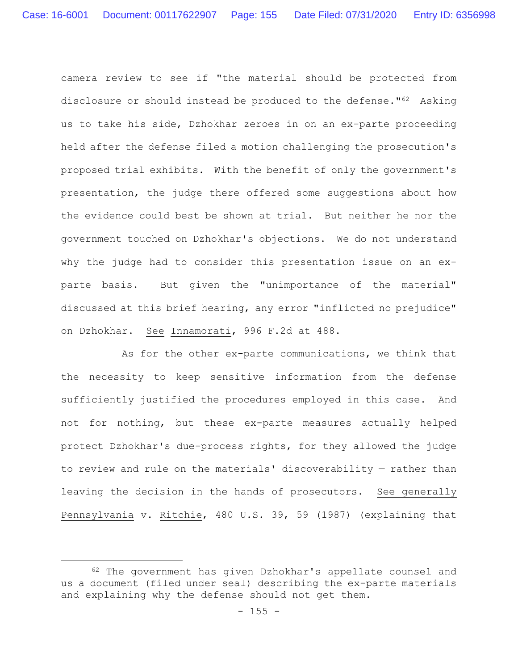camera review to see if "the material should be protected from disclosure or should instead be produced to the defense."62 Asking us to take his side, Dzhokhar zeroes in on an ex-parte proceeding held after the defense filed a motion challenging the prosecution's proposed trial exhibits. With the benefit of only the government's presentation, the judge there offered some suggestions about how the evidence could best be shown at trial. But neither he nor the government touched on Dzhokhar's objections. We do not understand why the judge had to consider this presentation issue on an exparte basis. But given the "unimportance of the material" discussed at this brief hearing, any error "inflicted no prejudice" on Dzhokhar. See Innamorati, 996 F.2d at 488.

As for the other ex-parte communications, we think that the necessity to keep sensitive information from the defense sufficiently justified the procedures employed in this case. And not for nothing, but these ex-parte measures actually helped protect Dzhokhar's due-process rights, for they allowed the judge to review and rule on the materials' discoverability — rather than leaving the decision in the hands of prosecutors. See generally Pennsylvania v. Ritchie, 480 U.S. 39, 59 (1987) (explaining that

<sup>62</sup> The government has given Dzhokhar's appellate counsel and us a document (filed under seal) describing the ex-parte materials and explaining why the defense should not get them.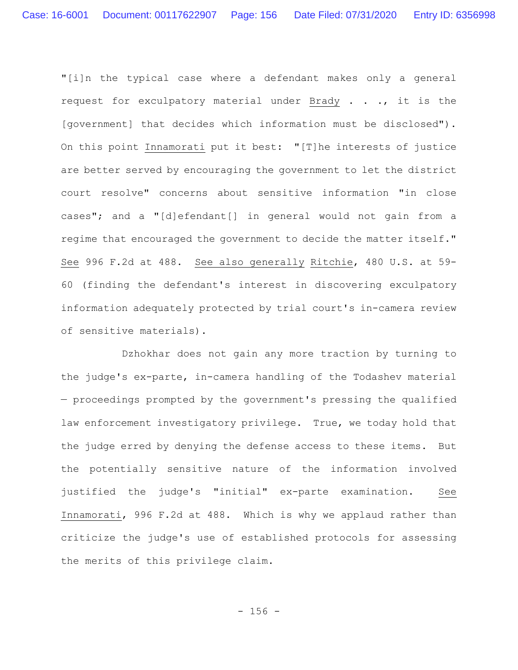"[i]n the typical case where a defendant makes only a general request for exculpatory material under Brady . . ., it is the [government] that decides which information must be disclosed"). On this point Innamorati put it best: "[T]he interests of justice are better served by encouraging the government to let the district court resolve" concerns about sensitive information "in close cases"; and a "[d]efendant[] in general would not gain from a regime that encouraged the government to decide the matter itself." See 996 F.2d at 488. See also generally Ritchie, 480 U.S. at 59- 60 (finding the defendant's interest in discovering exculpatory information adequately protected by trial court's in-camera review of sensitive materials).

Dzhokhar does not gain any more traction by turning to the judge's ex-parte, in-camera handling of the Todashev material — proceedings prompted by the government's pressing the qualified law enforcement investigatory privilege. True, we today hold that the judge erred by denying the defense access to these items. But the potentially sensitive nature of the information involved justified the judge's "initial" ex-parte examination. See Innamorati, 996 F.2d at 488. Which is why we applaud rather than criticize the judge's use of established protocols for assessing the merits of this privilege claim.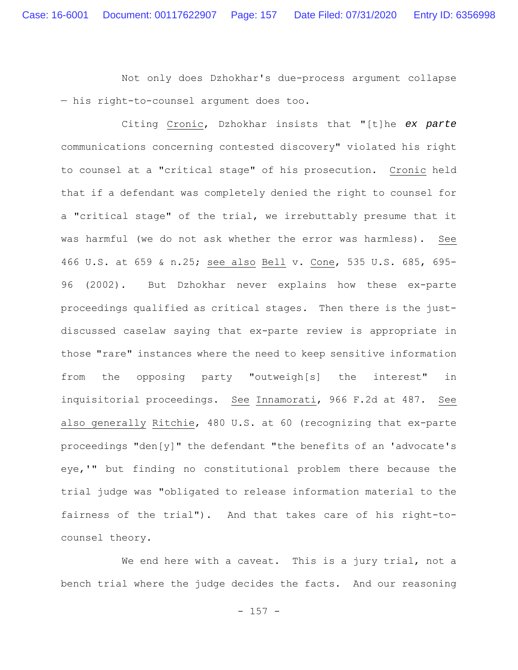Not only does Dzhokhar's due-process argument collapse — his right-to-counsel argument does too.

Citing Cronic, Dzhokhar insists that "[t]he *ex parte* communications concerning contested discovery" violated his right to counsel at a "critical stage" of his prosecution. Cronic held that if a defendant was completely denied the right to counsel for a "critical stage" of the trial, we irrebuttably presume that it was harmful (we do not ask whether the error was harmless). See 466 U.S. at 659 & n.25; see also Bell v. Cone, 535 U.S. 685, 695- 96 (2002). But Dzhokhar never explains how these ex-parte proceedings qualified as critical stages. Then there is the justdiscussed caselaw saying that ex-parte review is appropriate in those "rare" instances where the need to keep sensitive information from the opposing party "outweigh[s] the interest" in inquisitorial proceedings. See Innamorati, 966 F.2d at 487. See also generally Ritchie, 480 U.S. at 60 (recognizing that ex-parte proceedings "den[y]" the defendant "the benefits of an 'advocate's eye,'" but finding no constitutional problem there because the trial judge was "obligated to release information material to the fairness of the trial"). And that takes care of his right-tocounsel theory.

We end here with a caveat. This is a jury trial, not a bench trial where the judge decides the facts. And our reasoning

 $- 157 -$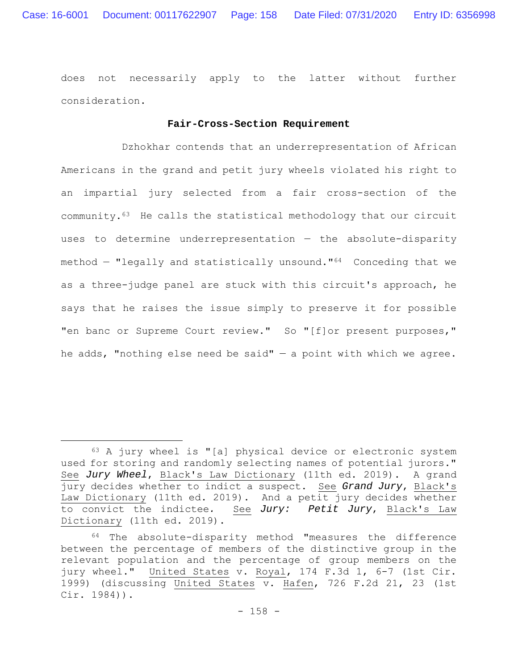does not necessarily apply to the latter without further consideration.

## **Fair-Cross-Section Requirement**

Dzhokhar contends that an underrepresentation of African Americans in the grand and petit jury wheels violated his right to an impartial jury selected from a fair cross-section of the community.63 He calls the statistical methodology that our circuit uses to determine underrepresentation — the absolute-disparity method — "legally and statistically unsound."64 Conceding that we as a three-judge panel are stuck with this circuit's approach, he says that he raises the issue simply to preserve it for possible "en banc or Supreme Court review." So "[f]or present purposes," he adds, "nothing else need be said"  $-$  a point with which we agree.

 $63$  A jury wheel is "[a] physical device or electronic system used for storing and randomly selecting names of potential jurors." See *Jury Wheel*, Black's Law Dictionary (11th ed. 2019). A grand jury decides whether to indict a suspect. See *Grand Jury*, Black's Law Dictionary (11th ed. 2019). And a petit jury decides whether to convict the indictee*.* See *Jury: Petit Jury*, Black's Law Dictionary (11th ed. 2019).

<sup>64</sup> The absolute-disparity method "measures the difference between the percentage of members of the distinctive group in the relevant population and the percentage of group members on the jury wheel." United States v. Royal, 174 F.3d 1, 6-7 (1st Cir. 1999) (discussing United States v. Hafen, 726 F.2d 21, 23 (1st Cir. 1984)).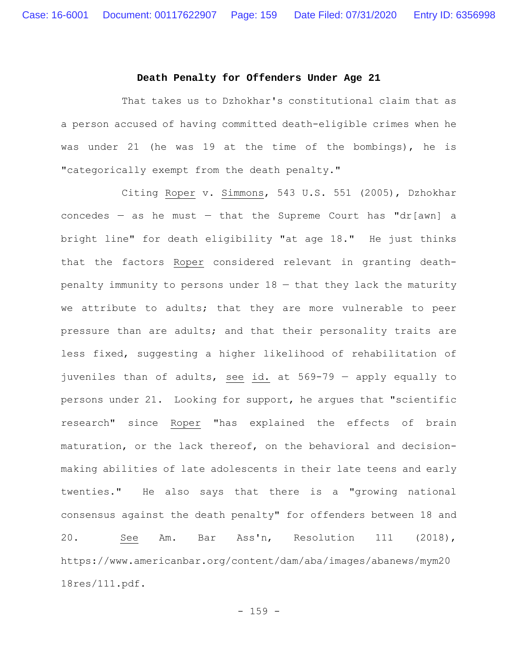#### **Death Penalty for Offenders Under Age 21**

That takes us to Dzhokhar's constitutional claim that as a person accused of having committed death-eligible crimes when he was under 21 (he was 19 at the time of the bombings), he is "categorically exempt from the death penalty."

Citing Roper v. Simmons, 543 U.S. 551 (2005), Dzhokhar concedes  $-$  as he must  $-$  that the Supreme Court has "dr[awn] a bright line" for death eligibility "at age 18." He just thinks that the factors Roper considered relevant in granting deathpenalty immunity to persons under 18 — that they lack the maturity we attribute to adults; that they are more vulnerable to peer pressure than are adults; and that their personality traits are less fixed, suggesting a higher likelihood of rehabilitation of juveniles than of adults, see id. at 569-79 — apply equally to persons under 21. Looking for support, he argues that "scientific research" since Roper "has explained the effects of brain maturation, or the lack thereof, on the behavioral and decisionmaking abilities of late adolescents in their late teens and early twenties." He also says that there is a "growing national consensus against the death penalty" for offenders between 18 and 20. See Am. Bar Ass'n, Resolution 111 (2018), https://www.americanbar.org/content/dam/aba/images/abanews/mym20 18res/111.pdf.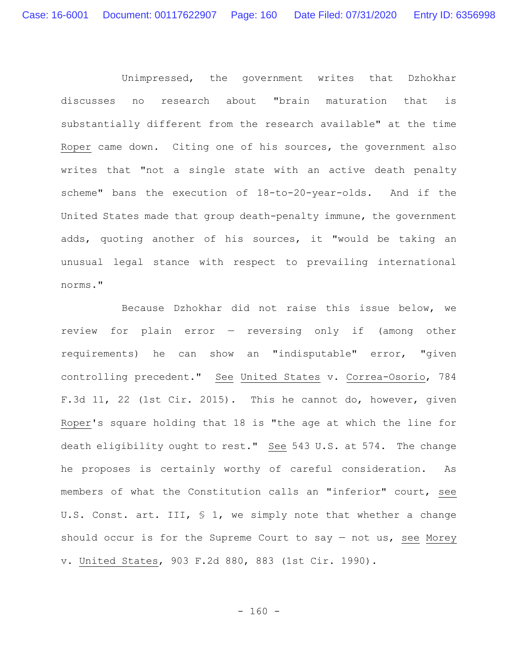Unimpressed, the government writes that Dzhokhar discusses no research about "brain maturation that is substantially different from the research available" at the time Roper came down. Citing one of his sources, the government also writes that "not a single state with an active death penalty scheme" bans the execution of 18-to-20-year-olds. And if the United States made that group death-penalty immune, the government adds, quoting another of his sources, it "would be taking an unusual legal stance with respect to prevailing international norms."

Because Dzhokhar did not raise this issue below, we review for plain error — reversing only if (among other requirements) he can show an "indisputable" error, "given controlling precedent." See United States v. Correa-Osorio, 784 F.3d 11, 22 (1st Cir. 2015). This he cannot do, however, given Roper's square holding that 18 is "the age at which the line for death eligibility ought to rest." See 543 U.S. at 574. The change he proposes is certainly worthy of careful consideration. As members of what the Constitution calls an "inferior" court, see U.S. Const. art. III, § 1, we simply note that whether a change should occur is for the Supreme Court to say  $-$  not us, see Morey v. United States, 903 F.2d 880, 883 (1st Cir. 1990).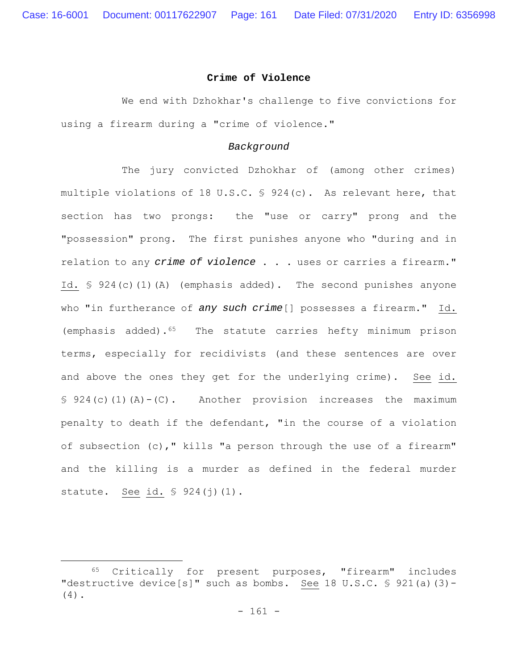#### **Crime of Violence**

We end with Dzhokhar's challenge to five convictions for using a firearm during a "crime of violence."

### *Background*

The jury convicted Dzhokhar of (among other crimes) multiple violations of 18 U.S.C. § 924(c). As relevant here, that section has two prongs: the "use or carry" prong and the "possession" prong. The first punishes anyone who "during and in relation to any *crime of violence* . . . uses or carries a firearm." Id. § 924(c)(1)(A) (emphasis added). The second punishes anyone who "in furtherance of *any such crime*[] possesses a firearm." Id. (emphasis added).65 The statute carries hefty minimum prison terms, especially for recidivists (and these sentences are over and above the ones they get for the underlying crime). See id.  $§ 924(c)(1)(A)-(C)$ . Another provision increases the maximum penalty to death if the defendant, "in the course of a violation of subsection (c)," kills "a person through the use of a firearm" and the killing is a murder as defined in the federal murder statute. See id. § 924(j)(1).

<sup>65</sup> Critically for present purposes, "firearm" includes "destructive device[s]" such as bombs. See 18 U.S.C.  $\frac{6}{5}$  921(a)(3)-(4).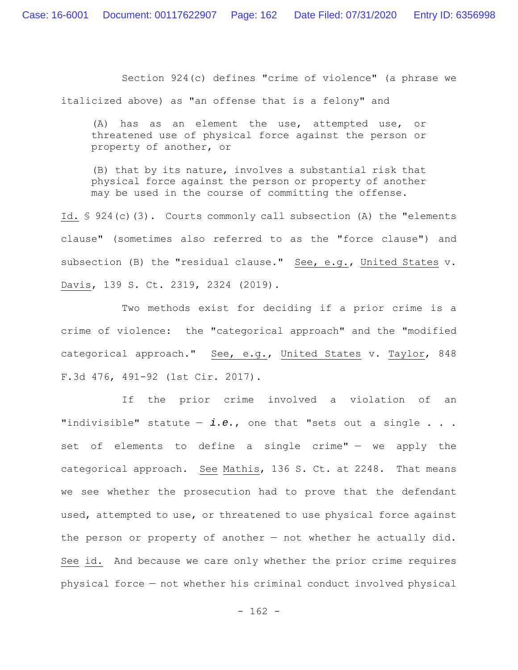Section 924(c) defines "crime of violence" (a phrase we

italicized above) as "an offense that is a felony" and

(A) has as an element the use, attempted use, or threatened use of physical force against the person or property of another, or

(B) that by its nature, involves a substantial risk that physical force against the person or property of another may be used in the course of committing the offense.

Id. § 924(c)(3). Courts commonly call subsection (A) the "elements clause" (sometimes also referred to as the "force clause") and subsection (B) the "residual clause." See, e.g., United States v. Davis, 139 S. Ct. 2319, 2324 (2019).

Two methods exist for deciding if a prior crime is a crime of violence: the "categorical approach" and the "modified categorical approach." See, e.g., United States v. Taylor, 848 F.3d 476, 491-92 (1st Cir. 2017).

If the prior crime involved a violation of an "indivisible" statute — *i.e.*, one that "sets out a single . . . set of elements to define a single crime" - we apply the categorical approach. See Mathis, 136 S. Ct. at 2248. That means we see whether the prosecution had to prove that the defendant used, attempted to use, or threatened to use physical force against the person or property of another — not whether he actually did. See id. And because we care only whether the prior crime requires physical force — not whether his criminal conduct involved physical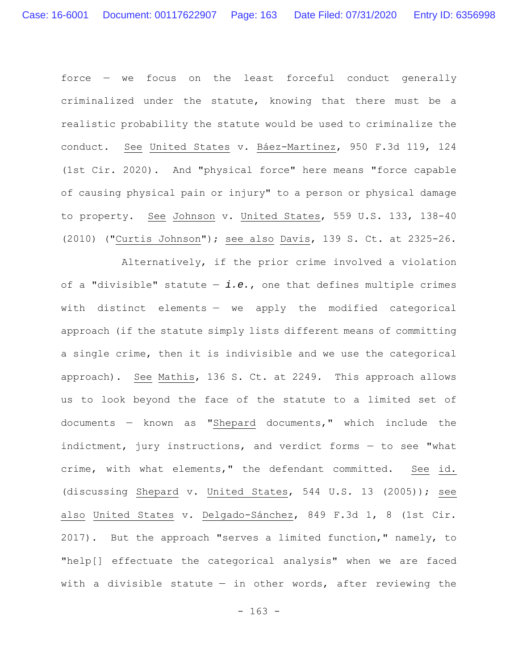force — we focus on the least forceful conduct generally criminalized under the statute, knowing that there must be a realistic probability the statute would be used to criminalize the conduct. See United States v. Báez-Martínez, 950 F.3d 119, 124 (1st Cir. 2020). And "physical force" here means "force capable of causing physical pain or injury" to a person or physical damage to property. See Johnson v. United States, 559 U.S. 133, 138-40 (2010) ("Curtis Johnson"); see also Davis, 139 S. Ct. at 2325-26.

Alternatively, if the prior crime involved a violation of a "divisible" statute — *i.e.*, one that defines multiple crimes with distinct elements — we apply the modified categorical approach (if the statute simply lists different means of committing a single crime, then it is indivisible and we use the categorical approach). See Mathis, 136 S. Ct. at 2249. This approach allows us to look beyond the face of the statute to a limited set of documents — known as "Shepard documents," which include the indictment, jury instructions, and verdict forms — to see "what crime, with what elements," the defendant committed. See id. (discussing Shepard v. United States, 544 U.S. 13 (2005)); see also United States v. Delgado-Sánchez, 849 F.3d 1, 8 (1st Cir. 2017). But the approach "serves a limited function," namely, to "help[] effectuate the categorical analysis" when we are faced with a divisible statute  $-$  in other words, after reviewing the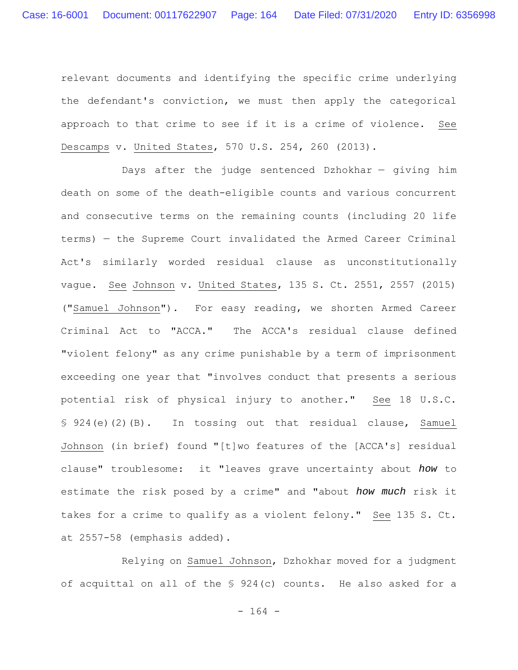relevant documents and identifying the specific crime underlying the defendant's conviction, we must then apply the categorical approach to that crime to see if it is a crime of violence. See Descamps v. United States, 570 U.S. 254, 260 (2013).

Days after the judge sentenced Dzhokhar — giving him death on some of the death-eligible counts and various concurrent and consecutive terms on the remaining counts (including 20 life terms) — the Supreme Court invalidated the Armed Career Criminal Act's similarly worded residual clause as unconstitutionally vague. See Johnson v. United States, 135 S. Ct. 2551, 2557 (2015) ("Samuel Johnson"). For easy reading, we shorten Armed Career Criminal Act to "ACCA." The ACCA's residual clause defined "violent felony" as any crime punishable by a term of imprisonment exceeding one year that "involves conduct that presents a serious potential risk of physical injury to another." See 18 U.S.C. § 924(e)(2)(B). In tossing out that residual clause, Samuel Johnson (in brief) found "[t]wo features of the [ACCA's] residual clause" troublesome: it "leaves grave uncertainty about *how* to estimate the risk posed by a crime" and "about *how much* risk it takes for a crime to qualify as a violent felony." See 135 S. Ct. at 2557-58 (emphasis added).

Relying on Samuel Johnson, Dzhokhar moved for a judgment of acquittal on all of the § 924(c) counts. He also asked for a

- 164 -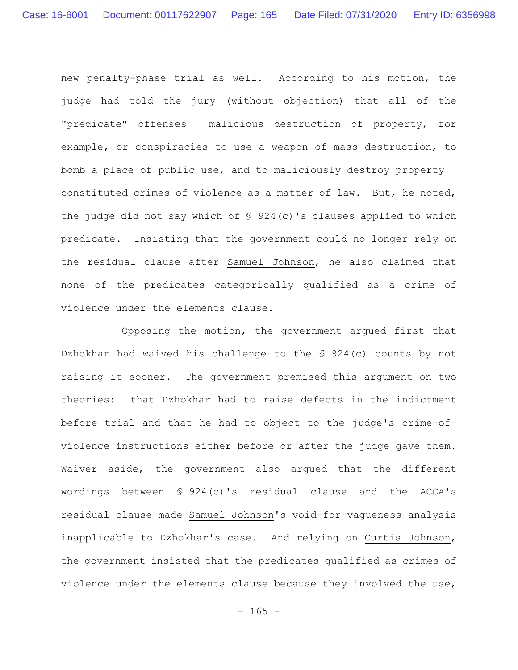new penalty-phase trial as well. According to his motion, the judge had told the jury (without objection) that all of the "predicate" offenses — malicious destruction of property, for example, or conspiracies to use a weapon of mass destruction, to bomb a place of public use, and to maliciously destroy property constituted crimes of violence as a matter of law. But, he noted, the judge did not say which of  $\frac{1}{5}$  924(c)'s clauses applied to which predicate. Insisting that the government could no longer rely on the residual clause after Samuel Johnson, he also claimed that none of the predicates categorically qualified as a crime of violence under the elements clause.

Opposing the motion, the government argued first that Dzhokhar had waived his challenge to the § 924(c) counts by not raising it sooner. The government premised this argument on two theories: that Dzhokhar had to raise defects in the indictment before trial and that he had to object to the judge's crime-ofviolence instructions either before or after the judge gave them. Waiver aside, the government also argued that the different wordings between § 924(c)'s residual clause and the ACCA's residual clause made Samuel Johnson's void-for-vagueness analysis inapplicable to Dzhokhar's case. And relying on Curtis Johnson, the government insisted that the predicates qualified as crimes of violence under the elements clause because they involved the use,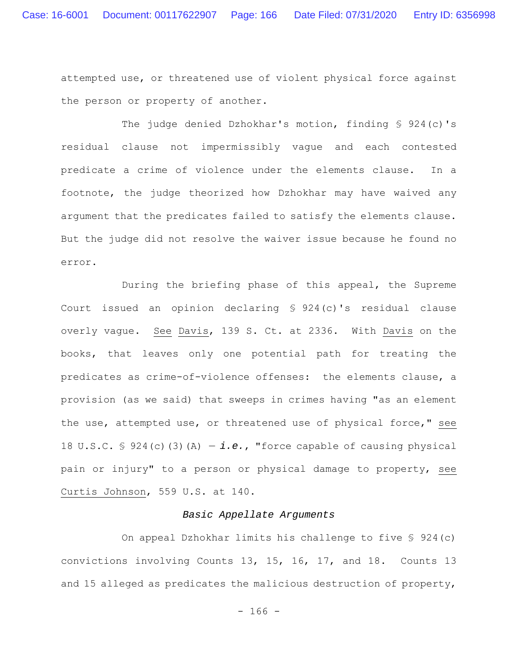attempted use, or threatened use of violent physical force against the person or property of another.

The judge denied Dzhokhar's motion, finding § 924(c)'s residual clause not impermissibly vague and each contested predicate a crime of violence under the elements clause. In a footnote, the judge theorized how Dzhokhar may have waived any argument that the predicates failed to satisfy the elements clause. But the judge did not resolve the waiver issue because he found no error.

During the briefing phase of this appeal, the Supreme Court issued an opinion declaring § 924(c)'s residual clause overly vague. See Davis, 139 S. Ct. at 2336. With Davis on the books, that leaves only one potential path for treating the predicates as crime-of-violence offenses: the elements clause, a provision (as we said) that sweeps in crimes having "as an element the use, attempted use, or threatened use of physical force," see 18 U.S.C.  $\frac{1}{2}$  924(c)(3)(A) - *i.e.*, "force capable of causing physical pain or injury" to a person or physical damage to property, see Curtis Johnson, 559 U.S. at 140.

## *Basic Appellate Arguments*

On appeal Dzhokhar limits his challenge to five § 924(c) convictions involving Counts 13, 15, 16, 17, and 18. Counts 13 and 15 alleged as predicates the malicious destruction of property,

 $- 166 -$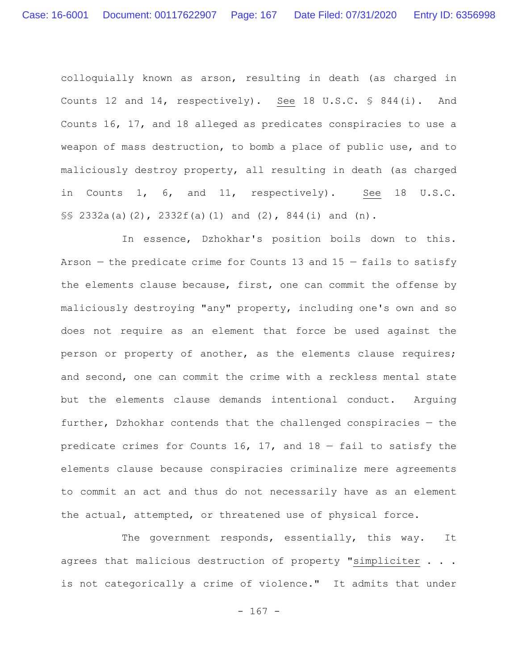colloquially known as arson, resulting in death (as charged in Counts 12 and 14, respectively). See 18 U.S.C. § 844(i). And Counts 16, 17, and 18 alleged as predicates conspiracies to use a weapon of mass destruction, to bomb a place of public use, and to maliciously destroy property, all resulting in death (as charged in Counts 1, 6, and 11, respectively). See 18 U.S.C. §§ 2332a(a)(2), 2332f(a)(1) and (2), 844(i) and (n).

In essence, Dzhokhar's position boils down to this. Arson  $-$  the predicate crime for Counts 13 and 15  $-$  fails to satisfy the elements clause because, first, one can commit the offense by maliciously destroying "any" property, including one's own and so does not require as an element that force be used against the person or property of another, as the elements clause requires; and second, one can commit the crime with a reckless mental state but the elements clause demands intentional conduct. Arguing further, Dzhokhar contends that the challenged conspiracies — the predicate crimes for Counts 16, 17, and  $18$  - fail to satisfy the elements clause because conspiracies criminalize mere agreements to commit an act and thus do not necessarily have as an element the actual, attempted, or threatened use of physical force.

The government responds, essentially, this way. It agrees that malicious destruction of property "simpliciter . . . is not categorically a crime of violence." It admits that under

 $- 167 -$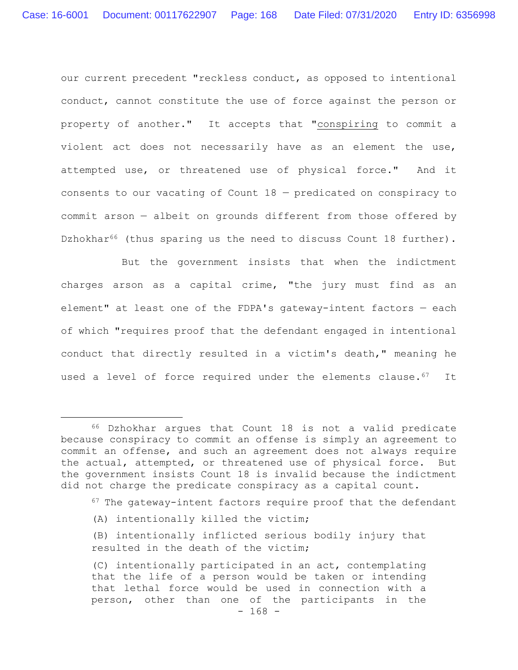our current precedent "reckless conduct, as opposed to intentional conduct, cannot constitute the use of force against the person or property of another." It accepts that "conspiring to commit a violent act does not necessarily have as an element the use, attempted use, or threatened use of physical force." And it consents to our vacating of Count 18 — predicated on conspiracy to commit arson — albeit on grounds different from those offered by Dzhokhar<sup>66</sup> (thus sparing us the need to discuss Count 18 further).

But the government insists that when the indictment charges arson as a capital crime, "the jury must find as an element" at least one of the FDPA's gateway-intent factors — each of which "requires proof that the defendant engaged in intentional conduct that directly resulted in a victim's death," meaning he used a level of force required under the elements clause.<sup>67</sup> It

- $67$  The gateway-intent factors require proof that the defendant
- (A) intentionally killed the victim;
- (B) intentionally inflicted serious bodily injury that resulted in the death of the victim;

<sup>66</sup> Dzhokhar argues that Count 18 is not a valid predicate because conspiracy to commit an offense is simply an agreement to commit an offense, and such an agreement does not always require the actual, attempted, or threatened use of physical force. But the government insists Count 18 is invalid because the indictment did not charge the predicate conspiracy as a capital count.

 $- 168 -$ (C) intentionally participated in an act, contemplating that the life of a person would be taken or intending that lethal force would be used in connection with a person, other than one of the participants in the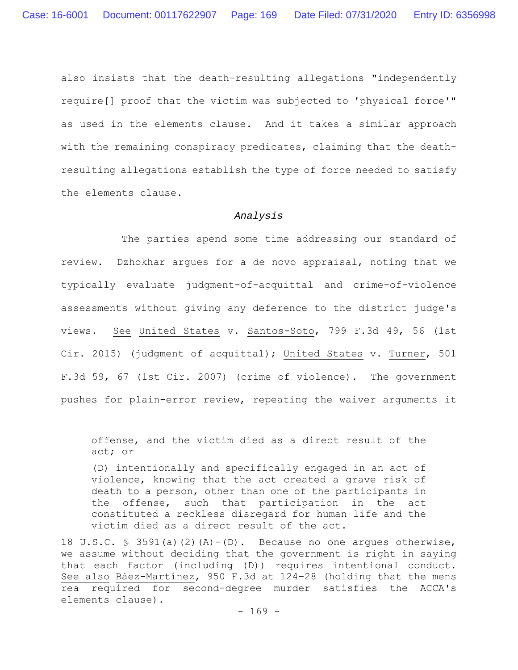also insists that the death-resulting allegations "independently require[] proof that the victim was subjected to 'physical force'" as used in the elements clause. And it takes a similar approach with the remaining conspiracy predicates, claiming that the deathresulting allegations establish the type of force needed to satisfy the elements clause.

# *Analysis*

The parties spend some time addressing our standard of review. Dzhokhar argues for a de novo appraisal, noting that we typically evaluate judgment-of-acquittal and crime-of-violence assessments without giving any deference to the district judge's views. See United States v. Santos-Soto, 799 F.3d 49, 56 (1st Cir. 2015) (judgment of acquittal); United States v. Turner, 501 F.3d 59, 67 (1st Cir. 2007) (crime of violence). The government pushes for plain-error review, repeating the waiver arguments it

offense, and the victim died as a direct result of the act; or

<sup>(</sup>D) intentionally and specifically engaged in an act of violence, knowing that the act created a grave risk of death to a person, other than one of the participants in the offense, such that participation in the act constituted a reckless disregard for human life and the victim died as a direct result of the act.

<sup>18</sup> U.S.C.  $\frac{1}{2}$  3591(a)(2)(A)-(D). Because no one arques otherwise, we assume without deciding that the government is right in saying that each factor (including (D)) requires intentional conduct. See also Báez-Martínez, 950 F.3d at 124–28 (holding that the mens rea required for second-degree murder satisfies the ACCA's elements clause).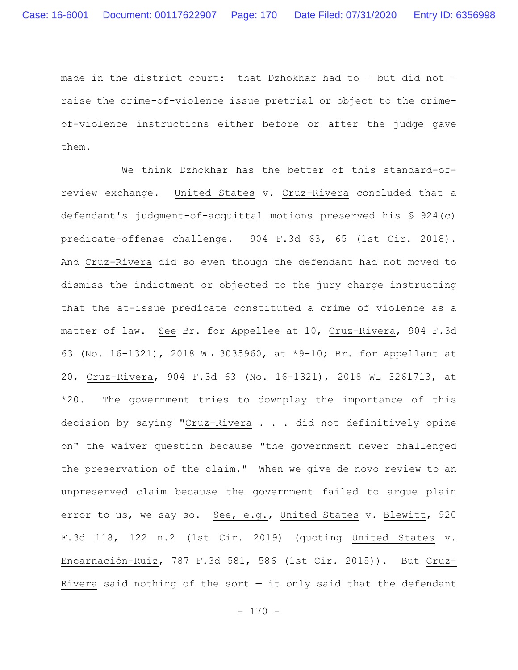made in the district court: that Dzhokhar had to — but did not raise the crime-of-violence issue pretrial or object to the crimeof-violence instructions either before or after the judge gave them.

We think Dzhokhar has the better of this standard-ofreview exchange. United States v. Cruz-Rivera concluded that a defendant's judgment-of-acquittal motions preserved his § 924(c) predicate-offense challenge. 904 F.3d 63, 65 (1st Cir. 2018). And Cruz-Rivera did so even though the defendant had not moved to dismiss the indictment or objected to the jury charge instructing that the at-issue predicate constituted a crime of violence as a matter of law. See Br. for Appellee at 10, Cruz-Rivera, 904 F.3d 63 (No. 16-1321), 2018 WL 3035960, at \*9-10; Br. for Appellant at 20, Cruz-Rivera, 904 F.3d 63 (No. 16-1321), 2018 WL 3261713, at \*20. The government tries to downplay the importance of this decision by saying "Cruz-Rivera . . . did not definitively opine on" the waiver question because "the government never challenged the preservation of the claim." When we give de novo review to an unpreserved claim because the government failed to argue plain error to us, we say so. See, e.g., United States v. Blewitt, 920 F.3d 118, 122 n.2 (1st Cir. 2019) (quoting United States v. Encarnación-Ruiz, 787 F.3d 581, 586 (1st Cir. 2015)). But Cruz-Rivera said nothing of the sort  $-$  it only said that the defendant

 $- 170 -$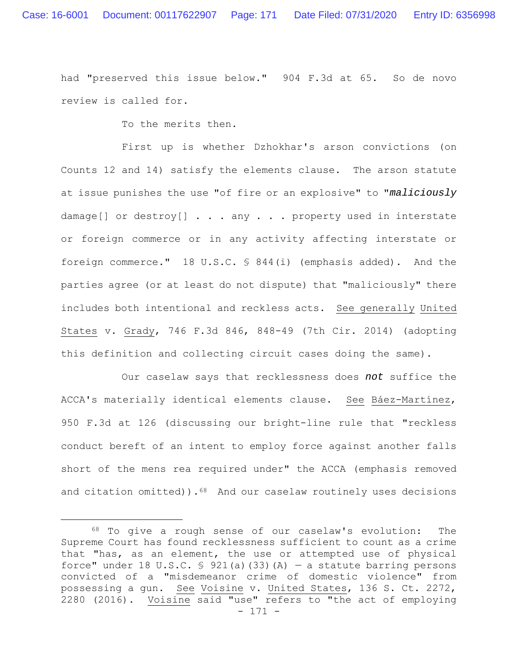had "preserved this issue below." 904 F.3d at 65. So de novo review is called for.

To the merits then.

First up is whether Dzhokhar's arson convictions (on Counts 12 and 14) satisfy the elements clause. The arson statute at issue punishes the use "of fire or an explosive" to "*maliciously* damage[] or destroy[] . . . any . . . property used in interstate or foreign commerce or in any activity affecting interstate or foreign commerce." 18 U.S.C. § 844(i) (emphasis added). And the parties agree (or at least do not dispute) that "maliciously" there includes both intentional and reckless acts. See generally United States v. Grady, 746 F.3d 846, 848-49 (7th Cir. 2014) (adopting this definition and collecting circuit cases doing the same).

Our caselaw says that recklessness does *not* suffice the ACCA's materially identical elements clause. See Báez-Martínez, 950 F.3d at 126 (discussing our bright-line rule that "reckless conduct bereft of an intent to employ force against another falls short of the mens rea required under" the ACCA (emphasis removed and citation omitted)). $68$  And our caselaw routinely uses decisions

<sup>- 171 -</sup> 68 To give a rough sense of our caselaw's evolution: The Supreme Court has found recklessness sufficient to count as a crime that "has, as an element, the use or attempted use of physical force" under 18 U.S.C. § 921(a)(33)(A) – a statute barring persons convicted of a "misdemeanor crime of domestic violence" from possessing a gun. See Voisine v. United States, 136 S. Ct. 2272, 2280 (2016). Voisine said "use" refers to "the act of employing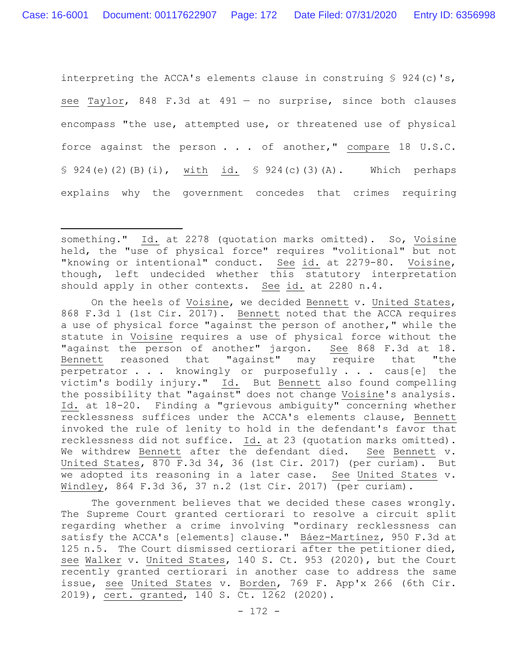interpreting the ACCA's elements clause in construing  $\frac{1}{5}$  924(c)'s, see Taylor, 848 F.3d at 491 — no surprise, since both clauses encompass "the use, attempted use, or threatened use of physical force against the person . . . of another," compare 18 U.S.C. § 924(e)(2)(B)(i), with id. § 924(c)(3)(A). Which perhaps explains why the government concedes that crimes requiring

On the heels of Voisine, we decided Bennett v. United States, 868 F.3d 1 (1st Cir. 2017). Bennett noted that the ACCA requires a use of physical force "against the person of another," while the statute in Voisine requires a use of physical force without the "against the person of another" jargon. See 868 F.3d at 18. Bennett reasoned that "against" may require that "the perpetrator . . . knowingly or purposefully . . . caus[e] the victim's bodily injury." Id. But Bennett also found compelling the possibility that "against" does not change Voisine's analysis. Id. at 18-20. Finding a "grievous ambiguity" concerning whether recklessness suffices under the ACCA's elements clause, Bennett invoked the rule of lenity to hold in the defendant's favor that recklessness did not suffice. Id. at 23 (quotation marks omitted). We withdrew Bennett after the defendant died. See Bennett v. United States, 870 F.3d 34, 36 (1st Cir. 2017) (per curiam). But we adopted its reasoning in a later case. See United States v. Windley, 864 F.3d 36, 37 n.2 (1st Cir. 2017) (per curiam).

The government believes that we decided these cases wrongly. The Supreme Court granted certiorari to resolve a circuit split regarding whether a crime involving "ordinary recklessness can satisfy the ACCA's [elements] clause." Báez-Martínez, 950 F.3d at 125 n.5. The Court dismissed certiorari after the petitioner died, see Walker v. United States, 140 S. Ct. 953 (2020), but the Court recently granted certiorari in another case to address the same issue, see United States v. Borden, 769 F. App'x 266 (6th Cir. 2019), cert. granted, 140 S. Ct. 1262 (2020).

something." Id. at 2278 (quotation marks omitted). So, Voisine held, the "use of physical force" requires "volitional" but not "knowing or intentional" conduct. See id. at 2279-80. Voisine, though, left undecided whether this statutory interpretation should apply in other contexts. See id. at 2280 n.4.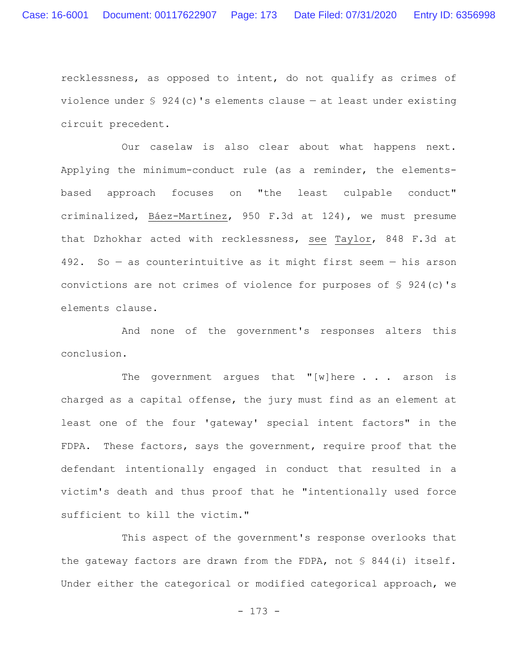recklessness, as opposed to intent, do not qualify as crimes of violence under  $\frac{1}{2}$  924(c)'s elements clause – at least under existing circuit precedent.

Our caselaw is also clear about what happens next. Applying the minimum-conduct rule (as a reminder, the elementsbased approach focuses on "the least culpable conduct" criminalized, Báez-Martínez, 950 F.3d at 124), we must presume that Dzhokhar acted with recklessness, see Taylor, 848 F.3d at 492. So — as counterintuitive as it might first seem — his arson convictions are not crimes of violence for purposes of § 924(c)'s elements clause.

And none of the government's responses alters this conclusion.

The government argues that "[w] here  $\ldots$  arson is charged as a capital offense, the jury must find as an element at least one of the four 'gateway' special intent factors" in the FDPA. These factors, says the government, require proof that the defendant intentionally engaged in conduct that resulted in a victim's death and thus proof that he "intentionally used force sufficient to kill the victim."

This aspect of the government's response overlooks that the gateway factors are drawn from the FDPA, not § 844(i) itself. Under either the categorical or modified categorical approach, we

- 173 -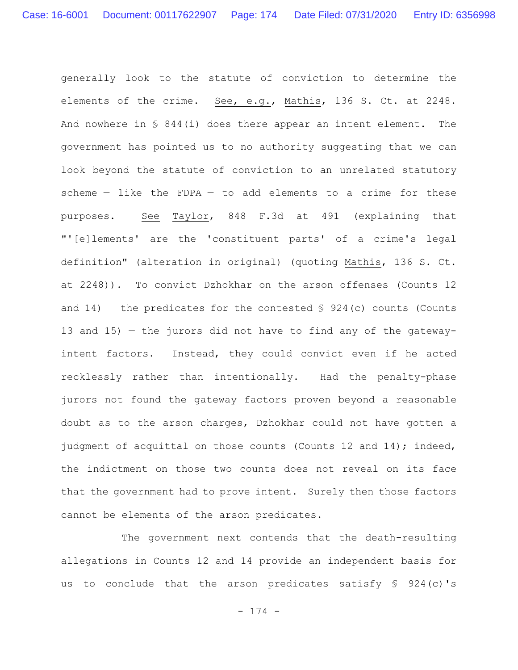generally look to the statute of conviction to determine the elements of the crime. See, e.g., Mathis, 136 S. Ct. at 2248. And nowhere in § 844(i) does there appear an intent element. The government has pointed us to no authority suggesting that we can look beyond the statute of conviction to an unrelated statutory scheme  $-$  like the FDPA  $-$  to add elements to a crime for these purposes. See Taylor, 848 F.3d at 491 (explaining that "'[e]lements' are the 'constituent parts' of a crime's legal definition" (alteration in original) (quoting Mathis, 136 S. Ct. at 2248)). To convict Dzhokhar on the arson offenses (Counts 12 and 14) – the predicates for the contested  $\S$  924(c) counts (Counts 13 and 15) — the jurors did not have to find any of the gatewayintent factors. Instead, they could convict even if he acted recklessly rather than intentionally. Had the penalty-phase jurors not found the gateway factors proven beyond a reasonable doubt as to the arson charges, Dzhokhar could not have gotten a judgment of acquittal on those counts (Counts 12 and 14); indeed, the indictment on those two counts does not reveal on its face that the government had to prove intent. Surely then those factors cannot be elements of the arson predicates.

The government next contends that the death-resulting allegations in Counts 12 and 14 provide an independent basis for us to conclude that the arson predicates satisfy § 924(c)'s

- 174 -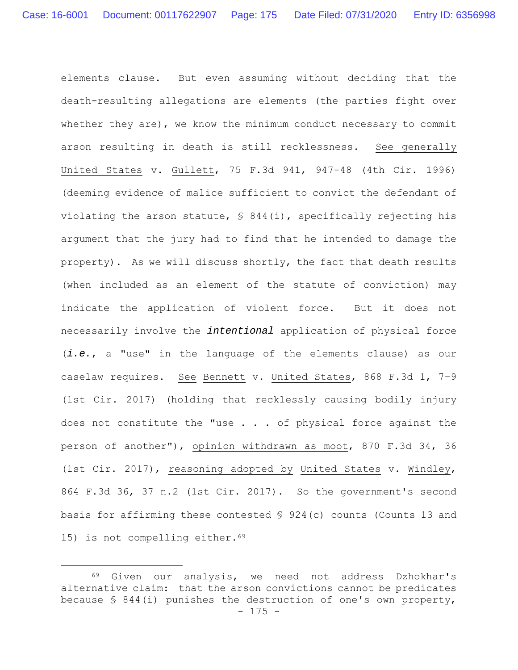elements clause. But even assuming without deciding that the death-resulting allegations are elements (the parties fight over whether they are), we know the minimum conduct necessary to commit arson resulting in death is still recklessness. See generally United States v. Gullett, 75 F.3d 941, 947-48 (4th Cir. 1996) (deeming evidence of malice sufficient to convict the defendant of violating the arson statute, § 844(i), specifically rejecting his argument that the jury had to find that he intended to damage the property). As we will discuss shortly, the fact that death results (when included as an element of the statute of conviction) may indicate the application of violent force. But it does not necessarily involve the *intentional* application of physical force (*i.e.*, a "use" in the language of the elements clause) as our caselaw requires. See Bennett v. United States, 868 F.3d 1, 7–9 (1st Cir. 2017) (holding that recklessly causing bodily injury does not constitute the "use  $\ldots$  of physical force against the person of another"), opinion withdrawn as moot, 870 F.3d 34, 36 (1st Cir. 2017), reasoning adopted by United States v. Windley, 864 F.3d 36, 37 n.2 (1st Cir. 2017). So the government's second basis for affirming these contested § 924(c) counts (Counts 13 and 15) is not compelling either.<sup>69</sup>

<sup>- 175 -</sup> 69 Given our analysis, we need not address Dzhokhar's alternative claim: that the arson convictions cannot be predicates because § 844(i) punishes the destruction of one's own property,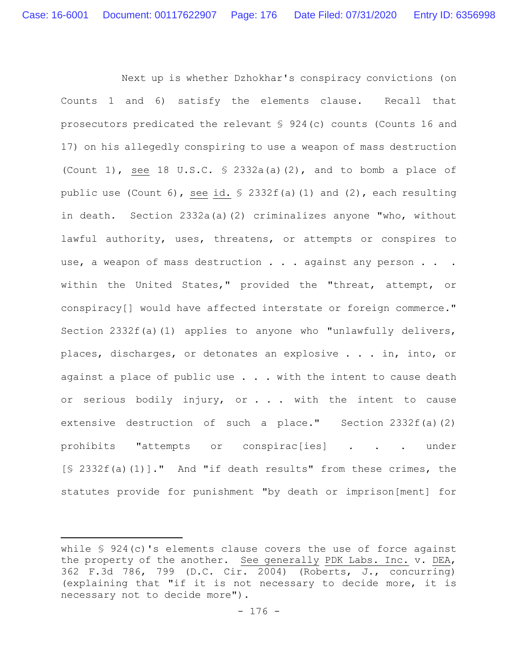Next up is whether Dzhokhar's conspiracy convictions (on Counts 1 and 6) satisfy the elements clause. Recall that prosecutors predicated the relevant § 924(c) counts (Counts 16 and 17) on his allegedly conspiring to use a weapon of mass destruction (Count 1), see 18 U.S.C.  $\frac{1}{2}$  2332a(a)(2), and to bomb a place of public use (Count 6), see id.  $\frac{1}{2}$  2332f(a)(1) and (2), each resulting in death. Section 2332a(a)(2) criminalizes anyone "who, without lawful authority, uses, threatens, or attempts or conspires to use, a weapon of mass destruction . . . against any person . . . within the United States," provided the "threat, attempt, or conspiracy[] would have affected interstate or foreign commerce." Section 2332f(a)(1) applies to anyone who "unlawfully delivers, places, discharges, or detonates an explosive . . . in, into, or against a place of public use  $\ldots$  with the intent to cause death or serious bodily injury, or . . . with the intent to cause extensive destruction of such a place." Section 2332 $f(a)(2)$ prohibits "attempts or conspirac[ies] . . . under [§ 2332f(a)(1)]." And "if death results" from these crimes, the statutes provide for punishment "by death or imprison[ment] for

while § 924(c)'s elements clause covers the use of force against the property of the another. See generally PDK Labs. Inc. v. DEA, 362 F.3d 786, 799 (D.C. Cir. 2004) (Roberts, J., concurring) (explaining that "if it is not necessary to decide more, it is necessary not to decide more").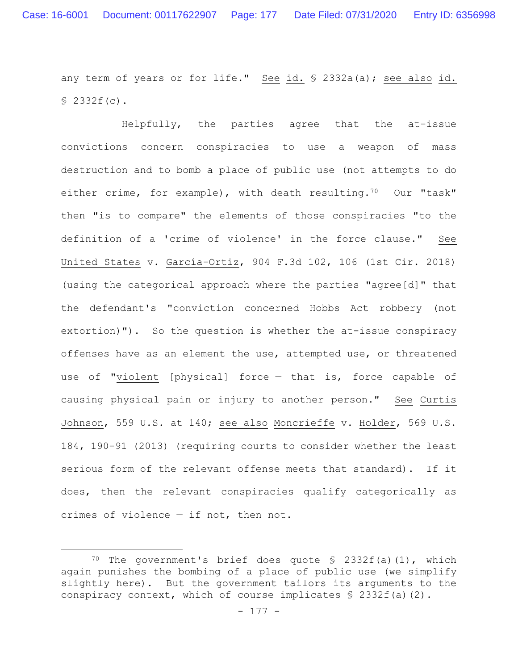any term of years or for life." See id. § 2332a(a); see also id. § 2332f(c).

Helpfully, the parties agree that the at-issue convictions concern conspiracies to use a weapon of mass destruction and to bomb a place of public use (not attempts to do either crime, for example), with death resulting.<sup>70</sup> Our "task" then "is to compare" the elements of those conspiracies "to the definition of a 'crime of violence' in the force clause." See United States v. García-Ortiz, 904 F.3d 102, 106 (1st Cir. 2018) (using the categorical approach where the parties "agree[d]" that the defendant's "conviction concerned Hobbs Act robbery (not extortion)"). So the question is whether the at-issue conspiracy offenses have as an element the use, attempted use, or threatened use of "violent [physical] force — that is, force capable of causing physical pain or injury to another person." See Curtis Johnson, 559 U.S. at 140; see also Moncrieffe v. Holder, 569 U.S. 184, 190-91 (2013) (requiring courts to consider whether the least serious form of the relevant offense meets that standard). If it does, then the relevant conspiracies qualify categorically as crimes of violence — if not, then not.

<sup>&</sup>lt;sup>70</sup> The government's brief does quote  $$ 2332f(a)(1)$ , which again punishes the bombing of a place of public use (we simplify slightly here). But the government tailors its arguments to the conspiracy context, which of course implicates  $\frac{1}{2}$  2332f(a)(2).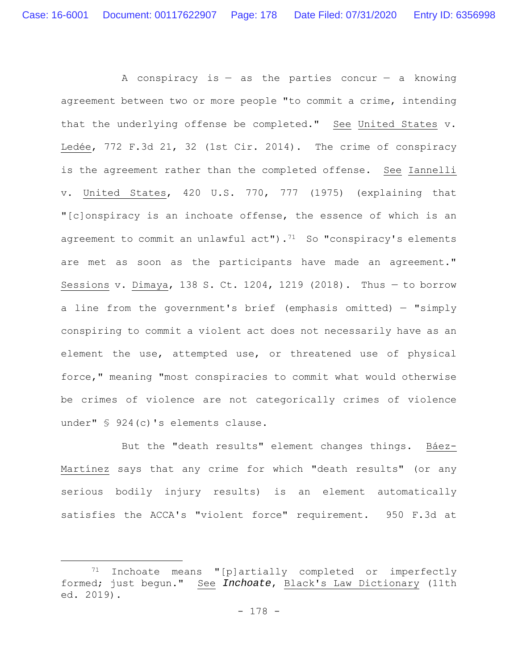A conspiracy is  $-$  as the parties concur  $-$  a knowing agreement between two or more people "to commit a crime, intending that the underlying offense be completed." See United States v. Ledée, 772 F.3d 21, 32 (1st Cir. 2014). The crime of conspiracy is the agreement rather than the completed offense. See Iannelli v. United States, 420 U.S. 770, 777 (1975) (explaining that "[c]onspiracy is an inchoate offense, the essence of which is an agreement to commit an unlawful  $act"$ ).<sup>71</sup> So "conspiracy's elements are met as soon as the participants have made an agreement." Sessions v. Dimaya, 138 S. Ct. 1204, 1219 (2018). Thus — to borrow a line from the government's brief (emphasis omitted)  $-$  "simply conspiring to commit a violent act does not necessarily have as an element the use, attempted use, or threatened use of physical force," meaning "most conspiracies to commit what would otherwise be crimes of violence are not categorically crimes of violence under" § 924(c)'s elements clause.

But the "death results" element changes things. Báez-Martínez says that any crime for which "death results" (or any serious bodily injury results) is an element automatically satisfies the ACCA's "violent force" requirement. 950 F.3d at

<sup>71</sup> Inchoate means "[p]artially completed or imperfectly formed; just begun." See *Inchoate*, Black's Law Dictionary (11th ed. 2019).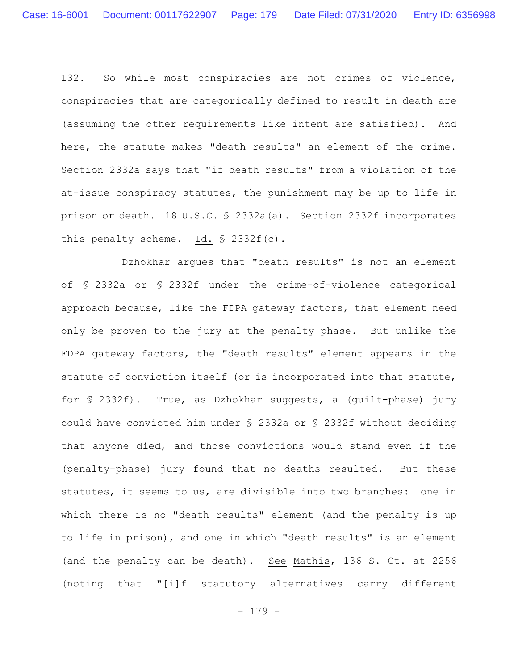132. So while most conspiracies are not crimes of violence, conspiracies that are categorically defined to result in death are (assuming the other requirements like intent are satisfied). And here, the statute makes "death results" an element of the crime. Section 2332a says that "if death results" from a violation of the at-issue conspiracy statutes, the punishment may be up to life in prison or death. 18 U.S.C. § 2332a(a). Section 2332f incorporates this penalty scheme. Id. § 2332f(c).

Dzhokhar argues that "death results" is not an element of § 2332a or § 2332f under the crime-of-violence categorical approach because, like the FDPA gateway factors, that element need only be proven to the jury at the penalty phase. But unlike the FDPA gateway factors, the "death results" element appears in the statute of conviction itself (or is incorporated into that statute, for § 2332f). True, as Dzhokhar suggests, a (guilt-phase) jury could have convicted him under § 2332a or § 2332f without deciding that anyone died, and those convictions would stand even if the (penalty-phase) jury found that no deaths resulted. But these statutes, it seems to us, are divisible into two branches: one in which there is no "death results" element (and the penalty is up to life in prison), and one in which "death results" is an element (and the penalty can be death). See Mathis, 136 S. Ct. at 2256 (noting that "[i]f statutory alternatives carry different

- 179 -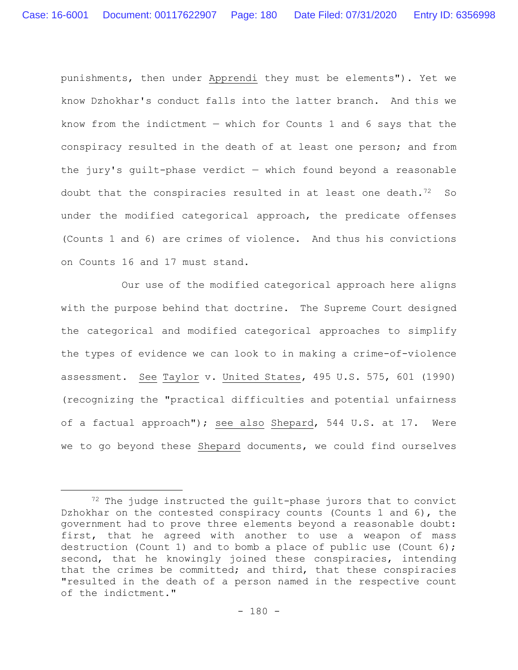punishments, then under Apprendi they must be elements"). Yet we know Dzhokhar's conduct falls into the latter branch. And this we know from the indictment  $-$  which for Counts 1 and 6 says that the conspiracy resulted in the death of at least one person; and from the jury's guilt-phase verdict — which found beyond a reasonable doubt that the conspiracies resulted in at least one death.<sup>72</sup> So under the modified categorical approach, the predicate offenses (Counts 1 and 6) are crimes of violence. And thus his convictions on Counts 16 and 17 must stand.

Our use of the modified categorical approach here aligns with the purpose behind that doctrine. The Supreme Court designed the categorical and modified categorical approaches to simplify the types of evidence we can look to in making a crime-of-violence assessment. See Taylor v. United States, 495 U.S. 575, 601 (1990) (recognizing the "practical difficulties and potential unfairness of a factual approach"); see also Shepard, 544 U.S. at 17. Were we to go beyond these Shepard documents, we could find ourselves

 $72$  The judge instructed the quilt-phase jurors that to convict Dzhokhar on the contested conspiracy counts (Counts 1 and 6), the government had to prove three elements beyond a reasonable doubt: first, that he agreed with another to use a weapon of mass destruction (Count 1) and to bomb a place of public use (Count 6); second, that he knowingly joined these conspiracies, intending that the crimes be committed; and third, that these conspiracies "resulted in the death of a person named in the respective count of the indictment."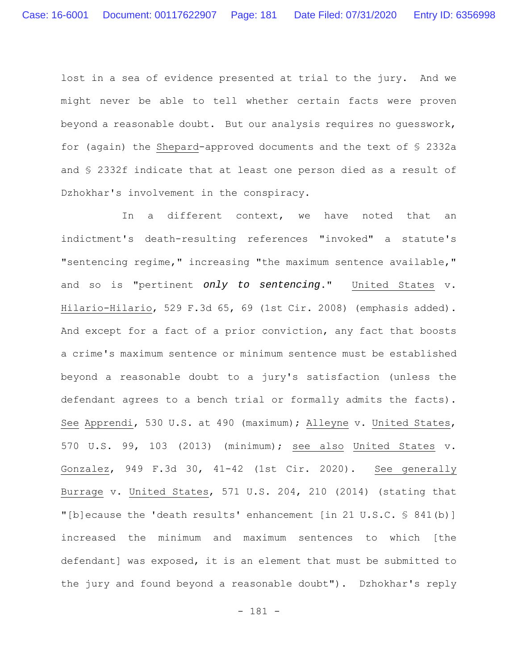lost in a sea of evidence presented at trial to the jury. And we might never be able to tell whether certain facts were proven beyond a reasonable doubt. But our analysis requires no guesswork, for (again) the Shepard-approved documents and the text of § 2332a and § 2332f indicate that at least one person died as a result of Dzhokhar's involvement in the conspiracy.

In a different context, we have noted that an indictment's death-resulting references "invoked" a statute's "sentencing regime," increasing "the maximum sentence available," and so is "pertinent *only to sentencing*." United States v. Hilario-Hilario, 529 F.3d 65, 69 (1st Cir. 2008) (emphasis added). And except for a fact of a prior conviction, any fact that boosts a crime's maximum sentence or minimum sentence must be established beyond a reasonable doubt to a jury's satisfaction (unless the defendant agrees to a bench trial or formally admits the facts). See Apprendi, 530 U.S. at 490 (maximum); Alleyne v. United States, 570 U.S. 99, 103 (2013) (minimum); see also United States v. Gonzalez, 949 F.3d 30, 41-42 (1st Cir. 2020). See generally Burrage v. United States, 571 U.S. 204, 210 (2014) (stating that "[b]ecause the 'death results' enhancement [in 21 U.S.C. § 841(b)] increased the minimum and maximum sentences to which [the defendant] was exposed, it is an element that must be submitted to the jury and found beyond a reasonable doubt"). Dzhokhar's reply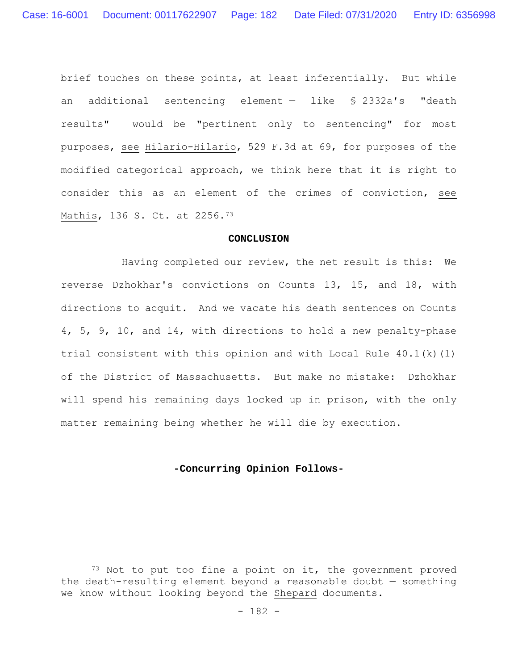brief touches on these points, at least inferentially. But while an additional sentencing element — like § 2332a's "death results" — would be "pertinent only to sentencing" for most purposes, see Hilario-Hilario, 529 F.3d at 69, for purposes of the modified categorical approach, we think here that it is right to consider this as an element of the crimes of conviction, see Mathis, 136 S. Ct. at 2256.73

#### **CONCLUSION**

Having completed our review, the net result is this: We reverse Dzhokhar's convictions on Counts 13, 15, and 18, with directions to acquit. And we vacate his death sentences on Counts 4, 5, 9, 10, and 14, with directions to hold a new penalty-phase trial consistent with this opinion and with Local Rule 40.1(k)(1) of the District of Massachusetts. But make no mistake: Dzhokhar will spend his remaining days locked up in prison, with the only matter remaining being whether he will die by execution.

#### **-Concurring Opinion Follows-**

 $73$  Not to put too fine a point on it, the government proved the death-resulting element beyond a reasonable doubt — something we know without looking beyond the Shepard documents.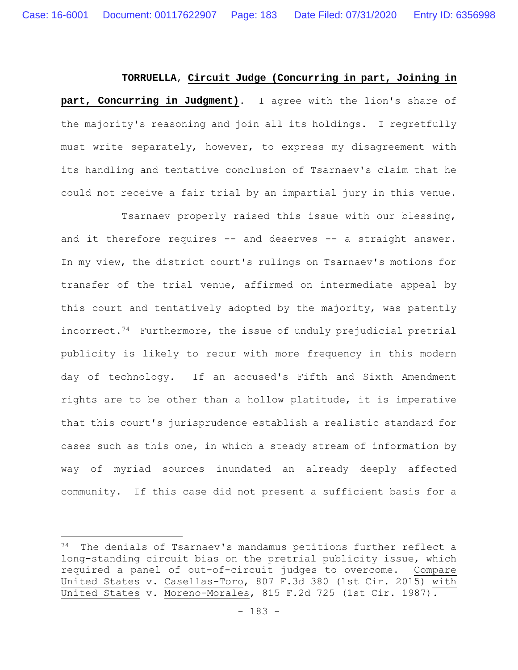#### **TORRUELLA**, **Circuit Judge (Concurring in part, Joining in**

**part, Concurring in Judgment)**. I agree with the lion's share of the majority's reasoning and join all its holdings. I regretfully must write separately, however, to express my disagreement with its handling and tentative conclusion of Tsarnaev's claim that he could not receive a fair trial by an impartial jury in this venue.

Tsarnaev properly raised this issue with our blessing, and it therefore requires -- and deserves -- a straight answer. In my view, the district court's rulings on Tsarnaev's motions for transfer of the trial venue, affirmed on intermediate appeal by this court and tentatively adopted by the majority, was patently incorrect.<sup>74</sup> Furthermore, the issue of unduly prejudicial pretrial publicity is likely to recur with more frequency in this modern day of technology. If an accused's Fifth and Sixth Amendment rights are to be other than a hollow platitude, it is imperative that this court's jurisprudence establish a realistic standard for cases such as this one, in which a steady stream of information by way of myriad sources inundated an already deeply affected community. If this case did not present a sufficient basis for a

<sup>74</sup> The denials of Tsarnaev's mandamus petitions further reflect a long-standing circuit bias on the pretrial publicity issue, which required a panel of out-of-circuit judges to overcome. Compare United States v. Casellas-Toro, 807 F.3d 380 (1st Cir. 2015) with United States v. Moreno-Morales, 815 F.2d 725 (1st Cir. 1987).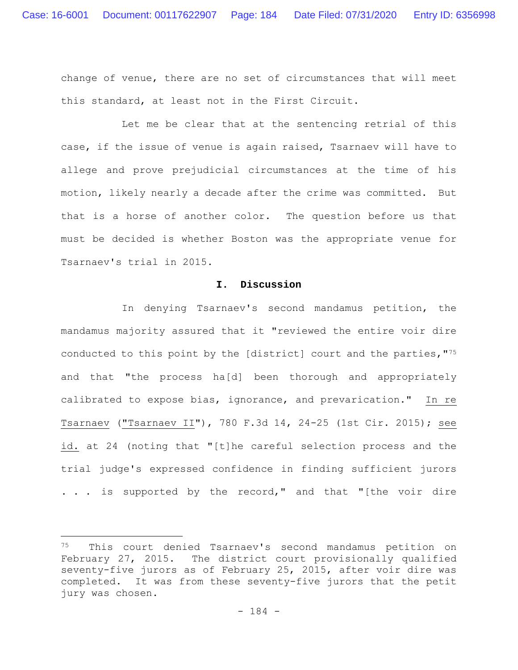change of venue, there are no set of circumstances that will meet this standard, at least not in the First Circuit.

Let me be clear that at the sentencing retrial of this case, if the issue of venue is again raised, Tsarnaev will have to allege and prove prejudicial circumstances at the time of his motion, likely nearly a decade after the crime was committed. But that is a horse of another color. The question before us that must be decided is whether Boston was the appropriate venue for Tsarnaev's trial in 2015.

### **I. Discussion**

In denying Tsarnaev's second mandamus petition, the mandamus majority assured that it "reviewed the entire voir dire conducted to this point by the [district] court and the parties,"75 and that "the process ha[d] been thorough and appropriately calibrated to expose bias, ignorance, and prevarication." In re Tsarnaev ("Tsarnaev II"), 780 F.3d 14, 24-25 (1st Cir. 2015); see id. at 24 (noting that "[t]he careful selection process and the trial judge's expressed confidence in finding sufficient jurors . . . is supported by the record," and that "[the voir dire

<sup>75</sup> This court denied Tsarnaev's second mandamus petition on February 27, 2015. The district court provisionally qualified seventy-five jurors as of February 25, 2015, after voir dire was completed. It was from these seventy-five jurors that the petit jury was chosen.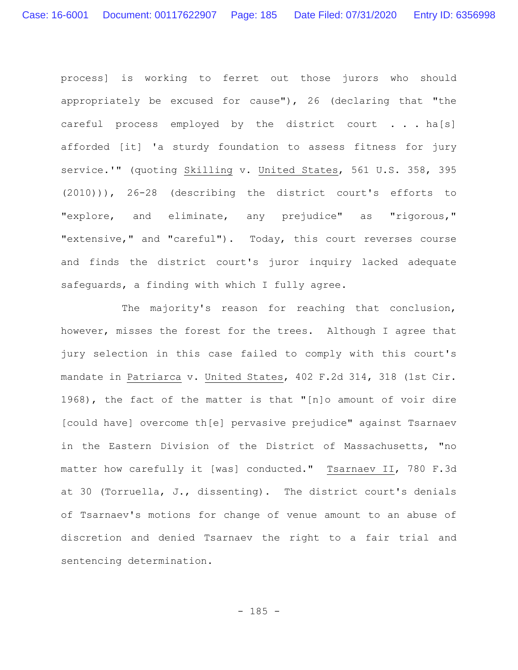process] is working to ferret out those jurors who should appropriately be excused for cause"), 26 (declaring that "the careful process employed by the district court . . . ha[s] afforded [it] 'a sturdy foundation to assess fitness for jury service.'" (quoting Skilling v. United States, 561 U.S. 358, 395 (2010))), 26-28 (describing the district court's efforts to "explore, and eliminate, any prejudice" as "rigorous," "extensive," and "careful"). Today, this court reverses course and finds the district court's juror inquiry lacked adequate safeguards, a finding with which I fully agree.

The majority's reason for reaching that conclusion, however, misses the forest for the trees. Although I agree that jury selection in this case failed to comply with this court's mandate in Patriarca v. United States, 402 F.2d 314, 318 (1st Cir. 1968), the fact of the matter is that "[n]o amount of voir dire [could have] overcome th[e] pervasive prejudice" against Tsarnaev in the Eastern Division of the District of Massachusetts, "no matter how carefully it [was] conducted." Tsarnaev II, 780 F.3d at 30 (Torruella, J., dissenting). The district court's denials of Tsarnaev's motions for change of venue amount to an abuse of discretion and denied Tsarnaev the right to a fair trial and sentencing determination.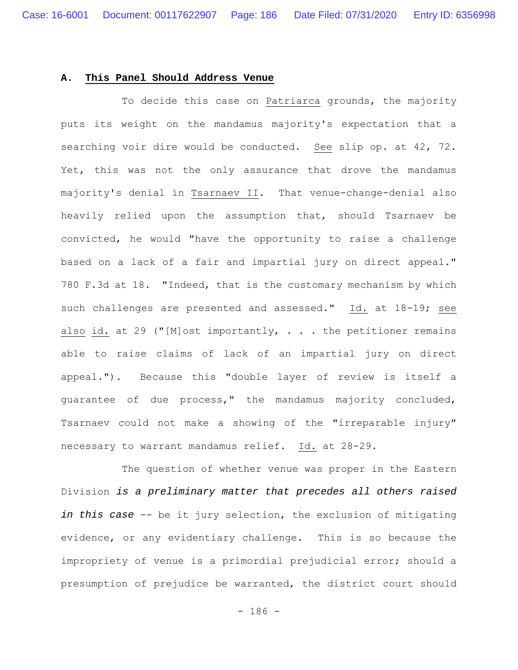### **A. This Panel Should Address Venue**

To decide this case on Patriarca grounds, the majority puts its weight on the mandamus majority's expectation that a searching voir dire would be conducted. See slip op. at 42, 72. Yet, this was not the only assurance that drove the mandamus majority's denial in Tsarnaev II. That venue-change-denial also heavily relied upon the assumption that, should Tsarnaev be convicted, he would "have the opportunity to raise a challenge based on a lack of a fair and impartial jury on direct appeal." 780 F.3d at 18. "Indeed, that is the customary mechanism by which such challenges are presented and assessed." Id. at 18-19; see also id. at 29 ("[M]ost importantly,  $\ldots$  the petitioner remains able to raise claims of lack of an impartial jury on direct appeal."). Because this "double layer of review is itself a guarantee of due process," the mandamus majority concluded, Tsarnaev could not make a showing of the "irreparable injury" necessary to warrant mandamus relief. Id. at 28-29.

The question of whether venue was proper in the Eastern Division *is a preliminary matter that precedes all others raised in this case* -- be it jury selection, the exclusion of mitigating evidence, or any evidentiary challenge. This is so because the impropriety of venue is a primordial prejudicial error; should a presumption of prejudice be warranted, the district court should

- 186 -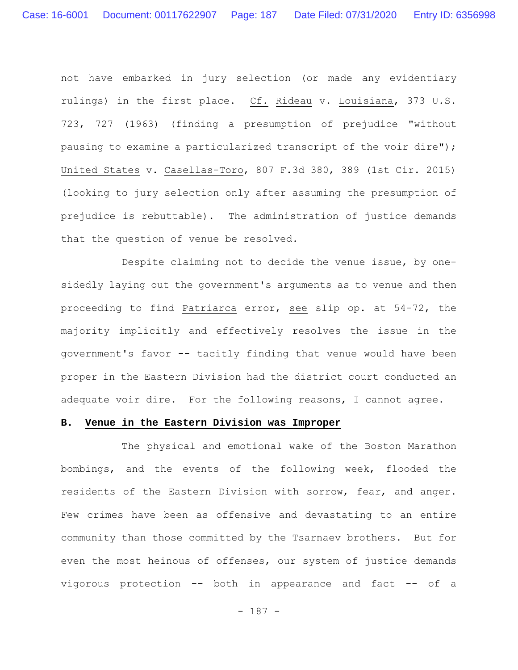not have embarked in jury selection (or made any evidentiary rulings) in the first place. Cf. Rideau v. Louisiana, 373 U.S. 723, 727 (1963) (finding a presumption of prejudice "without pausing to examine a particularized transcript of the voir dire"); United States v. Casellas-Toro, 807 F.3d 380, 389 (1st Cir. 2015) (looking to jury selection only after assuming the presumption of prejudice is rebuttable). The administration of justice demands that the question of venue be resolved.

Despite claiming not to decide the venue issue, by onesidedly laying out the government's arguments as to venue and then proceeding to find Patriarca error, see slip op. at 54-72, the majority implicitly and effectively resolves the issue in the government's favor -- tacitly finding that venue would have been proper in the Eastern Division had the district court conducted an adequate voir dire. For the following reasons, I cannot agree.

## **B. Venue in the Eastern Division was Improper**

The physical and emotional wake of the Boston Marathon bombings, and the events of the following week, flooded the residents of the Eastern Division with sorrow, fear, and anger. Few crimes have been as offensive and devastating to an entire community than those committed by the Tsarnaev brothers. But for even the most heinous of offenses, our system of justice demands vigorous protection -- both in appearance and fact -- of a

- 187 -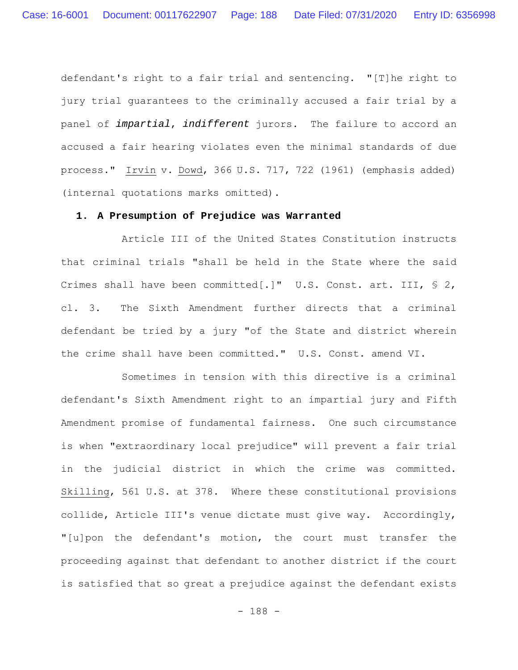defendant's right to a fair trial and sentencing. "[T]he right to jury trial guarantees to the criminally accused a fair trial by a panel of *impartial*, *indifferent* jurors. The failure to accord an accused a fair hearing violates even the minimal standards of due process." Irvin v. Dowd, 366 U.S. 717, 722 (1961) (emphasis added) (internal quotations marks omitted).

### **1. A Presumption of Prejudice was Warranted**

Article III of the United States Constitution instructs that criminal trials "shall be held in the State where the said Crimes shall have been committed[.]" U.S. Const. art. III, § 2, cl. 3. The Sixth Amendment further directs that a criminal defendant be tried by a jury "of the State and district wherein the crime shall have been committed." U.S. Const. amend VI.

Sometimes in tension with this directive is a criminal defendant's Sixth Amendment right to an impartial jury and Fifth Amendment promise of fundamental fairness. One such circumstance is when "extraordinary local prejudice" will prevent a fair trial in the judicial district in which the crime was committed. Skilling, 561 U.S. at 378. Where these constitutional provisions collide, Article III's venue dictate must give way. Accordingly, "[u]pon the defendant's motion, the court must transfer the proceeding against that defendant to another district if the court is satisfied that so great a prejudice against the defendant exists

- 188 -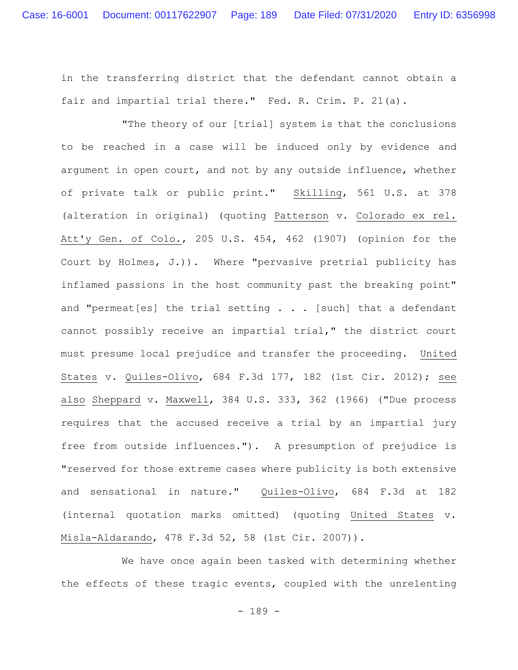in the transferring district that the defendant cannot obtain a fair and impartial trial there." Fed. R. Crim. P. 21(a).

"The theory of our [trial] system is that the conclusions to be reached in a case will be induced only by evidence and argument in open court, and not by any outside influence, whether of private talk or public print." Skilling, 561 U.S. at 378 (alteration in original) (quoting Patterson v. Colorado ex rel. Att'y Gen. of Colo., 205 U.S. 454, 462 (1907) (opinion for the Court by Holmes, J.)). Where "pervasive pretrial publicity has inflamed passions in the host community past the breaking point" and "permeat  $[es]$  the trial setting  $\ldots$  [such] that a defendant cannot possibly receive an impartial trial," the district court must presume local prejudice and transfer the proceeding. United States v. Quiles-Olivo, 684 F.3d 177, 182 (1st Cir. 2012); see also Sheppard v. Maxwell, 384 U.S. 333, 362 (1966) ("Due process requires that the accused receive a trial by an impartial jury free from outside influences."). A presumption of prejudice is "reserved for those extreme cases where publicity is both extensive and sensational in nature." Quiles-Olivo, 684 F.3d at 182 (internal quotation marks omitted) (quoting United States v. Misla-Aldarando, 478 F.3d 52, 58 (1st Cir. 2007)).

We have once again been tasked with determining whether the effects of these tragic events, coupled with the unrelenting

- 189 -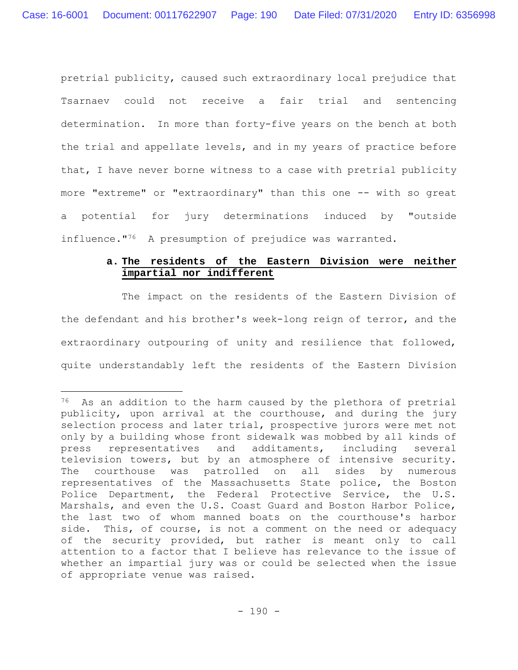pretrial publicity, caused such extraordinary local prejudice that Tsarnaev could not receive a fair trial and sentencing determination. In more than forty-five years on the bench at both the trial and appellate levels, and in my years of practice before that, I have never borne witness to a case with pretrial publicity more "extreme" or "extraordinary" than this one -- with so great a potential for jury determinations induced by "outside influence."<sup>76</sup> A presumption of prejudice was warranted.

# **a. The residents of the Eastern Division were neither impartial nor indifferent**

The impact on the residents of the Eastern Division of the defendant and his brother's week-long reign of terror, and the extraordinary outpouring of unity and resilience that followed, quite understandably left the residents of the Eastern Division

 $76$  As an addition to the harm caused by the plethora of pretrial publicity, upon arrival at the courthouse, and during the jury selection process and later trial, prospective jurors were met not only by a building whose front sidewalk was mobbed by all kinds of press representatives and additaments, including several television towers, but by an atmosphere of intensive security. The courthouse was patrolled on all sides by numerous representatives of the Massachusetts State police, the Boston Police Department, the Federal Protective Service, the U.S. Marshals, and even the U.S. Coast Guard and Boston Harbor Police, the last two of whom manned boats on the courthouse's harbor side. This, of course, is not a comment on the need or adequacy of the security provided, but rather is meant only to call attention to a factor that I believe has relevance to the issue of whether an impartial jury was or could be selected when the issue of appropriate venue was raised.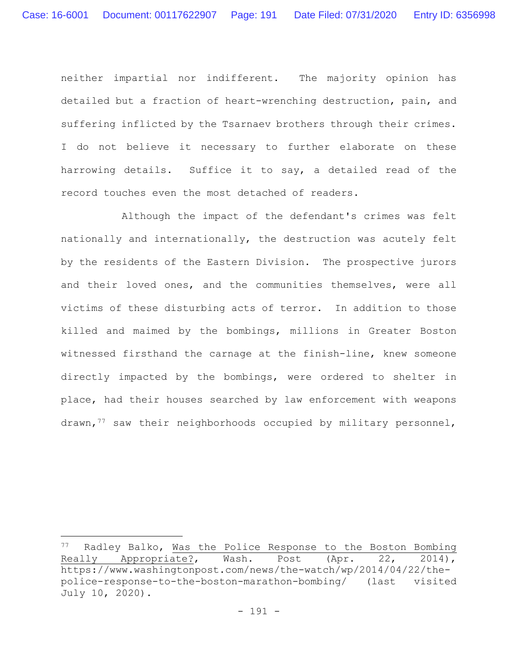neither impartial nor indifferent. The majority opinion has detailed but a fraction of heart-wrenching destruction, pain, and suffering inflicted by the Tsarnaev brothers through their crimes. I do not believe it necessary to further elaborate on these harrowing details. Suffice it to say, a detailed read of the record touches even the most detached of readers.

Although the impact of the defendant's crimes was felt nationally and internationally, the destruction was acutely felt by the residents of the Eastern Division. The prospective jurors and their loved ones, and the communities themselves, were all victims of these disturbing acts of terror. In addition to those killed and maimed by the bombings, millions in Greater Boston witnessed firsthand the carnage at the finish-line, knew someone directly impacted by the bombings, were ordered to shelter in place, had their houses searched by law enforcement with weapons drawn,77 saw their neighborhoods occupied by military personnel,

<sup>&</sup>lt;sup>77</sup> Radley Balko, <u>Was the Police Response to the Boston Bombing</u><br>Really Appropriate?, Wash. Post (Apr. 22, 2014), Really Appropriate?, Wash. Post (Apr. 22, 2014), https://www.washingtonpost.com/news/the-watch/wp/2014/04/22/thepolice-response-to-the-boston-marathon-bombing/ (last visited July 10, 2020).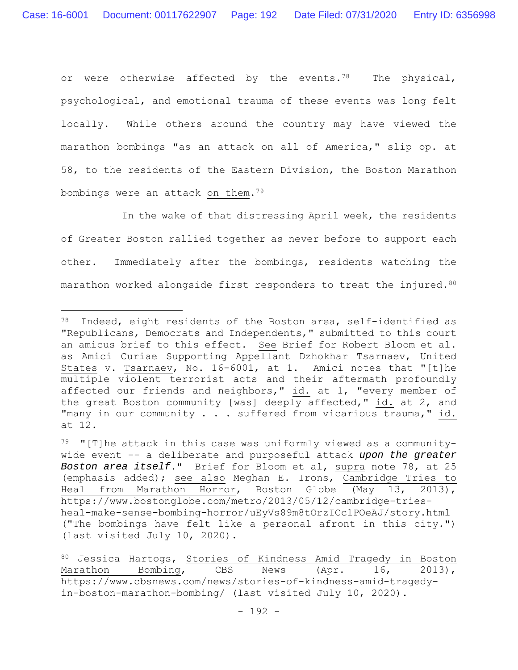or were otherwise affected by the events.<sup>78</sup> The physical, psychological, and emotional trauma of these events was long felt locally. While others around the country may have viewed the marathon bombings "as an attack on all of America," slip op. at 58, to the residents of the Eastern Division, the Boston Marathon bombings were an attack on them.79

In the wake of that distressing April week, the residents of Greater Boston rallied together as never before to support each other. Immediately after the bombings, residents watching the marathon worked alongside first responders to treat the injured.<sup>80</sup>

<sup>78</sup> Indeed, eight residents of the Boston area, self-identified as "Republicans, Democrats and Independents," submitted to this court an amicus brief to this effect. See Brief for Robert Bloom et al. as Amici Curiae Supporting Appellant Dzhokhar Tsarnaev, United States v. Tsarnaev, No. 16-6001, at 1. Amici notes that "[t]he multiple violent terrorist acts and their aftermath profoundly affected our friends and neighbors," id. at 1, "every member of the great Boston community [was] deeply affected," id. at 2, and "many in our community . . . suffered from vicarious trauma," id. at 12.

 $79$  "[T]he attack in this case was uniformly viewed as a communitywide event -- a deliberate and purposeful attack *upon the greater Boston area itself*." Brief for Bloom et al, supra note 78, at 25 (emphasis added); see also Meghan E. Irons, Cambridge Tries to Heal from Marathon Horror, Boston Globe (May 13, 2013), https://www.bostonglobe.com/metro/2013/05/12/cambridge-triesheal-make-sense-bombing-horror/uEyVs89m8tOrzICc1POeAJ/story.html ("The bombings have felt like a personal afront in this city.") (last visited July 10, 2020).

<sup>80</sup> Jessica Hartogs, Stories of Kindness Amid Tragedy in Boston Marathon Bombing, CBS News (Apr. 16, 2013), https://www.cbsnews.com/news/stories-of-kindness-amid-tragedyin-boston-marathon-bombing/ (last visited July 10, 2020).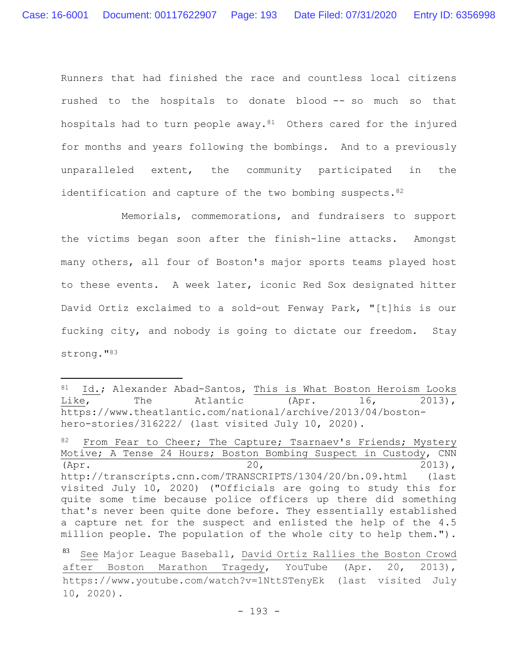Runners that had finished the race and countless local citizens rushed to the hospitals to donate blood -- so much so that hospitals had to turn people away.<sup>81</sup> Others cared for the injured for months and years following the bombings. And to a previously unparalleled extent, the community participated in the identification and capture of the two bombing suspects.  $82$ 

Memorials, commemorations, and fundraisers to support the victims began soon after the finish-line attacks. Amongst many others, all four of Boston's major sports teams played host to these events. A week later, iconic Red Sox designated hitter David Ortiz exclaimed to a sold-out Fenway Park, "[t]his is our fucking city, and nobody is going to dictate our freedom. Stay strong."83

<sup>81</sup> Id.; Alexander Abad-Santos, This is What Boston Heroism Looks Like, The Atlantic (Apr. 16, 2013), https://www.theatlantic.com/national/archive/2013/04/bostonhero-stories/316222/ (last visited July 10, 2020).

From Fear to Cheer; The Capture; Tsarnaev's Friends; Mystery Motive; A Tense 24 Hours; Boston Bombing Suspect in Custody, CNN (Apr. 2013), http://transcripts.cnn.com/TRANSCRIPTS/1304/20/bn.09.html (last visited July 10, 2020) ("Officials are going to study this for quite some time because police officers up there did something that's never been quite done before. They essentially established a capture net for the suspect and enlisted the help of the 4.5 million people. The population of the whole city to help them.").

<sup>83</sup> See Major League Baseball, David Ortiz Rallies the Boston Crowd after Boston Marathon Tragedy, YouTube (Apr. 20, 2013), https://www.youtube.com/watch?v=1NttSTenyEk (last visited July 10, 2020).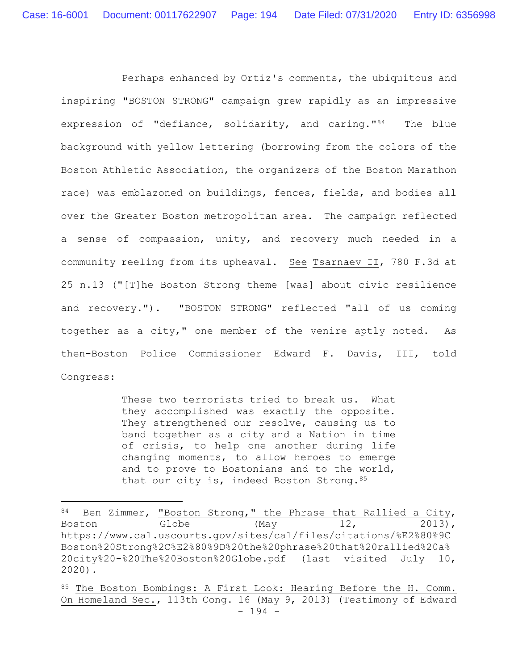Perhaps enhanced by Ortiz's comments, the ubiquitous and inspiring "BOSTON STRONG" campaign grew rapidly as an impressive expression of "defiance, solidarity, and caring."84 The blue background with yellow lettering (borrowing from the colors of the Boston Athletic Association, the organizers of the Boston Marathon race) was emblazoned on buildings, fences, fields, and bodies all over the Greater Boston metropolitan area. The campaign reflected a sense of compassion, unity, and recovery much needed in a community reeling from its upheaval. See Tsarnaev II, 780 F.3d at 25 n.13 ("[T]he Boston Strong theme [was] about civic resilience and recovery."). "BOSTON STRONG" reflected "all of us coming together as a city," one member of the venire aptly noted. As then-Boston Police Commissioner Edward F. Davis, III, told Congress:

> These two terrorists tried to break us. What they accomplished was exactly the opposite. They strengthened our resolve, causing us to band together as a city and a Nation in time of crisis, to help one another during life changing moments, to allow heroes to emerge and to prove to Bostonians and to the world, that our city is, indeed Boston Strong.  $85$

<sup>84</sup> Ben Zimmer, "Boston Strong," the Phrase that Rallied a City, Boston Globe (May 12, 2013), https://www.ca1.uscourts.gov/sites/ca1/files/citations/%E2%80%9C Boston%20Strong%2C%E2%80%9D%20the%20phrase%20that%20rallied%20a% 20city%20-%20The%20Boston%20Globe.pdf (last visited July 10, 2020).

<sup>- 194 -</sup> 85 The Boston Bombings: A First Look: Hearing Before the H. Comm. On Homeland Sec., 113th Cong. 16 (May 9, 2013) (Testimony of Edward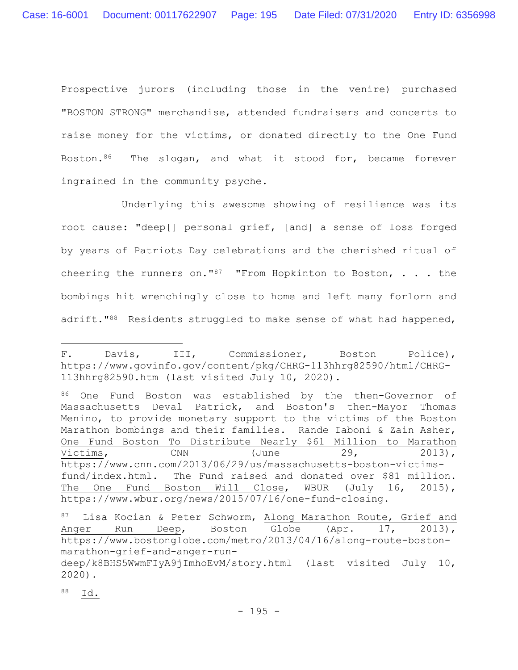Prospective jurors (including those in the venire) purchased "BOSTON STRONG" merchandise, attended fundraisers and concerts to raise money for the victims, or donated directly to the One Fund Boston.<sup>86</sup> The slogan, and what it stood for, became forever ingrained in the community psyche.

Underlying this awesome showing of resilience was its root cause: "deep[] personal grief, [and] a sense of loss forged by years of Patriots Day celebrations and the cherished ritual of cheering the runners on."<sup>87</sup> "From Hopkinton to Boston,  $\ldots$  the bombings hit wrenchingly close to home and left many forlorn and adrift."<sup>88</sup> Residents struggled to make sense of what had happened,

86 One Fund Boston was established by the then-Governor of Massachusetts Deval Patrick, and Boston's then-Mayor Thomas Menino, to provide monetary support to the victims of the Boston Marathon bombings and their families. Rande Iaboni & Zain Asher, One Fund Boston To Distribute Nearly \$61 Million to Marathon Victims, CNN (June 29, 2013), https://www.cnn.com/2013/06/29/us/massachusetts-boston-victimsfund/index.html. The Fund raised and donated over \$81 million. The One Fund Boston Will Close, WBUR (July 16, 2015), https://www.wbur.org/news/2015/07/16/one-fund-closing.

88 Id.

F. Davis, III, Commissioner, Boston Police), https://www.govinfo.gov/content/pkg/CHRG-113hhrg82590/html/CHRG-113hhrg82590.htm (last visited July 10, 2020).

<sup>87</sup> Lisa Kocian & Peter Schworm, Along Marathon Route, Grief and Anger Run Deep, Boston Globe (Apr. 17, 2013), https://www.bostonglobe.com/metro/2013/04/16/along-route-bostonmarathon-grief-and-anger-run-

deep/k8BHS5WwmFIyA9jImhoEvM/story.html (last visited July 10, 2020).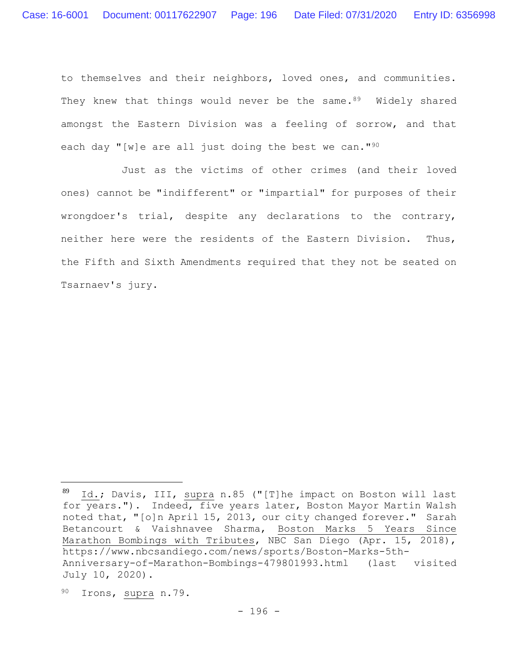to themselves and their neighbors, loved ones, and communities. They knew that things would never be the same.<sup>89</sup> Widely shared amongst the Eastern Division was a feeling of sorrow, and that each day "[w]e are all just doing the best we can."<sup>90</sup>

Just as the victims of other crimes (and their loved ones) cannot be "indifferent" or "impartial" for purposes of their wrongdoer's trial, despite any declarations to the contrary, neither here were the residents of the Eastern Division. Thus, the Fifth and Sixth Amendments required that they not be seated on Tsarnaev's jury.

<sup>89</sup> Id.; Davis, III, supra n.85 ("[T]he impact on Boston will last for years."). Indeed, five years later, Boston Mayor Martin Walsh noted that, "[o]n April 15, 2013, our city changed forever." Sarah Betancourt & Vaishnavee Sharma, Boston Marks 5 Years Since Marathon Bombings with Tributes, NBC San Diego (Apr. 15, 2018), https://www.nbcsandiego.com/news/sports/Boston-Marks-5th-Anniversary-of-Marathon-Bombings-479801993.html (last visited July 10, 2020).

<sup>90</sup> Irons, supra n.79.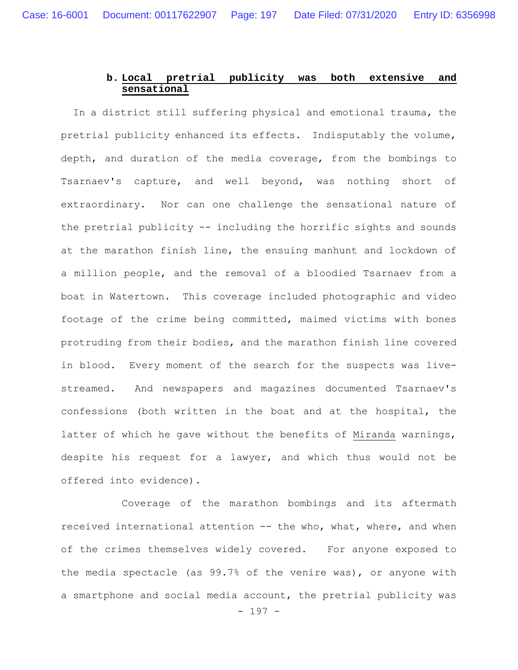# **b. Local pretrial publicity was both extensive and sensational**

In a district still suffering physical and emotional trauma, the pretrial publicity enhanced its effects. Indisputably the volume, depth, and duration of the media coverage, from the bombings to Tsarnaev's capture, and well beyond, was nothing short of extraordinary. Nor can one challenge the sensational nature of the pretrial publicity -- including the horrific sights and sounds at the marathon finish line, the ensuing manhunt and lockdown of a million people, and the removal of a bloodied Tsarnaev from a boat in Watertown. This coverage included photographic and video footage of the crime being committed, maimed victims with bones protruding from their bodies, and the marathon finish line covered in blood. Every moment of the search for the suspects was livestreamed. And newspapers and magazines documented Tsarnaev's confessions (both written in the boat and at the hospital, the latter of which he gave without the benefits of Miranda warnings, despite his request for a lawyer, and which thus would not be offered into evidence).

- 197 - Coverage of the marathon bombings and its aftermath received international attention -- the who, what, where, and when of the crimes themselves widely covered. For anyone exposed to the media spectacle (as 99.7% of the venire was), or anyone with a smartphone and social media account, the pretrial publicity was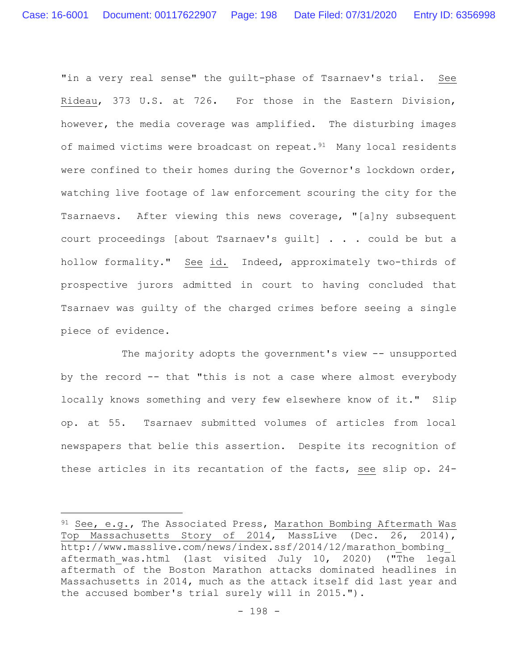"in a very real sense" the guilt-phase of Tsarnaev's trial. See Rideau, 373 U.S. at 726**.** For those in the Eastern Division, however, the media coverage was amplified. The disturbing images of maimed victims were broadcast on repeat.<sup>91</sup> Many local residents were confined to their homes during the Governor's lockdown order, watching live footage of law enforcement scouring the city for the Tsarnaevs. After viewing this news coverage, "[a]ny subsequent court proceedings [about Tsarnaev's guilt] . . . could be but a hollow formality." See id. Indeed, approximately two-thirds of prospective jurors admitted in court to having concluded that Tsarnaev was guilty of the charged crimes before seeing a single piece of evidence.

The majority adopts the government's view -- unsupported by the record -- that "this is not a case where almost everybody locally knows something and very few elsewhere know of it." Slip op. at 55. Tsarnaev submitted volumes of articles from local newspapers that belie this assertion. Despite its recognition of these articles in its recantation of the facts, see slip op. 24-

 $91$  See, e.g., The Associated Press, Marathon Bombing Aftermath Was Top Massachusetts Story of 2014, MassLive (Dec. 26, 2014), http://www.masslive.com/news/index.ssf/2014/12/marathon\_bombing\_ aftermath was.html (last visited July 10, 2020) ("The legal aftermath of the Boston Marathon attacks dominated headlines in Massachusetts in 2014, much as the attack itself did last year and the accused bomber's trial surely will in 2015.").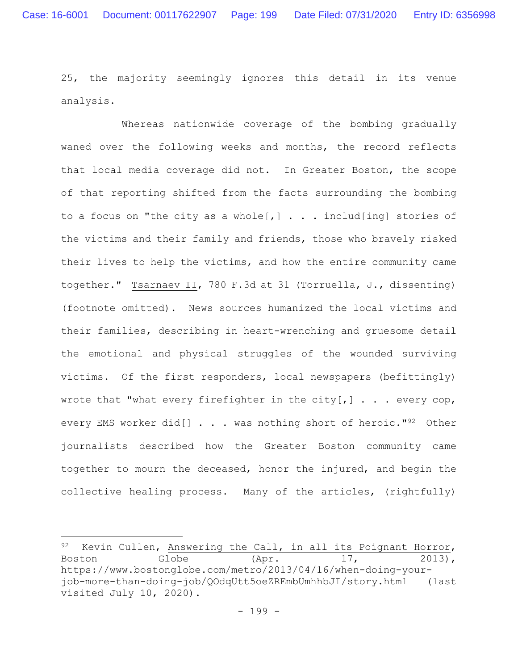25, the majority seemingly ignores this detail in its venue analysis.

Whereas nationwide coverage of the bombing gradually waned over the following weeks and months, the record reflects that local media coverage did not. In Greater Boston, the scope of that reporting shifted from the facts surrounding the bombing to a focus on "the city as a whole[,]  $\ldots$  includ[ing] stories of the victims and their family and friends, those who bravely risked their lives to help the victims, and how the entire community came together." Tsarnaev II, 780 F.3d at 31 (Torruella, J., dissenting) (footnote omitted). News sources humanized the local victims and their families, describing in heart-wrenching and gruesome detail the emotional and physical struggles of the wounded surviving victims. Of the first responders, local newspapers (befittingly) wrote that "what every firefighter in the city[,]  $\ldots$  every cop, every EMS worker did[] . . . was nothing short of heroic."<sup>92</sup> Other journalists described how the Greater Boston community came together to mourn the deceased, honor the injured, and begin the collective healing process. Many of the articles, (rightfully)

<sup>92</sup> Kevin Cullen, Answering the Call, in all its Poignant Horror, Boston Globe (Apr. 17, 2013), https://www.bostonglobe.com/metro/2013/04/16/when-doing-yourjob-more-than-doing-job/QOdqUtt5oeZREmbUmhhbJI/story.html (last visited July 10, 2020).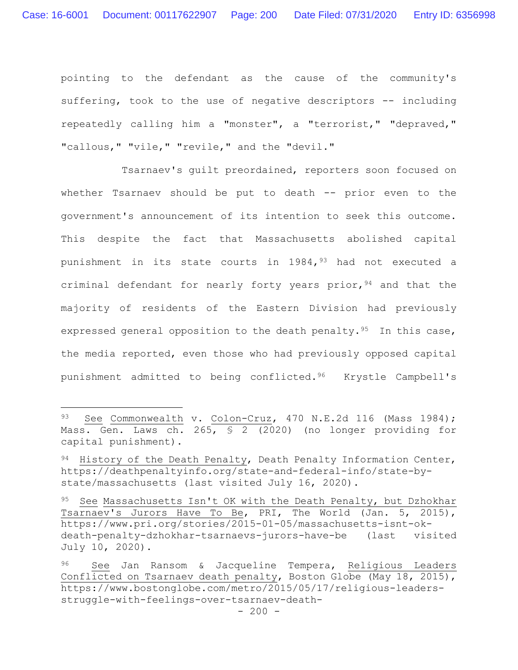pointing to the defendant as the cause of the community's suffering, took to the use of negative descriptors -- including repeatedly calling him a "monster", a "terrorist," "depraved," "callous," "vile," "revile," and the "devil."

Tsarnaev's guilt preordained, reporters soon focused on whether Tsarnaev should be put to death -- prior even to the government's announcement of its intention to seek this outcome. This despite the fact that Massachusetts abolished capital punishment in its state courts in  $1984, <sup>93</sup>$  had not executed a criminal defendant for nearly forty years prior,  $94$  and that the majority of residents of the Eastern Division had previously expressed general opposition to the death penalty.<sup>95</sup> In this case, the media reported, even those who had previously opposed capital punishment admitted to being conflicted.96 Krystle Campbell's

<sup>93</sup> See Commonwealth v. Colon-Cruz, 470 N.E.2d 116 (Mass 1984); Mass. Gen. Laws ch. 265, § 2 (2020) (no longer providing for capital punishment).

<sup>94</sup> History of the Death Penalty, Death Penalty Information Center, https://deathpenaltyinfo.org/state-and-federal-info/state-bystate/massachusetts (last visited July 16, 2020).

<sup>95</sup> See Massachusetts Isn't OK with the Death Penalty, but Dzhokhar Tsarnaev's Jurors Have To Be, PRI, The World (Jan. 5, 2015), https://www.pri.org/stories/2015-01-05/massachusetts-isnt-okdeath-penalty-dzhokhar-tsarnaevs-jurors-have-be (last visited July 10, 2020).

<sup>96</sup> See Jan Ransom & Jacqueline Tempera, Religious Leaders Conflicted on Tsarnaev death penalty, Boston Globe (May 18, 2015), https://www.bostonglobe.com/metro/2015/05/17/religious-leadersstruggle-with-feelings-over-tsarnaev-death-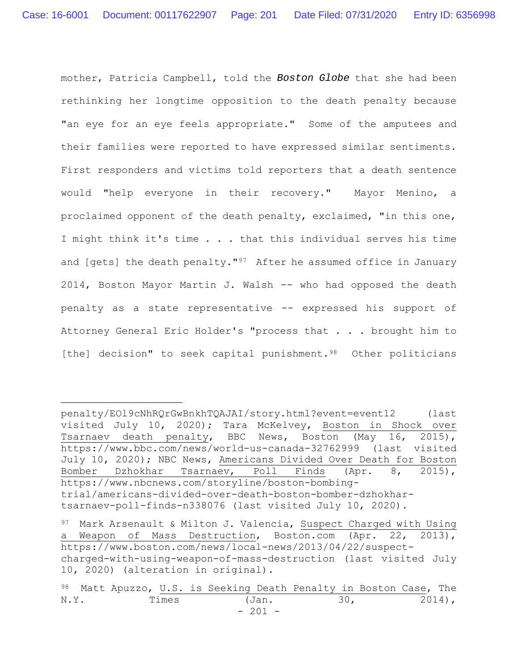mother, Patricia Campbell, told the *Boston Globe* that she had been rethinking her longtime opposition to the death penalty because "an eye for an eye feels appropriate." Some of the amputees and their families were reported to have expressed similar sentiments. First responders and victims told reporters that a death sentence would "help everyone in their recovery." Mayor Menino, a proclaimed opponent of the death penalty, exclaimed, "in this one, I might think it's time . . . that this individual serves his time and [gets] the death penalty."<sup>97</sup> After he assumed office in January 2014, Boston Mayor Martin J. Walsh -- who had opposed the death penalty as a state representative -- expressed his support of Attorney General Eric Holder's "process that . . . brought him to [the] decision" to seek capital punishment.<sup>98</sup> Other politicians

penalty/EOl9cNhRQrGwBnkhTQAJAI/story.html?event=event12 (last visited July 10, 2020); Tara McKelvey, Boston in Shock over Tsarnaev death penalty, BBC News, Boston (May 16, 2015), https://www.bbc.com/news/world-us-canada-32762999 (last visited July 10, 2020); NBC News, Americans Divided Over Death for Boston Bomber Dzhokhar Tsarnaev, Poll Finds (Apr. 8, 2015), https://www.nbcnews.com/storyline/boston-bombingtrial/americans-divided-over-death-boston-bomber-dzhokhartsarnaev-poll-finds-n338076 (last visited July 10, 2020).

<sup>97</sup> Mark Arsenault & Milton J. Valencia, Suspect Charged with Using a Weapon of Mass Destruction, Boston.com (Apr. 22, 2013), https://www.boston.com/news/local-news/2013/04/22/suspectcharged-with-using-weapon-of-mass-destruction (last visited July 10, 2020) (alteration in original).

<sup>- 201 -</sup> 98 Matt Apuzzo, U.S. is Seeking Death Penalty in Boston Case, The N.Y. Times (Jan. 30, 2014),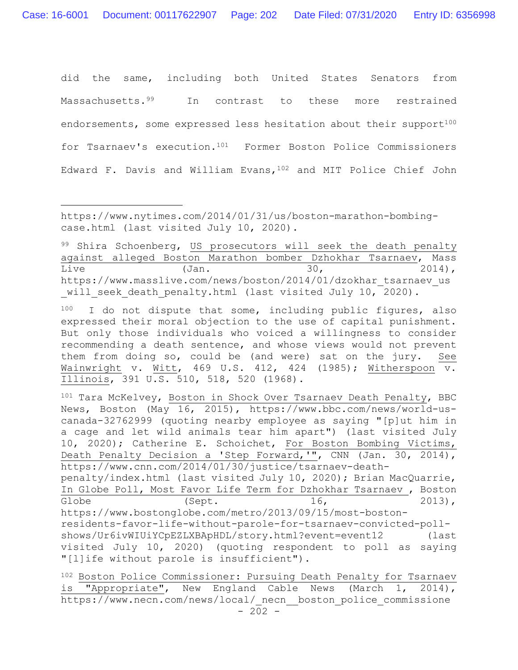did the same, including both United States Senators from Massachusetts.<sup>99</sup> In contrast to these more restrained endorsements, some expressed less hesitation about their support<sup>100</sup> for Tsarnaev's execution.101 Former Boston Police Commissioners Edward F. Davis and William Evans,102 and MIT Police Chief John

99 Shira Schoenberg, US prosecutors will seek the death penalty against alleged Boston Marathon bomber Dzhokhar Tsarnaev, Mass Live (Jan. 30, 2014), https://www.masslive.com/news/boston/2014/01/dzokhar\_tsarnaev\_us will seek death penalty.html (last visited July 10, 2020).

100 I do not dispute that some, including public figures, also expressed their moral objection to the use of capital punishment. But only those individuals who voiced a willingness to consider recommending a death sentence, and whose views would not prevent them from doing so, could be (and were) sat on the jury. See Wainwright v. Witt, 469 U.S. 412, 424 (1985); Witherspoon v. Illinois, 391 U.S. 510, 518, 520 (1968).

101 Tara McKelvey, Boston in Shock Over Tsarnaev Death Penalty, BBC News, Boston (May 16, 2015), https://www.bbc.com/news/world-uscanada-32762999 (quoting nearby employee as saying "[p]ut him in a cage and let wild animals tear him apart") (last visited July 10, 2020); Catherine E. Schoichet, For Boston Bombing Victims, Death Penalty Decision a 'Step Forward,'", CNN (Jan. 30, 2014), https://www.cnn.com/2014/01/30/justice/tsarnaev-death-

penalty/index.html (last visited July 10, 2020); Brian MacQuarrie, In Globe Poll, Most Favor Life Term for Dzhokhar Tsarnaev , Boston Globe  $(Sept.$   $16,$   $2013),$ https://www.bostonglobe.com/metro/2013/09/15/most-bostonresidents-favor-life-without-parole-for-tsarnaev-convicted-poll-

shows/Ur6ivWIUiYCpEZLXBApHDL/story.html?event=event12 (last visited July 10, 2020) (quoting respondent to poll as saying "[l]ife without parole is insufficient").

 $- 202 -$ 102 Boston Police Commissioner: Pursuing Death Penalty for Tsarnaev is "Appropriate", New England Cable News (March 1, 2014), https://www.necn.com/news/local/ necn\_ boston police commissione

https://www.nytimes.com/2014/01/31/us/boston-marathon-bombingcase.html (last visited July 10, 2020).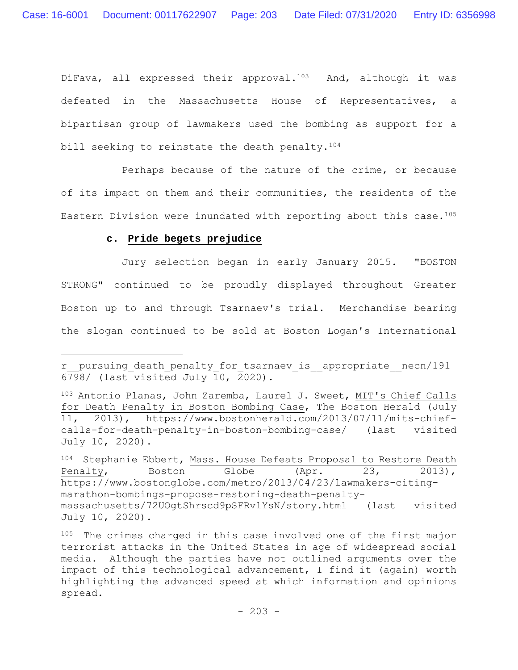DiFava, all expressed their approval.<sup>103</sup> And, although it was defeated in the Massachusetts House of Representatives, a bipartisan group of lawmakers used the bombing as support for a bill seeking to reinstate the death penalty.<sup>104</sup>

Perhaps because of the nature of the crime, or because of its impact on them and their communities, the residents of the Eastern Division were inundated with reporting about this case.<sup>105</sup>

# **c. Pride begets prejudice**

Jury selection began in early January 2015. "BOSTON STRONG" continued to be proudly displayed throughout Greater Boston up to and through Tsarnaev's trial. Merchandise bearing the slogan continued to be sold at Boston Logan's International

r\_\_pursuing\_death\_penalty\_for\_tsarnaev\_is\_\_appropriate\_\_necn/191  $6798/$  (last visited July 10, 2020).

<sup>103</sup> Antonio Planas, John Zaremba, Laurel J. Sweet, MIT's Chief Calls for Death Penalty in Boston Bombing Case, The Boston Herald (July 11, 2013), https://www.bostonherald.com/2013/07/11/mits-chiefcalls-for-death-penalty-in-boston-bombing-case/ (last visited July 10, 2020).

<sup>104</sup> Stephanie Ebbert, Mass. House Defeats Proposal to Restore Death Penalty, Boston Globe (Apr. 23, 2013), https://www.bostonglobe.com/metro/2013/04/23/lawmakers-citingmarathon-bombings-propose-restoring-death-penaltymassachusetts/72UOgtShrscd9pSFRv1YsN/story.html (last visited July 10, 2020).

<sup>105</sup> The crimes charged in this case involved one of the first major terrorist attacks in the United States in age of widespread social media. Although the parties have not outlined arguments over the impact of this technological advancement, I find it (again) worth highlighting the advanced speed at which information and opinions spread.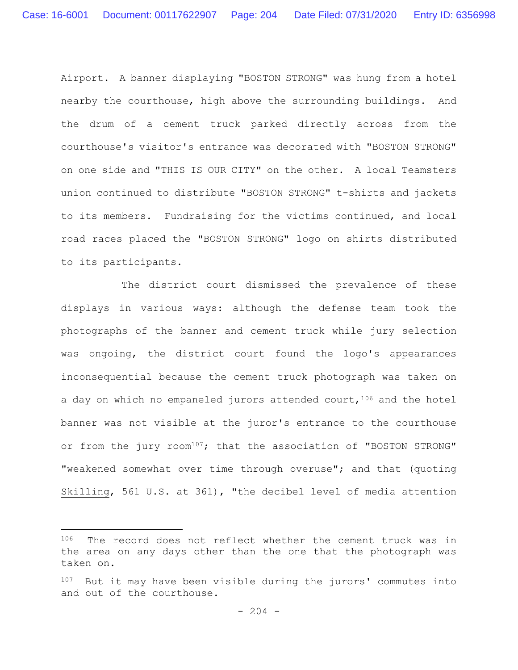Airport. A banner displaying "BOSTON STRONG" was hung from a hotel nearby the courthouse, high above the surrounding buildings. And the drum of a cement truck parked directly across from the courthouse's visitor's entrance was decorated with "BOSTON STRONG" on one side and "THIS IS OUR CITY" on the other. A local Teamsters union continued to distribute "BOSTON STRONG" t-shirts and jackets to its members. Fundraising for the victims continued, and local road races placed the "BOSTON STRONG" logo on shirts distributed to its participants.

The district court dismissed the prevalence of these displays in various ways: although the defense team took the photographs of the banner and cement truck while jury selection was ongoing, the district court found the logo's appearances inconsequential because the cement truck photograph was taken on a day on which no empaneled jurors attended court,  $106$  and the hotel banner was not visible at the juror's entrance to the courthouse or from the jury room<sup>107</sup>; that the association of "BOSTON STRONG" "weakened somewhat over time through overuse"; and that (quoting Skilling, 561 U.S. at 361), "the decibel level of media attention

<sup>106</sup> The record does not reflect whether the cement truck was in the area on any days other than the one that the photograph was taken on.

<sup>107</sup> But it may have been visible during the jurors' commutes into and out of the courthouse.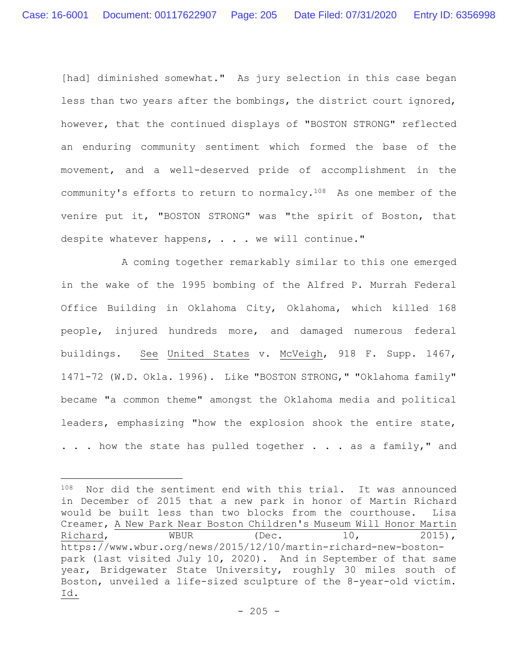[had] diminished somewhat." As jury selection in this case began less than two years after the bombings, the district court ignored, however, that the continued displays of "BOSTON STRONG" reflected an enduring community sentiment which formed the base of the movement, and a well-deserved pride of accomplishment in the community's efforts to return to normalcy.108 As one member of the venire put it, "BOSTON STRONG" was "the spirit of Boston, that despite whatever happens, . . . we will continue."

A coming together remarkably similar to this one emerged in the wake of the 1995 bombing of the Alfred P. Murrah Federal Office Building in Oklahoma City, Oklahoma, which killed 168 people, injured hundreds more, and damaged numerous federal buildings. See United States v. McVeigh, 918 F. Supp. 1467, 1471-72 (W.D. Okla. 1996). Like "BOSTON STRONG," "Oklahoma family" became "a common theme" amongst the Oklahoma media and political leaders, emphasizing "how the explosion shook the entire state, . . . how the state has pulled together . . . as a family," and

<sup>108</sup> Nor did the sentiment end with this trial. It was announced in December of 2015 that a new park in honor of Martin Richard would be built less than two blocks from the courthouse. Lisa Creamer, A New Park Near Boston Children's Museum Will Honor Martin Richard, WBUR (Dec. 10, 2015), https://www.wbur.org/news/2015/12/10/martin-richard-new-bostonpark (last visited July 10, 2020). And in September of that same year, Bridgewater State University, roughly 30 miles south of Boston, unveiled a life-sized sculpture of the 8-year-old victim. Id.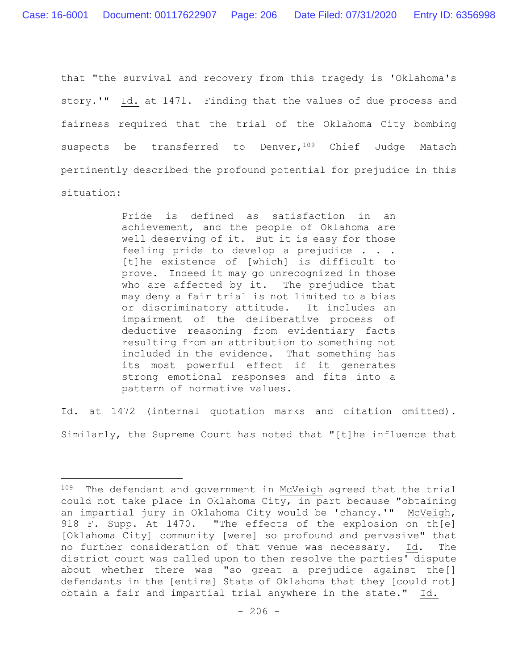that "the survival and recovery from this tragedy is 'Oklahoma's story.'" Id. at 1471. Finding that the values of due process and fairness required that the trial of the Oklahoma City bombing suspects be transferred to Denver, 109 Chief Judge Matsch pertinently described the profound potential for prejudice in this situation:

> Pride is defined as satisfaction in an achievement, and the people of Oklahoma are well deserving of it. But it is easy for those feeling pride to develop a prejudice . . . [t]he existence of [which] is difficult to prove. Indeed it may go unrecognized in those who are affected by it. The prejudice that may deny a fair trial is not limited to a bias or discriminatory attitude. It includes an impairment of the deliberative process of deductive reasoning from evidentiary facts resulting from an attribution to something not included in the evidence. That something has its most powerful effect if it generates strong emotional responses and fits into a pattern of normative values.

Id. at 1472 (internal quotation marks and citation omitted). Similarly, the Supreme Court has noted that "[t]he influence that

<sup>&</sup>lt;sup>109</sup> The defendant and government in McVeigh agreed that the trial could not take place in Oklahoma City, in part because "obtaining an impartial jury in Oklahoma City would be 'chancy.'" McVeigh, 918 F. Supp. At 1470. "The effects of the explosion on th[e] [Oklahoma City] community [were] so profound and pervasive" that no further consideration of that venue was necessary. Id. The district court was called upon to then resolve the parties' dispute about whether there was "so great a prejudice against the[] defendants in the [entire] State of Oklahoma that they [could not] obtain a fair and impartial trial anywhere in the state." Id.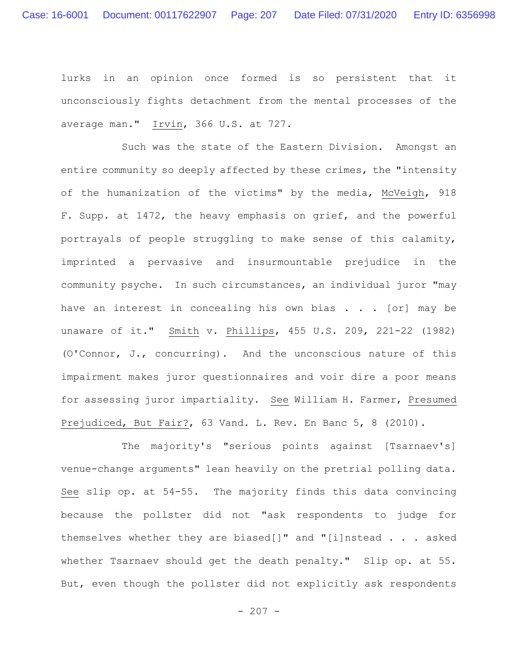lurks in an opinion once formed is so persistent that it unconsciously fights detachment from the mental processes of the average man." Irvin, 366 U.S. at 727.

Such was the state of the Eastern Division. Amongst an entire community so deeply affected by these crimes, the "intensity of the humanization of the victims" by the media, McVeigh, 918 F. Supp. at 1472, the heavy emphasis on grief, and the powerful portrayals of people struggling to make sense of this calamity, imprinted a pervasive and insurmountable prejudice in the community psyche. In such circumstances, an individual juror "may have an interest in concealing his own bias . . . [or] may be unaware of it." Smith v. Phillips, 455 U.S. 209, 221-22 (1982) (O'Connor, J., concurring). And the unconscious nature of this impairment makes juror questionnaires and voir dire a poor means for assessing juror impartiality. See William H. Farmer, Presumed Prejudiced, But Fair?, 63 Vand. L. Rev. En Banc 5, 8 (2010).

The majority's "serious points against [Tsarnaev's] venue-change arguments" lean heavily on the pretrial polling data. See slip op. at 54-55. The majority finds this data convincing because the pollster did not "ask respondents to judge for themselves whether they are biased[]" and "[i]nstead . . . asked whether Tsarnaev should get the death penalty." Slip op. at 55. But, even though the pollster did not explicitly ask respondents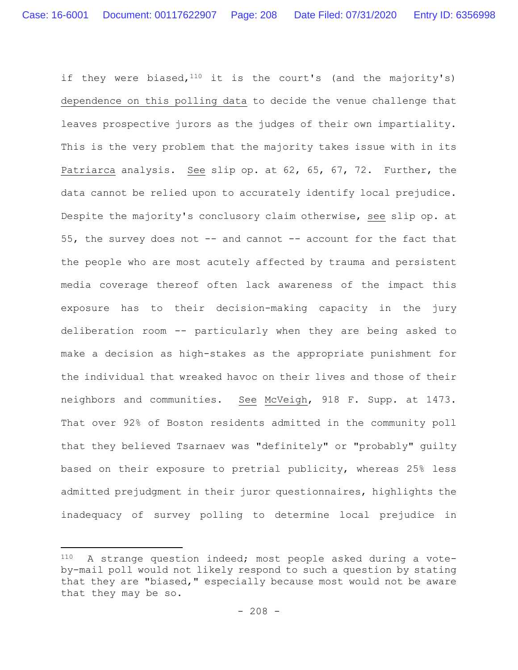if they were biased,  $110$  it is the court's (and the majority's) dependence on this polling data to decide the venue challenge that leaves prospective jurors as the judges of their own impartiality. This is the very problem that the majority takes issue with in its Patriarca analysis. See slip op. at 62, 65, 67, 72. Further, the data cannot be relied upon to accurately identify local prejudice. Despite the majority's conclusory claim otherwise, see slip op. at 55, the survey does not -- and cannot -- account for the fact that the people who are most acutely affected by trauma and persistent media coverage thereof often lack awareness of the impact this exposure has to their decision-making capacity in the jury deliberation room -- particularly when they are being asked to make a decision as high-stakes as the appropriate punishment for the individual that wreaked havoc on their lives and those of their neighbors and communities. See McVeigh, 918 F. Supp. at 1473. That over 92% of Boston residents admitted in the community poll that they believed Tsarnaev was "definitely" or "probably" guilty based on their exposure to pretrial publicity, whereas 25% less admitted prejudgment in their juror questionnaires, highlights the inadequacy of survey polling to determine local prejudice in

<sup>110</sup> A strange question indeed; most people asked during a voteby-mail poll would not likely respond to such a question by stating that they are "biased," especially because most would not be aware that they may be so.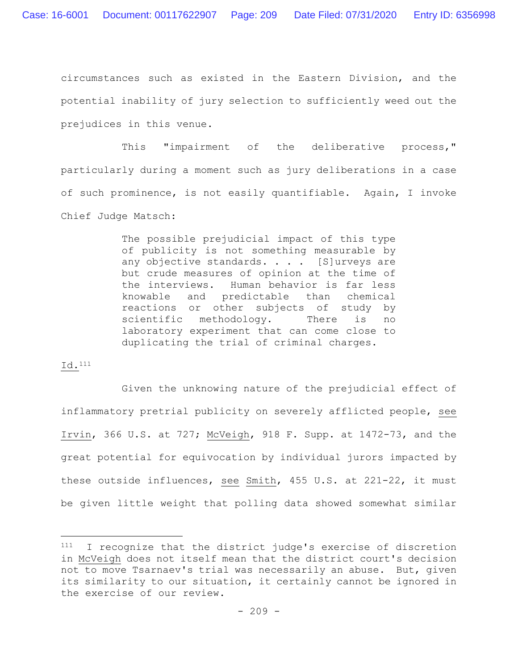circumstances such as existed in the Eastern Division, and the potential inability of jury selection to sufficiently weed out the prejudices in this venue.

This "impairment of the deliberative process," particularly during a moment such as jury deliberations in a case of such prominence, is not easily quantifiable. Again, I invoke Chief Judge Matsch:

> The possible prejudicial impact of this type of publicity is not something measurable by any objective standards. . . . [S]urveys are but crude measures of opinion at the time of the interviews. Human behavior is far less knowable and predictable than chemical reactions or other subjects of study by scientific methodology. There is no laboratory experiment that can come close to duplicating the trial of criminal charges.

## Id.111

Given the unknowing nature of the prejudicial effect of inflammatory pretrial publicity on severely afflicted people, see Irvin, 366 U.S. at 727; McVeigh, 918 F. Supp. at 1472-73, and the great potential for equivocation by individual jurors impacted by these outside influences, see Smith, 455 U.S. at 221-22, it must be given little weight that polling data showed somewhat similar

<sup>111</sup> I recognize that the district judge's exercise of discretion in McVeigh does not itself mean that the district court's decision not to move Tsarnaev's trial was necessarily an abuse. But, given its similarity to our situation, it certainly cannot be ignored in the exercise of our review.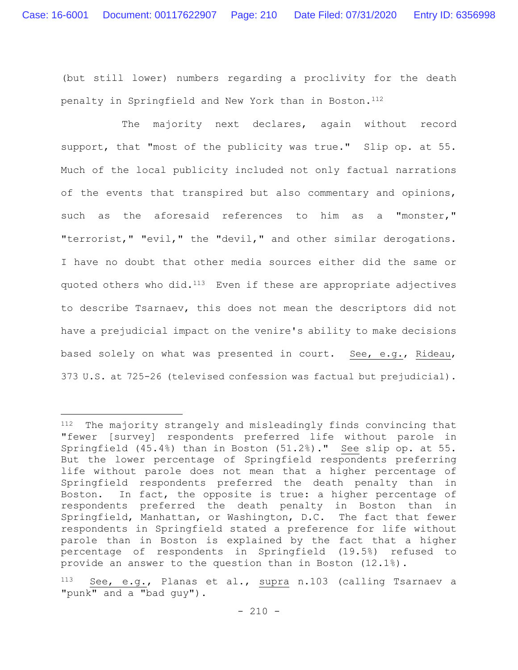(but still lower) numbers regarding a proclivity for the death penalty in Springfield and New York than in Boston.<sup>112</sup>

The majority next declares, again without record support, that "most of the publicity was true." Slip op. at 55. Much of the local publicity included not only factual narrations of the events that transpired but also commentary and opinions, such as the aforesaid references to him as a "monster," "terrorist," "evil," the "devil," and other similar derogations. I have no doubt that other media sources either did the same or quoted others who did.<sup>113</sup> Even if these are appropriate adjectives to describe Tsarnaev, this does not mean the descriptors did not have a prejudicial impact on the venire's ability to make decisions based solely on what was presented in court. See, e.g., Rideau, 373 U.S. at 725-26 (televised confession was factual but prejudicial).

<sup>112</sup> The majority strangely and misleadingly finds convincing that "fewer [survey] respondents preferred life without parole in Springfield (45.4%) than in Boston (51.2%)." See slip op. at 55. But the lower percentage of Springfield respondents preferring life without parole does not mean that a higher percentage of Springfield respondents preferred the death penalty than in Boston. In fact, the opposite is true: a higher percentage of respondents preferred the death penalty in Boston than in Springfield, Manhattan, or Washington, D.C. The fact that fewer respondents in Springfield stated a preference for life without parole than in Boston is explained by the fact that a higher percentage of respondents in Springfield (19.5%) refused to provide an answer to the question than in Boston (12.1%).

See, e.g., Planas et al., supra n.103 (calling Tsarnaev a "punk" and a "bad quy").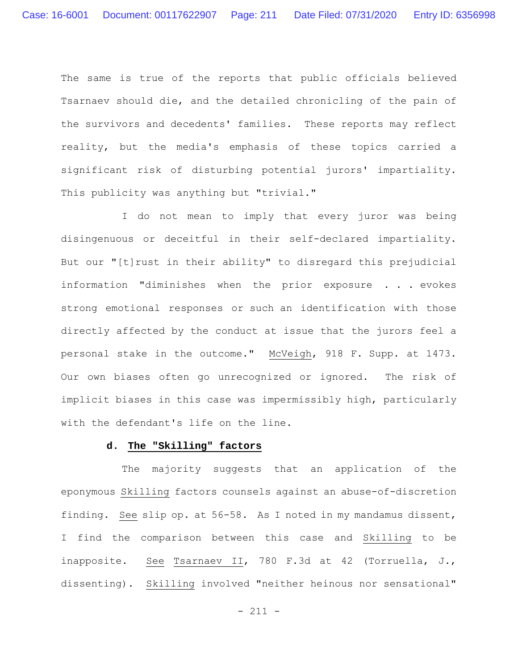The same is true of the reports that public officials believed Tsarnaev should die, and the detailed chronicling of the pain of the survivors and decedents' families. These reports may reflect reality, but the media's emphasis of these topics carried a significant risk of disturbing potential jurors' impartiality. This publicity was anything but "trivial."

I do not mean to imply that every juror was being disingenuous or deceitful in their self-declared impartiality. But our "[t]rust in their ability" to disregard this prejudicial information "diminishes when the prior exposure . . . evokes strong emotional responses or such an identification with those directly affected by the conduct at issue that the jurors feel a personal stake in the outcome." McVeigh, 918 F. Supp. at 1473. Our own biases often go unrecognized or ignored. The risk of implicit biases in this case was impermissibly high, particularly with the defendant's life on the line.

## **d. The "Skilling" factors**

The majority suggests that an application of the eponymous Skilling factors counsels against an abuse-of-discretion finding. See slip op. at 56-58. As I noted in my mandamus dissent, I find the comparison between this case and Skilling to be inapposite. See Tsarnaev II, 780 F.3d at 42 (Torruella, J., dissenting). Skilling involved "neither heinous nor sensational"

- 211 -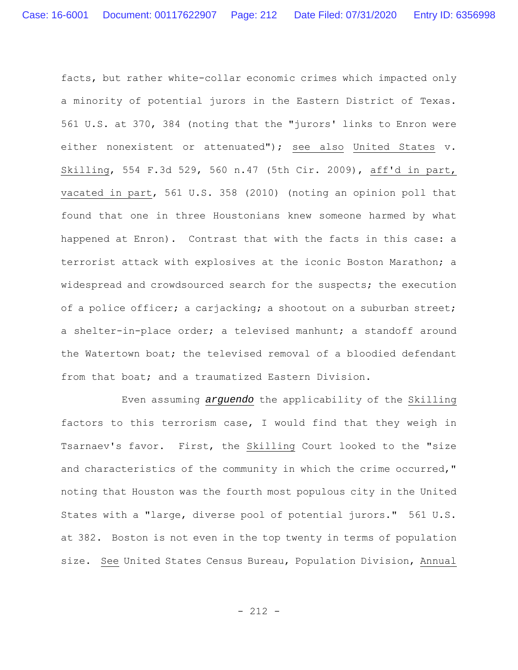facts, but rather white-collar economic crimes which impacted only a minority of potential jurors in the Eastern District of Texas. 561 U.S. at 370, 384 (noting that the "jurors' links to Enron were either nonexistent or attenuated"); see also United States v. Skilling, 554 F.3d 529, 560 n.47 (5th Cir. 2009), aff'd in part, vacated in part, 561 U.S. 358 (2010) (noting an opinion poll that found that one in three Houstonians knew someone harmed by what happened at Enron). Contrast that with the facts in this case: a terrorist attack with explosives at the iconic Boston Marathon; a widespread and crowdsourced search for the suspects; the execution of a police officer; a carjacking; a shootout on a suburban street; a shelter-in-place order; a televised manhunt; a standoff around the Watertown boat; the televised removal of a bloodied defendant from that boat; and a traumatized Eastern Division.

Even assuming *arguendo* the applicability of the Skilling factors to this terrorism case, I would find that they weigh in Tsarnaev's favor. First, the Skilling Court looked to the "size and characteristics of the community in which the crime occurred," noting that Houston was the fourth most populous city in the United States with a "large, diverse pool of potential jurors." 561 U.S. at 382. Boston is not even in the top twenty in terms of population size. See United States Census Bureau, Population Division, Annual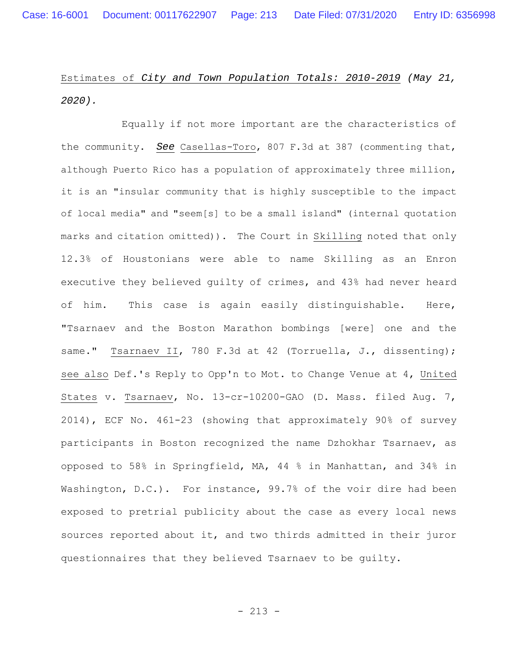Estimates of *City and Town Population Totals: 2010-2019 (May 21, 2020).*

Equally if not more important are the characteristics of the community. *See* Casellas-Toro, 807 F.3d at 387 (commenting that, although Puerto Rico has a population of approximately three million, it is an "insular community that is highly susceptible to the impact of local media" and "seem[s] to be a small island" (internal quotation marks and citation omitted)). The Court in Skilling noted that only 12.3% of Houstonians were able to name Skilling as an Enron executive they believed guilty of crimes, and 43% had never heard of him. This case is again easily distinguishable. Here, "Tsarnaev and the Boston Marathon bombings [were] one and the same." Tsarnaev II, 780 F.3d at 42 (Torruella, J., dissenting); see also Def.'s Reply to Opp'n to Mot. to Change Venue at 4, United States v. Tsarnaev, No. 13-cr-10200-GAO (D. Mass. filed Aug. 7, 2014), ECF No. 461-23 (showing that approximately 90% of survey participants in Boston recognized the name Dzhokhar Tsarnaev, as opposed to 58% in Springfield, MA, 44 % in Manhattan, and 34% in Washington, D.C.). For instance, 99.7% of the voir dire had been exposed to pretrial publicity about the case as every local news sources reported about it, and two thirds admitted in their juror questionnaires that they believed Tsarnaev to be guilty.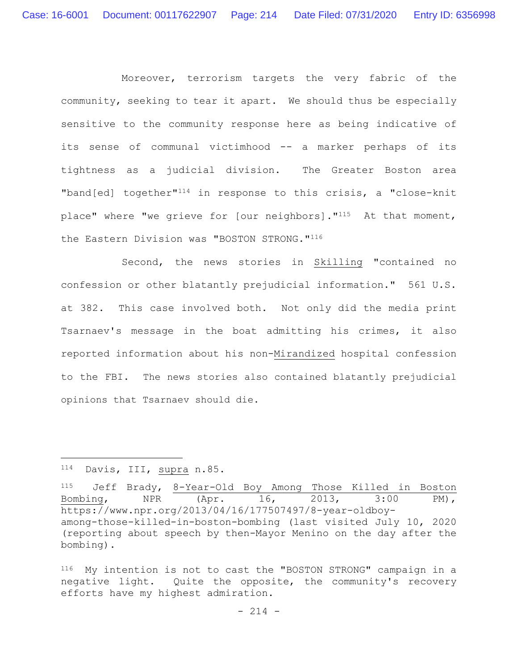Moreover, terrorism targets the very fabric of the community, seeking to tear it apart. We should thus be especially sensitive to the community response here as being indicative of its sense of communal victimhood -- a marker perhaps of its tightness as a judicial division. The Greater Boston area "band[ed] together"114 in response to this crisis, a "close-knit place" where "we grieve for [our neighbors]."115 At that moment, the Eastern Division was "BOSTON STRONG."116

Second, the news stories in Skilling "contained no confession or other blatantly prejudicial information." 561 U.S. at 382. This case involved both. Not only did the media print Tsarnaev's message in the boat admitting his crimes, it also reported information about his non-Mirandized hospital confession to the FBI. The news stories also contained blatantly prejudicial opinions that Tsarnaev should die.

<sup>114</sup> Davis, III, supra n.85.

<sup>115</sup> Jeff Brady, 8-Year-Old Boy Among Those Killed in Boston Bombing, NPR (Apr. 16, 2013, 3:00 PM), https://www.npr.org/2013/04/16/177507497/8-year-oldboyamong-those-killed-in-boston-bombing (last visited July 10, 2020 (reporting about speech by then-Mayor Menino on the day after the bombing).

<sup>116</sup> My intention is not to cast the "BOSTON STRONG" campaign in a negative light. Quite the opposite, the community's recovery efforts have my highest admiration.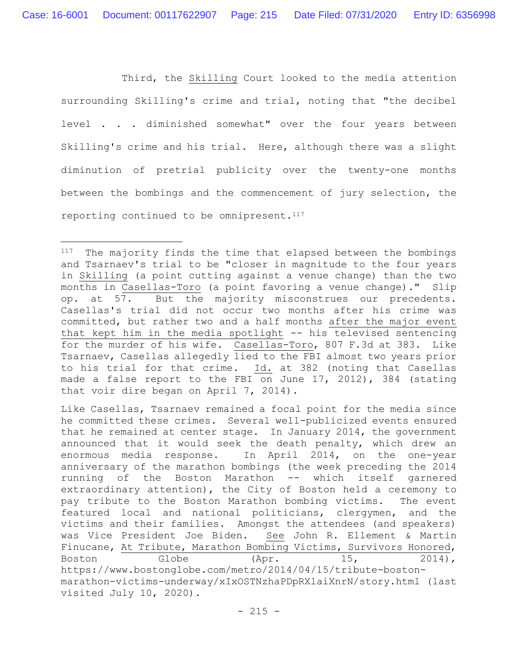Third, the Skilling Court looked to the media attention surrounding Skilling's crime and trial, noting that "the decibel level . . . diminished somewhat" over the four years between Skilling's crime and his trial. Here, although there was a slight diminution of pretrial publicity over the twenty-one months between the bombings and the commencement of jury selection, the reporting continued to be omnipresent. $117$ 

<sup>&</sup>lt;sup>117</sup> The majority finds the time that elapsed between the bombings and Tsarnaev's trial to be "closer in magnitude to the four years in Skilling (a point cutting against a venue change) than the two months in Casellas-Toro (a point favoring a venue change)." Slip op. at 57. But the majority misconstrues our precedents. Casellas's trial did not occur two months after his crime was committed, but rather two and a half months after the major event that kept him in the media spotlight -- his televised sentencing for the murder of his wife. Casellas-Toro, 807 F.3d at 383. Like Tsarnaev, Casellas allegedly lied to the FBI almost two years prior to his trial for that crime. Id. at 382 (noting that Casellas made a false report to the FBI on June 17, 2012), 384 (stating that voir dire began on April 7, 2014).

Like Casellas, Tsarnaev remained a focal point for the media since he committed these crimes. Several well-publicized events ensured that he remained at center stage. In January 2014, the government announced that it would seek the death penalty, which drew an enormous media response. In April 2014, on the one-year anniversary of the marathon bombings (the week preceding the 2014 running of the Boston Marathon -- which itself garnered extraordinary attention), the City of Boston held a ceremony to pay tribute to the Boston Marathon bombing victims. The event featured local and national politicians, clergymen, and the victims and their families. Amongst the attendees (and speakers) was Vice President Joe Biden. See John R. Ellement & Martin Finucane, At Tribute, Marathon Bombing Victims, Survivors Honored, Boston Globe (Apr. 15, 2014), https://www.bostonglobe.com/metro/2014/04/15/tribute-bostonmarathon-victims-underway/xIxOSTNzhaPDpRXlaiXnrN/story.html (last visited July 10, 2020).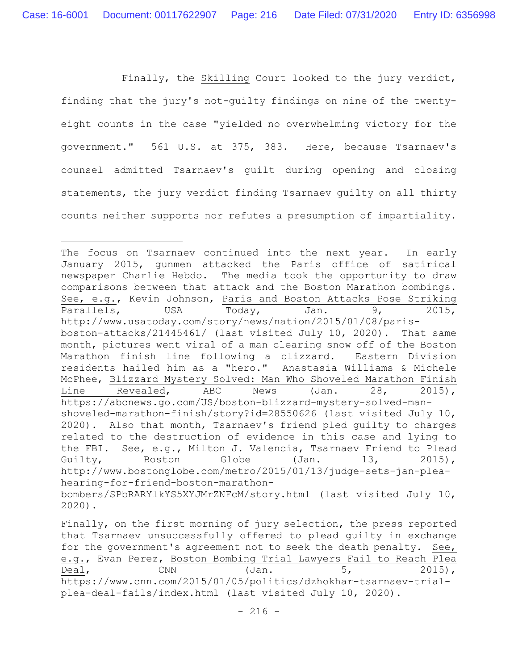Finally, the Skilling Court looked to the jury verdict, finding that the jury's not-guilty findings on nine of the twentyeight counts in the case "yielded no overwhelming victory for the government." 561 U.S. at 375, 383. Here, because Tsarnaev's counsel admitted Tsarnaev's guilt during opening and closing statements, the jury verdict finding Tsarnaev guilty on all thirty counts neither supports nor refutes a presumption of impartiality.

Finally, on the first morning of jury selection, the press reported that Tsarnaev unsuccessfully offered to plead guilty in exchange for the government's agreement not to seek the death penalty. See, e.g., Evan Perez, Boston Bombing Trial Lawyers Fail to Reach Plea  $\text{Deal}$ , CNN  $(\text{Jan.} 5, 2015)$ , https://www.cnn.com/2015/01/05/politics/dzhokhar-tsarnaev-trialplea-deal-fails/index.html (last visited July 10, 2020).

The focus on Tsarnaev continued into the next year. In early January 2015, gunmen attacked the Paris office of satirical newspaper Charlie Hebdo. The media took the opportunity to draw comparisons between that attack and the Boston Marathon bombings. See, e.g., Kevin Johnson, Paris and Boston Attacks Pose Striking Parallels, USA Today, Jan. 9, 2015, http://www.usatoday.com/story/news/nation/2015/01/08/parisboston-attacks/21445461/ (last visited July 10, 2020). That same month, pictures went viral of a man clearing snow off of the Boston Marathon finish line following a blizzard. Eastern Division residents hailed him as a "hero." Anastasia Williams & Michele McPhee, Blizzard Mystery Solved: Man Who Shoveled Marathon Finish Line Revealed, ABC News (Jan. 28, 2015), https://abcnews.go.com/US/boston-blizzard-mystery-solved-manshoveled-marathon-finish/story?id=28550626 (last visited July 10, 2020). Also that month, Tsarnaev's friend pled guilty to charges related to the destruction of evidence in this case and lying to the FBI. See, e.g., Milton J. Valencia, Tsarnaev Friend to Plead Guilty, Boston Globe (Jan. 13, 2015), http://www.bostonglobe.com/metro/2015/01/13/judge-sets-jan-pleahearing-for-friend-boston-marathonbombers/SPbRARYlkYS5XYJMrZNFcM/story.html (last visited July 10, 2020).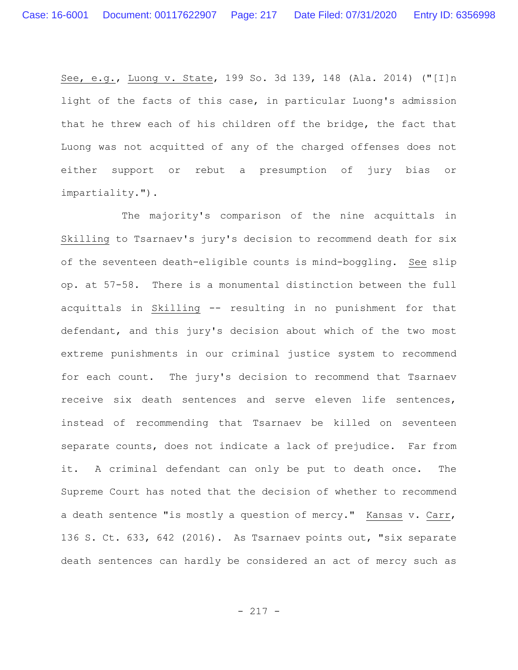See, e.g., Luong v. State, 199 So. 3d 139, 148 (Ala. 2014) ("[I]n light of the facts of this case, in particular Luong's admission that he threw each of his children off the bridge, the fact that Luong was not acquitted of any of the charged offenses does not either support or rebut a presumption of jury bias or impartiality.").

The majority's comparison of the nine acquittals in Skilling to Tsarnaev's jury's decision to recommend death for six of the seventeen death-eligible counts is mind-boggling. See slip op. at 57-58. There is a monumental distinction between the full acquittals in Skilling -- resulting in no punishment for that defendant, and this jury's decision about which of the two most extreme punishments in our criminal justice system to recommend for each count. The jury's decision to recommend that Tsarnaev receive six death sentences and serve eleven life sentences, instead of recommending that Tsarnaev be killed on seventeen separate counts, does not indicate a lack of prejudice. Far from it. A criminal defendant can only be put to death once. The Supreme Court has noted that the decision of whether to recommend a death sentence "is mostly a question of mercy." Kansas v. Carr, 136 S. Ct. 633, 642 (2016). As Tsarnaev points out, "six separate death sentences can hardly be considered an act of mercy such as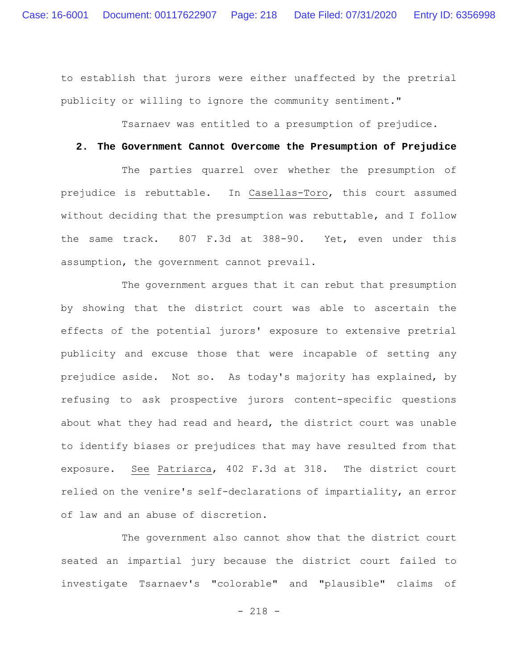to establish that jurors were either unaffected by the pretrial publicity or willing to ignore the community sentiment."

Tsarnaev was entitled to a presumption of prejudice.

## **2. The Government Cannot Overcome the Presumption of Prejudice**

The parties quarrel over whether the presumption of prejudice is rebuttable. In Casellas-Toro, this court assumed without deciding that the presumption was rebuttable, and I follow the same track. 807 F.3d at 388-90. Yet, even under this assumption, the government cannot prevail.

The government argues that it can rebut that presumption by showing that the district court was able to ascertain the effects of the potential jurors' exposure to extensive pretrial publicity and excuse those that were incapable of setting any prejudice aside. Not so. As today's majority has explained, by refusing to ask prospective jurors content-specific questions about what they had read and heard, the district court was unable to identify biases or prejudices that may have resulted from that exposure. See Patriarca, 402 F.3d at 318. The district court relied on the venire's self-declarations of impartiality, an error of law and an abuse of discretion.

The government also cannot show that the district court seated an impartial jury because the district court failed to investigate Tsarnaev's "colorable" and "plausible" claims of

- 218 -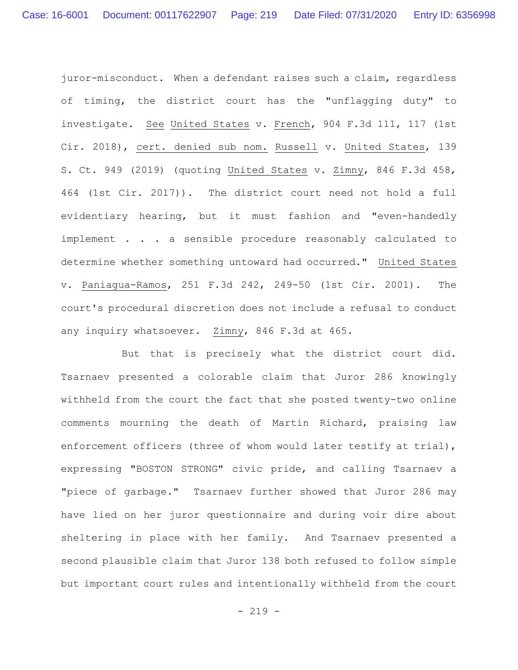juror-misconduct. When a defendant raises such a claim, regardless of timing, the district court has the "unflagging duty" to investigate. See United States v. French, 904 F.3d 111, 117 (1st Cir. 2018), cert. denied sub nom. Russell v. United States, 139 S. Ct. 949 (2019) (quoting United States v. Zimny, 846 F.3d 458, 464 (1st Cir. 2017)). The district court need not hold a full evidentiary hearing, but it must fashion and "even-handedly implement . . . a sensible procedure reasonably calculated to determine whether something untoward had occurred." United States v. Paniagua-Ramos, 251 F.3d 242, 249-50 (1st Cir. 2001). The court's procedural discretion does not include a refusal to conduct any inquiry whatsoever. Zimny, 846 F.3d at 465.

But that is precisely what the district court did. Tsarnaev presented a colorable claim that Juror 286 knowingly withheld from the court the fact that she posted twenty-two online comments mourning the death of Martin Richard, praising law enforcement officers (three of whom would later testify at trial), expressing "BOSTON STRONG" civic pride, and calling Tsarnaev a "piece of garbage." Tsarnaev further showed that Juror 286 may have lied on her juror questionnaire and during voir dire about sheltering in place with her family. And Tsarnaev presented a second plausible claim that Juror 138 both refused to follow simple but important court rules and intentionally withheld from the court

 $- 219 -$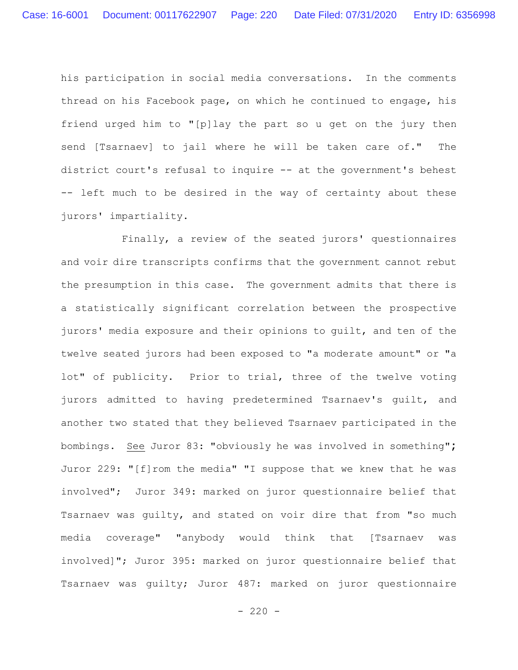his participation in social media conversations. In the comments thread on his Facebook page, on which he continued to engage, his friend urged him to "[p]lay the part so u get on the jury then send [Tsarnaev] to jail where he will be taken care of." The district court's refusal to inquire -- at the government's behest -- left much to be desired in the way of certainty about these jurors' impartiality.

Finally, a review of the seated jurors' questionnaires and voir dire transcripts confirms that the government cannot rebut the presumption in this case. The government admits that there is a statistically significant correlation between the prospective jurors' media exposure and their opinions to guilt, and ten of the twelve seated jurors had been exposed to "a moderate amount" or "a lot" of publicity. Prior to trial, three of the twelve voting jurors admitted to having predetermined Tsarnaev's guilt, and another two stated that they believed Tsarnaev participated in the bombings. See Juror 83: "obviously he was involved in something"**;**  Juror 229: "[f]rom the media" "I suppose that we knew that he was involved"; Juror 349: marked on juror questionnaire belief that Tsarnaev was guilty, and stated on voir dire that from "so much media coverage" "anybody would think that [Tsarnaev was involved]"; Juror 395: marked on juror questionnaire belief that Tsarnaev was guilty; Juror 487: marked on juror questionnaire

 $-220 -$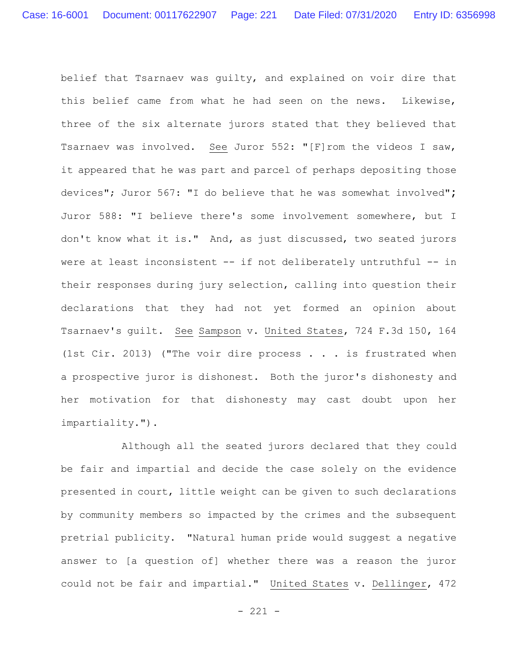belief that Tsarnaev was guilty, and explained on voir dire that this belief came from what he had seen on the news. Likewise, three of the six alternate jurors stated that they believed that Tsarnaev was involved. See Juror 552: "[F]rom the videos I saw, it appeared that he was part and parcel of perhaps depositing those devices"; Juror 567: "I do believe that he was somewhat involved"**;**  Juror 588: "I believe there's some involvement somewhere, but I don't know what it is."And, as just discussed, two seated jurors were at least inconsistent -- if not deliberately untruthful -- in their responses during jury selection, calling into question their declarations that they had not yet formed an opinion about Tsarnaev's guilt. See Sampson v. United States, 724 F.3d 150, 164 (1st Cir. 2013) ("The voir dire process . . . is frustrated when a prospective juror is dishonest. Both the juror's dishonesty and her motivation for that dishonesty may cast doubt upon her impartiality.").

Although all the seated jurors declared that they could be fair and impartial and decide the case solely on the evidence presented in court, little weight can be given to such declarations by community members so impacted by the crimes and the subsequent pretrial publicity. "Natural human pride would suggest a negative answer to [a question of] whether there was a reason the juror could not be fair and impartial." United States v. Dellinger, 472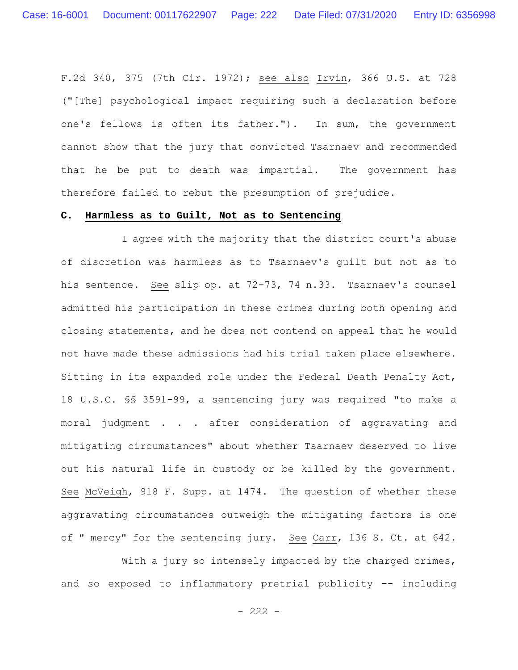F.2d 340, 375 (7th Cir. 1972); see also Irvin, 366 U.S. at 728 ("[The] psychological impact requiring such a declaration before one's fellows is often its father."). In sum, the government cannot show that the jury that convicted Tsarnaev and recommended that he be put to death was impartial. The government has therefore failed to rebut the presumption of prejudice.

## **C. Harmless as to Guilt, Not as to Sentencing**

I agree with the majority that the district court's abuse of discretion was harmless as to Tsarnaev's guilt but not as to his sentence. See slip op. at 72-73, 74 n.33. Tsarnaev's counsel admitted his participation in these crimes during both opening and closing statements, and he does not contend on appeal that he would not have made these admissions had his trial taken place elsewhere. Sitting in its expanded role under the Federal Death Penalty Act, 18 U.S.C. §§ 3591-99, a sentencing jury was required "to make a moral judgment . . . after consideration of aggravating and mitigating circumstances" about whether Tsarnaev deserved to live out his natural life in custody or be killed by the government. See McVeigh, 918 F. Supp. at 1474. The question of whether these aggravating circumstances outweigh the mitigating factors is one of " mercy" for the sentencing jury. See Carr, 136 S. Ct. at 642.

With a jury so intensely impacted by the charged crimes, and so exposed to inflammatory pretrial publicity -- including

 $- 222 -$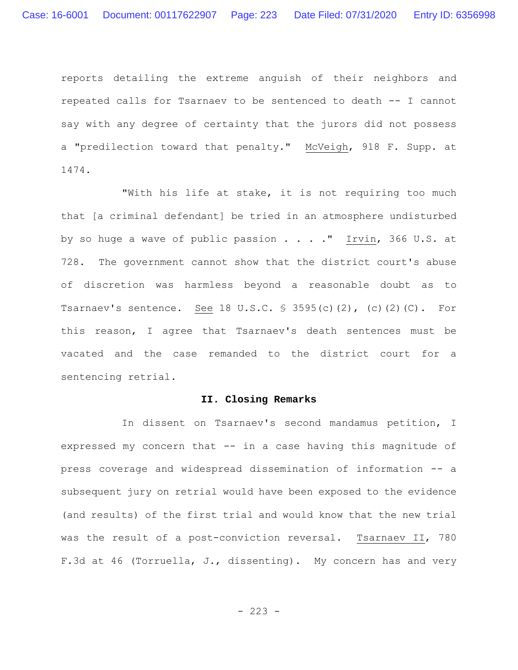reports detailing the extreme anguish of their neighbors and repeated calls for Tsarnaev to be sentenced to death -- I cannot say with any degree of certainty that the jurors did not possess a "predilection toward that penalty." McVeigh, 918 F. Supp. at 1474.

"With his life at stake, it is not requiring too much that [a criminal defendant] be tried in an atmosphere undisturbed by so huge a wave of public passion . . . . " Irvin, 366 U.S. at 728. The government cannot show that the district court's abuse of discretion was harmless beyond a reasonable doubt as to Tsarnaev's sentence. See 18 U.S.C. § 3595(c)(2), (c)(2)(C). For this reason, I agree that Tsarnaev's death sentences must be vacated and the case remanded to the district court for a sentencing retrial.

## **II. Closing Remarks**

In dissent on Tsarnaev's second mandamus petition, I expressed my concern that -- in a case having this magnitude of press coverage and widespread dissemination of information -- a subsequent jury on retrial would have been exposed to the evidence (and results) of the first trial and would know that the new trial was the result of a post-conviction reversal. Tsarnaev II, 780 F.3d at 46 (Torruella, J., dissenting). My concern has and very

 $-223 -$